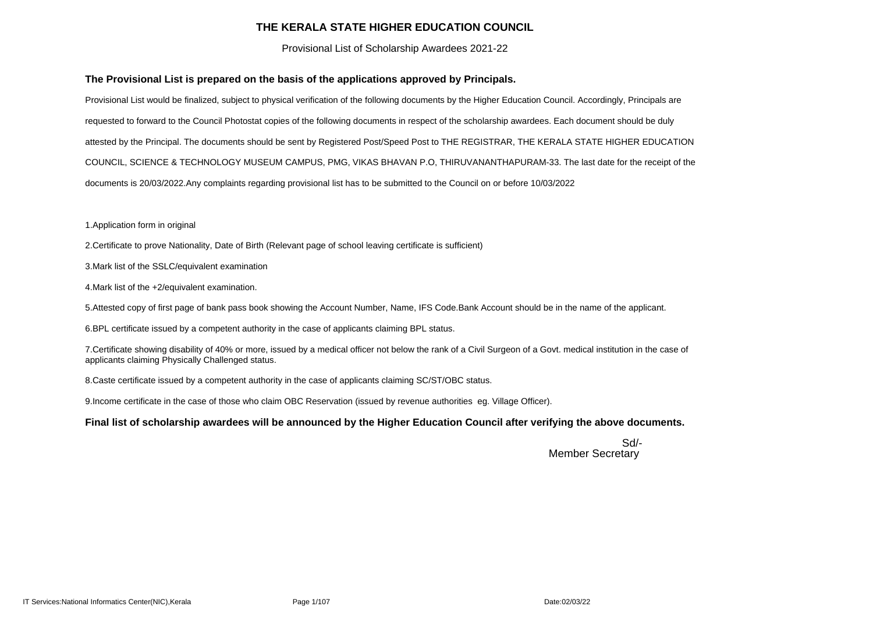#### **THE KERALA STATE HIGHER EDUCATION COUNCIL**

Provisional List of Scholarship Awardees 2021-22

#### **The Provisional List is prepared on the basis of the applications approved by Principals.**

- 2. Certificate to prove Nationality, Date of Birth (Relevant page of school leaving certificate is sufficient)
- 3. Mark list of the SSLC/equivalent examination
- 4. Mark list of the +2/equivalent examination.

Provisional List would be finalized, subject to physical verification of the following documents by the Higher Education Council. Accordingly, Principals are requested to forward to the Council Photostat copies of the following documents in respect of the scholarship awardees. Each document should be duly attested by the Principal. The documents should be sent by Registered Post/Speed Post to THE REGISTRAR, THE KERALA STATE HIGHER EDUCATION COUNCIL, SCIENCE & TECHNOLOGY MUSEUM CAMPUS, PMG, VIKAS BHAVAN P.O, THIRUVANANTHAPURAM-33. The last date for the receipt of the documents is 20/03/2022.Any complaints regarding provisional list has to be submitted to the Council on or before 10/03/2022

7. Certificate showing disability of 40% or more, issued by a medical officer not below the rank of a Civil Surgeon of a Govt. medical institution in the case of applicants claiming Physically Challenged status.

8. Caste certificate issued by a competent authority in the case of applicants claiming SC/ST/OBC status.

9. Income certificate in the case of those who claim OBC Reservation (issued by revenue authorities eg. Village Officer).

1. Application form in original

5. Attested copy of first page of bank pass book showing the Account Number, Name, IFS Code.Bank Account should be in the name of the applicant.

6. BPL certificate issued by a competent authority in the case of applicants claiming BPL status.

#### **Final list of scholarship awardees will be announced by the Higher Education Council after verifying the above documents.**

Sd/- Member Secretary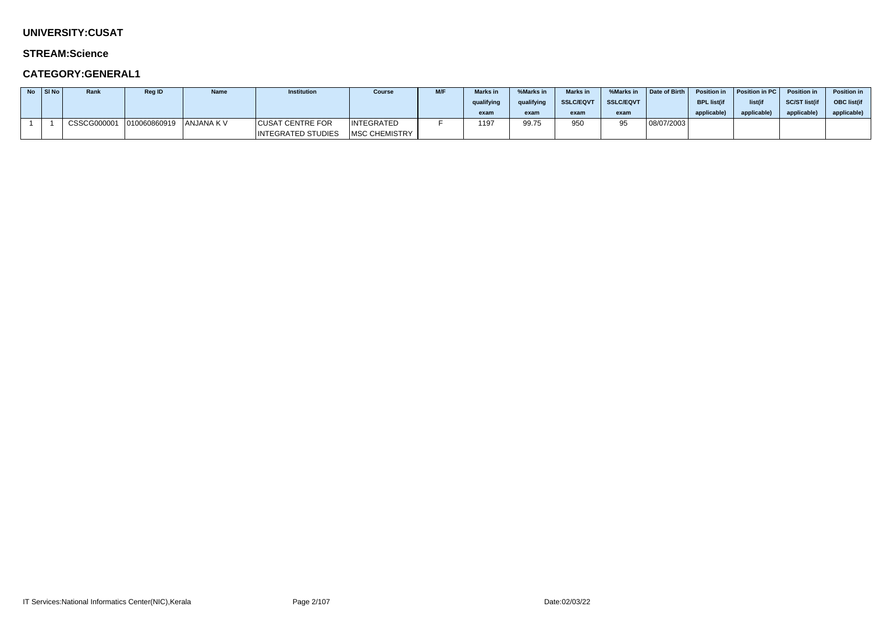### **UNIVERSITY:CUSAT**

#### **STREAM:Science**

| $No$ SI No | Rank        | <b>Reg ID</b> | <b>Name</b> | <b>Institution</b>        | <b>Course</b>         | M/F | <b>Marks in</b> | %Marks in  | <b>Marks in</b>  | %Marks in        | Date of Birth | <b>Position in</b> | <b>Position in PC</b> | <b>Position in</b> | <b>Position in</b> |
|------------|-------------|---------------|-------------|---------------------------|-----------------------|-----|-----------------|------------|------------------|------------------|---------------|--------------------|-----------------------|--------------------|--------------------|
|            |             |               |             |                           |                       |     | qualifying      | qualifying | <b>SSLC/EQVT</b> | <b>SSLC/EQVT</b> |               | <b>BPL list(if</b> | list(if               | SC/ST list(if      | <b>OBC</b> list(if |
|            |             |               |             |                           |                       |     | exam            | exam       | exam             | exam             |               | applicable)        | applicable            | applicable)        | applicable)        |
|            | CSSCG000001 | 010060860919  | ANJANA K V  | <b>CUSAT CENTRE FOR</b>   | <b>INTEGRATED</b>     |     | 1197            | 99.75      | 950              | ΩE               | 08/07/2003    |                    |                       |                    |                    |
|            |             |               |             | <b>INTEGRATED STUDIES</b> | <b>IMSC CHEMISTRY</b> |     |                 |            |                  |                  |               |                    |                       |                    |                    |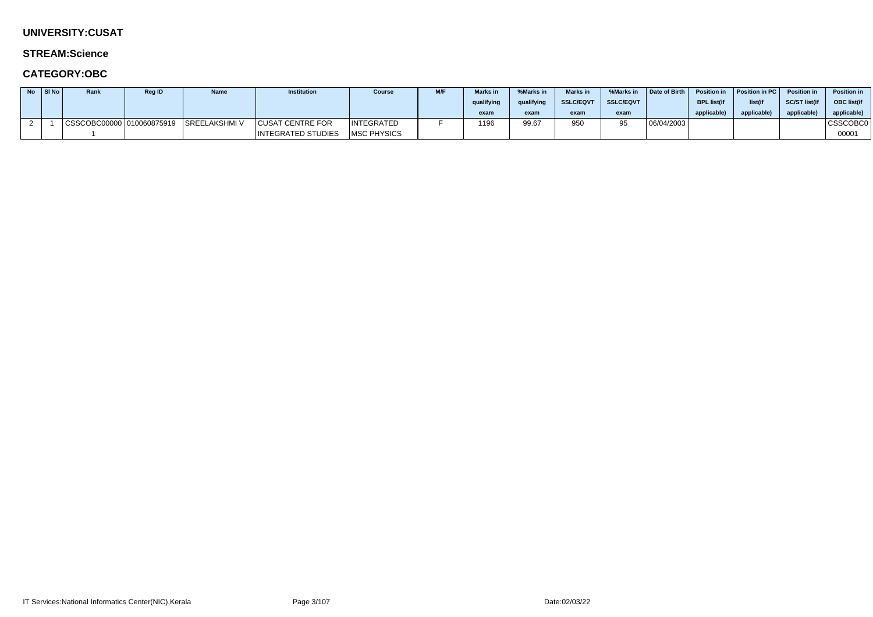### **UNIVERSITY:CUSAT**

#### **STREAM:Science**

| No. | $ $ SI No $ $ | Rank | <b>Reg ID</b> | <b>Name</b>                                     | <b>Institution</b>        | <b>Course</b>     | <b>M/F</b> | <b>Marks in</b> | %Marks in  | <b>Marks in</b>  | %Marks in        | Date of Birth | <b>Position in</b> | Position in PC   Position in |               | <b>Position in</b> |
|-----|---------------|------|---------------|-------------------------------------------------|---------------------------|-------------------|------------|-----------------|------------|------------------|------------------|---------------|--------------------|------------------------------|---------------|--------------------|
|     |               |      |               |                                                 |                           |                   |            | qualifying      | qualifying | <b>SSLC/EQVT</b> | <b>SSLC/EQVT</b> |               | <b>BPL list(if</b> | list(if                      | SC/ST list(if | <b>OBC</b> list(if |
|     |               |      |               |                                                 |                           |                   |            | exam            | exam       | exam             | exam             |               | applicable)        | applicable                   | applicable    | applicable)        |
|     |               |      |               | CSSCOBC00000   010060875919       SREELAKSHMI V | <b>CUSAT CENTRE FOR</b>   | <b>INTEGRATED</b> |            | 1196            | 99.67      | 950              | QБ               | 06/04/2003    |                    |                              |               | <b>CSSCOBC0</b>    |
|     |               |      |               |                                                 | <b>INTEGRATED STUDIES</b> | MSC PHYSICS       |            |                 |            |                  |                  |               |                    |                              |               | 00001              |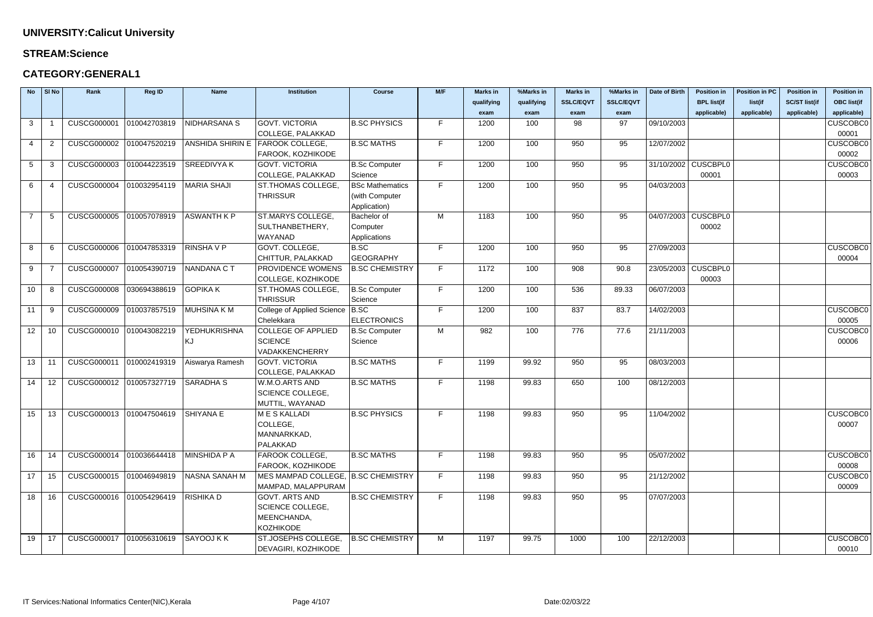#### **STREAM:Science**

| <b>No</b>       | SI No          | Rank                                        | <b>Reg ID</b> | <b>Name</b>             | <b>Institution</b>                 | <b>Course</b>          | M/F | <b>Marks in</b> | %Marks in  | <b>Marks in</b>  | %Marks in        | Date of Birth       | <b>Position in</b>    | <b>Position in PC</b> | <b>Position in</b>   | <b>Position in</b> |
|-----------------|----------------|---------------------------------------------|---------------|-------------------------|------------------------------------|------------------------|-----|-----------------|------------|------------------|------------------|---------------------|-----------------------|-----------------------|----------------------|--------------------|
|                 |                |                                             |               |                         |                                    |                        |     | qualifying      | qualifying | <b>SSLC/EQVT</b> | <b>SSLC/EQVT</b> |                     | <b>BPL list(if</b>    | list(if               | <b>SC/ST list(if</b> | <b>OBC list(if</b> |
|                 |                |                                             |               |                         |                                    |                        |     | exam            | exam       | exam             | exam             |                     | applicable)           | applicable)           | applicable)          | applicable)        |
| 3               |                | <b>CUSCG000001</b>                          | 010042703819  | NIDHARSANA S            | <b>GOVT. VICTORIA</b>              | <b>B.SC PHYSICS</b>    | F.  | 1200            | 100        | 98               | 97               | 09/10/2003          |                       |                       |                      | <b>CUSCOBC0</b>    |
|                 |                |                                             |               |                         | COLLEGE, PALAKKAD                  |                        |     |                 |            |                  |                  |                     |                       |                       |                      | 00001              |
| 4               | $\overline{2}$ | <b>CUSCG000002</b>                          | 010047520219  | <b>ANSHIDA SHIRIN E</b> | <b>FAROOK COLLEGE,</b>             | <b>B.SC MATHS</b>      | F.  | 1200            | 100        | 950              | 95               | 12/07/2002          |                       |                       |                      | <b>CUSCOBC0</b>    |
|                 |                |                                             |               |                         | FAROOK, KOZHIKODE                  |                        |     |                 |            |                  |                  |                     |                       |                       |                      | 00002              |
| $5\overline{)}$ | 3              | <b>CUSCG000003</b>                          | 010044223519  | <b>SREEDIVYAK</b>       | <b>GOVT. VICTORIA</b>              | <b>B.Sc Computer</b>   | F.  | 1200            | 100        | 950              | 95               |                     | 31/10/2002 CUSCBPL0   |                       |                      | <b>CUSCOBC0</b>    |
|                 |                |                                             |               |                         | COLLEGE, PALAKKAD                  | Science                |     |                 |            |                  |                  |                     | 00001                 |                       |                      | 00003              |
| 6               | -4             | CUSCG000004 010032954119                    |               | MARIA SHAJI             | ST.THOMAS COLLEGE.                 | <b>BSc Mathematics</b> | F.  | 1200            | 100        | 950              | 95               | 04/03/2003          |                       |                       |                      |                    |
|                 |                |                                             |               |                         | <b>THRISSUR</b>                    | (with Computer         |     |                 |            |                  |                  |                     |                       |                       |                      |                    |
|                 |                |                                             |               |                         |                                    | Application)           |     |                 |            |                  |                  |                     |                       |                       |                      |                    |
| $\overline{7}$  | -5             | CUSCG000005                                 | 010057078919  | <b>ASWANTH K P</b>      | ST.MARYS COLLEGE,                  | Bachelor of            | M   | 1183            | 100        | 950              | 95               | 04/07/2003 CUSCBPL0 |                       |                       |                      |                    |
|                 |                |                                             |               |                         | SULTHANBETHERY,                    | Computer               |     |                 |            |                  |                  |                     | 00002                 |                       |                      |                    |
|                 |                |                                             |               |                         | WAYANAD                            | Applications           |     |                 |            |                  |                  |                     |                       |                       |                      |                    |
| 8               | 6              | <b>CUSCG000006</b>                          | 010047853319  | <b>RINSHAVP</b>         | GOVT. COLLEGE,                     | B.SC                   | F.  | 1200            | 100        | 950              | 95               | 27/09/2003          |                       |                       |                      | <b>CUSCOBC0</b>    |
|                 |                |                                             |               |                         | CHITTUR, PALAKKAD                  | <b>GEOGRAPHY</b>       |     |                 |            |                  |                  |                     |                       |                       |                      | 00004              |
| 9               |                | <b>CUSCG000007</b>                          | 010054390719  | <b>NANDANA CT</b>       | PROVIDENCE WOMENS                  | <b>B.SC CHEMISTRY</b>  | F.  | 1172            | 100        | 908              | 90.8             |                     | 23/05/2003   CUSCBPL0 |                       |                      |                    |
|                 |                |                                             |               |                         | COLLEGE, KOZHIKODE                 |                        |     |                 |            |                  |                  |                     | 00003                 |                       |                      |                    |
| 10 <sup>°</sup> | -8             | <b>CUSCG000008</b>                          | 030694388619  | <b>GOPIKA K</b>         | <b>ST.THOMAS COLLEGE.</b>          | <b>B.Sc Computer</b>   | F.  | 1200            | 100        | 536              | 89.33            | 06/07/2003          |                       |                       |                      |                    |
|                 |                |                                             |               |                         | <b>THRISSUR</b>                    | Science                |     |                 |            |                  |                  |                     |                       |                       |                      |                    |
| 11              | -9             | <b>CUSCG000009</b>                          | 010037857519  | <b>MUHSINA K M</b>      | College of Applied Science B.SC    |                        | F.  | 1200            | 100        | 837              | 83.7             | 14/02/2003          |                       |                       |                      | <b>CUSCOBC0</b>    |
|                 |                |                                             |               |                         | Chelekkara                         | <b>ELECTRONICS</b>     |     |                 |            |                  |                  |                     |                       |                       |                      | 00005              |
| 12 <sub>2</sub> | 10             | CUSCG000010 010043082219                    |               | <b>YEDHUKRISHNA</b>     | <b>COLLEGE OF APPLIED</b>          | <b>B.Sc Computer</b>   | M   | 982             | 100        | 776              | 77.6             | 21/11/2003          |                       |                       |                      | <b>CUSCOBC0</b>    |
|                 |                |                                             |               | KJ                      | <b>SCIENCE</b>                     | Science                |     |                 |            |                  |                  |                     |                       |                       |                      | 00006              |
|                 |                |                                             |               |                         | VADAKKENCHERRY                     |                        |     |                 |            |                  |                  |                     |                       |                       |                      |                    |
| 13              | 11             | CUSCG000011 010002419319                    |               | Aiswarya Ramesh         | <b>GOVT. VICTORIA</b>              | <b>B.SC MATHS</b>      | F.  | 1199            | 99.92      | 950              | 95               | 08/03/2003          |                       |                       |                      |                    |
|                 |                |                                             |               |                         | COLLEGE, PALAKKAD                  |                        |     |                 |            |                  |                  |                     |                       |                       |                      |                    |
| 14              | 12             | CUSCG000012 010057327719                    |               | <b>SARADHA S</b>        | W.M.O.ARTS AND                     | <b>B.SC MATHS</b>      | F.  | 1198            | 99.83      | 650              | 100              | 08/12/2003          |                       |                       |                      |                    |
|                 |                |                                             |               |                         | SCIENCE COLLEGE,                   |                        |     |                 |            |                  |                  |                     |                       |                       |                      |                    |
|                 |                |                                             |               |                         | MUTTIL, WAYANAD                    |                        |     |                 |            |                  |                  |                     |                       |                       |                      |                    |
| $15 \vert$      |                | 13   CUSCG000013   010047504619   SHIYANA E |               |                         | M E S KALLADI                      | <b>B.SC PHYSICS</b>    | F.  | 1198            | 99.83      | 950              | 95               | 11/04/2002          |                       |                       |                      | <b>CUSCOBCO</b>    |
|                 |                |                                             |               |                         | COLLEGE,                           |                        |     |                 |            |                  |                  |                     |                       |                       |                      | 00007              |
|                 |                |                                             |               |                         | MANNARKKAD,                        |                        |     |                 |            |                  |                  |                     |                       |                       |                      |                    |
|                 |                |                                             |               |                         | PALAKKAD                           |                        |     |                 |            |                  |                  |                     |                       |                       |                      |                    |
| 16              | 14             | CUSCG000014 010036644418                    |               | MINSHIDA P A            | FAROOK COLLEGE,                    | <b>B.SC MATHS</b>      | F.  | 1198            | 99.83      | 950              | 95               | 05/07/2002          |                       |                       |                      | <b>CUSCOBC0</b>    |
|                 |                |                                             |               |                         | FAROOK, KOZHIKODE                  |                        |     |                 |            |                  |                  |                     |                       |                       |                      | 00008              |
| 17              | 15             | CUSCG000015 010046949819                    |               | <b>NASNA SANAH M</b>    | MES MAMPAD COLLEGE, B.SC CHEMISTRY |                        | F.  | 1198            | 99.83      | 950              | 95               | 21/12/2002          |                       |                       |                      | <b>CUSCOBC0</b>    |
|                 |                |                                             |               |                         | MAMPAD, MALAPPURAM                 |                        |     |                 |            |                  |                  |                     |                       |                       |                      | 00009              |
| 18              | 16             | CUSCG000016 010054296419                    |               | RISHIKA D               | <b>GOVT. ARTS AND</b>              | <b>B.SC CHEMISTRY</b>  | F.  | 1198            | 99.83      | 950              | 95               | 07/07/2003          |                       |                       |                      |                    |
|                 |                |                                             |               |                         | <b>SCIENCE COLLEGE,</b>            |                        |     |                 |            |                  |                  |                     |                       |                       |                      |                    |
|                 |                |                                             |               |                         | MEENCHANDA,                        |                        |     |                 |            |                  |                  |                     |                       |                       |                      |                    |
|                 |                |                                             |               |                         | <b>KOZHIKODE</b>                   |                        |     |                 |            |                  |                  |                     |                       |                       |                      |                    |
| 19              | 17             | CUSCG000017 010056310619                    |               | SAYOOJ K K              | ST.JOSEPHS COLLEGE,                | <b>B.SC CHEMISTRY</b>  | M   | 1197            | 99.75      | 1000             | 100              | 22/12/2003          |                       |                       |                      | <b>CUSCOBC0</b>    |
|                 |                |                                             |               |                         | DEVAGIRI, KOZHIKODE                |                        |     |                 |            |                  |                  |                     |                       |                       |                      | 00010              |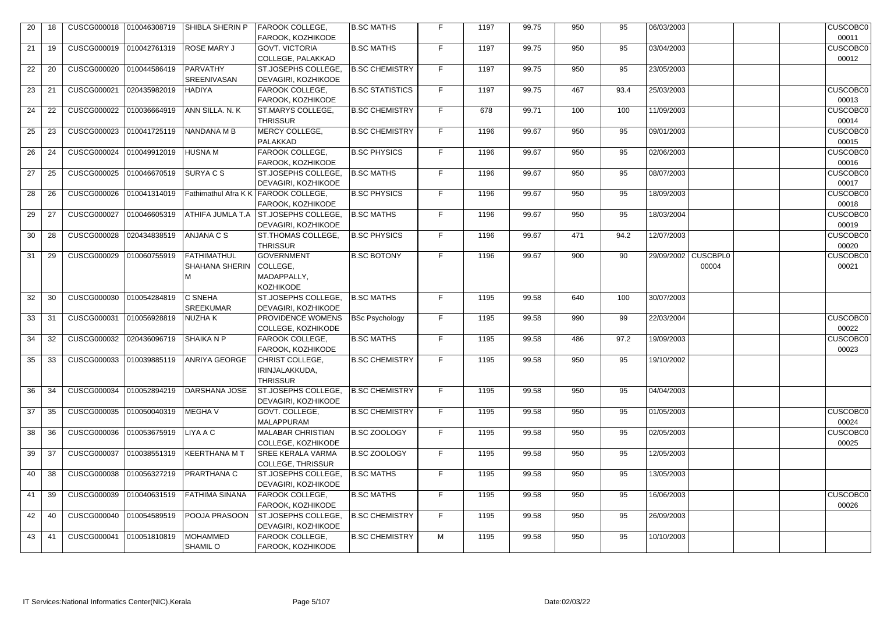| 20 |     |                           | CUSCG000018 010046308719 | SHIBLA SHERIN P                             | <b>FAROOK COLLEGE,</b><br>FAROOK, KOZHIKODE                      | <b>B.SC MATHS</b>      | F. | 1197 | 99.75 | 950 | 95   | 06/03/2003                   | <b>CUSCOBC0</b><br>00011 |
|----|-----|---------------------------|--------------------------|---------------------------------------------|------------------------------------------------------------------|------------------------|----|------|-------|-----|------|------------------------------|--------------------------|
| 21 | 19  | CUSCG000019               | 010042761319             | <b>ROSE MARY J</b>                          | <b>GOVT. VICTORIA</b><br>COLLEGE, PALAKKAD                       | <b>B.SC MATHS</b>      | F  | 1197 | 99.75 | 950 | 95   | 03/04/2003                   | <b>CUSCOBC0</b><br>00012 |
| 22 | 20  | CUSCG000020 010044586419  |                          | PARVATHY<br>SREENIVASAN                     | ST.JOSEPHS COLLEGE,<br><b>DEVAGIRI, KOZHIKODE</b>                | <b>B.SC CHEMISTRY</b>  | F  | 1197 | 99.75 | 950 | 95   | 23/05/2003                   |                          |
| 23 | 21  | CUSCG000021               | 020435982019             | <b>HADIYA</b>                               | FAROOK COLLEGE,<br>FAROOK, KOZHIKODE                             | <b>B.SC STATISTICS</b> | F  | 1197 | 99.75 | 467 | 93.4 | 25/03/2003                   | <b>CUSCOBC0</b><br>00013 |
| 24 | 22  | CUSCG000022 010036664919  |                          | ANN SILLA. N. K                             | ST.MARYS COLLEGE,<br><b>THRISSUR</b>                             | <b>B.SC CHEMISTRY</b>  | F  | 678  | 99.71 | 100 | 100  | 11/09/2003                   | <b>CUSCOBC0</b><br>00014 |
| 25 | 23  | CUSCG000023 010041725119  |                          | NANDANA M B                                 | MERCY COLLEGE,<br>PALAKKAD                                       | <b>B.SC CHEMISTRY</b>  | F  | 1196 | 99.67 | 950 | 95   | 09/01/2003                   | <b>CUSCOBC0</b><br>00015 |
| 26 | 24  | CUSCG000024  010049912019 |                          | <b>HUSNAM</b>                               | FAROOK COLLEGE,<br>FAROOK, KOZHIKODE                             | <b>B.SC PHYSICS</b>    | F  | 1196 | 99.67 | 950 | 95   | 02/06/2003                   | <b>CUSCOBC0</b><br>00016 |
| 27 | 25  | CUSCG000025 010046670519  |                          | <b>SURYACS</b>                              | ST.JOSEPHS COLLEGE,<br>DEVAGIRI, KOZHIKODE                       | <b>B.SC MATHS</b>      | F  | 1196 | 99.67 | 950 | 95   | 08/07/2003                   | <b>CUSCOBC0</b><br>00017 |
| 28 | 26  | <b>CUSCG000026</b>        | 010041314019             | Fathimathul Afra K K                        | FAROOK COLLEGE,<br>FAROOK, KOZHIKODE                             | <b>B.SC PHYSICS</b>    | F  | 1196 | 99.67 | 950 | 95   | 18/09/2003                   | <b>CUSCOBC0</b><br>00018 |
| 29 | 27  | <b>CUSCG000027</b>        | 010046605319             | ATHIFA JUMLA T.A                            | <b>ST.JOSEPHS COLLEGE</b><br>DEVAGIRI, KOZHIKODE                 | <b>B.SC MATHS</b>      | F  | 1196 | 99.67 | 950 | 95   | 18/03/2004                   | <b>CUSCOBC0</b><br>00019 |
| 30 | 28  | <b>CUSCG000028</b>        | 020434838519             | ANJANA C S                                  | ST. THOMAS COLLEGE,<br><b>THRISSUR</b>                           | <b>B.SC PHYSICS</b>    | F  | 1196 | 99.67 | 471 | 94.2 | 12/07/2003                   | <b>CUSCOBC0</b><br>00020 |
| 31 | 29  | CUSCG000029 010060755919  |                          | <b>FATHIMATHUL</b><br><b>SHAHANA SHERIN</b> | <b>GOVERNMENT</b><br>COLLEGE,<br>MADAPPALLY,<br><b>KOZHIKODE</b> | <b>B.SC BOTONY</b>     | F  | 1196 | 99.67 | 900 | 90   | 29/09/2002 CUSCBPL0<br>00004 | <b>CUSCOBC0</b><br>00021 |
| 32 | 30  | CUSCG000030 010054284819  |                          | <b>C SNEHA</b><br><b>SREEKUMAR</b>          | ST.JOSEPHS COLLEGE,<br><b>DEVAGIRI, KOZHIKODE</b>                | <b>B.SC MATHS</b>      | F  | 1195 | 99.58 | 640 | 100  | 30/07/2003                   |                          |
| 33 | 31  | CUSCG000031               | 010056928819             | NUZHA K                                     | PROVIDENCE WOMENS<br>COLLEGE, KOZHIKODE                          | <b>BSc Psychology</b>  | F  | 1195 | 99.58 | 990 | 99   | 22/03/2004                   | <b>CUSCOBC0</b><br>00022 |
| 34 | 32  | <b>CUSCG000032</b>        | 020436096719             | SHAIKA N P                                  | FAROOK COLLEGE.<br>FAROOK, KOZHIKODE                             | <b>B.SC MATHS</b>      | F. | 1195 | 99.58 | 486 | 97.2 | 19/09/2003                   | <b>CUSCOBC0</b><br>00023 |
| 35 | 33  | CUSCG000033  010039885119 |                          | ANRIYA GEORGE                               | CHRIST COLLEGE,<br>IRINJALAKKUDA,<br><b>THRISSUR</b>             | <b>B.SC CHEMISTRY</b>  | F. | 1195 | 99.58 | 950 | 95   | 19/10/2002                   |                          |
| 36 | 34  | CUSCG000034 010052894219  |                          | DARSHANA JOSE                               | ST.JOSEPHS COLLEGE,<br>DEVAGIRI, KOZHIKODE                       | <b>B.SC CHEMISTRY</b>  | F  | 1195 | 99.58 | 950 | 95   | 04/04/2003                   |                          |
| 37 | 35  | CUSCG000035 010050040319  |                          | <b>MEGHAV</b>                               | GOVT. COLLEGE,<br><b>MALAPPURAM</b>                              | <b>B.SC CHEMISTRY</b>  | F  | 1195 | 99.58 | 950 | 95   | 01/05/2003                   | <b>CUSCOBC0</b><br>00024 |
| 38 | 36  | CUSCG000036 010053675919  |                          | LIYA A C                                    | <b>MALABAR CHRISTIAN</b><br>COLLEGE, KOZHIKODE                   | <b>B.SC ZOOLOGY</b>    | F  | 1195 | 99.58 | 950 | 95   | 02/05/2003                   | <b>CUSCOBC0</b><br>00025 |
| 39 | 37  | CUSCG000037 010038551319  |                          | KEERTHANA M T                               | <b>SREE KERALA VARMA</b><br><b>COLLEGE, THRISSUR</b>             | <b>B.SC ZOOLOGY</b>    | F  | 1195 | 99.58 | 950 | 95   | 12/05/2003                   |                          |
| 40 | 38  | CUSCG000038 010056327219  |                          | <b>PRARTHANA C</b>                          | ST.JOSEPHS COLLEGE,<br>DEVAGIRI, KOZHIKODE                       | <b>B.SC MATHS</b>      | F  | 1195 | 99.58 | 950 | 95   | 13/05/2003                   |                          |
| 41 | 39  | CUSCG000039 010040631519  |                          | <b>FATHIMA SINANA</b>                       | <b>FAROOK COLLEGE,</b><br>FAROOK, KOZHIKODE                      | <b>B.SC MATHS</b>      | F  | 1195 | 99.58 | 950 | 95   | 16/06/2003                   | <b>CUSCOBC0</b><br>00026 |
| 42 | 40  | <b>CUSCG000040</b>        | 010054589519             | <b>POOJA PRASOON</b>                        | ST.JOSEPHS COLLEGE,<br>DEVAGIRI, KOZHIKODE                       | <b>B.SC CHEMISTRY</b>  | F  | 1195 | 99.58 | 950 | 95   | 26/09/2003                   |                          |
| 43 | -41 | <b>CUSCG000041</b>        | 010051810819             | <b>MOHAMMED</b><br><b>SHAMIL O</b>          | FAROOK COLLEGE,<br>FAROOK, KOZHIKODE                             | <b>B.SC CHEMISTRY</b>  | M  | 1195 | 99.58 | 950 | 95   | 10/10/2003                   |                          |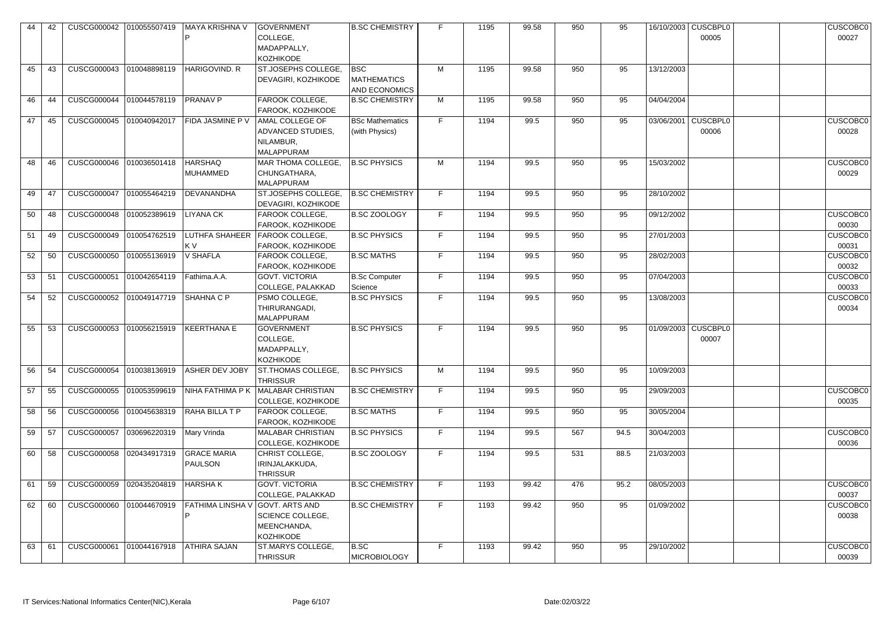| 44 | 42 |                          | CUSCG000042  010055507419 | MAYA KRISHNA V          | <b>GOVERNMENT</b>        | <b>B.SC CHEMISTRY</b>  | F. | 1195 | 99.58 | 950 | 95   |            | 16/10/2003 CUSCBPL0 | <b>CUSCOBC0</b> |
|----|----|--------------------------|---------------------------|-------------------------|--------------------------|------------------------|----|------|-------|-----|------|------------|---------------------|-----------------|
|    |    |                          |                           |                         | COLLEGE,                 |                        |    |      |       |     |      |            | 00005               | 00027           |
|    |    |                          |                           |                         | MADAPPALLY,              |                        |    |      |       |     |      |            |                     |                 |
|    |    |                          |                           |                         | <b>KOZHIKODE</b>         |                        |    |      |       |     |      |            |                     |                 |
| 45 | 43 | CUSCG000043              | 010048898119              | HARIGOVIND. R           | ST.JOSEPHS COLLEGE,      | BSC                    | M  | 1195 | 99.58 | 950 | 95   | 13/12/2003 |                     |                 |
|    |    |                          |                           |                         | DEVAGIRI, KOZHIKODE      | <b>MATHEMATICS</b>     |    |      |       |     |      |            |                     |                 |
|    |    |                          |                           |                         |                          | <b>AND ECONOMICS</b>   |    |      |       |     |      |            |                     |                 |
| 46 | 44 | CUSCG000044              | 010044578119              | <b>PRANAV P</b>         | FAROOK COLLEGE,          | <b>B.SC CHEMISTRY</b>  | M  | 1195 | 99.58 | 950 | 95   | 04/04/2004 |                     |                 |
|    |    |                          |                           |                         | FAROOK, KOZHIKODE        |                        |    |      |       |     |      |            |                     |                 |
| 47 | 45 | <b>CUSCG000045</b>       | 010040942017              | <b>FIDA JASMINE P V</b> | AMAL COLLEGE OF          | <b>BSc Mathematics</b> | F  | 1194 | 99.5  | 950 | 95   |            | 03/06/2001 CUSCBPL0 | <b>CUSCOBC0</b> |
|    |    |                          |                           |                         | ADVANCED STUDIES,        | (with Physics)         |    |      |       |     |      |            | 00006               | 00028           |
|    |    |                          |                           |                         | NILAMBUR,                |                        |    |      |       |     |      |            |                     |                 |
|    |    |                          |                           |                         | MALAPPURAM               |                        |    |      |       |     |      |            |                     |                 |
|    |    |                          |                           |                         |                          |                        |    |      |       |     |      |            |                     |                 |
| 48 | 46 | <b>CUSCG000046</b>       | 010036501418              | <b>HARSHAQ</b>          | MAR THOMA COLLEGE,       | <b>B.SC PHYSICS</b>    | M  | 1194 | 99.5  | 950 | 95   | 15/03/2002 |                     | <b>CUSCOBC0</b> |
|    |    |                          |                           | MUHAMMED                | CHUNGATHARA,             |                        |    |      |       |     |      |            |                     | 00029           |
|    |    |                          |                           |                         | MALAPPURAM               |                        |    |      |       |     |      |            |                     |                 |
| 49 | 47 | <b>CUSCG000047</b>       | 010055464219              | DEVANANDHA              | ST.JOSEPHS COLLEGE       | <b>B.SC CHEMISTRY</b>  | F. | 1194 | 99.5  | 950 | 95   | 28/10/2002 |                     |                 |
|    |    |                          |                           |                         | DEVAGIRI, KOZHIKODE      |                        |    |      |       |     |      |            |                     |                 |
| 50 | 48 | CUSCG000048              | 010052389619              | <b>LIYANA CK</b>        | FAROOK COLLEGE,          | <b>B.SC ZOOLOGY</b>    | F  | 1194 | 99.5  | 950 | 95   | 09/12/2002 |                     | <b>CUSCOBC0</b> |
|    |    |                          |                           |                         | FAROOK, KOZHIKODE        |                        |    |      |       |     |      |            |                     | 00030           |
| 51 | 49 | <b>CUSCG000049</b>       | 010054762519              | <b>LUTHFA SHAHEER</b>   | <b>FAROOK COLLEGE,</b>   | <b>B.SC PHYSICS</b>    | F  | 1194 | 99.5  | 950 | 95   | 27/01/2003 |                     | CUSCOBC0        |
|    |    |                          |                           | KV                      | FAROOK, KOZHIKODE        |                        |    |      |       |     |      |            |                     | 00031           |
| 52 | 50 | <b>CUSCG000050</b>       | 010055136919              | V SHAFLA                | FAROOK COLLEGE,          | <b>B.SC MATHS</b>      | F  | 1194 | 99.5  | 950 | 95   | 28/02/2003 |                     | <b>CUSCOBC0</b> |
|    |    |                          |                           |                         | FAROOK, KOZHIKODE        |                        |    |      |       |     |      |            |                     | 00032           |
| 53 | 51 | CUSCG000051              | 010042654119              | Fathima.A.A.            | <b>GOVT. VICTORIA</b>    | <b>B.Sc Computer</b>   | F  | 1194 | 99.5  | 950 | 95   | 07/04/2003 |                     | <b>CUSCOBC0</b> |
|    |    |                          |                           |                         | COLLEGE, PALAKKAD        | Science                |    |      |       |     |      |            |                     | 00033           |
| 54 | 52 | CUSCG000052 010049147719 |                           | SHAHNA C P              | PSMO COLLEGE,            | <b>B.SC PHYSICS</b>    | F  | 1194 | 99.5  | 950 | 95   | 13/08/2003 |                     | <b>CUSCOBC0</b> |
|    |    |                          |                           |                         | THIRURANGADI,            |                        |    |      |       |     |      |            |                     | 00034           |
|    |    |                          |                           |                         | <b>MALAPPURAM</b>        |                        |    |      |       |     |      |            |                     |                 |
| 55 | 53 | CUSCG000053              | 010056215919              | KEERTHANA E             | <b>GOVERNMENT</b>        | <b>B.SC PHYSICS</b>    | F  | 1194 | 99.5  | 950 | 95   |            | 01/09/2003 CUSCBPL0 |                 |
|    |    |                          |                           |                         | COLLEGE,                 |                        |    |      |       |     |      |            | 00007               |                 |
|    |    |                          |                           |                         | MADAPPALLY,              |                        |    |      |       |     |      |            |                     |                 |
|    |    |                          |                           |                         | KOZHIKODE                |                        |    |      |       |     |      |            |                     |                 |
| 56 | 54 | <b>CUSCG000054</b>       | 010038136919              | <b>ASHER DEV JOBY</b>   | ST.THOMAS COLLEGE,       | <b>B.SC PHYSICS</b>    | M  | 1194 | 99.5  | 950 | 95   | 10/09/2003 |                     |                 |
|    |    |                          |                           |                         | <b>THRISSUR</b>          |                        |    |      |       |     |      |            |                     |                 |
| 57 | 55 | <b>CUSCG000055</b>       | 010053599619              | NIHA FATHIMA P K        | MALABAR CHRISTIAN        | <b>B.SC CHEMISTRY</b>  | F  | 1194 | 99.5  | 950 | 95   | 29/09/2003 |                     | <b>CUSCOBC0</b> |
|    |    |                          |                           |                         | COLLEGE, KOZHIKODE       |                        |    |      |       |     |      |            |                     | 00035           |
| 58 | 56 | <b>CUSCG000056</b>       | 010045638319              | RAHA BILLA T P          | FAROOK COLLEGE,          | <b>B.SC MATHS</b>      | F. | 1194 | 99.5  | 950 | 95   | 30/05/2004 |                     |                 |
|    |    |                          |                           |                         | FAROOK, KOZHIKODE        |                        |    |      |       |     |      |            |                     |                 |
| 59 | 57 | <b>CUSCG000057</b>       | 030696220319              | Mary Vrinda             | <b>MALABAR CHRISTIAN</b> | <b>B.SC PHYSICS</b>    | F  | 1194 | 99.5  | 567 | 94.5 | 30/04/2003 |                     | <b>CUSCOBC0</b> |
|    |    |                          |                           |                         | COLLEGE, KOZHIKODE       |                        |    |      |       |     |      |            |                     | 00036           |
| 60 | 58 | <b>CUSCG000058</b>       | 020434917319              | <b>GRACE MARIA</b>      | CHRIST COLLEGE,          | <b>B.SC ZOOLOGY</b>    | F  | 1194 | 99.5  | 531 | 88.5 | 21/03/2003 |                     |                 |
|    |    |                          |                           | PAULSON                 | IRINJALAKKUDA,           |                        |    |      |       |     |      |            |                     |                 |
|    |    |                          |                           |                         | <b>THRISSUR</b>          |                        |    |      |       |     |      |            |                     |                 |
| 61 | 59 | <b>CUSCG000059</b>       | 020435204819              | <b>HARSHAK</b>          | <b>GOVT. VICTORIA</b>    | <b>B.SC CHEMISTRY</b>  | F  | 1193 | 99.42 | 476 | 95.2 | 08/05/2003 |                     | <b>CUSCOBC0</b> |
|    |    |                          |                           |                         | COLLEGE, PALAKKAD        |                        |    |      |       |     |      |            |                     | 00037           |
| 62 | 60 | <b>CUSCG000060</b>       | 010044670919              | <b>FATHIMA LINSHA V</b> | GOVT. ARTS AND           | <b>B.SC CHEMISTRY</b>  | F  | 1193 | 99.42 | 950 | 95   | 01/09/2002 |                     | <b>CUSCOBC0</b> |
|    |    |                          |                           | P                       |                          |                        |    |      |       |     |      |            |                     |                 |
|    |    |                          |                           |                         | <b>SCIENCE COLLEGE,</b>  |                        |    |      |       |     |      |            |                     | 00038           |
|    |    |                          |                           |                         | MEENCHANDA,              |                        |    |      |       |     |      |            |                     |                 |
|    |    |                          |                           |                         | <b>KOZHIKODE</b>         |                        |    |      |       |     |      |            |                     |                 |
| 63 | 61 | CUSCG000061              | 010044167918              | <b>ATHIRA SAJAN</b>     | ST.MARYS COLLEGE,        | B.SC                   | F  | 1193 | 99.42 | 950 | 95   | 29/10/2002 |                     | <b>CUSCOBC0</b> |
|    |    |                          |                           |                         | <b>THRISSUR</b>          | <b>MICROBIOLOGY</b>    |    |      |       |     |      |            |                     | 00039           |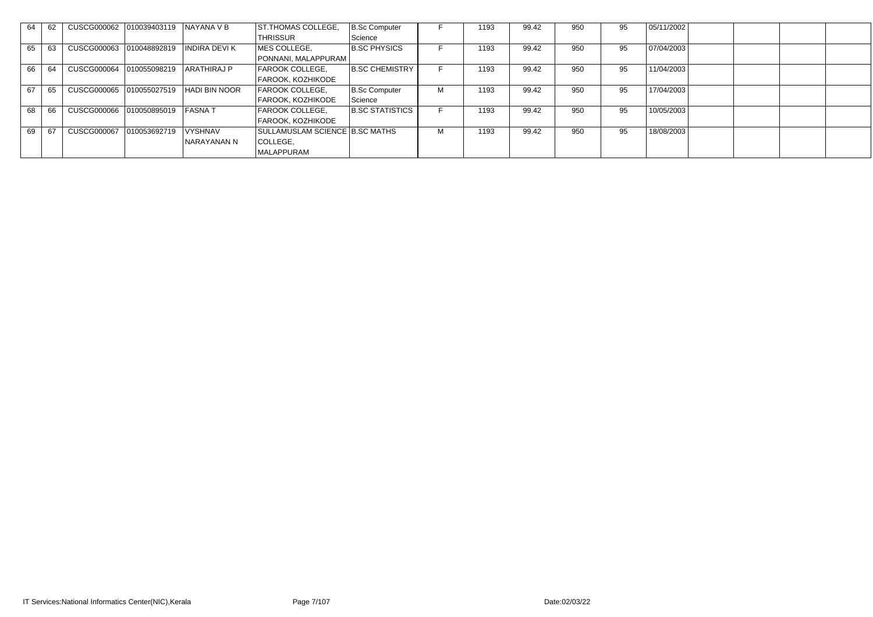| 64 | 62 | CUSCG000062 010039403119 |              | NAYANA V B           | ST.THOMAS COLLEGE,             | B.Sc Computer          |   | 1193 | 99.42 | 950 | 95 | 05/11/2002 |  |  |
|----|----|--------------------------|--------------|----------------------|--------------------------------|------------------------|---|------|-------|-----|----|------------|--|--|
|    |    |                          |              |                      | <b>THRISSUR</b>                | Science                |   |      |       |     |    |            |  |  |
| 65 | 63 | CUSCG000063 010048892819 |              | <b>INDIRA DEVIK</b>  | MES COLLEGE,                   | <b>B.SC PHYSICS</b>    |   | 1193 | 99.42 | 950 | 95 | 07/04/2003 |  |  |
|    |    |                          |              |                      | PONNANI, MALAPPURAM            |                        |   |      |       |     |    |            |  |  |
| 66 | 64 | <b>CUSCG000064</b>       | 010055098219 | <b>ARATHIRAJ P</b>   | FAROOK COLLEGE,                | <b>B.SC CHEMISTRY</b>  |   | 1193 | 99.42 | 950 | 95 | 11/04/2003 |  |  |
|    |    |                          |              |                      | FAROOK, KOZHIKODE              |                        |   |      |       |     |    |            |  |  |
| 67 | 65 | CUSCG000065 010055027519 |              | <b>HADI BIN NOOR</b> | <b>FAROOK COLLEGE,</b>         | B.Sc Computer          | M | 1193 | 99.42 | 950 | 95 | 17/04/2003 |  |  |
|    |    |                          |              |                      | <b>FAROOK, KOZHIKODE</b>       | Science                |   |      |       |     |    |            |  |  |
| 68 | 66 |                          |              | <b>FASNAT</b>        | <b>FAROOK COLLEGE,</b>         | <b>B.SC STATISTICS</b> |   | 1193 | 99.42 | 950 | 95 | 10/05/2003 |  |  |
|    |    |                          |              |                      | FAROOK, KOZHIKODE              |                        |   |      |       |     |    |            |  |  |
| 69 | 67 | <b>CUSCG000067</b>       | 010053692719 | <b>VYSHNAV</b>       | SULLAMUSLAM SCIENCE B.SC MATHS |                        | м | 1193 | 99.42 | 950 | 95 | 18/08/2003 |  |  |
|    |    |                          |              | NARAYANAN N          | COLLEGE,                       |                        |   |      |       |     |    |            |  |  |
|    |    |                          |              |                      | MALAPPURAM                     |                        |   |      |       |     |    |            |  |  |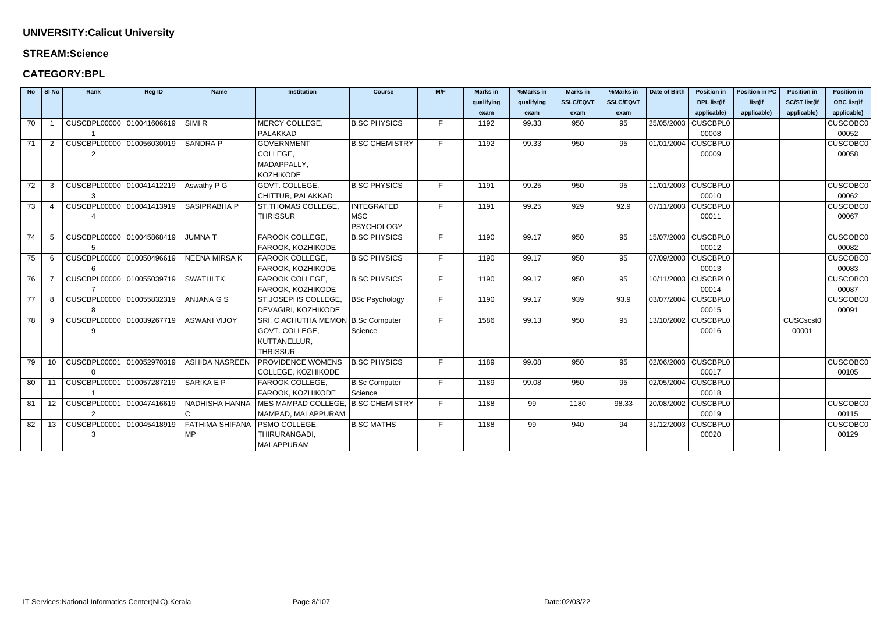### **STREAM:Science**

### **CATEGORY:BPL**

|    | No SI No       | Rank                      | <b>Reg ID</b> | <b>Name</b>           | <b>Institution</b>                 | <b>Course</b>         | M/F | <b>Marks in</b> | %Marks in  | <b>Marks in</b>  | %Marks in        | Date of Birth | <b>Position in</b>    | <b>Position in PC</b> | <b>Position in</b>   | <b>Position in</b> |
|----|----------------|---------------------------|---------------|-----------------------|------------------------------------|-----------------------|-----|-----------------|------------|------------------|------------------|---------------|-----------------------|-----------------------|----------------------|--------------------|
|    |                |                           |               |                       |                                    |                       |     | qualifying      | qualifying | <b>SSLC/EQVT</b> | <b>SSLC/EQVT</b> |               | <b>BPL list(if</b>    | list(if               | <b>SC/ST list(if</b> | <b>OBC</b> list(if |
|    |                |                           |               |                       |                                    |                       |     | exam            | exam       | exam             | exam             |               | applicable)           | applicable)           | applicable)          | applicable)        |
| 70 |                | CUSCBPL00000 010041606619 |               | SIMI <sub>R</sub>     | MERCY COLLEGE,                     | <b>B.SC PHYSICS</b>   | F   | 1192            | 99.33      | 950              | 95               |               | 25/05/2003 CUSCBPL0   |                       |                      | <b>CUSCOBC0</b>    |
|    |                |                           |               |                       | PALAKKAD                           |                       |     |                 |            |                  |                  |               | 00008                 |                       |                      | 00052              |
| 71 | 2              | CUSCBPL00000 010056030019 |               | <b>SANDRA P</b>       | <b>GOVERNMENT</b>                  | <b>B.SC CHEMISTRY</b> | F.  | 1192            | 99.33      | 950              | 95               |               | 01/01/2004 CUSCBPL0   |                       |                      | <b>CUSCOBC0</b>    |
|    |                | $\overline{2}$            |               |                       | COLLEGE,                           |                       |     |                 |            |                  |                  |               | 00009                 |                       |                      | 00058              |
|    |                |                           |               |                       | MADAPPALLY,                        |                       |     |                 |            |                  |                  |               |                       |                       |                      |                    |
|    |                |                           |               |                       | <b>KOZHIKODE</b>                   |                       |     |                 |            |                  |                  |               |                       |                       |                      |                    |
| 72 | 3              | CUSCBPL00000 010041412219 |               | Aswathy P G           | GOVT. COLLEGE,                     | <b>B.SC PHYSICS</b>   | F   | 1191            | 99.25      | 950              | 95               |               | 11/01/2003 CUSCBPL0   |                       |                      | <b>CUSCOBC0</b>    |
|    |                | 3                         |               |                       | CHITTUR, PALAKKAD                  |                       |     |                 |            |                  |                  |               | 00010                 |                       |                      | 00062              |
| 73 | -4             | CUSCBPL00000 010041413919 |               | SASIPRABHA P          | ST.THOMAS COLLEGE,                 | <b>INTEGRATED</b>     | F   | 1191            | 99.25      | 929              | 92.9             |               | 07/11/2003 CUSCBPL0   |                       |                      | <b>CUSCOBC0</b>    |
|    |                |                           |               |                       | <b>THRISSUR</b>                    | MSC                   |     |                 |            |                  |                  |               | 00011                 |                       |                      | 00067              |
|    |                |                           |               |                       |                                    | <b>PSYCHOLOGY</b>     |     |                 |            |                  |                  |               |                       |                       |                      |                    |
| 74 | -5             | CUSCBPL00000 010045868419 |               | <b>JUMNAT</b>         | FAROOK COLLEGE,                    | <b>B.SC PHYSICS</b>   | F.  | 1190            | 99.17      | 950              | 95               |               | 15/07/2003 CUSCBPL0   |                       |                      | <b>CUSCOBC0</b>    |
|    |                | 5                         |               |                       | FAROOK, KOZHIKODE                  |                       |     |                 |            |                  |                  |               | 00012                 |                       |                      | 00082              |
| 75 | 6              | CUSCBPL00000 010050496619 |               | <b>NEENA MIRSA K</b>  | FAROOK COLLEGE,                    | <b>B.SC PHYSICS</b>   | F.  | 1190            | 99.17      | 950              | 95               |               | 07/09/2003   CUSCBPL0 |                       |                      | <b>CUSCOBC0</b>    |
|    |                | 6                         |               |                       | FAROOK, KOZHIKODE                  |                       |     |                 |            |                  |                  |               | 00013                 |                       |                      | 00083              |
| 76 | $\overline{7}$ | CUSCBPL00000 010055039719 |               | <b>SWATHI TK</b>      | FAROOK COLLEGE.                    | <b>B.SC PHYSICS</b>   | F   | 1190            | 99.17      | 950              | 95               |               | 10/11/2003 CUSCBPL0   |                       |                      | <b>CUSCOBC0</b>    |
|    |                | $\overline{7}$            |               |                       | FAROOK, KOZHIKODE                  |                       |     |                 |            |                  |                  |               | 00014                 |                       |                      | 00087              |
| 77 | 8              | CUSCBPL00000 010055832319 |               | ANJANA G S            | ST.JOSEPHS COLLEGE,                | <b>BSc Psychology</b> | F   | 1190            | 99.17      | 939              | 93.9             |               | 03/07/2004 CUSCBPL0   |                       |                      | CUSCOBC0           |
|    |                | 8                         |               |                       | DEVAGIRI, KOZHIKODE                |                       |     |                 |            |                  |                  |               | 00015                 |                       |                      | 00091              |
| 78 | -9             | CUSCBPL00000 010039267719 |               | ASWANI VIJOY          | SRI. C ACHUTHA MEMON B.Sc Computer |                       | F   | 1586            | 99.13      | 950              | 95               |               | 13/10/2002 CUSCBPL0   |                       | CUSCscst0            |                    |
|    |                | 9                         |               |                       | GOVT. COLLEGE,                     | Science               |     |                 |            |                  |                  |               | 00016                 |                       | 00001                |                    |
|    |                |                           |               |                       | KUTTANELLUR,                       |                       |     |                 |            |                  |                  |               |                       |                       |                      |                    |
|    |                |                           |               |                       | <b>THRISSUR</b>                    |                       |     |                 |            |                  |                  |               |                       |                       |                      |                    |
| 79 | 10             | CUSCBPL00001 010052970319 |               | <b>ASHIDA NASREEN</b> | <b>PROVIDENCE WOMENS</b>           | <b>B.SC PHYSICS</b>   | F   | 1189            | 99.08      | 950              | 95               |               | 02/06/2003   CUSCBPL0 |                       |                      | <b>CUSCOBC0</b>    |
|    |                | $\Omega$                  |               |                       | COLLEGE, KOZHIKODE                 |                       |     |                 |            |                  |                  |               | 00017                 |                       |                      | 00105              |
| 80 | 11             | CUSCBPL00001 010057287219 |               | SARIKA E P            | FAROOK COLLEGE,                    | B.Sc Computer         | F   | 1189            | 99.08      | 950              | 95               |               | 02/05/2004 CUSCBPL0   |                       |                      |                    |
|    |                |                           |               |                       | FAROOK, KOZHIKODE                  | Science               |     |                 |            |                  |                  |               | 00018                 |                       |                      |                    |
| 81 | 12             | CUSCBPL00001 010047416619 |               | NADHISHA HANNA        | MES MAMPAD COLLEGE, B.SC CHEMISTRY |                       | E.  | 1188            | 99         | 1180             | 98.33            |               | 20/08/2002 CUSCBPL0   |                       |                      | <b>CUSCOBC0</b>    |
|    |                | 2                         |               |                       | MAMPAD, MALAPPURAM                 |                       |     |                 |            |                  |                  |               | 00019                 |                       |                      | 00115              |
| 82 | 13             | CUSCBPL00001 010045418919 |               | FATHIMA SHIFANA       | <b>PSMO COLLEGE,</b>               | <b>B.SC MATHS</b>     | F   | 1188            | 99         | 940              | 94               |               | 31/12/2003 CUSCBPL0   |                       |                      | <b>CUSCOBC0</b>    |
|    |                | 3                         |               | <b>MP</b>             | THIRURANGADI,                      |                       |     |                 |            |                  |                  |               | 00020                 |                       |                      | 00129              |
|    |                |                           |               |                       | <b>MALAPPURAM</b>                  |                       |     |                 |            |                  |                  |               |                       |                       |                      |                    |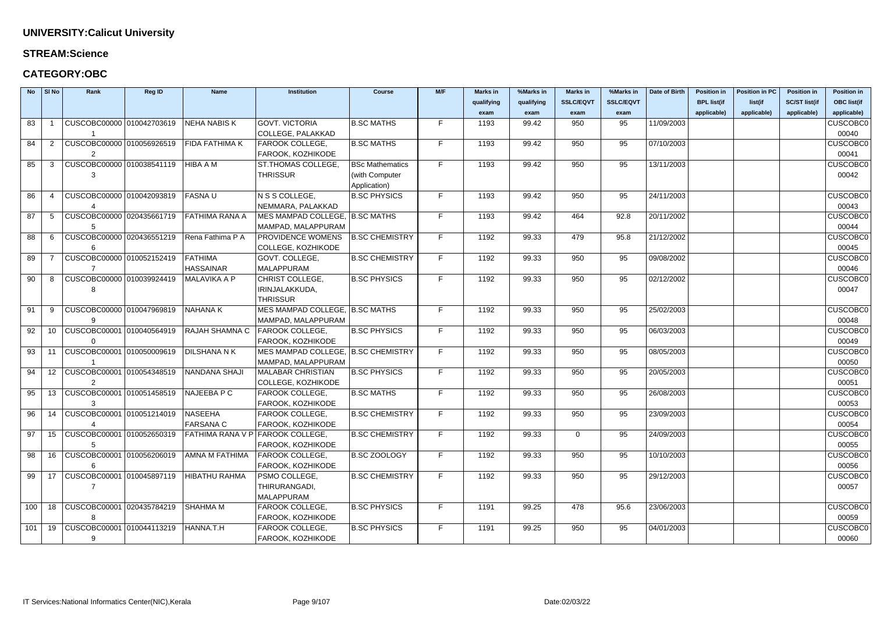#### **STREAM:Science**

| <b>No</b> | SI No           | Rank                                       | Reg ID | <b>Name</b>          | <b>Institution</b>                 | <b>Course</b>          | M/F | <b>Marks in</b> | %Marks in  | <b>Marks in</b>  | %Marks in        | Date of Birth | <b>Position in</b> | <b>Position in PC</b> | <b>Position in</b>   | <b>Position in</b> |
|-----------|-----------------|--------------------------------------------|--------|----------------------|------------------------------------|------------------------|-----|-----------------|------------|------------------|------------------|---------------|--------------------|-----------------------|----------------------|--------------------|
|           |                 |                                            |        |                      |                                    |                        |     | qualifying      | qualifying | <b>SSLC/EQVT</b> | <b>SSLC/EQVT</b> |               | <b>BPL list(if</b> | list(if               | <b>SC/ST list(if</b> | <b>OBC list(if</b> |
|           |                 |                                            |        |                      |                                    |                        |     | exam            | exam       | exam             | exam             |               | applicable)        | applicable)           | applicable)          | applicable)        |
| 83        |                 | CUSCOBC00000 010042703619                  |        | <b>NEHA NABISK</b>   | <b>GOVT. VICTORIA</b>              | <b>B.SC MATHS</b>      | F.  | 1193            | 99.42      | 950              | 95               | 11/09/2003    |                    |                       |                      | <b>CUSCOBC0</b>    |
|           |                 |                                            |        |                      | COLLEGE, PALAKKAD                  |                        |     |                 |            |                  |                  |               |                    |                       |                      | 00040              |
| 84        |                 | CUSCOBC00000 010056926519                  |        | FIDA FATHIMA K       | FAROOK COLLEGE,                    | <b>B.SC MATHS</b>      | F   | 1193            | 99.42      | 950              | 95               | 07/10/2003    |                    |                       |                      | <b>CUSCOBC0</b>    |
|           |                 |                                            |        |                      | FAROOK, KOZHIKODE                  |                        |     |                 |            |                  |                  |               |                    |                       |                      | 00041              |
| 85        | 3               | CUSCOBC00000 010038541119                  |        | HIBA A M             | <b>ST.THOMAS COLLEGE</b>           | <b>BSc Mathematics</b> | F   | 1193            | 99.42      | 950              | 95               | 13/11/2003    |                    |                       |                      | <b>CUSCOBC0</b>    |
|           |                 | 3                                          |        |                      | <b>THRISSUR</b>                    | (with Computer         |     |                 |            |                  |                  |               |                    |                       |                      | 00042              |
|           |                 |                                            |        |                      |                                    | Application)           |     |                 |            |                  |                  |               |                    |                       |                      |                    |
| 86        | -4              | CUSCOBC00000 010042093819                  |        | <b>FASNAU</b>        | N S S COLLEGE,                     | <b>B.SC PHYSICS</b>    | F   | 1193            | 99.42      | 950              | 95               | 24/11/2003    |                    |                       |                      | <b>CUSCOBC0</b>    |
|           |                 |                                            |        |                      | NEMMARA, PALAKKAD                  |                        |     |                 |            |                  |                  |               |                    |                       |                      | 00043              |
| 87        | 5               | CUSCOBC00000 020435661719                  |        | FATHIMA RANA A       | MES MAMPAD COLLEGE, B.SC MATHS     |                        | F   | 1193            | 99.42      | 464              | 92.8             | 20/11/2002    |                    |                       |                      | <b>CUSCOBC0</b>    |
|           |                 |                                            |        |                      | MAMPAD, MALAPPURAM                 |                        |     |                 |            |                  |                  |               |                    |                       |                      | 00044              |
| 88        |                 | CUSCOBC00000 020436551219                  |        | Rena Fathima P A     | PROVIDENCE WOMENS                  | <b>B.SC CHEMISTRY</b>  | F   | 1192            | 99.33      | 479              | 95.8             | 21/12/2002    |                    |                       |                      | <b>CUSCOBC0</b>    |
|           |                 |                                            |        |                      | COLLEGE, KOZHIKODE                 |                        |     |                 |            |                  |                  |               |                    |                       |                      | 00045              |
| 89        |                 | CUSCOBC00000 010052152419                  |        | <b>FATHIMA</b>       | GOVT. COLLEGE,                     | <b>B.SC CHEMISTRY</b>  | F   | 1192            | 99.33      | 950              | 95               | 09/08/2002    |                    |                       |                      | <b>CUSCOBC0</b>    |
|           |                 |                                            |        | <b>HASSAINAR</b>     | MALAPPURAM                         |                        |     |                 |            |                  |                  |               |                    |                       |                      | 00046              |
| 90        | -8              | CUSCOBC00000 010039924419                  |        | MALAVIKA A P         | CHRIST COLLEGE,                    | <b>B.SC PHYSICS</b>    | F.  | 1192            | 99.33      | 950              | 95               | 02/12/2002    |                    |                       |                      | <b>CUSCOBC0</b>    |
|           |                 | 8                                          |        |                      | IRINJALAKKUDA,                     |                        |     |                 |            |                  |                  |               |                    |                       |                      | 00047              |
|           |                 |                                            |        |                      | <b>THRISSUR</b>                    |                        |     |                 |            |                  |                  |               |                    |                       |                      |                    |
| 91        | 9               | CUSCOBC00000 010047969819                  |        | <b>NAHANAK</b>       | MES MAMPAD COLLEGE, B.SC MATHS     |                        | F.  | 1192            | 99.33      | 950              | 95               | 25/02/2003    |                    |                       |                      | <b>CUSCOBC0</b>    |
|           |                 |                                            |        |                      | MAMPAD, MALAPPURAM                 |                        |     |                 |            |                  |                  |               |                    |                       |                      | 00048              |
| 92        | 10 <sup>°</sup> | CUSCOBC00001 010040564919                  |        | RAJAH SHAMNA C       | <b>FAROOK COLLEGE,</b>             | <b>B.SC PHYSICS</b>    | F   | 1192            | 99.33      | 950              | 95               | 06/03/2003    |                    |                       |                      | <b>CUSCOBC0</b>    |
|           |                 |                                            |        |                      | FAROOK, KOZHIKODE                  |                        |     |                 |            |                  |                  |               |                    |                       |                      | 00049              |
| 93        | 11              | CUSCOBC00001 010050009619                  |        | DILSHANA N K         | MES MAMPAD COLLEGE, B.SC CHEMISTRY |                        | F   | 1192            | 99.33      | 950              | 95               | 08/05/2003    |                    |                       |                      | <b>CUSCOBC0</b>    |
|           |                 |                                            |        |                      | MAMPAD, MALAPPURAM                 |                        |     |                 |            |                  |                  |               |                    |                       |                      | 00050              |
| 94        |                 | 12   CUSCOBC00001   010054348519           |        | NANDANA SHAJI        | <b>MALABAR CHRISTIAN</b>           | <b>B.SC PHYSICS</b>    | F   | 1192            | 99.33      | 950              | 95               | 20/05/2003    |                    |                       |                      | <b>CUSCOBC0</b>    |
|           |                 | 2                                          |        |                      | COLLEGE, KOZHIKODE                 |                        |     |                 |            |                  |                  |               |                    |                       |                      | 00051              |
| 95        | 13 <sup>2</sup> | CUSCOBC00001 010051458519                  |        | ∣NAJEEBA P C         | FAROOK COLLEGE,                    | <b>B.SC MATHS</b>      | F.  | 1192            | 99.33      | 950              | 95               | 26/08/2003    |                    |                       |                      | <b>CUSCOBC0</b>    |
|           |                 |                                            |        |                      | FAROOK, KOZHIKODE                  |                        |     |                 |            |                  |                  |               |                    |                       |                      | 00053              |
| 96        |                 | 14   CUSCOBC00001   010051214019   NASEEHA |        |                      | FAROOK COLLEGE,                    | <b>B.SC CHEMISTRY</b>  | F.  | 1192            | 99.33      | 950              | 95               | 23/09/2003    |                    |                       |                      | <b>CUSCOBC0</b>    |
|           |                 |                                            |        | <b>FARSANA C</b>     | FAROOK, KOZHIKODE                  |                        |     |                 |            |                  |                  |               |                    |                       |                      | 00054              |
| 97        |                 | 15   CUSCOBC00001   010052650319           |        |                      | FATHIMA RANA V P FAROOK COLLEGE,   | <b>B.SC CHEMISTRY</b>  | F   | 1192            | 99.33      | $\Omega$         | 95               | 24/09/2003    |                    |                       |                      | <b>CUSCOBC0</b>    |
|           |                 | 5                                          |        |                      | FAROOK, KOZHIKODE                  |                        |     |                 |            |                  |                  |               |                    |                       |                      | 00055              |
| 98        |                 | 16   CUSCOBC00001   010056206019           |        | AMNA M FATHIMA       | <b>FAROOK COLLEGE,</b>             | <b>B.SC ZOOLOGY</b>    | F   | 1192            | 99.33      | 950              | 95               | 10/10/2003    |                    |                       |                      | <b>CUSCOBC0</b>    |
|           |                 | 6                                          |        |                      | FAROOK, KOZHIKODE                  |                        |     |                 |            |                  |                  |               |                    |                       |                      | 00056              |
| 99        | 17              | CUSCOBC00001 010045897119                  |        | <b>HIBATHU RAHMA</b> | PSMO COLLEGE,                      | <b>B.SC CHEMISTRY</b>  | F   | 1192            | 99.33      | 950              | 95               | 29/12/2003    |                    |                       |                      | <b>CUSCOBC0</b>    |
|           |                 |                                            |        |                      | THIRURANGADI,                      |                        |     |                 |            |                  |                  |               |                    |                       |                      | 00057              |
|           |                 |                                            |        |                      | MALAPPURAM                         |                        |     |                 |            |                  |                  |               |                    |                       |                      |                    |
| 100       | 18              | CUSCOBC00001 020435784219                  |        | <b>SHAHMA M</b>      | FAROOK COLLEGE,                    | <b>B.SC PHYSICS</b>    | F   | 1191            | 99.25      | 478              | 95.6             | 23/06/2003    |                    |                       |                      | <b>CUSCOBC0</b>    |
|           |                 | 8                                          |        |                      | FAROOK, KOZHIKODE                  |                        |     |                 |            |                  |                  |               |                    |                       |                      | 00059              |
| 101       |                 | 19   CUSCOBC00001   010044113219           |        | HANNA.T.H            | FAROOK COLLEGE,                    | <b>B.SC PHYSICS</b>    | F   | 1191            | 99.25      | 950              | 95               | 04/01/2003    |                    |                       |                      | <b>CUSCOBC0</b>    |
|           |                 | 9                                          |        |                      | FAROOK, KOZHIKODE                  |                        |     |                 |            |                  |                  |               |                    |                       |                      | 00060              |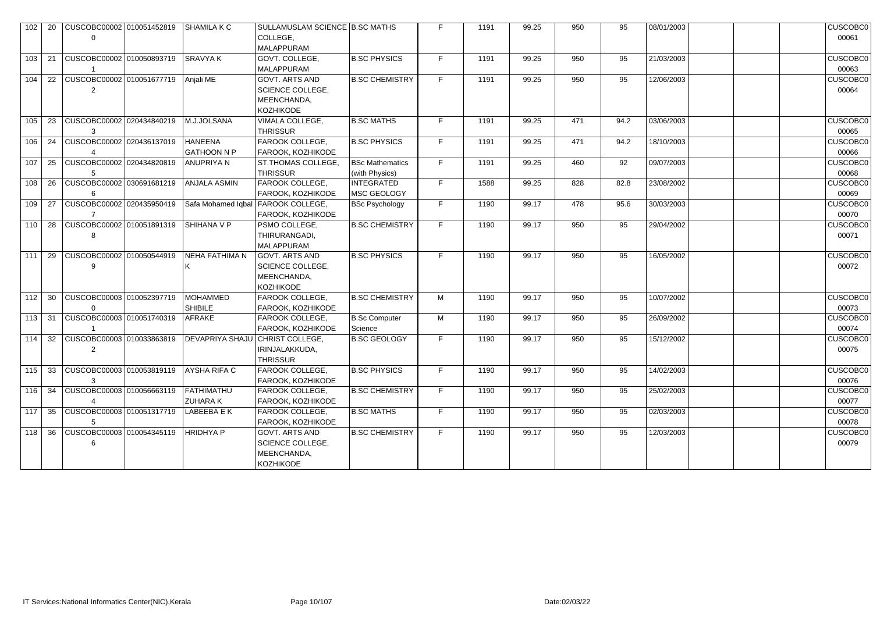| 102 | 20 | CUSCOBC00002 010051452819             | <b>SHAMILA K C</b>                   | SULLAMUSLAM SCIENCE B.SC MATHS<br>COLLEGE,<br><b>MALAPPURAM</b>                     |                                          |    | 1191 | 99.25 | 950 | 95   | 08/01/2003 | <b>CUSCOBC0</b><br>00061 |
|-----|----|---------------------------------------|--------------------------------------|-------------------------------------------------------------------------------------|------------------------------------------|----|------|-------|-----|------|------------|--------------------------|
| 103 | 21 | CUSCOBC00002 010050893719             | <b>SRAVYAK</b>                       | GOVT. COLLEGE,<br><b>MALAPPURAM</b>                                                 | <b>B.SC PHYSICS</b>                      | F. | 1191 | 99.25 | 950 | 95   | 21/03/2003 | <b>CUSCOBC0</b><br>00063 |
| 104 | 22 | CUSCOBC00002 010051677719<br>2        | Anjali ME                            | <b>GOVT. ARTS AND</b><br><b>SCIENCE COLLEGE,</b><br>MEENCHANDA,<br>KOZHIKODE        | <b>B.SC CHEMISTRY</b>                    | E. | 1191 | 99.25 | 950 | 95   | 12/06/2003 | <b>CUSCOBC0</b><br>00064 |
| 105 | 23 | CUSCOBC00002 020434840219             | M.J.JOLSANA                          | VIMALA COLLEGE,<br><b>THRISSUR</b>                                                  | <b>B.SC MATHS</b>                        | F. | 1191 | 99.25 | 471 | 94.2 | 03/06/2003 | <b>CUSCOBC0</b><br>00065 |
| 106 | 24 | CUSCOBC00002 020436137019             | <b>HANEENA</b><br>GATHOON N P        | <b>FAROOK COLLEGE,</b><br><b>FAROOK, KOZHIKODE</b>                                  | <b>B.SC PHYSICS</b>                      | F. | 1191 | 99.25 | 471 | 94.2 | 18/10/2003 | <b>CUSCOBC0</b><br>00066 |
| 107 | 25 | CUSCOBC00002 020434820819             | ANUPRIYA N                           | <b>ST.THOMAS COLLEGE,</b><br><b>THRISSUR</b>                                        | <b>BSc Mathematics</b><br>(with Physics) | F. | 1191 | 99.25 | 460 | 92   | 09/07/2003 | <b>CUSCOBC0</b><br>00068 |
| 108 | 26 | CUSCOBC00002 030691681219<br>6        | <b>ANJALA ASMIN</b>                  | FAROOK COLLEGE,<br>FAROOK, KOZHIKODE                                                | <b>INTEGRATED</b><br>MSC GEOLOGY         | F. | 1588 | 99.25 | 828 | 82.8 | 23/08/2002 | <b>CUSCOBC0</b><br>00069 |
| 109 | 27 | CUSCOBC00002 020435950419             |                                      | Safa Mohamed Igbal   FAROOK COLLEGE,<br>FAROOK, KOZHIKODE                           | <b>BSc Psychology</b>                    | F. | 1190 | 99.17 | 478 | 95.6 | 30/03/2003 | <b>CUSCOBC0</b><br>00070 |
| 110 | 28 | CUSCOBC00002 010051891319             | SHIHANA V P                          | PSMO COLLEGE,<br>THIRURANGADI,<br><b>MALAPPURAM</b>                                 | <b>B.SC CHEMISTRY</b>                    | F. | 1190 | 99.17 | 950 | 95   | 29/04/2002 | <b>CUSCOBC0</b><br>00071 |
| 111 | 29 | CUSCOBC00002 010050544919             | <b>NEHA FATHIMA N</b>                | GOVT. ARTS AND<br><b>SCIENCE COLLEGE,</b><br>MEENCHANDA,<br><b>KOZHIKODE</b>        | <b>B.SC PHYSICS</b>                      | F. | 1190 | 99.17 | 950 | 95   | 16/05/2002 | <b>CUSCOBC0</b><br>00072 |
| 112 | 30 | CUSCOBC00003 010052397719<br>$\Omega$ | <b>MOHAMMED</b><br>SHIBILE           | <b>FAROOK COLLEGE,</b><br>FAROOK, KOZHIKODE                                         | <b>B.SC CHEMISTRY</b>                    | M  | 1190 | 99.17 | 950 | 95   | 10/07/2002 | <b>CUSCOBC0</b><br>00073 |
| 113 | 31 | CUSCOBC00003 010051740319             | <b>AFRAKE</b>                        | <b>FAROOK COLLEGE,</b><br>FAROOK, KOZHIKODE                                         | <b>B.Sc Computer</b><br>Science          | M  | 1190 | 99.17 | 950 | 95   | 26/09/2002 | <b>CUSCOBC0</b><br>00074 |
| 114 | 32 | CUSCOBC00003 010033863819             | <b>DEVAPRIYA SHAJU</b>               | CHRIST COLLEGE,<br>IRINJALAKKUDA,<br><b>THRISSUR</b>                                | <b>B.SC GEOLOGY</b>                      | F. | 1190 | 99.17 | 950 | 95   | 15/12/2002 | <b>CUSCOBC0</b><br>00075 |
| 115 | 33 | CUSCOBC00003 010053819119<br>3        | AYSHA RIFA C                         | FAROOK COLLEGE,<br>FAROOK, KOZHIKODE                                                | <b>B.SC PHYSICS</b>                      | F. | 1190 | 99.17 | 950 | 95   | 14/02/2003 | <b>CUSCOBC0</b><br>00076 |
| 116 | 34 | CUSCOBC00003 010056663119             | <b>FATHIMATHU</b><br><b>ZUHARA K</b> | <b>FAROOK COLLEGE,</b><br>FAROOK, KOZHIKODE                                         | <b>B.SC CHEMISTRY</b>                    | F. | 1190 | 99.17 | 950 | 95   | 25/02/2003 | <b>CUSCOBC0</b><br>00077 |
| 117 | 35 | CUSCOBC00003 010051317719<br>5        | LABEEBA E K                          | <b>FAROOK COLLEGE,</b><br>FAROOK, KOZHIKODE                                         | <b>B.SC MATHS</b>                        | F. | 1190 | 99.17 | 950 | 95   | 02/03/2003 | <b>CUSCOBC0</b><br>00078 |
| 118 | 36 | CUSCOBC00003 010054345119<br>6        | <b>HRIDHYAP</b>                      | <b>GOVT. ARTS AND</b><br><b>SCIENCE COLLEGE,</b><br>MEENCHANDA,<br><b>KOZHIKODE</b> | <b>B.SC CHEMISTRY</b>                    | F. | 1190 | 99.17 | 950 | 95   | 12/03/2003 | <b>CUSCOBC0</b><br>00079 |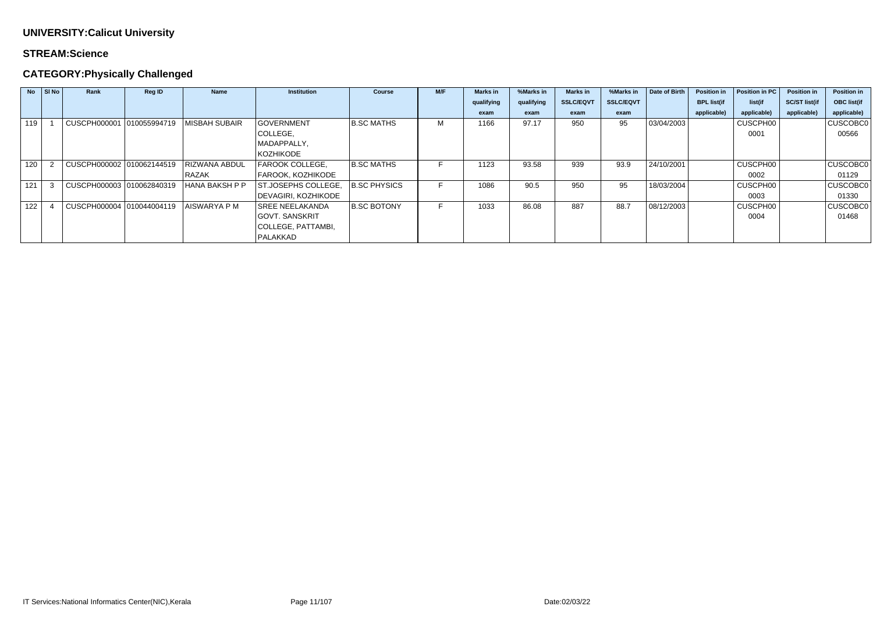#### **STREAM:Science**

# **CATEGORY:Physically Challenged**

| <b>No</b> | SI No | Rank                      | <b>Reg ID</b> | <b>Name</b>           | <b>Institution</b>     | <b>Course</b>       | M/F | <b>Marks in</b> | %Marks in  | <b>Marks in</b>  | %Marks in        | Date of Birth | <b>Position in</b> | Position in PC | <b>Position in</b>   | <b>Position in</b> |
|-----------|-------|---------------------------|---------------|-----------------------|------------------------|---------------------|-----|-----------------|------------|------------------|------------------|---------------|--------------------|----------------|----------------------|--------------------|
|           |       |                           |               |                       |                        |                     |     | qualifying      | qualifying | <b>SSLC/EQVT</b> | <b>SSLC/EQVT</b> |               | <b>BPL list(if</b> | list(if        | <b>SC/ST list(if</b> | <b>OBC</b> list(if |
|           |       |                           |               |                       |                        |                     |     | exam            | exam       | exam             | exam             |               | applicable)        | applicable)    | applicable)          | applicable)        |
| 119       |       | CUSCPH000001 010055994719 |               | <b>MISBAH SUBAIR</b>  | <b>GOVERNMENT</b>      | <b>B.SC MATHS</b>   | M   | 1166            | 97.17      | 950              | 95               | 03/04/2003    |                    | CUSCPH00       |                      | CUSCOBC0           |
|           |       |                           |               |                       | COLLEGE,               |                     |     |                 |            |                  |                  |               |                    | 0001           |                      | 00566              |
|           |       |                           |               |                       | MADAPPALLY,            |                     |     |                 |            |                  |                  |               |                    |                |                      |                    |
|           |       |                           |               |                       | <b>KOZHIKODE</b>       |                     |     |                 |            |                  |                  |               |                    |                |                      |                    |
| 120       |       | CUSCPH000002 010062144519 |               | <b>RIZWANA ABDUL</b>  | FAROOK COLLEGE,        | <b>B.SC MATHS</b>   |     | 1123            | 93.58      | 939              | 93.9             | 24/10/2001    |                    | CUSCPH00       |                      | CUSCOBC0           |
|           |       |                           |               | RAZAK                 | FAROOK, KOZHIKODE      |                     |     |                 |            |                  |                  |               |                    | 0002           |                      | 01129              |
| 121       |       | CUSCPH000003 010062840319 |               | <b>HANA BAKSH P P</b> | ST.JOSEPHS COLLEGE,    | <b>B.SC PHYSICS</b> |     | 1086            | 90.5       | 950              | 95               | 18/03/2004    |                    | CUSCPH00       |                      | CUSCOBC0           |
|           |       |                           |               |                       | DEVAGIRI, KOZHIKODE    |                     |     |                 |            |                  |                  |               |                    | 0003           |                      | 01330              |
| 122       |       | CUSCPH000004 010044004119 |               | <b>AISWARYA P M</b>   | <b>SREE NEELAKANDA</b> | <b>B.SC BOTONY</b>  |     | 1033            | 86.08      | 887              | 88.7             | 08/12/2003    |                    | CUSCPH00       |                      | CUSCOBC0           |
|           |       |                           |               |                       | <b>GOVT. SANSKRIT</b>  |                     |     |                 |            |                  |                  |               |                    | 0004           |                      | 01468              |
|           |       |                           |               |                       | COLLEGE, PATTAMBI,     |                     |     |                 |            |                  |                  |               |                    |                |                      |                    |
|           |       |                           |               |                       | PALAKKAD               |                     |     |                 |            |                  |                  |               |                    |                |                      |                    |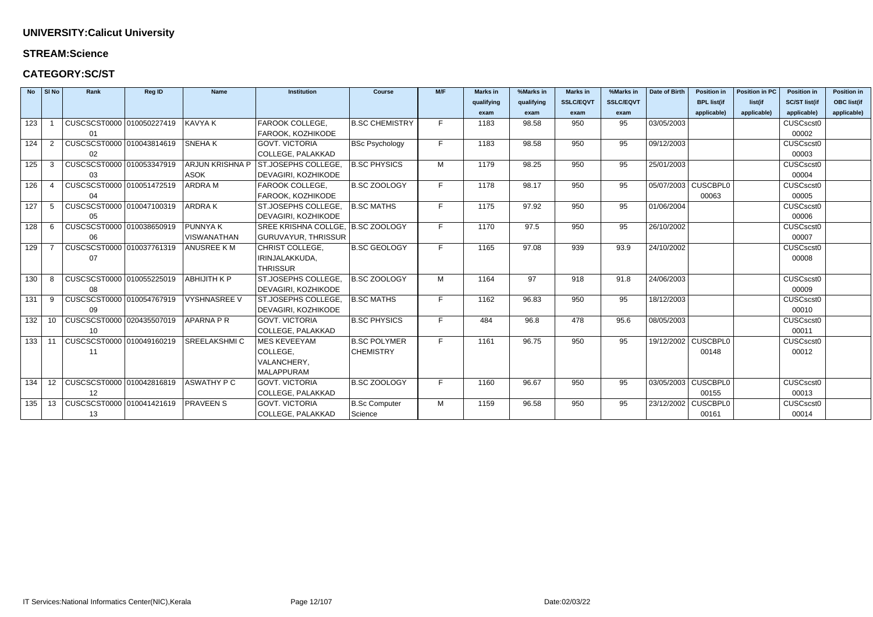#### **STREAM:Science**

### **CATEGORY:SC/ST**

| <b>No</b> | $\vert$ SI No            | Rank                             | <b>Reg ID</b> | <b>Name</b>            | <b>Institution</b>                | <b>Course</b>         | M/F | <b>Marks in</b> | %Marks in  | <b>Marks in</b>  | %Marks in        | Date of Birth | <b>Position in</b>  | <b>Position in PC</b> | <b>Position in</b>   | <b>Position in</b> |
|-----------|--------------------------|----------------------------------|---------------|------------------------|-----------------------------------|-----------------------|-----|-----------------|------------|------------------|------------------|---------------|---------------------|-----------------------|----------------------|--------------------|
|           |                          |                                  |               |                        |                                   |                       |     | qualifying      | qualifying | <b>SSLC/EQVT</b> | <b>SSLC/EQVT</b> |               | <b>BPL list(if</b>  | list(if               | <b>SC/ST list(if</b> | <b>OBC list(if</b> |
|           |                          |                                  |               |                        |                                   |                       |     | exam            | exam       | exam             | exam             |               | applicable)         | applicable)           | applicable)          | applicable)        |
| 123       |                          | CUSCSCST0000 010050227419        |               | <b>KAVYA K</b>         | FAROOK COLLEGE,                   | <b>B.SC CHEMISTRY</b> | F.  | 1183            | 98.58      | 950              | 95               | 03/05/2003    |                     |                       | CUSCscst0            |                    |
|           |                          | 01                               |               |                        | FAROOK, KOZHIKODE                 |                       |     |                 |            |                  |                  |               |                     |                       | 00002                |                    |
| 124       | $\overline{2}$           | CUSCSCST0000 010043814619        |               | <b>SNEHAK</b>          | <b>GOVT. VICTORIA</b>             | <b>BSc Psychology</b> | F   | 1183            | 98.58      | 950              | 95               | 09/12/2003    |                     |                       | CUSCscst0            |                    |
|           |                          | 02                               |               |                        | COLLEGE, PALAKKAD                 |                       |     |                 |            |                  |                  |               |                     |                       | 00003                |                    |
| 125       | -3                       | CUSCSCST0000 010053347919        |               | <b>ARJUN KRISHNA P</b> | <b>ST.JOSEPHS COLLEGE</b>         | <b>B.SC PHYSICS</b>   | M   | 1179            | 98.25      | 950              | 95               | 25/01/2003    |                     |                       | CUSCscst0            |                    |
|           |                          | 03                               |               | <b>ASOK</b>            | DEVAGIRI, KOZHIKODE               |                       |     |                 |            |                  |                  |               |                     |                       | 00004                |                    |
| 126       | $\boldsymbol{\varDelta}$ | CUSCSCST0000 010051472519        |               | ARDRA M                | FAROOK COLLEGE,                   | <b>B.SC ZOOLOGY</b>   | F.  | 1178            | 98.17      | 950              | 95               |               | 05/07/2003 CUSCBPL0 |                       | CUSCscst0            |                    |
|           |                          | 04                               |               |                        | FAROOK, KOZHIKODE                 |                       |     |                 |            |                  |                  |               | 00063               |                       | 00005                |                    |
| 127       | 5                        | CUSCSCST0000 010047100319        |               | <b>ARDRAK</b>          | ST.JOSEPHS COLLEGE,               | <b>B.SC MATHS</b>     | F.  | 1175            | 97.92      | 950              | 95               | 01/06/2004    |                     |                       | CUSCscst0            |                    |
|           |                          | 05                               |               |                        | DEVAGIRI, KOZHIKODE               |                       |     |                 |            |                  |                  |               |                     |                       | 00006                |                    |
| 128       | -6                       | CUSCSCST0000 010038650919        |               | <b>PUNNYAK</b>         | SREE KRISHNA COLLGE, B.SC ZOOLOGY |                       | F.  | 1170            | 97.5       | 950              | 95               | 26/10/2002    |                     |                       | CUSCscst0            |                    |
|           |                          | 06                               |               | <b>VISWANATHAN</b>     | <b>GURUVAYUR, THRISSUR</b>        |                       |     |                 |            |                  |                  |               |                     |                       | 00007                |                    |
| 129       |                          | CUSCSCST0000 010037761319        |               | <b>ANUSREE KM</b>      | <b>CHRIST COLLEGE.</b>            | <b>B.SC GEOLOGY</b>   | F.  | 1165            | 97.08      | 939              | 93.9             | 24/10/2002    |                     |                       | CUSCscst0            |                    |
|           |                          | 07                               |               |                        | IRINJALAKKUDA,                    |                       |     |                 |            |                  |                  |               |                     |                       | 00008                |                    |
|           |                          |                                  |               |                        | <b>THRISSUR</b>                   |                       |     |                 |            |                  |                  |               |                     |                       |                      |                    |
| 130       | -8                       | CUSCSCST0000 010055225019        |               | <b>ABHIJITH K P</b>    | ST.JOSEPHS COLLEGE.               | B.SC ZOOLOGY          | M   | 1164            | 97         | 918              | 91.8             | 24/06/2003    |                     |                       | CUSCscst0            |                    |
|           |                          | 08                               |               |                        | DEVAGIRI, KOZHIKODE               |                       |     |                 |            |                  |                  |               |                     |                       | 00009                |                    |
| 131       | 9                        | CUSCSCST0000 010054767919        |               | <b>VYSHNASREE V</b>    | ST.JOSEPHS COLLEGE,               | <b>B.SC MATHS</b>     | F.  | 1162            | 96.83      | 950              | 95               | 18/12/2003    |                     |                       | CUSCscst0            |                    |
|           |                          | 09                               |               |                        | DEVAGIRI, KOZHIKODE               |                       |     |                 |            |                  |                  |               |                     |                       | 00010                |                    |
| 132       |                          | 10   CUSCSCST0000   020435507019 |               | <b>APARNA P R</b>      | <b>GOVT. VICTORIA</b>             | <b>B.SC PHYSICS</b>   | F.  | 484             | 96.8       | 478              | 95.6             | 08/05/2003    |                     |                       | CUSCscst0            |                    |
|           |                          | 10                               |               |                        | COLLEGE, PALAKKAD                 |                       |     |                 |            |                  |                  |               |                     |                       | 00011                |                    |
| 133       | 11                       | CUSCSCST0000 010049160219        |               | <b>SREELAKSHMIC</b>    | <b>MES KEVEEYAM</b>               | <b>B.SC POLYMER</b>   | F.  | 1161            | 96.75      | 950              | 95               |               | 19/12/2002 CUSCBPL0 |                       | CUSCscst0            |                    |
|           |                          | 11                               |               |                        | COLLEGE,                          | <b>CHEMISTRY</b>      |     |                 |            |                  |                  |               | 00148               |                       | 00012                |                    |
|           |                          |                                  |               |                        | VALANCHERY,                       |                       |     |                 |            |                  |                  |               |                     |                       |                      |                    |
|           |                          |                                  |               |                        | <b>MALAPPURAM</b>                 |                       |     |                 |            |                  |                  |               |                     |                       |                      |                    |
| 134       | 12                       | CUSCSCST0000 010042816819        |               | <b>ASWATHY P C</b>     | <b>GOVT. VICTORIA</b>             | <b>B.SC ZOOLOGY</b>   | F.  | 1160            | 96.67      | 950              | 95               |               | 03/05/2003 CUSCBPL0 |                       | CUSCscst0            |                    |
|           |                          | 12                               |               |                        | COLLEGE, PALAKKAD                 |                       |     |                 |            |                  |                  |               | 00155               |                       | 00013                |                    |
| 135       | 13                       | CUSCSCST0000 010041421619        |               | <b>PRAVEEN S</b>       | <b>GOVT. VICTORIA</b>             | <b>B.Sc Computer</b>  | M   | 1159            | 96.58      | 950              | 95               |               | 23/12/2002 CUSCBPL0 |                       | CUSCscst0            |                    |
|           |                          | 13                               |               |                        | COLLEGE, PALAKKAD                 | Science               |     |                 |            |                  |                  |               | 00161               |                       | 00014                |                    |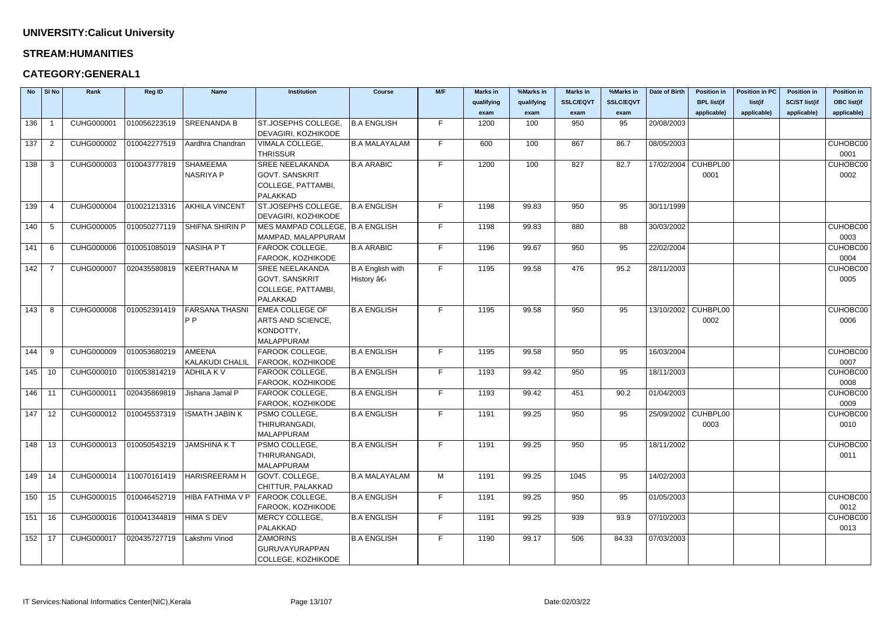#### **STREAM:HUMANITIES**

| <b>No</b> | $\vert$ SI No  | Rank              | <b>Reg ID</b> | <b>Name</b>                             | <b>Institution</b>              | <b>Course</b>           | M/F | <b>Marks in</b> | %Marks in  | <b>Marks in</b>  | %Marks in        | Date of Birth | <b>Position in</b>  | <b>Position in PC</b> | <b>Position in</b>   | <b>Position in</b> |
|-----------|----------------|-------------------|---------------|-----------------------------------------|---------------------------------|-------------------------|-----|-----------------|------------|------------------|------------------|---------------|---------------------|-----------------------|----------------------|--------------------|
|           |                |                   |               |                                         |                                 |                         |     | qualifying      | qualifying | <b>SSLC/EQVT</b> | <b>SSLC/EQVT</b> |               | <b>BPL list(if</b>  | list(if               | <b>SC/ST list(if</b> | <b>OBC list(if</b> |
|           |                |                   |               |                                         |                                 |                         |     | exam            | exam       | exam             | exam             |               | applicable)         | applicable)           | applicable)          | applicable)        |
| 136       |                | CUHG000001        | 010056223519  | <b>SREENANDA B</b>                      | ST.JOSEPHS COLLEGE,             | <b>B.A ENGLISH</b>      | F.  | 1200            | 100        | 950              | 95               | 20/08/2003    |                     |                       |                      |                    |
|           |                |                   |               |                                         | DEVAGIRI, KOZHIKODE             |                         |     |                 |            |                  |                  |               |                     |                       |                      |                    |
| 137       | $\overline{2}$ | CUHG000002        | 010042277519  | Aardhra Chandran                        | VIMALA COLLEGE,                 | <b>B.A MALAYALAM</b>    | F.  | 600             | 100        | 867              | 86.7             | 08/05/2003    |                     |                       |                      | CUHOBC00           |
|           |                |                   |               |                                         | <b>THRISSUR</b>                 |                         |     |                 |            |                  |                  |               |                     |                       |                      | 0001               |
| 138       | -3             | CUHG000003        | 010043777819  | <b>SHAMEEMA</b>                         | <b>SREE NEELAKANDA</b>          | <b>B.A ARABIC</b>       | F.  | 1200            | 100        | 827              | 82.7             |               | 17/02/2004 CUHBPL00 |                       |                      | CUHOBC00           |
|           |                |                   |               | <b>NASRIYA P</b>                        | <b>GOVT. SANSKRIT</b>           |                         |     |                 |            |                  |                  |               | 0001                |                       |                      | 0002               |
|           |                |                   |               |                                         | COLLEGE, PATTAMBI,              |                         |     |                 |            |                  |                  |               |                     |                       |                      |                    |
|           |                |                   |               |                                         | PALAKKAD                        |                         |     |                 |            |                  |                  |               |                     |                       |                      |                    |
| 139       |                | <b>CUHG000004</b> | 010021213316  | <b>AKHILA VINCENT</b>                   | ST.JOSEPHS COLLEGE.             | <b>B.A ENGLISH</b>      | F.  | 1198            | 99.83      | 950              | 95               | 30/11/1999    |                     |                       |                      |                    |
|           |                |                   |               |                                         | DEVAGIRI, KOZHIKODE             |                         |     |                 |            |                  |                  |               |                     |                       |                      |                    |
| 140       | -5             | <b>CUHG000005</b> | 010050277119  | <b>SHIFNA SHIRIN P</b>                  | MES MAMPAD COLLEGE, B.A ENGLISH |                         | F.  | 1198            | 99.83      | 880              | 88               | 30/03/2002    |                     |                       |                      | CUHOBC00           |
|           |                |                   |               |                                         | MAMPAD, MALAPPURAM              |                         |     |                 |            |                  |                  |               |                     |                       |                      | 0003               |
| 141       | 6              | <b>CUHG000006</b> | 010051085019  | <b>NASIHA PT</b>                        | FAROOK COLLEGE,                 | <b>B.A ARABIC</b>       | F.  | 1196            | 99.67      | 950              | 95               | 22/02/2004    |                     |                       |                      | CUHOBC00           |
|           |                |                   |               |                                         | FAROOK, KOZHIKODE               |                         |     |                 |            |                  |                  |               |                     |                       |                      | 0004               |
| 142       |                | <b>CUHG000007</b> | 020435580819  | <b>KEERTHANA M</b>                      | <b>SREE NEELAKANDA</b>          | <b>B.A English with</b> | F.  | 1195            | 99.58      | 476              | 95.2             | 28/11/2003    |                     |                       |                      | CUHOBC00           |
|           |                |                   |               |                                         | <b>GOVT. SANSKRIT</b>           | History â€              |     |                 |            |                  |                  |               |                     |                       |                      | 0005               |
|           |                |                   |               |                                         | COLLEGE, PATTAMBI,              |                         |     |                 |            |                  |                  |               |                     |                       |                      |                    |
|           |                |                   |               |                                         | PALAKKAD                        |                         |     |                 |            |                  |                  |               |                     |                       |                      |                    |
| 143       | -8             | <b>CUHG000008</b> | 010052391419  | <b>FARSANA THASNI</b>                   | <b>EMEA COLLEGE OF</b>          | <b>B.A ENGLISH</b>      | F.  | 1195            | 99.58      | 950              | 95               |               | 13/10/2002 CUHBPL00 |                       |                      | CUHOBC00           |
|           |                |                   |               | P <sub>P</sub>                          | ARTS AND SCIENCE,               |                         |     |                 |            |                  |                  |               | 0002                |                       |                      | 0006               |
|           |                |                   |               |                                         | KONDOTTY,                       |                         |     |                 |            |                  |                  |               |                     |                       |                      |                    |
|           |                |                   |               |                                         | MALAPPURAM                      |                         |     |                 |            |                  |                  |               |                     |                       |                      |                    |
| 144       | -9             | <b>CUHG000009</b> | 010053680219  | <b>AMEENA</b>                           | FAROOK COLLEGE,                 | <b>B.A ENGLISH</b>      | F.  | 1195            | 99.58      | 950              | 95               | 16/03/2004    |                     |                       |                      | CUHOBC00           |
|           |                |                   |               | <b>KALAKUDI CHALIL</b>                  | FAROOK, KOZHIKODE               |                         |     |                 |            |                  |                  |               |                     |                       |                      | 0007               |
| 145       | 10             | CUHG000010        | 010053814219  | <b>ADHILAKV</b>                         | FAROOK COLLEGE,                 | <b>B.A ENGLISH</b>      | F.  | 1193            | 99.42      | 950              | 95               | 18/11/2003    |                     |                       |                      | CUHOBC00           |
|           |                |                   |               |                                         | FAROOK, KOZHIKODE               |                         |     |                 |            |                  |                  |               |                     |                       |                      | 0008               |
| $146$ 11  |                | CUHG000011        | 020435869819  | Jishana Jamal P                         | FAROOK COLLEGE,                 | <b>B.A ENGLISH</b>      | F.  | 1193            | 99.42      | 451              | 90.2             | 01/04/2003    |                     |                       |                      | CUHOBC00           |
|           |                |                   |               |                                         | FAROOK, KOZHIKODE               |                         |     |                 |            |                  |                  |               |                     |                       |                      | 0009               |
|           | $147$ 12       |                   |               | CUHG000012 010045537319  ISMATH JABIN K | PSMO COLLEGE,                   | <b>B.A ENGLISH</b>      | F.  | 1191            | 99.25      | 950              | 95               |               | 25/09/2002 CUHBPL00 |                       |                      | CUHOBC00           |
|           |                |                   |               |                                         | THIRURANGADI,                   |                         |     |                 |            |                  |                  |               | 0003                |                       |                      | 0010               |
|           |                |                   |               |                                         | <b>MALAPPURAM</b>               |                         |     |                 |            |                  |                  |               |                     |                       |                      |                    |
| 148       | - 13           | CUHG000013        | 010050543219  | <b>JAMSHINA KT</b>                      | PSMO COLLEGE,                   | <b>B.A ENGLISH</b>      | F.  | 1191            | 99.25      | 950              | 95               | 18/11/2002    |                     |                       |                      | CUHOBC00           |
|           |                |                   |               |                                         | THIRURANGADI,                   |                         |     |                 |            |                  |                  |               |                     |                       |                      | 0011               |
|           |                |                   |               |                                         | MALAPPURAM                      |                         |     |                 |            |                  |                  |               |                     |                       |                      |                    |
| $149$ 14  |                | CUHG000014        | 110070161419  | <b>HARISREERAM H</b>                    | GOVT. COLLEGE,                  | <b>B.A MALAYALAM</b>    | M   | 1191            | 99.25      | 1045             | 95               | 14/02/2003    |                     |                       |                      |                    |
|           |                |                   |               |                                         | CHITTUR, PALAKKAD               |                         |     |                 |            |                  |                  |               |                     |                       |                      |                    |
| 150       | 15             | CUHG000015        | 010046452719  | HIBA FATHIMA V P                        | FAROOK COLLEGE,                 | <b>B.A ENGLISH</b>      | F.  | 1191            | 99.25      | 950              | 95               | 01/05/2003    |                     |                       |                      | CUHOBC00           |
|           |                |                   |               |                                         | FAROOK, KOZHIKODE               |                         |     |                 |            |                  |                  |               |                     |                       |                      | 0012               |
| 151       | 16             | CUHG000016        | 010041344819  | <b>HIMA S DEV</b>                       | MERCY COLLEGE,                  | <b>B.A ENGLISH</b>      | F.  | 1191            | 99.25      | 939              | 93.9             | 07/10/2003    |                     |                       |                      | CUHOBC00           |
|           |                |                   |               |                                         | PALAKKAD                        |                         |     |                 |            |                  |                  |               |                     |                       |                      | 0013               |
| $152$ 17  |                | CUHG000017        | 020435727719  | Lakshmi Vinod                           | <b>ZAMORINS</b>                 | <b>B.A ENGLISH</b>      | F.  | 1190            | 99.17      | 506              | 84.33            | 07/03/2003    |                     |                       |                      |                    |
|           |                |                   |               |                                         | GURUVAYURAPPAN                  |                         |     |                 |            |                  |                  |               |                     |                       |                      |                    |
|           |                |                   |               |                                         | COLLEGE, KOZHIKODE              |                         |     |                 |            |                  |                  |               |                     |                       |                      |                    |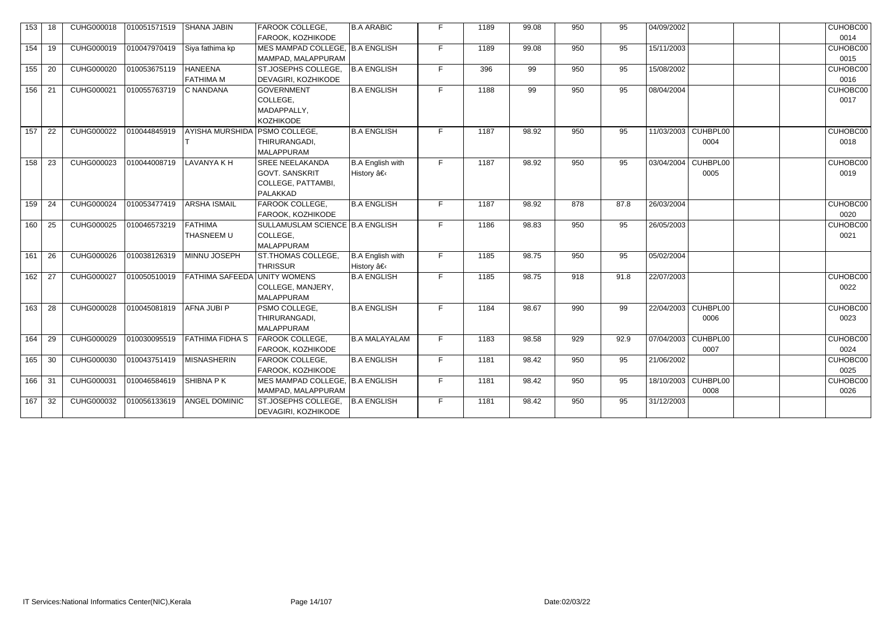| 153 | 18 | CUHG000018        | 010051571519 | <b>SHANA JABIN</b>                 | FAROOK COLLEGE,<br>FAROOK, KOZHIKODE                                              | <b>B.A ARABIC</b>                     | F. | 1189 | 99.08 | 950 | 95   | 04/09/2002                  | CUHOBC00<br>0014 |
|-----|----|-------------------|--------------|------------------------------------|-----------------------------------------------------------------------------------|---------------------------------------|----|------|-------|-----|------|-----------------------------|------------------|
| 154 | 19 | CUHG000019        | 010047970419 | Siya fathima kp                    | MES MAMPAD COLLEGE, B.A ENGLISH<br>MAMPAD, MALAPPURAM                             |                                       | F. | 1189 | 99.08 | 950 | 95   | 15/11/2003                  | CUHOBC00<br>0015 |
| 155 | 20 | <b>CUHG000020</b> | 010053675119 | <b>HANEENA</b><br><b>FATHIMA M</b> | ST.JOSEPHS COLLEGE,<br>DEVAGIRI, KOZHIKODE                                        | B.A ENGLISH                           | F. | 396  | 99    | 950 | 95   | 15/08/2002                  | CUHOBC00<br>0016 |
| 156 | 21 | CUHG000021        | 010055763719 | C NANDANA                          | <b>GOVERNMENT</b><br>COLLEGE,<br>MADAPPALLY,<br><b>KOZHIKODE</b>                  | <b>B.A ENGLISH</b>                    | F. | 1188 | 99    | 950 | 95   | 08/04/2004                  | CUHOBC00<br>0017 |
| 157 | 22 | CUHG000022        | 010044845919 | AYISHA MURSHIDA                    | <b>PSMO COLLEGE,</b><br>THIRURANGADI,<br><b>MALAPPURAM</b>                        | <b>B.A ENGLISH</b>                    | F. | 1187 | 98.92 | 950 | 95   | 11/03/2003 CUHBPL00<br>0004 | CUHOBC00<br>0018 |
| 158 | 23 | CUHG000023        | 010044008719 | <b>LAVANYA K H</b>                 | <b>SREE NEELAKANDA</b><br><b>GOVT. SANSKRIT</b><br>COLLEGE, PATTAMBI,<br>PALAKKAD | <b>B.A English with</b><br>History â€ | F. | 1187 | 98.92 | 950 | 95   | 03/04/2004 CUHBPL00<br>0005 | CUHOBC00<br>0019 |
| 159 | 24 | CUHG000024        | 010053477419 | <b>ARSHA ISMAIL</b>                | FAROOK COLLEGE,<br>FAROOK, KOZHIKODE                                              | <b>B.A ENGLISH</b>                    | F. | 1187 | 98.92 | 878 | 87.8 | 26/03/2004                  | CUHOBC00<br>0020 |
| 160 | 25 | CUHG000025        | 010046573219 | <b>FATHIMA</b><br>THASNEEM U       | SULLAMUSLAM SCIENCE   B.A ENGLISH<br>COLLEGE,<br><b>MALAPPURAM</b>                |                                       | F. | 1186 | 98.83 | 950 | 95   | 26/05/2003                  | CUHOBC00<br>0021 |
| 161 | 26 | CUHG000026        | 010038126319 | MINNU JOSEPH                       | ST.THOMAS COLLEGE.<br><b>THRISSUR</b>                                             | B.A English with<br>History â€        | F. | 1185 | 98.75 | 950 | 95   | 05/02/2004                  |                  |
| 162 | 27 | <b>CUHG000027</b> | 010050510019 | FATHIMA SAFEEDA                    | UNITY WOMENS<br>COLLEGE, MANJERY,<br>MALAPPURAM                                   | <b>B.A ENGLISH</b>                    | F. | 1185 | 98.75 | 918 | 91.8 | 22/07/2003                  | CUHOBC00<br>0022 |
| 163 | 28 | <b>CUHG000028</b> | 010045081819 | AFNA JUBI P                        | PSMO COLLEGE,<br>THIRURANGADI,<br>MALAPPURAM                                      | <b>B.A ENGLISH</b>                    | F. | 1184 | 98.67 | 990 | 99   | 22/04/2003 CUHBPL00<br>0006 | CUHOBC00<br>0023 |
| 164 | 29 | CUHG000029        | 010030095519 | FATHIMA FIDHA S                    | <b>FAROOK COLLEGE,</b><br>FAROOK, KOZHIKODE                                       | <b>B.A MALAYALAM</b>                  | F. | 1183 | 98.58 | 929 | 92.9 | 07/04/2003 CUHBPL00<br>0007 | CUHOBC00<br>0024 |
| 165 | 30 | CUHG000030        | 010043751419 | <b>MISNASHERIN</b>                 | FAROOK COLLEGE,<br>FAROOK, KOZHIKODE                                              | <b>B.A ENGLISH</b>                    | F. | 1181 | 98.42 | 950 | 95   | 21/06/2002                  | CUHOBC00<br>0025 |
| 166 | 31 | CUHG000031        | 010046584619 | SHIBNA P K                         | MES MAMPAD COLLEGE, B.A ENGLISH<br>MAMPAD, MALAPPURAM                             |                                       | F. | 1181 | 98.42 | 950 | 95   | 18/10/2003 CUHBPL00<br>0008 | CUHOBC00<br>0026 |
| 167 | 32 | CUHG000032        | 010056133619 | ANGEL DOMINIC                      | ST.JOSEPHS COLLEGE,<br>DEVAGIRI, KOZHIKODE                                        | <b>B.A ENGLISH</b>                    | F. | 1181 | 98.42 | 950 | 95   | 31/12/2003                  |                  |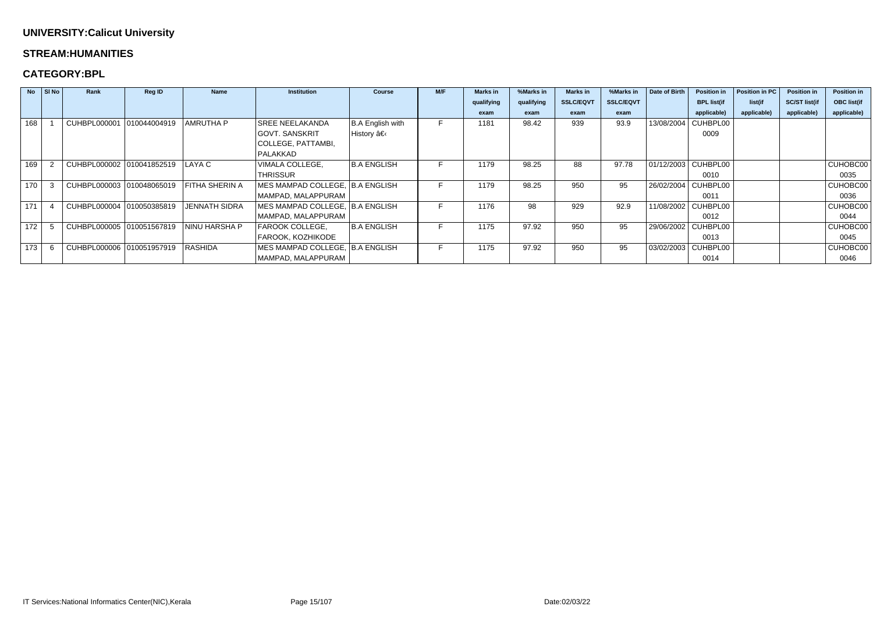#### **STREAM:HUMANITIES**

### **CATEGORY:BPL**

|     | $No$ SI No | Rank                        | <b>Reg ID</b> | <b>Name</b>          | <b>Institution</b>                | <b>Course</b>      | M/F | <b>Marks in</b> | %Marks in  | <b>Marks in</b>  | %Marks in        | Date of Birth | <b>Position in</b>  | Position in PC | <b>Position in</b>   | <b>Position in</b> |
|-----|------------|-----------------------------|---------------|----------------------|-----------------------------------|--------------------|-----|-----------------|------------|------------------|------------------|---------------|---------------------|----------------|----------------------|--------------------|
|     |            |                             |               |                      |                                   |                    |     | qualifying      | qualifying | <b>SSLC/EQVT</b> | <b>SSLC/EQVT</b> |               | <b>BPL list(if</b>  | list(if        | <b>SC/ST list(if</b> | <b>OBC list(if</b> |
|     |            |                             |               |                      |                                   |                    |     | exam            | exam       | exam             | exam             |               | applicable)         | applicable)    | applicable)          | applicable)        |
| 168 |            | CUHBPL000001                | 010044004919  | AMRUTHA P            | <b>SREE NEELAKANDA</b>            | B.A English with   |     | 1181            | 98.42      | 939              | 93.9             | 13/08/2004    | CUHBPL00            |                |                      |                    |
|     |            |                             |               |                      | <b>GOVT. SANSKRIT</b>             | History            |     |                 |            |                  |                  |               | 0009                |                |                      |                    |
|     |            |                             |               |                      | COLLEGE, PATTAMBI,                |                    |     |                 |            |                  |                  |               |                     |                |                      |                    |
|     |            |                             |               |                      | PALAKKAD                          |                    |     |                 |            |                  |                  |               |                     |                |                      |                    |
| 169 |            | CUHBPL000002                | 010041852519  | LAYA C               | VIMALA COLLEGE,                   | <b>B.A ENGLISH</b> | F   | 1179            | 98.25      | 88               | 97.78            |               | 01/12/2003 CUHBPL00 |                |                      | CUHOBC00           |
|     |            |                             |               |                      | <b>THRISSUR</b>                   |                    |     |                 |            |                  |                  |               | 0010                |                |                      | 0035               |
| 170 |            | CUHBPL000003 010048065019   |               | FITHA SHERIN A       | MES MAMPAD COLLEGE, B.A ENGLISH   |                    |     | 1179            | 98.25      | 950              | 95               | 26/02/2004    | CUHBPL00            |                |                      | <b>CUHOBC00</b>    |
|     |            |                             |               |                      | MAMPAD, MALAPPURAM                |                    |     |                 |            |                  |                  |               | 0011                |                |                      | 0036               |
| 171 |            | CUHBPL000004 010050385819   |               | <b>JENNATH SIDRA</b> | MES MAMPAD COLLEGE, B.A ENGLISH   |                    | E.  | 1176            | 98         | 929              | 92.9             | 11/08/2002    | CUHBPL00            |                |                      | CUHOBC00           |
|     |            |                             |               |                      | MAMPAD, MALAPPURAM                |                    |     |                 |            |                  |                  |               | 0012                |                |                      | 0044               |
| 172 |            | CUHBPL000005   010051567819 |               | <b>NINU HARSHA P</b> | <b>FAROOK COLLEGE,</b>            | <b>B.A ENGLISH</b> |     | 1175            | 97.92      | 950              | 95               | 29/06/2002    | CUHBPL00            |                |                      | CUHOBC00           |
|     |            |                             |               |                      | <b>FAROOK, KOZHIKODE</b>          |                    |     |                 |            |                  |                  |               | 0013                |                |                      | 0045               |
| 173 |            | CUHBPL000006 010051957919   |               | RASHIDA              | MES MAMPAD COLLEGE,   B.A ENGLISH |                    | ►   | 1175            | 97.92      | 950              | 95               | 03/02/2003    | CUHBPL00            |                |                      | CUHOBC00           |
|     |            |                             |               |                      | MAMPAD, MALAPPURAM                |                    |     |                 |            |                  |                  |               | 0014                |                |                      | 0046               |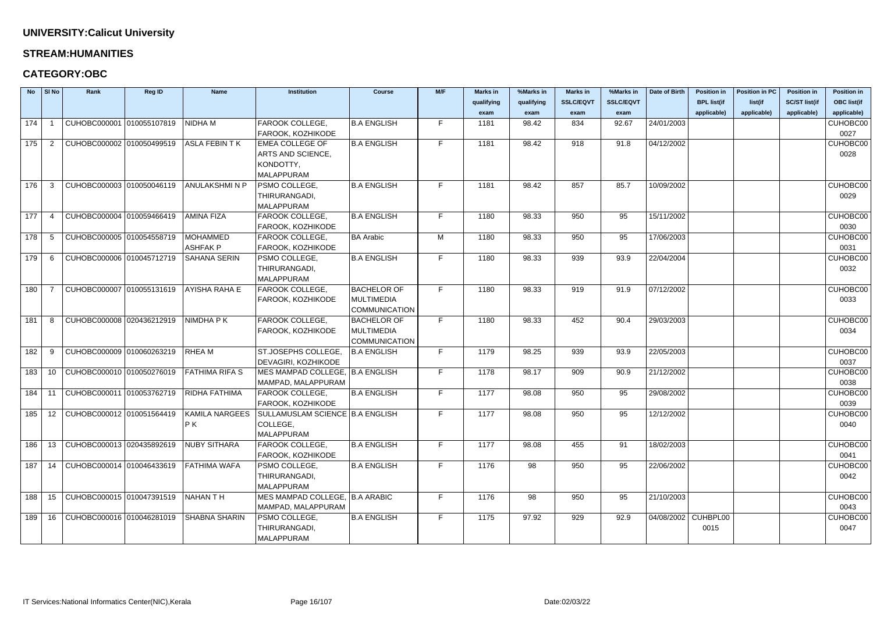#### **STREAM:HUMANITIES**

| <b>No</b> | SI No          | Rank                      | Reg ID | <b>Name</b>           | <b>Institution</b>                                                                          | <b>Course</b>        | M/F | <b>Marks in</b> | %Marks in  | <b>Marks in</b>  | %Marks in        | Date of Birth       | <b>Position in</b> | <b>Position in PC</b> | <b>Position in</b>   | <b>Position in</b> |
|-----------|----------------|---------------------------|--------|-----------------------|---------------------------------------------------------------------------------------------|----------------------|-----|-----------------|------------|------------------|------------------|---------------------|--------------------|-----------------------|----------------------|--------------------|
|           |                |                           |        |                       |                                                                                             |                      |     | qualifying      | qualifying | <b>SSLC/EQVT</b> | <b>SSLC/EQVT</b> |                     | <b>BPL list(if</b> | list(if               | <b>SC/ST list(if</b> | <b>OBC list(if</b> |
|           |                |                           |        |                       |                                                                                             |                      |     | exam            | exam       | exam             | exam             |                     | applicable)        | applicable)           | applicable)          | applicable)        |
| 174       |                | CUHOBC000001 010055107819 |        | <b>NIDHAM</b>         | FAROOK COLLEGE,                                                                             | <b>B.A ENGLISH</b>   | F.  | 1181            | 98.42      | 834              | 92.67            | 24/01/2003          |                    |                       |                      | CUHOBC00           |
|           |                |                           |        |                       | FAROOK, KOZHIKODE                                                                           |                      |     |                 |            |                  |                  |                     |                    |                       |                      | 0027               |
| 175       | $\overline{2}$ | CUHOBC000002 010050499519 |        | ASLA FEBIN T K        | <b>EMEA COLLEGE OF</b>                                                                      | <b>B.A ENGLISH</b>   | F.  | 1181            | 98.42      | 918              | 91.8             | 04/12/2002          |                    |                       |                      | CUHOBC00           |
|           |                |                           |        |                       | ARTS AND SCIENCE,                                                                           |                      |     |                 |            |                  |                  |                     |                    |                       |                      | 0028               |
|           |                |                           |        |                       | KONDOTTY,                                                                                   |                      |     |                 |            |                  |                  |                     |                    |                       |                      |                    |
|           |                |                           |        |                       | <b>MALAPPURAM</b>                                                                           |                      |     |                 |            |                  |                  |                     |                    |                       |                      |                    |
| 176       | -3             | CUHOBC000003 010050046119 |        | ANULAKSHMI N P        | PSMO COLLEGE,                                                                               | <b>B.A ENGLISH</b>   | F.  | 1181            | 98.42      | 857              | 85.7             | 10/09/2002          |                    |                       |                      | CUHOBC00           |
|           |                |                           |        |                       | THIRURANGADI,                                                                               |                      |     |                 |            |                  |                  |                     |                    |                       |                      | 0029               |
|           |                |                           |        |                       | MALAPPURAM                                                                                  |                      |     |                 |            |                  |                  |                     |                    |                       |                      |                    |
| 177       |                | CUHOBC000004 010059466419 |        | <b>AMINA FIZA</b>     | FAROOK COLLEGE,                                                                             | <b>B.A ENGLISH</b>   | F.  | 1180            | 98.33      | 950              | 95               | 15/11/2002          |                    |                       |                      | CUHOBC00           |
|           |                |                           |        |                       | FAROOK, KOZHIKODE                                                                           |                      |     |                 |            |                  |                  |                     |                    |                       |                      | 0030               |
| 178       | -5             | CUHOBC000005 010054558719 |        | <b>MOHAMMED</b>       | FAROOK COLLEGE,                                                                             | <b>BA Arabic</b>     | M   | 1180            | 98.33      | 950              | 95               | 17/06/2003          |                    |                       |                      | CUHOBC00           |
|           |                |                           |        | <b>ASHFAK P</b>       | FAROOK, KOZHIKODE                                                                           |                      |     |                 |            |                  |                  |                     |                    |                       |                      | 0031               |
| 179       | -6             | CUHOBC000006 010045712719 |        | SAHANA SERIN          | PSMO COLLEGE,                                                                               | <b>B.A ENGLISH</b>   | F.  | 1180            | 98.33      | 939              | 93.9             | 22/04/2004          |                    |                       |                      | CUHOBC00           |
|           |                |                           |        |                       | THIRURANGADI,                                                                               |                      |     |                 |            |                  |                  |                     |                    |                       |                      | 0032               |
|           |                |                           |        |                       | MALAPPURAM                                                                                  |                      |     |                 |            |                  |                  |                     |                    |                       |                      |                    |
| 180       |                | CUHOBC000007 010055131619 |        | AYISHA RAHA E         | FAROOK COLLEGE,                                                                             | <b>BACHELOR OF</b>   | F.  | 1180            | 98.33      | 919              | 91.9             | 07/12/2002          |                    |                       |                      | CUHOBC00           |
|           |                |                           |        |                       | FAROOK, KOZHIKODE                                                                           | <b>MULTIMEDIA</b>    |     |                 |            |                  |                  |                     |                    |                       |                      | 0033               |
|           |                |                           |        |                       |                                                                                             | <b>COMMUNICATION</b> |     |                 |            |                  |                  |                     |                    |                       |                      |                    |
| 181       | -8             | CUHOBC000008 020436212919 |        | NIMDHA P K            | FAROOK COLLEGE,                                                                             | <b>BACHELOR OF</b>   | F.  | 1180            | 98.33      | 452              | 90.4             | 29/03/2003          |                    |                       |                      | CUHOBC00           |
|           |                |                           |        |                       | FAROOK, KOZHIKODE                                                                           | MULTIMEDIA           |     |                 |            |                  |                  |                     |                    |                       |                      | 0034               |
|           |                |                           |        |                       |                                                                                             | <b>COMMUNICATION</b> | F.  |                 |            |                  |                  |                     |                    |                       |                      |                    |
| 182       | -9             | CUHOBC000009 010060263219 |        | <b>RHEAM</b>          | ST.JOSEPHS COLLEGE.                                                                         | <b>B.A ENGLISH</b>   |     | 1179            | 98.25      | 939              | 93.9             | 22/05/2003          |                    |                       |                      | CUHOBC00<br>0037   |
| 183       | 10             | CUHOBC000010 010050276019 |        | <b>FATHIMA RIFA S</b> | DEVAGIRI, KOZHIKODE<br>MES MAMPAD COLLEGE, B.A ENGLISH                                      |                      | F.  | 1178            | 98.17      | 909              | 90.9             | 21/12/2002          |                    |                       |                      | CUHOBC00           |
|           |                |                           |        |                       | MAMPAD, MALAPPURAM                                                                          |                      |     |                 |            |                  |                  |                     |                    |                       |                      | 0038               |
| 184       | 11             | CUHOBC000011 010053762719 |        | RIDHA FATHIMA         | FAROOK COLLEGE,                                                                             | <b>B.A ENGLISH</b>   | F.  | 1177            | 98.08      | 950              | 95               | 29/08/2002          |                    |                       |                      | CUHOBC00           |
|           |                |                           |        |                       | FAROOK, KOZHIKODE                                                                           |                      |     |                 |            |                  |                  |                     |                    |                       |                      | 0039               |
|           |                |                           |        |                       | 185   12   CUHOBC000012   010051564419   KAMILA NARGEES   SULLAMUSLAM SCIENCE   B.A ENGLISH |                      | F.  | 1177            | 98.08      | 950              | 95               | 12/12/2002          |                    |                       |                      | CUHOBC00           |
|           |                |                           |        | P K                   | COLLEGE,                                                                                    |                      |     |                 |            |                  |                  |                     |                    |                       |                      | 0040               |
|           |                |                           |        |                       | MALAPPURAM                                                                                  |                      |     |                 |            |                  |                  |                     |                    |                       |                      |                    |
| 186       | 13             | CUHOBC000013 020435892619 |        | <b>NUBY SITHARA</b>   | FAROOK COLLEGE,                                                                             | <b>B.A ENGLISH</b>   | F.  | 1177            | 98.08      | 455              | 91               | 18/02/2003          |                    |                       |                      | CUHOBC00           |
|           |                |                           |        |                       | FAROOK, KOZHIKODE                                                                           |                      |     |                 |            |                  |                  |                     |                    |                       |                      | 0041               |
| 187       | 14             | CUHOBC000014 010046433619 |        | <b>FATHIMA WAFA</b>   | PSMO COLLEGE,                                                                               | <b>B.A ENGLISH</b>   | F.  | 1176            | 98         | 950              | 95               | 22/06/2002          |                    |                       |                      | CUHOBC00           |
|           |                |                           |        |                       | THIRURANGADI,                                                                               |                      |     |                 |            |                  |                  |                     |                    |                       |                      | 0042               |
|           |                |                           |        |                       | MALAPPURAM                                                                                  |                      |     |                 |            |                  |                  |                     |                    |                       |                      |                    |
| 188       | 15             | CUHOBC000015 010047391519 |        | NAHAN T H             | MES MAMPAD COLLEGE, B.A ARABIC                                                              |                      | F.  | 1176            | 98         | 950              | 95               | 21/10/2003          |                    |                       |                      | CUHOBC00           |
|           |                |                           |        |                       | MAMPAD, MALAPPURAM                                                                          |                      |     |                 |            |                  |                  |                     |                    |                       |                      | 0043               |
| 189       | 16             | CUHOBC000016 010046281019 |        | <b>SHABNA SHARIN</b>  | PSMO COLLEGE,                                                                               | <b>B.A ENGLISH</b>   | F.  | 1175            | 97.92      | 929              | 92.9             | 04/08/2002 CUHBPL00 |                    |                       |                      | CUHOBC00           |
|           |                |                           |        |                       | THIRURANGADI,                                                                               |                      |     |                 |            |                  |                  |                     | 0015               |                       |                      | 0047               |
|           |                |                           |        |                       | MALAPPURAM                                                                                  |                      |     |                 |            |                  |                  |                     |                    |                       |                      |                    |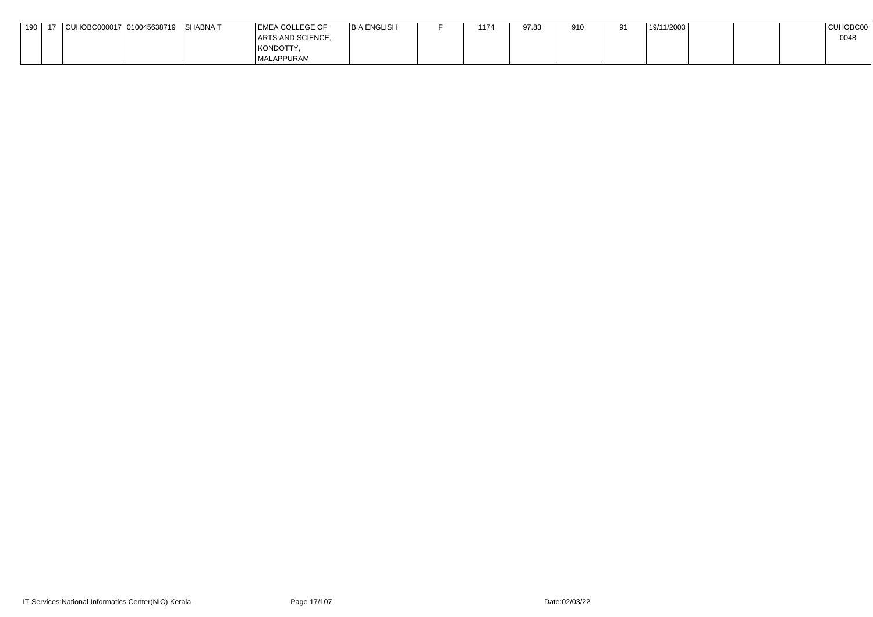| 19C | CUHOBC000017   010045638719 | ∣SHABNA T | <b>EMEA COLLEGE OF</b> | <b>B.A ENGLISH</b> | 1174 | 97.83 | 910 | 91 | 19/11/2003 |  | <b>CUHOBC00</b> |
|-----|-----------------------------|-----------|------------------------|--------------------|------|-------|-----|----|------------|--|-----------------|
|     |                             |           | ARTS AND SCIENCE,      |                    |      |       |     |    |            |  | 0048            |
|     |                             |           | KONDOTTY,              |                    |      |       |     |    |            |  |                 |
|     |                             |           | MALAPPURAM             |                    |      |       |     |    |            |  |                 |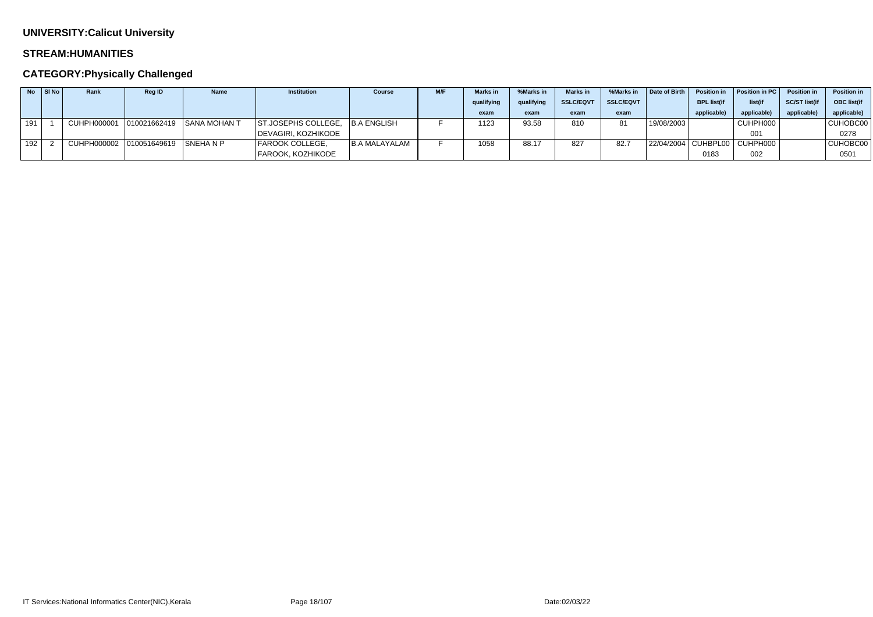#### **STREAM:HUMANITIES**

## **CATEGORY:Physically Challenged**

|     | $No$ SI No | Rank        | <b>Reg ID</b>        | <b>Name</b>               | <b>Institution</b>              | <b>Course</b> | M/F | <b>Marks in</b> | %Marks in  | <b>Marks</b> in  | %Marks in        | Date of Birth | <b>Position in</b> | Position in PC                   | <b>Position in</b>  | <b>Position in</b> |
|-----|------------|-------------|----------------------|---------------------------|---------------------------------|---------------|-----|-----------------|------------|------------------|------------------|---------------|--------------------|----------------------------------|---------------------|--------------------|
|     |            |             |                      |                           |                                 |               |     | qualifying      | qualifying | <b>SSLC/EQVT</b> | <b>SSLC/EQVT</b> |               | <b>BPL list(if</b> | list(if                          | <b>SC/ST list(i</b> | <b>OBC</b> list(if |
|     |            |             |                      |                           |                                 |               |     | exam            | exam       | exam             | exam             |               | applicable)        | applicable)                      | applicable          | applicable)        |
| 191 |            | CUHPH000001 |                      | 010021662419 SANA MOHAN T | ST.JOSEPHS COLLEGE, B.A ENGLISH |               |     | 1123            | 93.58      | 810              | 81               | 19/08/2003    |                    | CUHPH000                         |                     | CUHOBC00           |
|     |            |             |                      |                           | DEVAGIRI, KOZHIKODE             |               |     |                 |            |                  |                  |               |                    | 001                              |                     | 0278               |
| 192 |            | CUHPH000002 | 010051649619 SNEHANP |                           | <b>FAROOK COLLEGE,</b>          | B.A MALAYALAM |     | 1058            | 88.17      | 827              | 82.7             |               |                    | 22/04/2004   CUHBPL00   CUHPH000 |                     | CUHOBC00           |
|     |            |             |                      |                           | FAROOK, KOZHIKODE               |               |     |                 |            |                  |                  |               | 0183               | 002                              |                     | 0501               |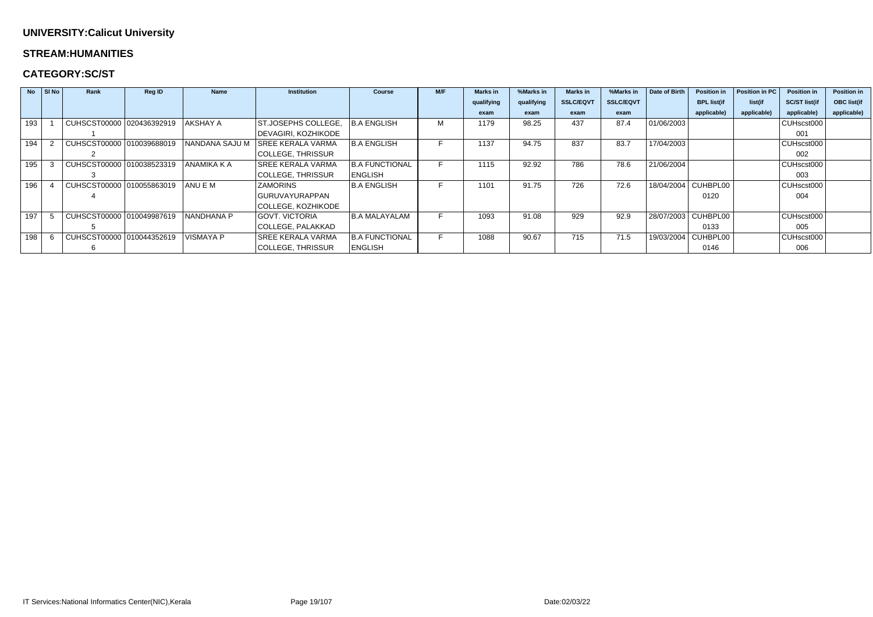#### **STREAM:HUMANITIES**

### **CATEGORY:SC/ST**

| <b>No</b> | $\vert$ SI No | Rank                      | <b>Reg ID</b> | <b>Name</b>      | <b>Institution</b>        | <b>Course</b>         | M/F | <b>Marks</b> in | %Marks in  | <b>Marks in</b>  | %Marks in        | Date of Birth | <b>Position in</b>  | Position in PC | <b>Position in</b>   | <b>Position in</b> |
|-----------|---------------|---------------------------|---------------|------------------|---------------------------|-----------------------|-----|-----------------|------------|------------------|------------------|---------------|---------------------|----------------|----------------------|--------------------|
|           |               |                           |               |                  |                           |                       |     | qualifying      | qualifying | <b>SSLC/EQVT</b> | <b>SSLC/EQVT</b> |               | <b>BPL list(if</b>  | list(if        | <b>SC/ST list(if</b> | <b>OBC list(if</b> |
|           |               |                           |               |                  |                           |                       |     | exam            | exam       | exam             | exam             |               | applicable)         | applicable)    | applicable)          | applicable)        |
| 193       |               | CUHSCST00000 020436392919 |               | AKSHAY A         | ST.JOSEPHS COLLEGE,       | <b>B.A ENGLISH</b>    | М   | 1179            | 98.25      | 437              | 87.4             | 01/06/2003    |                     |                | CUHscst000           |                    |
|           |               |                           |               |                  | DEVAGIRI, KOZHIKODE       |                       |     |                 |            |                  |                  |               |                     |                | 001                  |                    |
| 194       |               | CUHSCST00000 010039688019 |               | NANDANA SAJU M   | <b>SREE KERALA VARMA</b>  | <b>B.A ENGLISH</b>    |     | 1137            | 94.75      | 837              | 83.7             | 17/04/2003    |                     |                | CUHscst000           |                    |
|           |               |                           |               |                  | COLLEGE, THRISSUR         |                       |     |                 |            |                  |                  |               |                     |                | 002                  |                    |
| 195       |               | CUHSCST00000 010038523319 |               | ANAMIKA K A      | <b>SREE KERALA VARMA</b>  | <b>B.A FUNCTIONAL</b> |     | 1115            | 92.92      | 786              | 78.6             | 21/06/2004    |                     |                | CUHscst000           |                    |
|           |               |                           |               |                  | COLLEGE, THRISSUR         | <b>ENGLISH</b>        |     |                 |            |                  |                  |               |                     |                | 003                  |                    |
| 196       |               | CUHSCST00000 010055863019 |               | ANU E M          | <b>ZAMORINS</b>           | <b>B.A ENGLISH</b>    |     | 1101            | 91.75      | 726              | 72.6             |               | 18/04/2004 CUHBPL00 |                | CUHscst000           |                    |
|           |               |                           |               |                  | <b>GURUVAYURAPPAN</b>     |                       |     |                 |            |                  |                  |               | 0120                |                | 004                  |                    |
|           |               |                           |               |                  | <b>COLLEGE, KOZHIKODE</b> |                       |     |                 |            |                  |                  |               |                     |                |                      |                    |
| 197       |               | CUHSCST00000 010049987619 |               | INANDHANA P      | GOVT. VICTORIA            | B.A MALAYALAM         | F.  | 1093            | 91.08      | 929              | 92.9             |               | 28/07/2003 CUHBPL00 |                | CUHscst000           |                    |
|           |               |                           |               |                  | <b>COLLEGE, PALAKKAD</b>  |                       |     |                 |            |                  |                  |               | 0133                |                | 005                  |                    |
| 198       |               | CUHSCST00000 010044352619 |               | <b>VISMAYA P</b> | <b>SREE KERALA VARMA</b>  | <b>B.A FUNCTIONAL</b> |     | 1088            | 90.67      | 715              | 71.5             | 19/03/2004    | CUHBPL00            |                | CUHscst000           |                    |
|           |               |                           |               |                  | COLLEGE, THRISSUR         | <b>ENGLISH</b>        |     |                 |            |                  |                  |               | 0146                |                | 006                  |                    |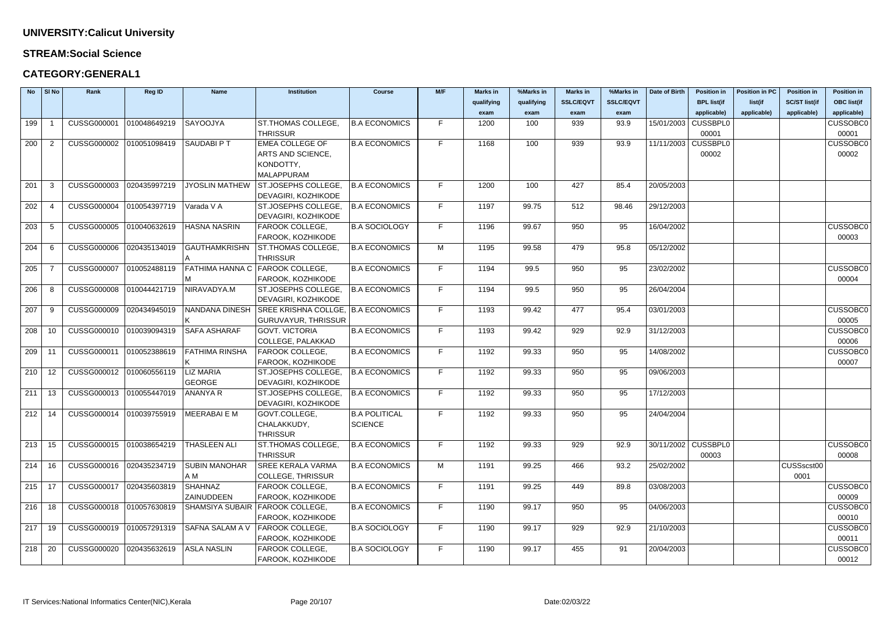#### **STREAM:Social Science**

| <b>No</b> | SI No          | Rank                                                 | <b>Reg ID</b> | <b>Name</b>            | <b>Institution</b>                 | <b>Course</b>        | M/F | <b>Marks in</b> | %Marks in  | <b>Marks in</b>  | %Marks in        | Date of Birth         | <b>Position in</b> | <b>Position in PC</b> | <b>Position in</b>   | <b>Position in</b> |
|-----------|----------------|------------------------------------------------------|---------------|------------------------|------------------------------------|----------------------|-----|-----------------|------------|------------------|------------------|-----------------------|--------------------|-----------------------|----------------------|--------------------|
|           |                |                                                      |               |                        |                                    |                      |     | qualifying      | qualifying | <b>SSLC/EQVT</b> | <b>SSLC/EQVT</b> |                       | <b>BPL list(if</b> | list(if               | <b>SC/ST list(if</b> | <b>OBC list(if</b> |
|           |                |                                                      |               |                        |                                    |                      |     | exam            | exam       | exam             | exam             |                       | applicable)        | applicable)           | applicable)          | applicable)        |
| 199       |                | CUSSG000001                                          | 010048649219  | SAYOOJYA               | ST.THOMAS COLLEGE,                 | <b>B.A ECONOMICS</b> | F.  | 1200            | 100        | 939              | 93.9             | 15/01/2003   CUSSBPL0 |                    |                       |                      | <b>CUSSOBC0</b>    |
|           |                |                                                      |               |                        | <b>THRISSUR</b>                    |                      |     |                 |            |                  |                  |                       | 00001              |                       |                      | 00001              |
| 200       | $\overline{2}$ | <b>CUSSG000002</b>                                   | 010051098419  | SAUDABI P T            | <b>EMEA COLLEGE OF</b>             | <b>B.A ECONOMICS</b> | F.  | 1168            | 100        | 939              | 93.9             | 11/11/2003 CUSSBPL0   |                    |                       |                      | <b>CUSSOBC0</b>    |
|           |                |                                                      |               |                        | ARTS AND SCIENCE,                  |                      |     |                 |            |                  |                  |                       | 00002              |                       |                      | 00002              |
|           |                |                                                      |               |                        | KONDOTTY,                          |                      |     |                 |            |                  |                  |                       |                    |                       |                      |                    |
|           |                |                                                      |               |                        | <b>MALAPPURAM</b>                  |                      |     |                 |            |                  |                  |                       |                    |                       |                      |                    |
| 201       | -3             | CUSSG000003                                          | 020435997219  | <b>JYOSLIN MATHEW</b>  | ST.JOSEPHS COLLEGE,                | <b>B.A ECONOMICS</b> | F.  | 1200            | 100        | 427              | 85.4             | 20/05/2003            |                    |                       |                      |                    |
|           |                |                                                      |               |                        | DEVAGIRI, KOZHIKODE                |                      |     |                 |            |                  |                  |                       |                    |                       |                      |                    |
| 202       |                | CUSSG000004 010054397719                             |               | Varada V A             | ST.JOSEPHS COLLEGE.                | <b>B.A ECONOMICS</b> | F.  | 1197            | 99.75      | 512              | 98.46            | 29/12/2003            |                    |                       |                      |                    |
|           |                |                                                      |               |                        | DEVAGIRI, KOZHIKODE                |                      |     |                 |            |                  |                  |                       |                    |                       |                      |                    |
| 203       | -5             | CUSSG000005 010040632619                             |               | HASNA NASRIN           | FAROOK COLLEGE,                    | <b>B.A SOCIOLOGY</b> | F.  | 1196            | 99.67      | 950              | 95               | 16/04/2002            |                    |                       |                      | <b>CUSSOBC0</b>    |
|           |                |                                                      |               |                        | FAROOK, KOZHIKODE                  |                      |     |                 |            |                  |                  |                       |                    |                       |                      | 00003              |
| 204       | -6             | <b>CUSSG000006</b>                                   | 020435134019  | <b>GAUTHAMKRISHN</b>   | ST.THOMAS COLLEGE,                 | <b>B.A ECONOMICS</b> | M   | 1195            | 99.58      | 479              | 95.8             | 05/12/2002            |                    |                       |                      |                    |
|           |                |                                                      |               |                        | <b>THRISSUR</b>                    |                      |     |                 |            |                  |                  |                       |                    |                       |                      |                    |
| 205       |                | CUSSG000007 010052488119                             |               | <b>FATHIMA HANNA C</b> | <b>FAROOK COLLEGE,</b>             | <b>B.A ECONOMICS</b> | F.  | 1194            | 99.5       | 950              | 95               | 23/02/2002            |                    |                       |                      | <b>CUSSOBC0</b>    |
|           |                |                                                      |               |                        | FAROOK, KOZHIKODE                  |                      |     |                 |            |                  |                  |                       |                    |                       |                      | 00004              |
| 206       | -8             | <b>CUSSG000008</b>                                   | 010044421719  | NIRAVADYA.M            | ST.JOSEPHS COLLEGE,                | <b>B.A ECONOMICS</b> | F.  | 1194            | 99.5       | 950              | 95               | 26/04/2004            |                    |                       |                      |                    |
|           |                |                                                      |               |                        | DEVAGIRI, KOZHIKODE                |                      |     |                 |            |                  |                  |                       |                    |                       |                      |                    |
| 207       | -9             | <b>CUSSG000009</b>                                   | 020434945019  | NANDANA DINESH         | SREE KRISHNA COLLGE, B.A ECONOMICS |                      | F.  | 1193            | 99.42      | 477              | 95.4             | 03/01/2003            |                    |                       |                      | <b>CUSSOBC0</b>    |
|           |                |                                                      |               |                        | <b>GURUVAYUR, THRISSUR</b>         |                      |     |                 |            |                  |                  |                       |                    |                       |                      | 00005              |
| 208       | 10             | CUSSG000010 010039094319                             |               | <b>SAFA ASHARAF</b>    | <b>GOVT. VICTORIA</b>              | <b>B.A ECONOMICS</b> | F.  | 1193            | 99.42      | 929              | 92.9             | 31/12/2003            |                    |                       |                      | <b>CUSSOBC0</b>    |
|           |                |                                                      |               |                        | COLLEGE, PALAKKAD                  |                      |     |                 |            |                  |                  |                       |                    |                       |                      | 00006              |
| 209       | 11             | CUSSG000011                                          | 010052388619  | FATHIMA RINSHA         | FAROOK COLLEGE,                    | <b>B.A ECONOMICS</b> | F.  | 1192            | 99.33      | 950              | 95               | 14/08/2002            |                    |                       |                      | <b>CUSSOBC0</b>    |
|           |                |                                                      |               |                        | FAROOK, KOZHIKODE                  |                      |     |                 |            |                  |                  |                       |                    |                       |                      | 00007              |
| 210       | 12             | CUSSG000012 010060556119                             |               | <b>LIZ MARIA</b>       | ST.JOSEPHS COLLEGE,                | <b>B.A ECONOMICS</b> | F.  | 1192            | 99.33      | 950              | 95               | 09/06/2003            |                    |                       |                      |                    |
|           |                |                                                      |               | <b>GEORGE</b>          | DEVAGIRI, KOZHIKODE                |                      |     |                 |            |                  |                  |                       |                    |                       |                      |                    |
| 211       | 13             | CUSSG000013 010055447019                             |               | ANANYA R               | ST.JOSEPHS COLLEGE,                | <b>B.A ECONOMICS</b> | F.  | 1192            | 99.33      | 950              | 95               | 17/12/2003            |                    |                       |                      |                    |
|           |                |                                                      |               |                        | DEVAGIRI, KOZHIKODE                |                      |     |                 |            |                  |                  |                       |                    |                       |                      |                    |
|           |                | 212   14   CUSSG000014   010039755919   MEERABAI E M |               |                        | GOVT.COLLEGE,                      | <b>B.A POLITICAL</b> | F.  | 1192            | 99.33      | 950              | 95               | 24/04/2004            |                    |                       |                      |                    |
|           |                |                                                      |               |                        | CHALAKKUDY,                        | <b>SCIENCE</b>       |     |                 |            |                  |                  |                       |                    |                       |                      |                    |
|           |                |                                                      |               |                        | <b>THRISSUR</b>                    |                      |     |                 |            |                  |                  |                       |                    |                       |                      |                    |
| 213       | 15             | CUSSG000015 010038654219                             |               | <b>THASLEEN ALI</b>    | ST.THOMAS COLLEGE,                 | <b>B.A ECONOMICS</b> | F.  | 1192            | 99.33      | 929              | 92.9             | 30/11/2002 CUSSBPL0   |                    |                       |                      | <b>CUSSOBC0</b>    |
|           |                |                                                      |               |                        | <b>THRISSUR</b>                    |                      |     |                 |            |                  |                  |                       | 00003              |                       |                      | 00008              |
| 214       | 16             | CUSSG000016 020435234719                             |               | <b>SUBIN MANOHAR</b>   | <b>SREE KERALA VARMA</b>           | <b>B.A ECONOMICS</b> | M   | 1191            | 99.25      | 466              | 93.2             | 25/02/2002            |                    |                       | CUSSscst00           |                    |
|           |                |                                                      |               | A M                    | <b>COLLEGE, THRISSUR</b>           |                      |     |                 |            |                  |                  |                       |                    |                       | 0001                 |                    |
| 215       | -17            | CUSSG000017 020435603819                             |               | <b>SHAHNAZ</b>         | FAROOK COLLEGE,                    | <b>B.A ECONOMICS</b> | F.  | 1191            | 99.25      | 449              | 89.8             | 03/08/2003            |                    |                       |                      | <b>CUSSOBC0</b>    |
|           |                |                                                      |               | ZAINUDDEEN             | FAROOK, KOZHIKODE                  |                      |     |                 |            |                  |                  |                       |                    |                       |                      | 00009              |
| 216       | 18             | CUSSG000018 010057630819                             |               |                        | SHAMSIYA SUBAIR FAROOK COLLEGE,    | <b>B.A ECONOMICS</b> | F.  | 1190            | 99.17      | 950              | 95               | 04/06/2003            |                    |                       |                      | <b>CUSSOBC0</b>    |
|           |                |                                                      |               |                        | FAROOK, KOZHIKODE                  |                      |     |                 |            |                  |                  |                       |                    |                       |                      | 00010              |
| 217       | 19             | CUSSG000019 010057291319                             |               | SAFNA SALAM A V        | FAROOK COLLEGE,                    | <b>B.A SOCIOLOGY</b> | F.  | 1190            | 99.17      | 929              | 92.9             | 21/10/2003            |                    |                       |                      | <b>CUSSOBC0</b>    |
|           |                |                                                      |               |                        | FAROOK, KOZHIKODE                  |                      |     |                 |            |                  |                  |                       |                    |                       |                      | 00011              |
| 218       | 20             | CUSSG000020                                          | 020435632619  | ASLA NASLIN            | FAROOK COLLEGE,                    | <b>B.A SOCIOLOGY</b> | F.  | 1190            | 99.17      | 455              | 91               | 20/04/2003            |                    |                       |                      | <b>CUSSOBC0</b>    |
|           |                |                                                      |               |                        | FAROOK, KOZHIKODE                  |                      |     |                 |            |                  |                  |                       |                    |                       |                      | 00012              |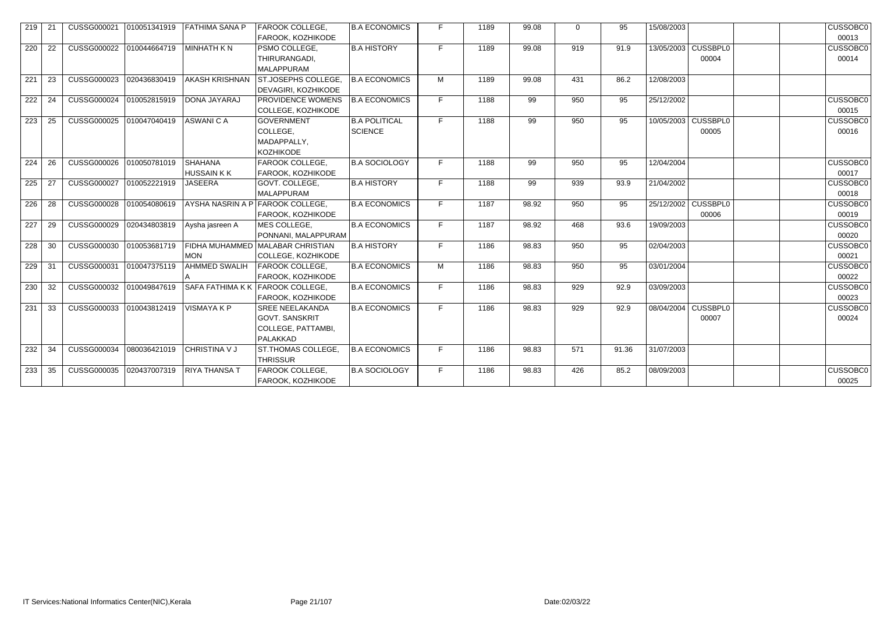| 219 | $-21$ | CUSSG000021  010051341919 |              | <b>FATHIMA SANA P</b>               | FAROOK COLLEGE,<br>FAROOK, KOZHIKODE                                              | <b>B.A ECONOMICS</b>                   | F. | 1189 | 99.08 | $\Omega$ | 95    | 15/08/2003 |                                | <b>CUSSOBC0</b><br>00013 |
|-----|-------|---------------------------|--------------|-------------------------------------|-----------------------------------------------------------------------------------|----------------------------------------|----|------|-------|----------|-------|------------|--------------------------------|--------------------------|
| 220 | 22    | CUSSG000022               | 010044664719 | <b>MINHATH KN</b>                   | PSMO COLLEGE,<br>THIRURANGADI,<br><b>MALAPPURAM</b>                               | <b>B.A HISTORY</b>                     | F. | 1189 | 99.08 | 919      | 91.9  |            | 13/05/2003   CUSSBPL0<br>00004 | <b>CUSSOBC0</b><br>00014 |
| 221 | -23   | CUSSG000023               | 020436830419 | AKASH KRISHNAN                      | ST.JOSEPHS COLLEGE,<br>DEVAGIRI, KOZHIKODE                                        | <b>B.A ECONOMICS</b>                   | M  | 1189 | 99.08 | 431      | 86.2  | 12/08/2003 |                                |                          |
| 222 | 24    | CUSSG000024               | 010052815919 | DONA JAYARAJ                        | PROVIDENCE WOMENS<br>COLLEGE, KOZHIKODE                                           | <b>B.A ECONOMICS</b>                   | F  | 1188 | 99    | 950      | 95    | 25/12/2002 |                                | <b>CUSSOBC0</b><br>00015 |
| 223 | 25    | CUSSG000025               | 010047040419 | <b>ASWANICA</b>                     | <b>GOVERNMENT</b><br>COLLEGE,<br>MADAPPALLY,<br><b>KOZHIKODE</b>                  | <b>B.A POLITICAL</b><br><b>SCIENCE</b> | F  | 1188 | 99    | 950      | 95    |            | 10/05/2003 CUSSBPL0<br>00005   | <b>CUSSOBC0</b><br>00016 |
| 224 | 26    | <b>CUSSG000026</b>        | 010050781019 | <b>SHAHANA</b><br><b>HUSSAIN KK</b> | FAROOK COLLEGE,<br>FAROOK, KOZHIKODE                                              | <b>B.A SOCIOLOGY</b>                   | F  | 1188 | 99    | 950      | 95    | 12/04/2004 |                                | <b>CUSSOBC0</b><br>00017 |
| 225 | 27    | CUSSG000027               | 010052221919 | <b>JASEERA</b>                      | GOVT. COLLEGE,<br><b>MALAPPURAM</b>                                               | <b>B.A HISTORY</b>                     | F  | 1188 | 99    | 939      | 93.9  | 21/04/2002 |                                | <b>CUSSOBC0</b><br>00018 |
| 226 | 28    | <b>CUSSG000028</b>        | 010054080619 |                                     | AYSHA NASRIN A P FAROOK COLLEGE,<br>FAROOK, KOZHIKODE                             | <b>B.A ECONOMICS</b>                   | F  | 1187 | 98.92 | 950      | 95    |            | 25/12/2002   CUSSBPL0<br>00006 | <b>CUSSOBC0</b><br>00019 |
| 227 | 29    | CUSSG000029               | 020434803819 | Aysha jasreen A                     | MES COLLEGE,<br>PONNANI, MALAPPURAM                                               | <b>B.A ECONOMICS</b>                   | F  | 1187 | 98.92 | 468      | 93.6  | 19/09/2003 |                                | <b>CUSSOBC0</b><br>00020 |
| 228 | 30    | CUSSG000030               | 010053681719 | <b>MON</b>                          | FIDHA MUHAMMED MALABAR CHRISTIAN<br>COLLEGE, KOZHIKODE                            | <b>B.A HISTORY</b>                     | F  | 1186 | 98.83 | 950      | 95    | 02/04/2003 |                                | <b>CUSSOBC0</b><br>00021 |
| 229 | -31   | CUSSG000031               | 010047375119 | <b>AHMMED SWALIH</b>                | <b>FAROOK COLLEGE,</b><br>FAROOK, KOZHIKODE                                       | <b>B.A ECONOMICS</b>                   | M  | 1186 | 98.83 | 950      | 95    | 03/01/2004 |                                | <b>CUSSOBC0</b><br>00022 |
| 230 | 32    | CUSSG000032               | 010049847619 | <b>SAFA FATHIMA K K</b>             | <b>FAROOK COLLEGE,</b><br>FAROOK, KOZHIKODE                                       | <b>B.A ECONOMICS</b>                   | F  | 1186 | 98.83 | 929      | 92.9  | 03/09/2003 |                                | <b>CUSSOBC0</b><br>00023 |
| 231 | 33    | CUSSG000033               | 010043812419 | <b>VISMAYAKP</b>                    | <b>SREE NEELAKANDA</b><br><b>GOVT. SANSKRIT</b><br>COLLEGE, PATTAMBI,<br>PALAKKAD | <b>B.A ECONOMICS</b>                   | F  | 1186 | 98.83 | 929      | 92.9  | 08/04/2004 | CUSSBPL0<br>00007              | <b>CUSSOBC0</b><br>00024 |
| 232 | 34    | CUSSG000034               | 080036421019 | CHRISTINA V J                       | ST.THOMAS COLLEGE,<br><b>THRISSUR</b>                                             | <b>B.A ECONOMICS</b>                   | F. | 1186 | 98.83 | 571      | 91.36 | 31/07/2003 |                                |                          |
| 233 | -35   | CUSSG000035               | 020437007319 | <b>RIYA THANSA T</b>                | FAROOK COLLEGE,<br>FAROOK, KOZHIKODE                                              | <b>B.A SOCIOLOGY</b>                   | F. | 1186 | 98.83 | 426      | 85.2  | 08/09/2003 |                                | <b>CUSSOBC0</b><br>00025 |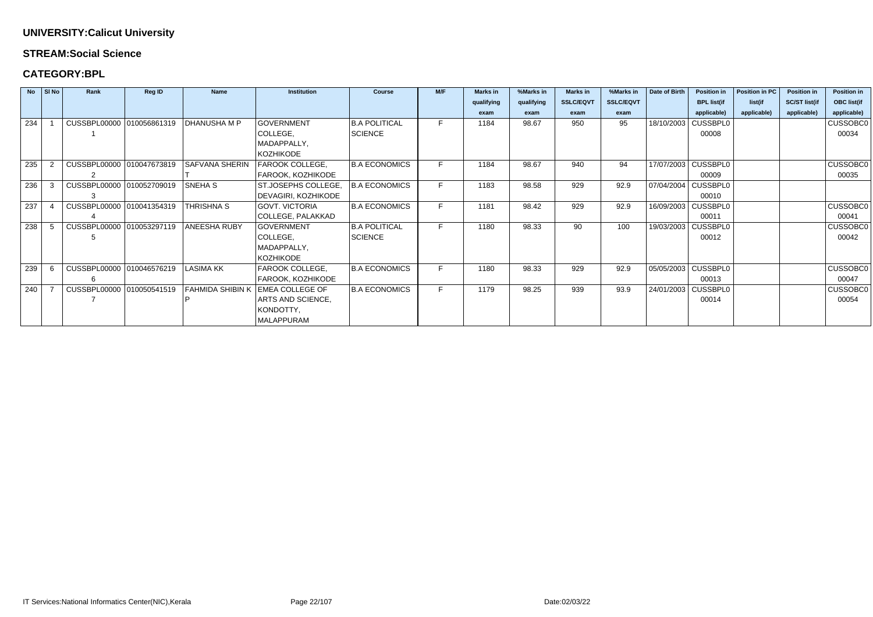#### **STREAM:Social Science**

### **CATEGORY:BPL**

|     | No SINO | Rank                      | <b>Reg ID</b> | <b>Name</b>             | <b>Institution</b>     | <b>Course</b>        | M/F | <b>Marks in</b> | %Marks in  | <b>Marks in</b>  | %Marks in        | <b>Date of Birth</b> | <b>Position in</b>    | <b>Position in PC</b> | <b>Position in</b>   | <b>Position in</b> |
|-----|---------|---------------------------|---------------|-------------------------|------------------------|----------------------|-----|-----------------|------------|------------------|------------------|----------------------|-----------------------|-----------------------|----------------------|--------------------|
|     |         |                           |               |                         |                        |                      |     | qualifying      | qualifying | <b>SSLC/EQVT</b> | <b>SSLC/EQVT</b> |                      | <b>BPL list(if</b>    | list(if               | <b>SC/ST list(if</b> | <b>OBC list(if</b> |
|     |         |                           |               |                         |                        |                      |     | exam            | exam       | exam             | exam             |                      | applicable)           | applicable)           | applicable)          | applicable)        |
| 234 |         | CUSSBPL00000 010056861319 |               | <b>DHANUSHA M P</b>     | <b>GOVERNMENT</b>      | <b>B.A POLITICAL</b> | F.  | 1184            | 98.67      | 950              | 95               | 18/10/2003           | <b>CUSSBPL0</b>       |                       |                      | <b>CUSSOBC0</b>    |
|     |         |                           |               |                         | COLLEGE,               | <b>SCIENCE</b>       |     |                 |            |                  |                  |                      | 00008                 |                       |                      | 00034              |
|     |         |                           |               |                         | MADAPPALLY,            |                      |     |                 |            |                  |                  |                      |                       |                       |                      |                    |
|     |         |                           |               |                         | <b>KOZHIKODE</b>       |                      |     |                 |            |                  |                  |                      |                       |                       |                      |                    |
| 235 |         | CUSSBPL00000 010047673819 |               | <b>SAFVANA SHERIN</b>   | FAROOK COLLEGE,        | <b>B.A ECONOMICS</b> |     | 1184            | 98.67      | 940              | 94               |                      | 17/07/2003 CUSSBPL0   |                       |                      | <b>CUSSOBC0</b>    |
|     |         | 2                         |               |                         | FAROOK, KOZHIKODE      |                      |     |                 |            |                  |                  |                      | 00009                 |                       |                      | 00035              |
| 236 | -3      | CUSSBPL00000 010052709019 |               | <b>SNEHA S</b>          | ST.JOSEPHS COLLEGE,    | <b>B.A ECONOMICS</b> |     | 1183            | 98.58      | 929              | 92.9             |                      | 07/04/2004   CUSSBPL0 |                       |                      |                    |
|     |         |                           |               |                         | DEVAGIRI, KOZHIKODE    |                      |     |                 |            |                  |                  |                      | 00010                 |                       |                      |                    |
| 237 |         | CUSSBPL00000 010041354319 |               | THRISHNA S              | <b>GOVT. VICTORIA</b>  | <b>B.A ECONOMICS</b> |     | 1181            | 98.42      | 929              | 92.9             |                      | 16/09/2003   CUSSBPL0 |                       |                      | <b>CUSSOBC0</b>    |
|     |         |                           |               |                         | COLLEGE, PALAKKAD      |                      |     |                 |            |                  |                  |                      | 00011                 |                       |                      | 00041              |
| 238 |         | CUSSBPL00000 010053297119 |               | ANEESHA RUBY            | <b>GOVERNMENT</b>      | <b>B.A POLITICAL</b> |     | 1180            | 98.33      | 90               | 100              |                      | 19/03/2003   CUSSBPL0 |                       |                      | <b>CUSSOBC0</b>    |
|     |         |                           |               |                         | COLLEGE,               | <b>SCIENCE</b>       |     |                 |            |                  |                  |                      | 00012                 |                       |                      | 00042              |
|     |         |                           |               |                         | MADAPPALLY,            |                      |     |                 |            |                  |                  |                      |                       |                       |                      |                    |
|     |         |                           |               |                         | KOZHIKODE              |                      |     |                 |            |                  |                  |                      |                       |                       |                      |                    |
| 239 |         | CUSSBPL00000 010046576219 |               | <b>LASIMA KK</b>        | FAROOK COLLEGE,        | <b>B.A ECONOMICS</b> | F.  | 1180            | 98.33      | 929              | 92.9             |                      | 05/05/2003   CUSSBPL0 |                       |                      | <b>CUSSOBC0</b>    |
|     |         |                           |               |                         | FAROOK, KOZHIKODE      |                      |     |                 |            |                  |                  |                      | 00013                 |                       |                      | 00047              |
| 240 |         | CUSSBPL00000 010050541519 |               | <b>FAHMIDA SHIBIN K</b> | <b>EMEA COLLEGE OF</b> | <b>B.A ECONOMICS</b> |     | 1179            | 98.25      | 939              | 93.9             | 24/01/2003           | <b>CUSSBPL0</b>       |                       |                      | <b>CUSSOBC0</b>    |
|     |         |                           |               |                         | ARTS AND SCIENCE,      |                      |     |                 |            |                  |                  |                      | 00014                 |                       |                      | 00054              |
|     |         |                           |               |                         | KONDOTTY,              |                      |     |                 |            |                  |                  |                      |                       |                       |                      |                    |
|     |         |                           |               |                         | MALAPPURAM             |                      |     |                 |            |                  |                  |                      |                       |                       |                      |                    |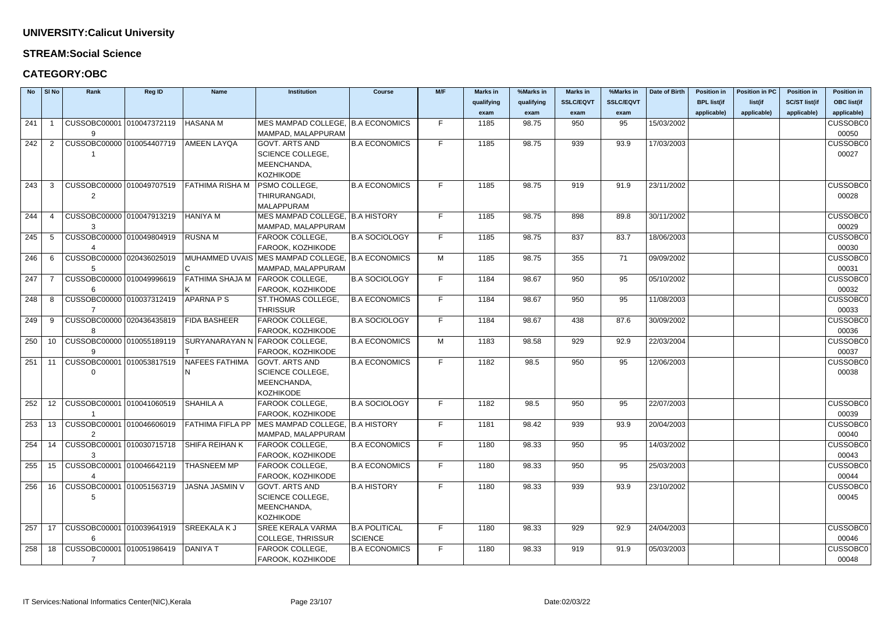#### **STREAM:Social Science**

| <b>No</b> | SI No             | Rank                             | Reg ID | <b>Name</b>             | <b>Institution</b>                               | <b>Course</b>        | M/F | <b>Marks in</b> | %Marks in  | <b>Marks in</b>  | %Marks in        | Date of Birth | <b>Position in</b> | <b>Position in PC</b> | <b>Position in</b>   | <b>Position in</b> |
|-----------|-------------------|----------------------------------|--------|-------------------------|--------------------------------------------------|----------------------|-----|-----------------|------------|------------------|------------------|---------------|--------------------|-----------------------|----------------------|--------------------|
|           |                   |                                  |        |                         |                                                  |                      |     | qualifying      | qualifying | <b>SSLC/EQVT</b> | <b>SSLC/EQVT</b> |               | <b>BPL list(if</b> | list(if               | <b>SC/ST list(if</b> | <b>OBC list(if</b> |
|           |                   |                                  |        |                         |                                                  |                      |     | exam            | exam       | exam             | exam             |               | applicable)        | applicable)           | applicable)          | applicable)        |
| 241       |                   | CUSSOBC00001 010047372119        |        | <b>HASANA M</b>         | MES MAMPAD COLLEGE, B.A ECONOMICS                |                      | F.  | 1185            | 98.75      | 950              | 95               | 15/03/2002    |                    |                       |                      | <b>CUSSOBC0</b>    |
|           |                   | 9.                               |        |                         | MAMPAD, MALAPPURAM                               |                      |     |                 |            |                  |                  |               |                    |                       |                      | 00050              |
| 242       |                   | CUSSOBC00000 010054407719        |        | AMEEN LAYQA             | <b>GOVT. ARTS AND</b>                            | <b>B.A ECONOMICS</b> | F.  | 1185            | 98.75      | 939              | 93.9             | 17/03/2003    |                    |                       |                      | <b>CUSSOBC0</b>    |
|           |                   |                                  |        |                         | <b>SCIENCE COLLEGE,</b>                          |                      |     |                 |            |                  |                  |               |                    |                       |                      | 00027              |
|           |                   |                                  |        |                         | MEENCHANDA,                                      |                      |     |                 |            |                  |                  |               |                    |                       |                      |                    |
|           |                   |                                  |        |                         | <b>KOZHIKODE</b>                                 |                      |     |                 |            |                  |                  |               |                    |                       |                      |                    |
| 243       | 3                 | CUSSOBC00000 010049707519        |        | FATHIMA RISHA M         | PSMO COLLEGE,                                    | <b>B.A ECONOMICS</b> | F.  | 1185            | 98.75      | 919              | 91.9             | 23/11/2002    |                    |                       |                      | <b>CUSSOBC0</b>    |
|           |                   | 2                                |        |                         | THIRURANGADI,                                    |                      |     |                 |            |                  |                  |               |                    |                       |                      | 00028              |
|           |                   |                                  |        |                         | <b>MALAPPURAM</b>                                |                      |     |                 |            |                  |                  |               |                    |                       |                      |                    |
| 244       | 4                 | CUSSOBC00000 010047913219        |        | <b>HANIYA M</b>         | MES MAMPAD COLLEGE, B.A HISTORY                  |                      | F.  | 1185            | 98.75      | 898              | 89.8             | 30/11/2002    |                    |                       |                      | <b>CUSSOBC0</b>    |
|           |                   |                                  |        |                         | MAMPAD, MALAPPURAM                               |                      |     |                 |            |                  |                  |               |                    |                       |                      | 00029              |
| 245       | -5                | CUSSOBC00000 010049804919        |        | <b>RUSNAM</b>           | FAROOK COLLEGE,                                  | <b>B.A SOCIOLOGY</b> | F.  | 1185            | 98.75      | 837              | 83.7             | 18/06/2003    |                    |                       |                      | <b>CUSSOBC0</b>    |
|           |                   |                                  |        |                         | FAROOK, KOZHIKODE                                |                      |     |                 |            |                  |                  |               |                    |                       |                      | 00030              |
| 246       | -6                | CUSSOBC00000 020436025019        |        |                         | MUHAMMED UVAIS MES MAMPAD COLLEGE, B.A ECONOMICS |                      | M   | 1185            | 98.75      | 355              | 71               | 09/09/2002    |                    |                       |                      | <b>CUSSOBC0</b>    |
|           |                   |                                  |        |                         | MAMPAD, MALAPPURAM                               |                      |     |                 |            |                  |                  |               |                    |                       |                      | 00031              |
| 247       | -7                | CUSSOBC00000 010049996619        |        | FATHIMA SHAJA M         | <b>FAROOK COLLEGE,</b>                           | <b>B.A SOCIOLOGY</b> | F.  | 1184            | 98.67      | 950              | 95               | 05/10/2002    |                    |                       |                      | <b>CUSSOBC0</b>    |
|           |                   | 6                                |        |                         | FAROOK, KOZHIKODE                                |                      |     |                 |            |                  |                  |               |                    |                       |                      | 00032              |
| 248       | -8                | CUSSOBC00000 010037312419        |        | <b>APARNA P S</b>       | ST.THOMAS COLLEGE,                               | <b>B.A ECONOMICS</b> | F.  | 1184            | 98.67      | 950              | 95               | 11/08/2003    |                    |                       |                      | <b>CUSSOBC0</b>    |
|           |                   |                                  |        |                         | <b>THRISSUR</b>                                  |                      |     |                 |            |                  |                  |               |                    |                       |                      | 00033              |
| 249       | -9                | CUSSOBC00000 020436435819        |        | <b>FIDA BASHEER</b>     | FAROOK COLLEGE,                                  | <b>B.A SOCIOLOGY</b> | F.  | 1184            | 98.67      | 438              | 87.6             | 30/09/2002    |                    |                       |                      | <b>CUSSOBC0</b>    |
|           |                   |                                  |        |                         | FAROOK, KOZHIKODE                                |                      |     |                 |            |                  |                  |               |                    |                       |                      | 00036              |
| 250       | 10                | CUSSOBC00000 010055189119        |        |                         | SURYANARAYAN N FAROOK COLLEGE,                   | <b>B.A ECONOMICS</b> | M   | 1183            | 98.58      | 929              | 92.9             | 22/03/2004    |                    |                       |                      | <b>CUSSOBC0</b>    |
|           |                   | $\mathbf{Q}$                     |        |                         | FAROOK, KOZHIKODE                                |                      |     |                 |            |                  |                  |               |                    |                       |                      | 00037              |
| 251       | 11                | CUSSOBC00001 010053817519        |        | <b>NAFEES FATHIMA</b>   | <b>GOVT. ARTS AND</b>                            | <b>B.A ECONOMICS</b> | F.  | 1182            | 98.5       | 950              | 95               | 12/06/2003    |                    |                       |                      | <b>CUSSOBC0</b>    |
|           |                   |                                  |        |                         | SCIENCE COLLEGE,                                 |                      |     |                 |            |                  |                  |               |                    |                       |                      | 00038              |
|           |                   |                                  |        |                         | MEENCHANDA,                                      |                      |     |                 |            |                  |                  |               |                    |                       |                      |                    |
|           |                   |                                  |        |                         | <b>KOZHIKODE</b>                                 |                      |     |                 |            |                  |                  |               |                    |                       |                      |                    |
| 252       | $12 \overline{ }$ | CUSSOBC00001 010041060519        |        | <b>SHAHILA A</b>        | FAROOK COLLEGE,                                  | <b>B.A SOCIOLOGY</b> | F.  | 1182            | 98.5       | 950              | 95               | 22/07/2003    |                    |                       |                      | <b>CUSSOBC0</b>    |
|           |                   |                                  |        |                         | FAROOK, KOZHIKODE                                |                      |     |                 |            |                  |                  |               |                    |                       |                      | 00039              |
| 253       |                   | 13   CUSSOBC00001   010046606019 |        | <b>FATHIMA FIFLA PP</b> | MES MAMPAD COLLEGE, B.A HISTORY                  |                      | F.  | 1181            | 98.42      | 939              | 93.9             | 20/04/2003    |                    |                       |                      | <b>CUSSOBC0</b>    |
|           |                   | 2                                |        |                         | MAMPAD, MALAPPURAM                               |                      |     |                 |            |                  |                  |               |                    |                       |                      | 00040              |
| 254       |                   | 14   CUSSOBC00001   010030715718 |        | <b>SHIFA REIHAN K</b>   | FAROOK COLLEGE,                                  | <b>B.A ECONOMICS</b> | F.  | 1180            | 98.33      | 950              | 95               | 14/03/2002    |                    |                       |                      | <b>CUSSOBC0</b>    |
|           |                   |                                  |        |                         | FAROOK, KOZHIKODE                                |                      |     |                 |            |                  |                  |               |                    |                       |                      | 00043              |
| 255       |                   | 15   CUSSOBC00001   010046642119 |        | THASNEEM MP             | FAROOK COLLEGE,                                  | <b>B.A ECONOMICS</b> | F.  | 1180            | 98.33      | 950              | 95               | 25/03/2003    |                    |                       |                      | <b>CUSSOBC0</b>    |
| 256       |                   | 16   CUSSOBC00001   010051563719 |        |                         | FAROOK, KOZHIKODE<br><b>GOVT. ARTS AND</b>       | <b>B.A HISTORY</b>   |     | 1180            |            | 939              | 93.9             | 23/10/2002    |                    |                       |                      | 00044              |
|           |                   |                                  |        | <b>JASNA JASMIN V</b>   |                                                  |                      | F.  |                 | 98.33      |                  |                  |               |                    |                       |                      | <b>CUSSOBC0</b>    |
|           |                   | 5                                |        |                         | <b>SCIENCE COLLEGE.</b>                          |                      |     |                 |            |                  |                  |               |                    |                       |                      | 00045              |
|           |                   |                                  |        |                         | MEENCHANDA,<br><b>KOZHIKODE</b>                  |                      |     |                 |            |                  |                  |               |                    |                       |                      |                    |
| 257       |                   | 17   CUSSOBC00001   010039641919 |        | <b>SREEKALAKJ</b>       | SREE KERALA VARMA                                | <b>B.A POLITICAL</b> | F.  | 1180            | 98.33      | 929              | 92.9             | 24/04/2003    |                    |                       |                      | <b>CUSSOBC0</b>    |
|           |                   |                                  |        |                         | <b>COLLEGE, THRISSUR</b>                         | SCIENCE              |     |                 |            |                  |                  |               |                    |                       |                      | 00046              |
| 258       |                   | 18   CUSSOBC00001   010051986419 |        | <b>DANIYAT</b>          | FAROOK COLLEGE,                                  | <b>B.A ECONOMICS</b> | F.  | 1180            | 98.33      | 919              | 91.9             | 05/03/2003    |                    |                       |                      | <b>CUSSOBC0</b>    |
|           |                   | 7                                |        |                         | FAROOK, KOZHIKODE                                |                      |     |                 |            |                  |                  |               |                    |                       |                      | 00048              |
|           |                   |                                  |        |                         |                                                  |                      |     |                 |            |                  |                  |               |                    |                       |                      |                    |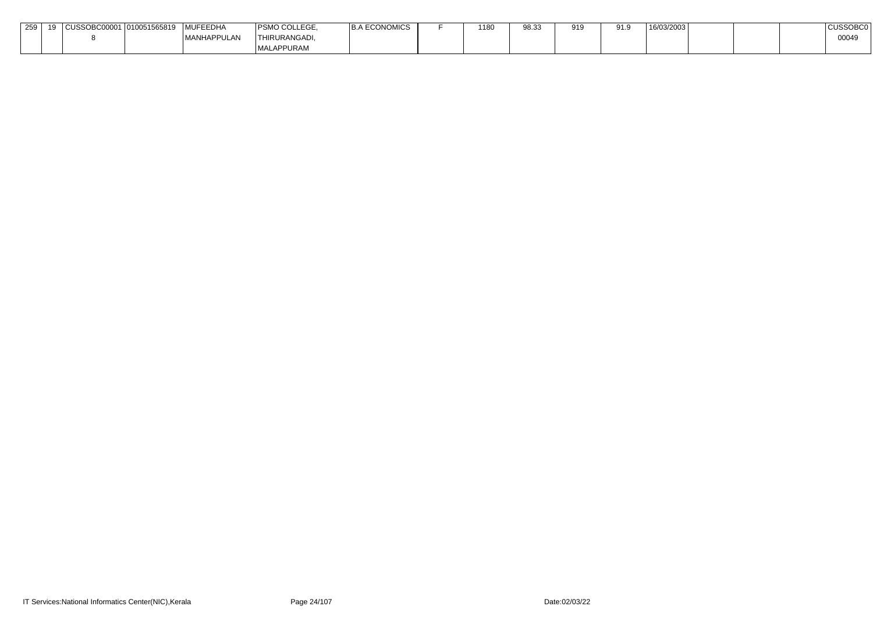| 259 | 10 | $\sim$ | 1010051565819 | MUFEEDHA            | <b>PSMO COLLEGE</b> | <b>\ECONOMICS</b> | 1180 | $\Omega$ $\Omega$<br>ວບ.ບ | $Q$ 10 | 91.9 | 16/03/2003 |  | <b>CUSSOBCG</b> |
|-----|----|--------|---------------|---------------------|---------------------|-------------------|------|---------------------------|--------|------|------------|--|-----------------|
|     |    |        |               | <b>IMANHAPPULAN</b> | <b>THIRURANGADI</b> |                   |      |                           |        |      |            |  | 00049           |
|     |    |        |               |                     | MALAPPURAM          |                   |      |                           |        |      |            |  |                 |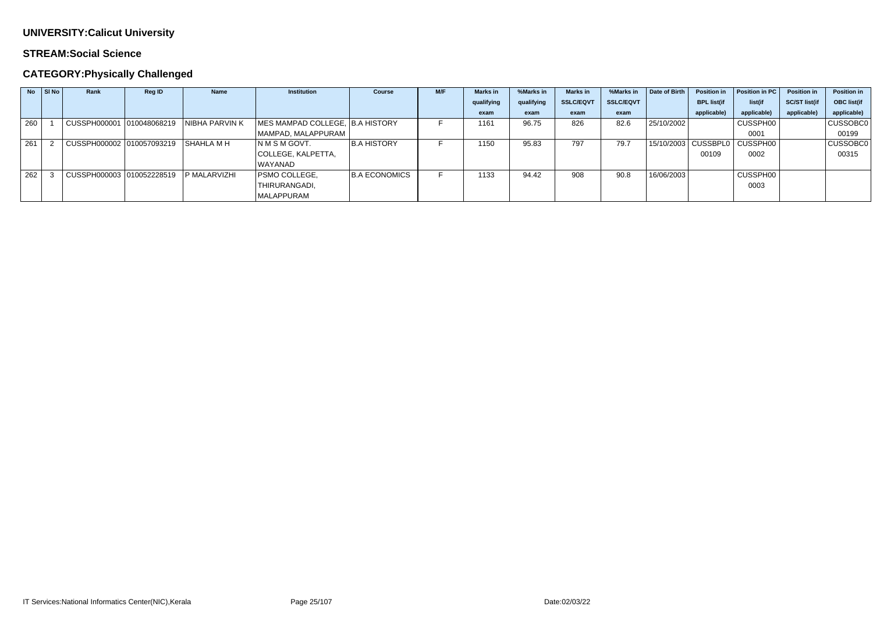### **STREAM:Social Science**

## **CATEGORY:Physically Challenged**

| <b>No</b> | SI No | Rank                                   | Reg ID | <b>Name</b>           | <b>Institution</b>              | <b>Course</b>        | M/F | <b>Marks</b> in | %Marks in  | Marks in         | %Marks in        | Date of Birth | <b>Position in</b> | Position in PC                   | <b>Position in</b>   | <b>Position in</b> |
|-----------|-------|----------------------------------------|--------|-----------------------|---------------------------------|----------------------|-----|-----------------|------------|------------------|------------------|---------------|--------------------|----------------------------------|----------------------|--------------------|
|           |       |                                        |        |                       |                                 |                      |     | qualifying      | qualifying | <b>SSLC/EQVT</b> | <b>SSLC/EQVT</b> |               | <b>BPL list(if</b> | list(if                          | <b>SC/ST list(if</b> | <b>OBC list(if</b> |
|           |       |                                        |        |                       |                                 |                      |     | exam            | exam       | exam             | exam             |               | applicable)        | applicable)                      | applicable)          | applicable)        |
| 260       |       | CUSSPH000001 010048068219              |        | <b>NIBHA PARVIN K</b> | MES MAMPAD COLLEGE, B.A HISTORY |                      |     | 1161            | 96.75      | 826              | 82.6             | 25/10/2002    |                    | CUSSPH00                         |                      | <b>CUSSOBC0</b>    |
|           |       |                                        |        |                       | MAMPAD, MALAPPURAM              |                      |     |                 |            |                  |                  |               |                    | 0001                             |                      | 00199              |
| 261       |       | CUSSPH000002 010057093219 SHAHLA M H   |        |                       | INMSMGOVT.                      | <b>B.A HISTORY</b>   |     | 1150            | 95.83      | 797              | 79.7             |               |                    | 15/10/2003   CUSSBPL0   CUSSPH00 |                      | <b>CUSSOBC0</b>    |
|           |       |                                        |        |                       | COLLEGE, KALPETTA,              |                      |     |                 |            |                  |                  |               | 00109              | 0002                             |                      | 00315              |
|           |       |                                        |        |                       | WAYANAD                         |                      |     |                 |            |                  |                  |               |                    |                                  |                      |                    |
| 262       |       | CUSSPH000003 010052228519 P MALARVIZHI |        |                       | <b>PSMO COLLEGE,</b>            | <b>B.A ECONOMICS</b> |     | 1133            | 94.42      | 908              | 90.8             | 16/06/2003    |                    | CUSSPH00                         |                      |                    |
|           |       |                                        |        |                       | THIRURANGADI,                   |                      |     |                 |            |                  |                  |               |                    | 0003                             |                      |                    |
|           |       |                                        |        |                       | <b>MALAPPURAM</b>               |                      |     |                 |            |                  |                  |               |                    |                                  |                      |                    |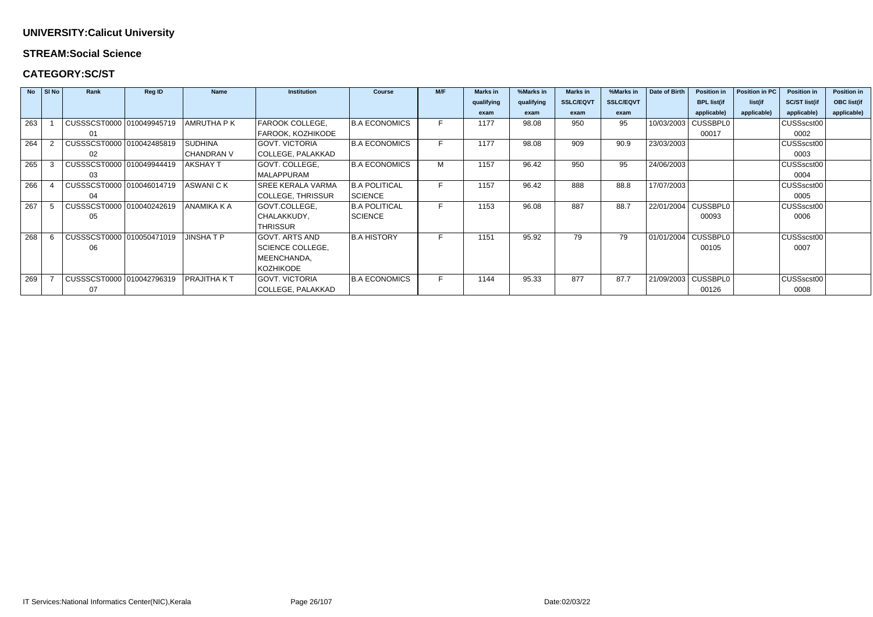#### **STREAM:Social Science**

### **CATEGORY:SC/ST**

|     | $\overline{N}$ SI No | Rank                      | <b>Reg ID</b> | <b>Name</b>       | <b>Institution</b>       | <b>Course</b>        | M/F | <b>Marks in</b> | %Marks in  | <b>Marks in</b>  | %Marks in        | Date of Birth | <b>Position in</b>    | Position in PC | <b>Position in</b>   | <b>Position in</b> |
|-----|----------------------|---------------------------|---------------|-------------------|--------------------------|----------------------|-----|-----------------|------------|------------------|------------------|---------------|-----------------------|----------------|----------------------|--------------------|
|     |                      |                           |               |                   |                          |                      |     | qualifying      | qualifying | <b>SSLC/EQVT</b> | <b>SSLC/EQVT</b> |               | <b>BPL list(if</b>    | list(if        | <b>SC/ST list(if</b> | <b>OBC list(if</b> |
|     |                      |                           |               |                   |                          |                      |     | exam            | exam       | exam             | exam             |               | applicable)           | applicable)    | applicable)          | applicable)        |
| 263 |                      | CUSSSCST0000 010049945719 |               | <b>AMRUTHA PK</b> | FAROOK COLLEGE,          | <b>B.A ECONOMICS</b> |     | 1177            | 98.08      | 950              | 95               | 10/03/2003    | CUSSBPL0              |                | CUSSscst00           |                    |
|     |                      | -01                       |               |                   | FAROOK, KOZHIKODE        |                      |     |                 |            |                  |                  |               | 00017                 |                | 0002                 |                    |
| 264 |                      | CUSSSCST0000 010042485819 |               | <b>SUDHINA</b>    | <b>GOVT. VICTORIA</b>    | <b>B.A ECONOMICS</b> |     | 1177            | 98.08      | 909              | 90.9             | 23/03/2003    |                       |                | CUSSscst00           |                    |
|     |                      | 02                        |               | <b>CHANDRAN V</b> | <b>COLLEGE, PALAKKAD</b> |                      |     |                 |            |                  |                  |               |                       |                | 0003                 |                    |
| 265 | -3                   | CUSSSCST0000 010049944419 |               | <b>AKSHAY T</b>   | GOVT. COLLEGE,           | <b>B.A ECONOMICS</b> | М   | 1157            | 96.42      | 950              | 95               | 24/06/2003    |                       |                | CUSSscst00           |                    |
|     |                      | 03                        |               |                   | MALAPPURAM               |                      |     |                 |            |                  |                  |               |                       |                | 0004                 |                    |
| 266 |                      | CUSSSCST0000 010046014719 |               | ASWANI C K        | <b>SREE KERALA VARMA</b> | <b>B.A POLITICAL</b> |     | 1157            | 96.42      | 888              | 88.8             | 17/07/2003    |                       |                | CUSSscst00           |                    |
|     |                      | 04                        |               |                   | <b>COLLEGE, THRISSUR</b> | SCIENCE              |     |                 |            |                  |                  |               |                       |                | 0005                 |                    |
| 267 |                      | CUSSSCST0000 010040242619 |               | ANAMIKA K A       | GOVT.COLLEGE,            | <b>B.A POLITICAL</b> |     | 1153            | 96.08      | 887              | 88.7             |               | 22/01/2004 CUSSBPL0   |                | CUSSscst00           |                    |
|     |                      | 05                        |               |                   | CHALAKKUDY,              | <b>SCIENCE</b>       |     |                 |            |                  |                  |               | 00093                 |                | 0006                 |                    |
|     |                      |                           |               |                   | <b>THRISSUR</b>          |                      |     |                 |            |                  |                  |               |                       |                |                      |                    |
| 268 | -6                   | CUSSSCST0000 010050471019 |               | JINSHA T P        | <b>GOVT. ARTS AND</b>    | <b>B.A HISTORY</b>   |     | 1151            | 95.92      | 79               | 79               |               | 01/01/2004 CUSSBPL0   |                | CUSSscst00           |                    |
|     |                      | 06                        |               |                   | <b>SCIENCE COLLEGE,</b>  |                      |     |                 |            |                  |                  |               | 00105                 |                | 0007                 |                    |
|     |                      |                           |               |                   | MEENCHANDA,              |                      |     |                 |            |                  |                  |               |                       |                |                      |                    |
|     |                      |                           |               |                   | <b>KOZHIKODE</b>         |                      |     |                 |            |                  |                  |               |                       |                |                      |                    |
| 269 |                      | CUSSSCST0000 010042796319 |               | PRAJITHA K T      | <b>GOVT. VICTORIA</b>    | <b>B.A ECONOMICS</b> |     | 1144            | 95.33      | 877              | 87.7             |               | 21/09/2003   CUSSBPL0 |                | CUSSscst00           |                    |
|     |                      | 07                        |               |                   | COLLEGE, PALAKKAD        |                      |     |                 |            |                  |                  |               | 00126                 |                | 0008                 |                    |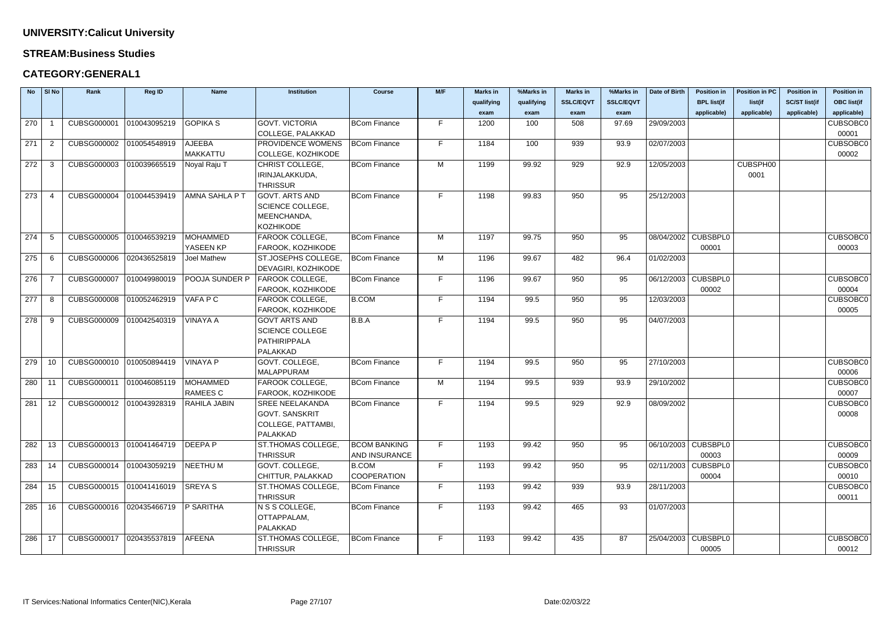#### **STREAM:Business Studies**

| <b>No</b> | $\vert$ SI No  | Rank                     | Reg ID       | <b>Name</b>      | <b>Institution</b>        | <b>Course</b>        | M/F | <b>Marks in</b> | %Marks in  | <b>Marks in</b>  | %Marks in        | Date of Birth       | <b>Position in</b>  | <b>Position in PC</b> | <b>Position in</b>   | <b>Position in</b> |
|-----------|----------------|--------------------------|--------------|------------------|---------------------------|----------------------|-----|-----------------|------------|------------------|------------------|---------------------|---------------------|-----------------------|----------------------|--------------------|
|           |                |                          |              |                  |                           |                      |     | qualifying      | qualifying | <b>SSLC/EQVT</b> | <b>SSLC/EQVT</b> |                     | <b>BPL list(if</b>  | list(if               | <b>SC/ST list(if</b> | <b>OBC list(if</b> |
|           |                |                          |              |                  |                           |                      |     | exam            | exam       | exam             | exam             |                     | applicable)         | applicable)           | applicable)          | applicable)        |
| 270       |                | CUBSG000001              | 010043095219 | <b>GOPIKA S</b>  | <b>GOVT. VICTORIA</b>     | <b>BCom Finance</b>  | F.  | 1200            | 100        | 508              | 97.69            | 29/09/2003          |                     |                       |                      | <b>CUBSOBC0</b>    |
|           |                |                          |              |                  | COLLEGE, PALAKKAD         |                      |     |                 |            |                  |                  |                     |                     |                       |                      | 00001              |
| 271       | $\overline{2}$ | CUBSG000002              | 010054548919 | <b>AJEEBA</b>    | PROVIDENCE WOMENS         | <b>BCom Finance</b>  | F.  | 1184            | 100        | 939              | 93.9             | 02/07/2003          |                     |                       |                      | <b>CUBSOBC0</b>    |
|           |                |                          |              | <b>MAKKATTU</b>  | COLLEGE, KOZHIKODE        |                      |     |                 |            |                  |                  |                     |                     |                       |                      | 00002              |
| 272       | -3             | CUBSG000003              | 010039665519 | Noyal Raju T     | CHRIST COLLEGE,           | <b>BCom Finance</b>  | M   | 1199            | 99.92      | 929              | 92.9             | 12/05/2003          |                     | CUBSPH00              |                      |                    |
|           |                |                          |              |                  | IRINJALAKKUDA,            |                      |     |                 |            |                  |                  |                     |                     | 0001                  |                      |                    |
|           |                |                          |              |                  | <b>THRISSUR</b>           |                      |     |                 |            |                  |                  |                     |                     |                       |                      |                    |
| 273       |                | CUBSG000004              | 010044539419 | AMNA SAHLA P T   | <b>GOVT. ARTS AND</b>     | <b>BCom Finance</b>  | F.  | 1198            | 99.83      | 950              | 95               | 25/12/2003          |                     |                       |                      |                    |
|           |                |                          |              |                  | <b>SCIENCE COLLEGE,</b>   |                      |     |                 |            |                  |                  |                     |                     |                       |                      |                    |
|           |                |                          |              |                  | MEENCHANDA,               |                      |     |                 |            |                  |                  |                     |                     |                       |                      |                    |
|           |                |                          |              |                  | KOZHIKODE                 |                      |     |                 |            |                  |                  |                     |                     |                       |                      |                    |
| 274       | -5             | CUBSG000005              | 010046539219 | <b>MOHAMMED</b>  | FAROOK COLLEGE,           | <b>BCom Finance</b>  | M   | 1197            | 99.75      | 950              | 95               |                     | 08/04/2002 CUBSBPL0 |                       |                      | <b>CUBSOBC0</b>    |
|           |                |                          |              | YASEEN KP        | FAROOK, KOZHIKODE         |                      |     |                 |            |                  |                  |                     | 00001               |                       |                      | 00003              |
| 275       | -6             | CUBSG000006              | 020436525819 | Joel Mathew      | ST.JOSEPHS COLLEGE        | <b>BCom Finance</b>  | M   | 1196            | 99.67      | 482              | 96.4             | 01/02/2003          |                     |                       |                      |                    |
|           |                |                          |              |                  | DEVAGIRI, KOZHIKODE       |                      |     |                 |            |                  |                  |                     |                     |                       |                      |                    |
| 276       |                | CUBSG000007              | 010049980019 | POOJA SUNDER P   | <b>FAROOK COLLEGE,</b>    | <b>BCom Finance</b>  | F   | 1196            | 99.67      | 950              | 95               | 06/12/2003 CUBSBPL0 |                     |                       |                      | <b>CUBSOBC0</b>    |
|           |                |                          |              |                  | FAROOK, KOZHIKODE         |                      |     |                 |            |                  |                  |                     | 00002               |                       |                      | 00004              |
| 277       | -8             | <b>CUBSG000008</b>       | 010052462919 | VAFA P C         | FAROOK COLLEGE,           | <b>B.COM</b>         | F.  | 1194            | 99.5       | 950              | 95               | 12/03/2003          |                     |                       |                      | <b>CUBSOBC0</b>    |
|           |                |                          |              |                  | FAROOK, KOZHIKODE         |                      |     |                 |            |                  |                  |                     |                     |                       |                      | 00005              |
| 278       | -9             | CUBSG000009              | 010042540319 | <b>VINAYA A</b>  | <b>GOVT ARTS AND</b>      | B.B.A                | F.  | 1194            | 99.5       | 950              | 95               | 04/07/2003          |                     |                       |                      |                    |
|           |                |                          |              |                  | <b>SCIENCE COLLEGE</b>    |                      |     |                 |            |                  |                  |                     |                     |                       |                      |                    |
|           |                |                          |              |                  | PATHIRIPPALA              |                      |     |                 |            |                  |                  |                     |                     |                       |                      |                    |
|           |                |                          |              |                  | PALAKKAD                  |                      |     |                 |            |                  |                  |                     |                     |                       |                      |                    |
| 279       | 10             | CUBSG000010              | 010050894419 | <b>VINAYA P</b>  | GOVT. COLLEGE,            | <b>BCom Finance</b>  | F.  | 1194            | 99.5       | 950              | 95               | 27/10/2003          |                     |                       |                      | <b>CUBSOBC0</b>    |
|           |                |                          |              |                  | MALAPPURAM                |                      |     |                 |            |                  |                  |                     |                     |                       |                      | 00006              |
| 280       | -11            | CUBSG000011 010046085119 |              | <b>MOHAMMED</b>  | FAROOK COLLEGE,           | <b>BCom Finance</b>  | M   | 1194            | 99.5       | 939              | 93.9             | 29/10/2002          |                     |                       |                      | <b>CUBSOBC0</b>    |
|           |                |                          |              | RAMEES C         | FAROOK, KOZHIKODE         |                      |     |                 |            |                  |                  |                     |                     |                       |                      | 00007              |
| 281       | 12             | CUBSG000012              | 010043928319 | RAHILA JABIN     | <b>SREE NEELAKANDA</b>    | <b>BCom Finance</b>  | F.  | 1194            | 99.5       | 929              | 92.9             | 08/09/2002          |                     |                       |                      | <b>CUBSOBC0</b>    |
|           |                |                          |              |                  | <b>GOVT. SANSKRIT</b>     |                      |     |                 |            |                  |                  |                     |                     |                       |                      | 00008              |
|           |                |                          |              |                  | <b>COLLEGE, PATTAMBI,</b> |                      |     |                 |            |                  |                  |                     |                     |                       |                      |                    |
|           |                |                          |              |                  | PALAKKAD                  |                      |     |                 |            |                  |                  |                     |                     |                       |                      |                    |
| 282       | 13             | CUBSG000013 010041464719 |              | DEEPA P          | ST.THOMAS COLLEGE,        | <b>BCOM BANKING</b>  | F.  | 1193            | 99.42      | 950              | 95               | 06/10/2003 CUBSBPL0 |                     |                       |                      | <b>CUBSOBC0</b>    |
|           |                |                          |              |                  | <b>THRISSUR</b>           | <b>AND INSURANCE</b> |     |                 |            |                  |                  |                     | 00003               |                       |                      | 00009              |
| 283       | 14             | CUBSG000014 010043059219 |              | NEETHU M         | GOVT. COLLEGE,            | <b>B.COM</b>         | F.  | 1193            | 99.42      | 950              | 95               |                     | 02/11/2003 CUBSBPL0 |                       |                      | <b>CUBSOBC0</b>    |
|           |                |                          |              |                  | CHITTUR, PALAKKAD         | <b>COOPERATION</b>   |     |                 |            |                  |                  |                     | 00004               |                       |                      | 00010              |
| 284       | 15             | CUBSG000015 010041416019 |              | SREYA S          | ST.THOMAS COLLEGE,        | <b>BCom Finance</b>  | F.  | 1193            | 99.42      | 939              | 93.9             | 28/11/2003          |                     |                       |                      | <b>CUBSOBC0</b>    |
|           |                |                          |              |                  | <b>THRISSUR</b>           |                      |     |                 |            |                  |                  |                     |                     |                       |                      | 00011              |
| 285       | 16             | CUBSG000016 020435466719 |              | <b>P SARITHA</b> | N S S COLLEGE,            | <b>BCom Finance</b>  | F.  | 1193            | 99.42      | 465              | 93               | 01/07/2003          |                     |                       |                      |                    |
|           |                |                          |              |                  | OTTAPPALAM,<br>PALAKKAD   |                      |     |                 |            |                  |                  |                     |                     |                       |                      |                    |
| 286       | 17             | CUBSG000017 020435537819 |              | <b>AFEENA</b>    | ST.THOMAS COLLEGE,        | <b>BCom Finance</b>  | F.  | 1193            | 99.42      | 435              | 87               |                     | 25/04/2003 CUBSBPL0 |                       |                      | <b>CUBSOBC0</b>    |
|           |                |                          |              |                  | <b>THRISSUR</b>           |                      |     |                 |            |                  |                  |                     | 00005               |                       |                      | 00012              |
|           |                |                          |              |                  |                           |                      |     |                 |            |                  |                  |                     |                     |                       |                      |                    |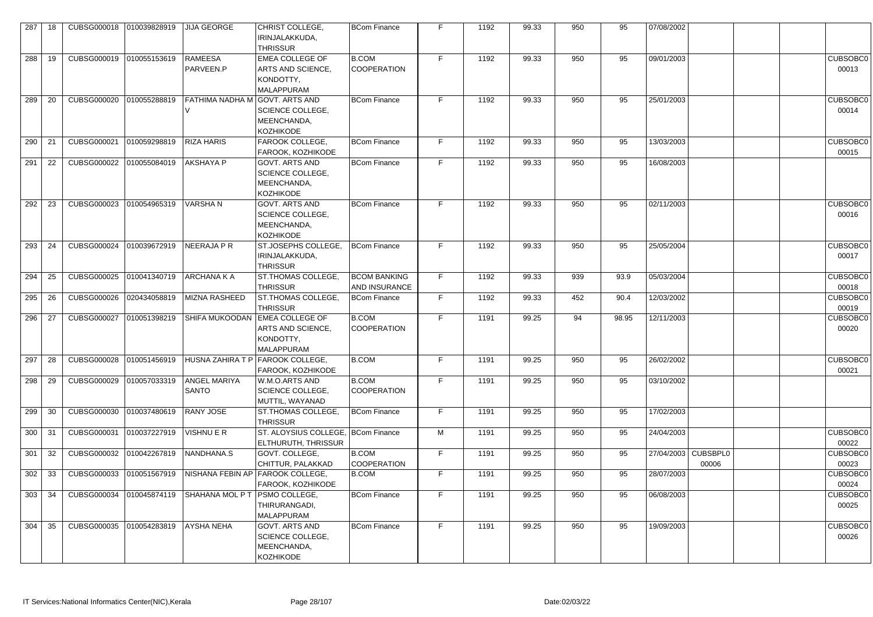| 287 | 18 | CUBSG000018 | 010039828919 | <b>JIJA GEORGE</b>                  | CHRIST COLLEGE,<br>IRINJALAKKUDA,<br><b>THRISSUR</b>                           | <b>BCom Finance</b>                  | F. | 1192 | 99.33 | 950 | 95    | 07/08/2002 |                              |                          |
|-----|----|-------------|--------------|-------------------------------------|--------------------------------------------------------------------------------|--------------------------------------|----|------|-------|-----|-------|------------|------------------------------|--------------------------|
| 288 | 19 | CUBSG000019 | 010055153619 | <b>RAMEESA</b><br>PARVEEN.P         | <b>EMEA COLLEGE OF</b><br>ARTS AND SCIENCE,<br>KONDOTTY,<br>MALAPPURAM         | B.COM<br><b>COOPERATION</b>          | F. | 1192 | 99.33 | 950 | 95    | 09/01/2003 |                              | <b>CUBSOBC0</b><br>00013 |
| 289 | 20 | CUBSG000020 | 010055288819 | <b>FATHIMA NADHA M</b>              | I GOVT. ARTS AND<br><b>SCIENCE COLLEGE,</b><br>MEENCHANDA,<br><b>KOZHIKODE</b> | <b>BCom Finance</b>                  | F. | 1192 | 99.33 | 950 | 95    | 25/01/2003 |                              | <b>CUBSOBC0</b><br>00014 |
| 290 | 21 | CUBSG000021 | 010059298819 | <b>RIZA HARIS</b>                   | FAROOK COLLEGE,<br>FAROOK, KOZHIKODE                                           | <b>BCom Finance</b>                  | F  | 1192 | 99.33 | 950 | 95    | 13/03/2003 |                              | <b>CUBSOBC0</b><br>00015 |
| 291 | 22 | CUBSG000022 | 010055084019 | <b>AKSHAYA P</b>                    | <b>GOVT. ARTS AND</b><br><b>SCIENCE COLLEGE,</b><br>MEENCHANDA,<br>KOZHIKODE   | <b>BCom Finance</b>                  | F  | 1192 | 99.33 | 950 | 95    | 16/08/2003 |                              |                          |
| 292 | 23 | CUBSG000023 | 010054965319 | <b>VARSHAN</b>                      | <b>GOVT. ARTS AND</b><br>SCIENCE COLLEGE,<br>MEENCHANDA,<br><b>KOZHIKODE</b>   | <b>BCom Finance</b>                  | F  | 1192 | 99.33 | 950 | 95    | 02/11/2003 |                              | <b>CUBSOBC0</b><br>00016 |
| 293 | 24 | CUBSG000024 | 010039672919 | NEERAJA P R                         | ST.JOSEPHS COLLEGE.<br>IRINJALAKKUDA,<br><b>THRISSUR</b>                       | BCom Finance                         | F. | 1192 | 99.33 | 950 | 95    | 25/05/2004 |                              | CUBSOBC0<br>00017        |
| 294 | 25 | CUBSG000025 | 010041340719 | <b>ARCHANA K A</b>                  | <b>ST.THOMAS COLLEGE,</b><br><b>THRISSUR</b>                                   | <b>BCOM BANKING</b><br>AND INSURANCE | F  | 1192 | 99.33 | 939 | 93.9  | 05/03/2004 |                              | CUBSOBC0<br>00018        |
| 295 | 26 | CUBSG000026 | 020434058819 | <b>MIZNA RASHEED</b>                | <b>ST.THOMAS COLLEGE,</b><br><b>THRISSUR</b>                                   | <b>BCom Finance</b>                  | F. | 1192 | 99.33 | 452 | 90.4  | 12/03/2002 |                              | CUBSOBC0<br>00019        |
| 296 | 27 | CUBSG000027 | 010051398219 | <b>SHIFA MUKOODAN</b>               | <b>EMEA COLLEGE OF</b><br>ARTS AND SCIENCE,<br>KONDOTTY,<br>MALAPPURAM         | B.COM<br><b>COOPERATION</b>          | F  | 1191 | 99.25 | 94  | 98.95 | 12/11/2003 |                              | CUBSOBC0<br>00020        |
| 297 | 28 | CUBSG000028 | 010051456919 | <b>HUSNA ZAHIRA T P</b>             | FAROOK COLLEGE,<br>FAROOK, KOZHIKODE                                           | <b>B.COM</b>                         | F. | 1191 | 99.25 | 950 | 95    | 26/02/2002 |                              | CUBSOBC0<br>00021        |
| 298 | 29 | CUBSG000029 | 010057033319 | <b>ANGEL MARIYA</b><br><b>SANTO</b> | W.M.O.ARTS AND<br><b>SCIENCE COLLEGE,</b><br>MUTTIL, WAYANAD                   | B.COM<br><b>COOPERATION</b>          | F  | 1191 | 99.25 | 950 | 95    | 03/10/2002 |                              |                          |
| 299 | 30 | CUBSG000030 | 010037480619 | <b>RANY JOSE</b>                    | ST.THOMAS COLLEGE,<br><b>THRISSUR</b>                                          | BCom Finance                         | F  | 1191 | 99.25 | 950 | 95    | 17/02/2003 |                              |                          |
| 300 | 31 | CUBSG000031 | 010037227919 | VISHNU E R                          | ST. ALOYSIUS COLLEGE, BCom Finance<br>ELTHURUTH, THRISSUR                      |                                      | M  | 1191 | 99.25 | 950 | 95    | 24/04/2003 |                              | CUBSOBC0<br>00022        |
| 301 | 32 | CUBSG000032 | 010042267819 | NANDHANA.S                          | GOVT. COLLEGE,<br><b>CHITTUR, PALAKKAD</b>                                     | B.COM<br><b>COOPERATION</b>          | F  | 1191 | 99.25 | 950 | 95    |            | 27/04/2003 CUBSBPL0<br>00006 | CUBSOBC0<br>00023        |
| 302 | 33 | CUBSG000033 | 010051567919 |                                     | NISHANA FEBIN AP FAROOK COLLEGE,<br>FAROOK, KOZHIKODE                          | B.COM                                | F  | 1191 | 99.25 | 950 | 95    | 28/07/2003 |                              | CUBSOBC0<br>00024        |
| 303 | 34 | CUBSG000034 | 010045874119 | SHAHANA MOL P T                     | <b>PSMO COLLEGE,</b><br>THIRURANGADI,<br><b>MALAPPURAM</b>                     | BCom Finance                         | F  | 1191 | 99.25 | 950 | 95    | 06/08/2003 |                              | CUBSOBC0<br>00025        |
| 304 | 35 | CUBSG000035 | 010054283819 | <b>AYSHA NEHA</b>                   | <b>GOVT. ARTS AND</b><br>SCIENCE COLLEGE,<br>MEENCHANDA,<br>KOZHIKODE          | BCom Finance                         | F  | 1191 | 99.25 | 950 | 95    | 19/09/2003 |                              | <b>CUBSOBC0</b><br>00026 |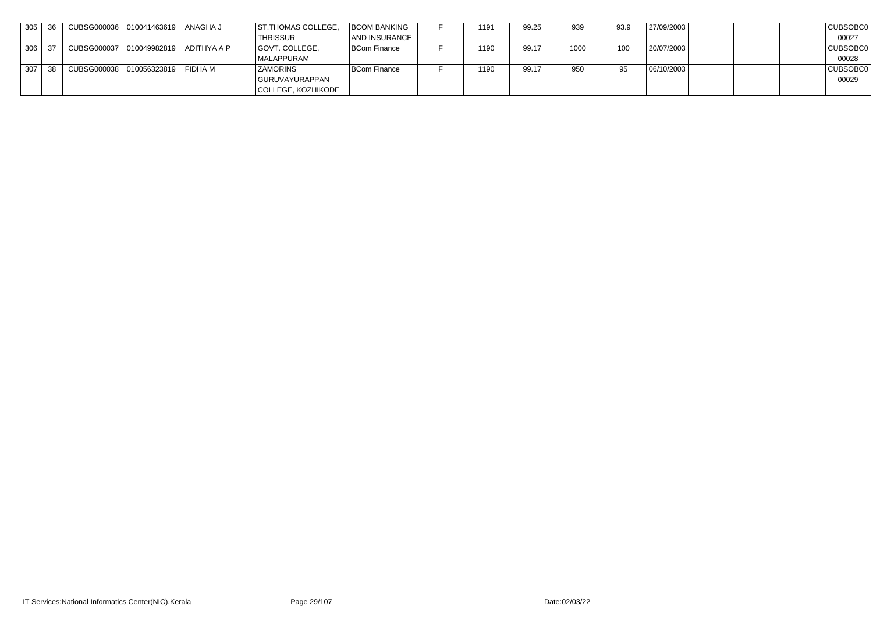| 305 | CUBSG000036 010041463619 ANAGHA J    |  | <b>ST. THOMAS COLLEGE,</b> | <b>BCOM BANKING</b> | 1191 | 99.25 | 939  | 93.9 | 27/09/2003 |  | CUBSOBC0 |
|-----|--------------------------------------|--|----------------------------|---------------------|------|-------|------|------|------------|--|----------|
|     |                                      |  | <b>THRISSUR</b>            | AND INSURANCE       |      |       |      |      |            |  | 00027    |
| 306 | CUBSG000037 010049982819 ADITHYA A P |  | GOVT. COLLEGE,             | BCom Finance        | 1190 | 99.17 | 1000 | 100  | 20/07/2003 |  | CUBSOBC0 |
|     |                                      |  | MALAPPURAM                 |                     |      |       |      |      |            |  | 00028    |
| 307 | CUBSG000038 010056323819 FIDHA M     |  | <b>ZAMORINS</b>            | <b>BCom Finance</b> | 1190 | 99.17 | 950  | 95   | 06/10/2003 |  | CUBSOBC0 |
|     |                                      |  | GURUVAYURAPPAN             |                     |      |       |      |      |            |  | 00029    |
|     |                                      |  | COLLEGE, KOZHIKODE         |                     |      |       |      |      |            |  |          |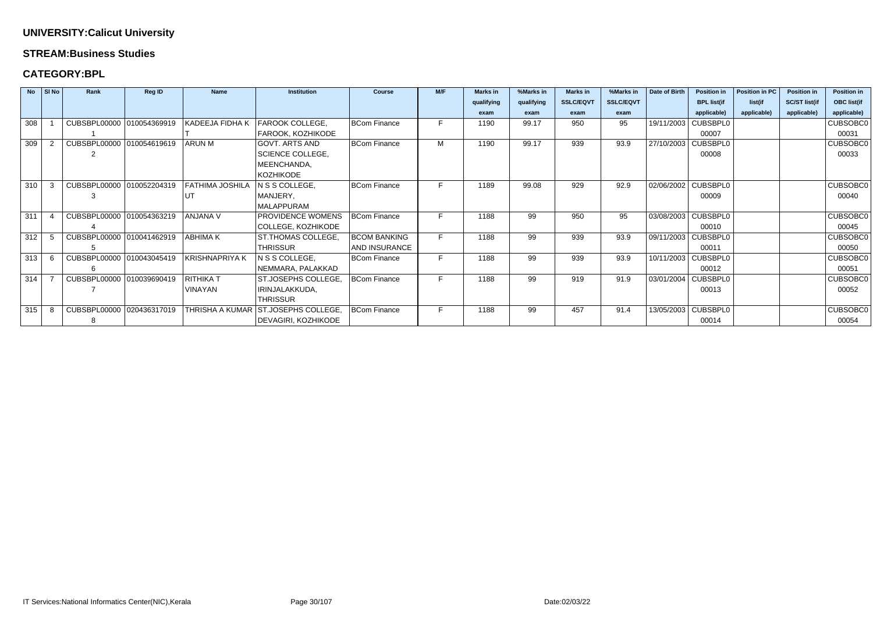#### **STREAM:Business Studies**

### **CATEGORY:BPL**

|     | No SI No | Rank                      | <b>Reg ID</b> | <b>Name</b>            | <b>Institution</b>      | <b>Course</b>       | M/F | <b>Marks in</b> | %Marks in  | <b>Marks in</b>  | %Marks in        | <b>Date of Birth</b> | <b>Position in</b>    | <b>Position in PC</b> | <b>Position in</b>   | <b>Position in</b> |
|-----|----------|---------------------------|---------------|------------------------|-------------------------|---------------------|-----|-----------------|------------|------------------|------------------|----------------------|-----------------------|-----------------------|----------------------|--------------------|
|     |          |                           |               |                        |                         |                     |     | qualifying      | qualifying | <b>SSLC/EQVT</b> | <b>SSLC/EQVT</b> |                      | <b>BPL list(if</b>    | list(if               | <b>SC/ST list(if</b> | <b>OBC list(if</b> |
|     |          |                           |               |                        |                         |                     |     | exam            | exam       | exam             | exam             |                      | applicable)           | applicable)           | applicable)          | applicable)        |
| 308 |          | CUBSBPL00000 010054369919 |               | KADEEJA FIDHA K        | FAROOK COLLEGE,         | <b>BCom Finance</b> | F.  | 1190            | 99.17      | 950              | 95               | 19/11/2003           | <b>CUBSBPL0</b>       |                       |                      | <b>CUBSOBC0</b>    |
|     |          |                           |               |                        | FAROOK, KOZHIKODE       |                     |     |                 |            |                  |                  |                      | 00007                 |                       |                      | 00031              |
| 309 |          | CUBSBPL00000 010054619619 |               | <b>ARUN M</b>          | <b>GOVT. ARTS AND</b>   | <b>BCom Finance</b> | M   | 1190            | 99.17      | 939              | 93.9             | 27/10/2003           | <b>CUBSBPL0</b>       |                       |                      | <b>CUBSOBC0</b>    |
|     |          |                           |               |                        | <b>SCIENCE COLLEGE,</b> |                     |     |                 |            |                  |                  |                      | 00008                 |                       |                      | 00033              |
|     |          |                           |               |                        | MEENCHANDA,             |                     |     |                 |            |                  |                  |                      |                       |                       |                      |                    |
|     |          |                           |               |                        | <b>KOZHIKODE</b>        |                     |     |                 |            |                  |                  |                      |                       |                       |                      |                    |
| 310 |          | CUBSBPL00000 010052204319 |               | <b>FATHIMA JOSHILA</b> | N S S COLLEGE,          | <b>BCom Finance</b> |     | 1189            | 99.08      | 929              | 92.9             |                      | 02/06/2002 CUBSBPL0   |                       |                      | <b>CUBSOBC0</b>    |
|     |          |                           |               | UT                     | MANJERY,                |                     |     |                 |            |                  |                  |                      | 00009                 |                       |                      | 00040              |
|     |          |                           |               |                        | MALAPPURAM              |                     |     |                 |            |                  |                  |                      |                       |                       |                      |                    |
| 311 |          | CUBSBPL00000 010054363219 |               | ANJANA V               | PROVIDENCE WOMENS       | <b>BCom Finance</b> | E.  | 1188            | 99         | 950              | 95               |                      | 03/08/2003   CUBSBPL0 |                       |                      | <b>CUBSOBC0</b>    |
|     |          |                           |               |                        | COLLEGE, KOZHIKODE      |                     |     |                 |            |                  |                  |                      | 00010                 |                       |                      | 00045              |
| 312 |          | CUBSBPL00000 010041462919 |               | <b>ABHIMAK</b>         | ST.THOMAS COLLEGE,      | <b>BCOM BANKING</b> |     | 1188            | 99         | 939              | 93.9             |                      | 09/11/2003 CUBSBPL0   |                       |                      | CUBSOBC0           |
|     |          |                           |               |                        | <b>THRISSUR</b>         | AND INSURANCE       |     |                 |            |                  |                  |                      | 00011                 |                       |                      | 00050              |
| 313 | -6       | CUBSBPL00000 010043045419 |               | <b>KRISHNAPRIYA K</b>  | N S S COLLEGE,          | <b>BCom Finance</b> |     | 1188            | 99         | 939              | 93.9             |                      | 10/11/2003 CUBSBPL0   |                       |                      | <b>CUBSOBC0</b>    |
|     |          |                           |               |                        | NEMMARA, PALAKKAD       |                     |     |                 |            |                  |                  |                      | 00012                 |                       |                      | 00051              |
| 314 |          | CUBSBPL00000              | 010039690419  | <b>RITHIKA T</b>       | ST.JOSEPHS COLLEGE.     | <b>BCom Finance</b> |     | 1188            | 99         | 919              | 91.9             | 03/01/2004           | <b>CUBSBPL0</b>       |                       |                      | <b>CUBSOBC0</b>    |
|     |          |                           |               | <b>VINAYAN</b>         | IRINJALAKKUDA,          |                     |     |                 |            |                  |                  |                      | 00013                 |                       |                      | 00052              |
|     |          |                           |               |                        | <b>THRISSUR</b>         |                     |     |                 |            |                  |                  |                      |                       |                       |                      |                    |
| 315 | -8       | CUBSBPL00000              | 020436317019  | <b>THRISHA A KUMAR</b> | ST.JOSEPHS COLLEGE,     | <b>BCom Finance</b> | F.  | 1188            | 99         | 457              | 91.4             |                      | 13/05/2003 CUBSBPL0   |                       |                      | <b>CUBSOBC0</b>    |
|     |          |                           |               |                        | DEVAGIRI, KOZHIKODE     |                     |     |                 |            |                  |                  |                      | 00014                 |                       |                      | 00054              |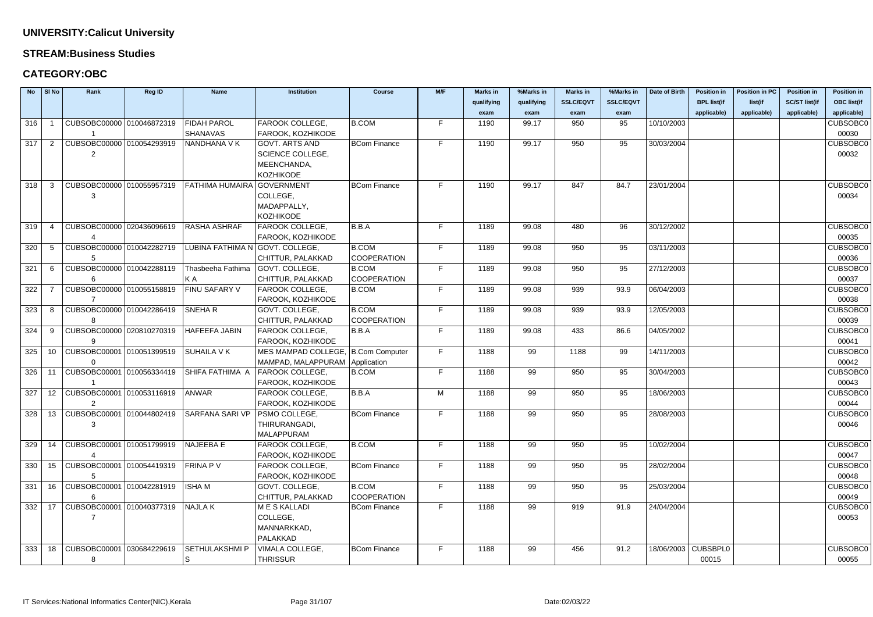#### **STREAM:Business Studies**

| <b>No</b> | $\vert$ SI No  | Rank                                   | Reg ID | <b>Name</b>                                                              | <b>Institution</b>                 | <b>Course</b>       | M/F | <b>Marks in</b> | %Marks in  | <b>Marks in</b>  | %Marks in        | Date of Birth       | <b>Position in</b> | <b>Position in PC</b> | <b>Position in</b>   | <b>Position in</b> |
|-----------|----------------|----------------------------------------|--------|--------------------------------------------------------------------------|------------------------------------|---------------------|-----|-----------------|------------|------------------|------------------|---------------------|--------------------|-----------------------|----------------------|--------------------|
|           |                |                                        |        |                                                                          |                                    |                     |     | qualifying      | qualifying | <b>SSLC/EQVT</b> | <b>SSLC/EQVT</b> |                     | <b>BPL list(if</b> | list(if               | <b>SC/ST list(if</b> | <b>OBC list(if</b> |
|           |                |                                        |        |                                                                          |                                    |                     |     | exam            | exam       | exam             | exam             |                     | applicable)        | applicable)           | applicable)          | applicable)        |
| 316       |                | CUBSOBC00000 010046872319              |        | <b>FIDAH PAROL</b>                                                       | FAROOK COLLEGE,                    | <b>B.COM</b>        | F.  | 1190            | 99.17      | 950              | 95               | 10/10/2003          |                    |                       |                      | <b>CUBSOBC0</b>    |
|           |                |                                        |        | <b>SHANAVAS</b>                                                          | FAROOK, KOZHIKODE                  |                     |     |                 |            |                  |                  |                     |                    |                       |                      | 00030              |
| 317       | $\overline{2}$ | CUBSOBC00000 010054293919              |        | NANDHANA V K                                                             | <b>GOVT. ARTS AND</b>              | <b>BCom Finance</b> | F.  | 1190            | 99.17      | 950              | 95               | 30/03/2004          |                    |                       |                      | CUBSOBC0           |
|           |                | 2                                      |        |                                                                          | <b>SCIENCE COLLEGE,</b>            |                     |     |                 |            |                  |                  |                     |                    |                       |                      | 00032              |
|           |                |                                        |        |                                                                          | MEENCHANDA,                        |                     |     |                 |            |                  |                  |                     |                    |                       |                      |                    |
|           |                |                                        |        |                                                                          | <b>KOZHIKODE</b>                   |                     |     |                 |            |                  |                  |                     |                    |                       |                      |                    |
| 318       | -3             | CUBSOBC00000 010055957319              |        | FATHIMA HUMAIRA                                                          | <b>GOVERNMENT</b>                  | <b>BCom Finance</b> | F.  | 1190            | 99.17      | 847              | 84.7             | 23/01/2004          |                    |                       |                      | <b>CUBSOBC0</b>    |
|           |                |                                        |        |                                                                          | COLLEGE,                           |                     |     |                 |            |                  |                  |                     |                    |                       |                      | 00034              |
|           |                |                                        |        |                                                                          | MADAPPALLY,                        |                     |     |                 |            |                  |                  |                     |                    |                       |                      |                    |
|           |                |                                        |        |                                                                          | <b>KOZHIKODE</b>                   |                     |     |                 |            |                  |                  |                     |                    |                       |                      |                    |
| 319       | 4              | CUBSOBC00000 020436096619              |        | <b>RASHA ASHRAF</b>                                                      | FAROOK COLLEGE,                    | B.B.A               | F.  | 1189            | 99.08      | 480              | 96               | 30/12/2002          |                    |                       |                      | <b>CUBSOBC0</b>    |
|           |                |                                        |        |                                                                          | FAROOK, KOZHIKODE                  |                     |     |                 |            |                  |                  |                     |                    |                       |                      | 00035              |
| 320       | -5             | CUBSOBC00000 010042282719              |        | LUBINA FATHIMA N GOVT. COLLEGE,                                          |                                    | <b>B.COM</b>        | F.  | 1189            | 99.08      | 950              | 95               | 03/11/2003          |                    |                       |                      | <b>CUBSOBC0</b>    |
|           |                |                                        |        |                                                                          | CHITTUR, PALAKKAD                  | <b>COOPERATION</b>  |     |                 |            |                  |                  |                     |                    |                       |                      | 00036              |
| 321       | 6              | CUBSOBC00000 010042288119              |        | Thasbeeha Fathima                                                        | GOVT. COLLEGE,                     | <b>B.COM</b>        | F.  | 1189            | 99.08      | 950              | 95               | 27/12/2003          |                    |                       |                      | CUBSOBC0           |
|           |                |                                        |        | KA                                                                       | CHITTUR, PALAKKAD                  | <b>COOPERATION</b>  |     |                 |            |                  |                  |                     |                    |                       |                      | 00037              |
| 322       |                | CUBSOBC00000 010055158819              |        | FINU SAFARY V                                                            | FAROOK COLLEGE,                    | <b>B.COM</b>        | F.  | 1189            | 99.08      | 939              | 93.9             | 06/04/2003          |                    |                       |                      | <b>CUBSOBC0</b>    |
|           |                |                                        |        |                                                                          | FAROOK, KOZHIKODE                  |                     |     |                 |            |                  |                  |                     |                    |                       |                      | 00038              |
| 323       | -8             | CUBSOBC00000 010042286419              |        | <b>SNEHAR</b>                                                            | GOVT. COLLEGE,                     | <b>B.COM</b>        | F.  | 1189            | 99.08      | 939              | 93.9             | 12/05/2003          |                    |                       |                      | <b>CUBSOBC0</b>    |
|           |                |                                        |        |                                                                          | CHITTUR, PALAKKAD                  | <b>COOPERATION</b>  |     |                 |            |                  |                  |                     |                    |                       |                      | 00039              |
| 324       | -9             | CUBSOBC00000 020810270319              |        | <b>HAFEEFA JABIN</b>                                                     | FAROOK COLLEGE,                    | B.B.A               | F.  | 1189            | 99.08      | 433              | 86.6             | 04/05/2002          |                    |                       |                      | <b>CUBSOBC0</b>    |
|           |                |                                        |        |                                                                          | FAROOK, KOZHIKODE                  |                     |     |                 |            |                  |                  |                     |                    |                       |                      | 00041              |
| 325       |                | 10   CUBSOBC00001   010051399519       |        | <b>SUHAILA V K</b>                                                       | MES MAMPAD COLLEGE, B.Com Computer |                     | F.  | 1188            | 99         | 1188             | 99               | 14/11/2003          |                    |                       |                      | <b>CUBSOBC0</b>    |
|           |                |                                        |        |                                                                          | MAMPAD, MALAPPURAM   Application   |                     |     |                 |            |                  |                  |                     |                    |                       |                      | 00042              |
| 326       | -11            | CUBSOBC00001 010056334419              |        | SHIFA FATHIMA A                                                          | FAROOK COLLEGE,                    | <b>B.COM</b>        | F.  | 1188            | 99         | 950              | 95               | 30/04/2003          |                    |                       |                      | <b>CUBSOBC0</b>    |
|           |                |                                        |        |                                                                          | FAROOK, KOZHIKODE                  |                     |     |                 |            |                  |                  |                     |                    |                       |                      | 00043              |
| 327       |                | 12   CUBSOBC00001   010053116919       |        | ANWAR                                                                    | FAROOK COLLEGE,                    | B.B.A               | M   | 1188            | 99         | 950              | 95               | 18/06/2003          |                    |                       |                      | <b>CUBSOBC0</b>    |
|           |                |                                        |        |                                                                          | FAROOK, KOZHIKODE                  |                     |     |                 |            |                  |                  |                     |                    |                       |                      | 00044              |
|           |                |                                        |        | 328   13   CUBSOBC00001   010044802419   SARFANA SARI VP   PSMO COLLEGE, |                                    | <b>BCom Finance</b> | F.  | 1188            | 99         | 950              | 95               | 28/08/2003          |                    |                       |                      | CUBSOBC0           |
|           |                | 3                                      |        |                                                                          | THIRURANGADI,                      |                     |     |                 |            |                  |                  |                     |                    |                       |                      | 00046              |
|           |                |                                        |        |                                                                          | <b>MALAPPURAM</b>                  |                     |     |                 |            |                  |                  |                     |                    |                       |                      |                    |
| 329       |                | 14   CUBSOBC00001   010051799919       |        | NAJEEBA E                                                                | FAROOK COLLEGE,                    | <b>B.COM</b>        | F.  | 1188            | 99         | 950              | 95               | 10/02/2004          |                    |                       |                      | <b>CUBSOBC0</b>    |
|           |                |                                        |        |                                                                          | FAROOK, KOZHIKODE                  |                     |     |                 |            |                  |                  |                     |                    |                       |                      | 00047              |
| 330       |                | 15   CUBSOBC00001   010054419319       |        | <b>FRINA PV</b>                                                          | FAROOK COLLEGE,                    | <b>BCom Finance</b> | F.  | 1188            | 99         | 950              | 95               | 28/02/2004          |                    |                       |                      | <b>CUBSOBC0</b>    |
|           |                |                                        |        |                                                                          | FAROOK, KOZHIKODE                  |                     |     |                 |            |                  |                  |                     |                    |                       |                      | 00048              |
| 331       |                | 16   CUBSOBC00001   010042281919       |        | <b>ISHAM</b>                                                             | GOVT. COLLEGE,                     | B.COM               | F.  | 1188            | 99         | 950              | 95               | 25/03/2004          |                    |                       |                      | <b>CUBSOBC0</b>    |
|           |                | 6                                      |        |                                                                          | CHITTUR, PALAKKAD                  | <b>COOPERATION</b>  |     |                 |            |                  |                  |                     |                    |                       |                      | 00049              |
|           |                | 332   17   CUBSOBC00001   010040377319 |        | <b>NAJLAK</b>                                                            | <b>MESKALLADI</b>                  | <b>BCom Finance</b> | F.  | 1188            | 99         | 919              | 91.9             | 24/04/2004          |                    |                       |                      | <b>CUBSOBC0</b>    |
|           |                |                                        |        |                                                                          | COLLEGE,                           |                     |     |                 |            |                  |                  |                     |                    |                       |                      | 00053              |
|           |                |                                        |        |                                                                          | MANNARKKAD,                        |                     |     |                 |            |                  |                  |                     |                    |                       |                      |                    |
|           |                |                                        |        |                                                                          | PALAKKAD                           |                     |     |                 |            |                  |                  |                     |                    |                       |                      |                    |
| 333       |                | 18   CUBSOBC00001   030684229619       |        | <b>SETHULAKSHMI P</b>                                                    | VIMALA COLLEGE,                    | <b>BCom Finance</b> | F.  | 1188            | 99         | 456              | 91.2             | 18/06/2003 CUBSBPL0 |                    |                       |                      | <b>CUBSOBC0</b>    |
|           |                | 8                                      |        | S                                                                        | <b>THRISSUR</b>                    |                     |     |                 |            |                  |                  |                     | 00015              |                       |                      | 00055              |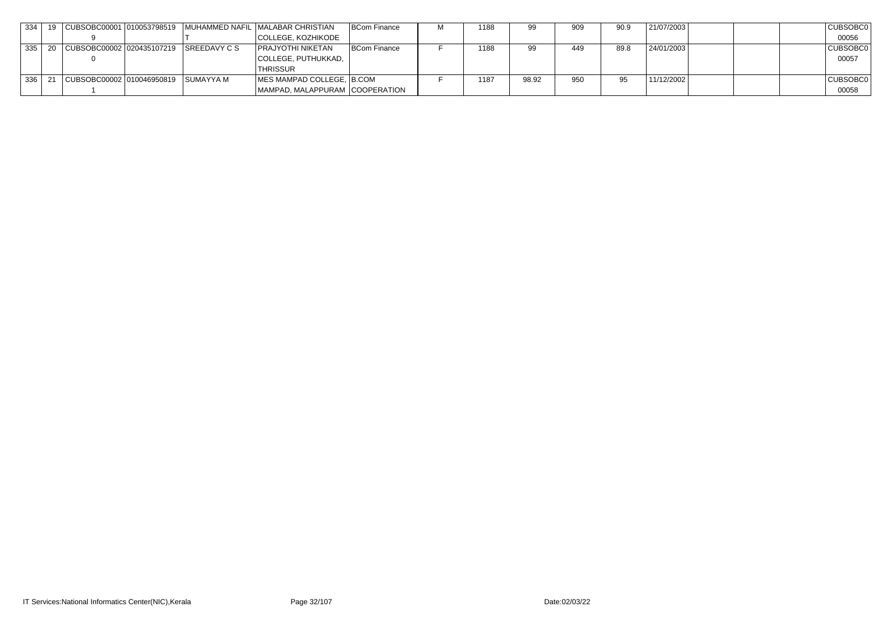| 334   |                                             |  | │CUBSOBC00001 │010053798519 │MUHAMMED NAFIL │MALABAR CHRISTIAN | <b>BCom Finance</b> | 1188 |       | 909 | 90.9 | 21/07/2003 | CUBSOBC0 |
|-------|---------------------------------------------|--|----------------------------------------------------------------|---------------------|------|-------|-----|------|------------|----------|
|       |                                             |  | COLLEGE, KOZHIKODE                                             |                     |      |       |     |      |            | 00056    |
| 335   | CUBSOBC00002 020435107219 SREEDAVY C S      |  | <b>PRAJYOTHI NIKETAN</b>                                       | <b>BCom Finance</b> | 1188 |       | 449 | 89.8 | 24/01/2003 | CUBSOBC0 |
|       |                                             |  | COLLEGE, PUTHUKKAD,                                            |                     |      |       |     |      |            | 00057    |
|       |                                             |  | <b>THRISSUR</b>                                                |                     |      |       |     |      |            |          |
| 336 I | CUBSOBC00002   010046950819       SUMAYYA M |  | MES MAMPAD COLLEGE, B.COM                                      |                     | 1187 | 98.92 | 950 | 95   | 11/12/2002 | CUBSOBC0 |
|       |                                             |  | MAMPAD, MALAPPURAM COOPERATION                                 |                     |      |       |     |      |            | 00058    |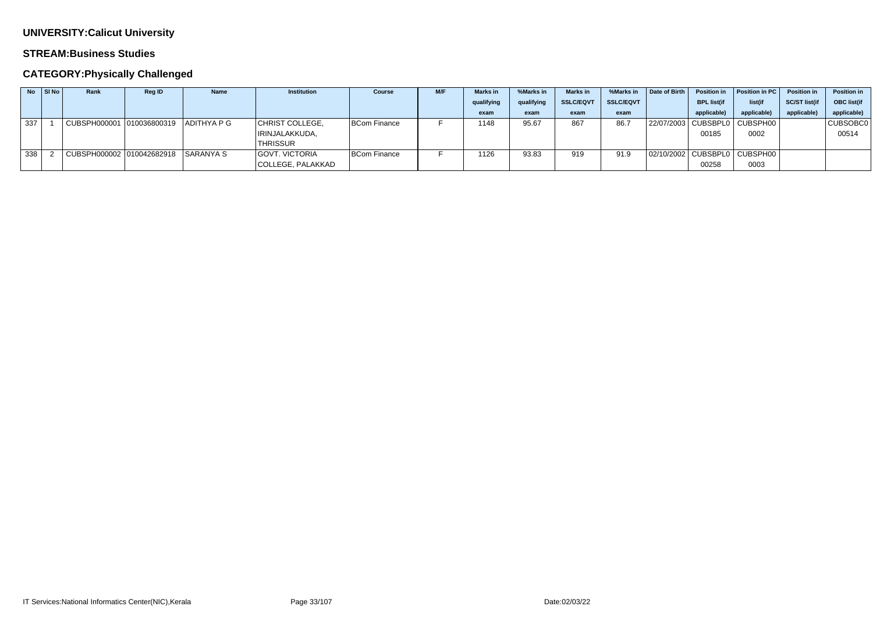#### **STREAM:Business Studies**

## **CATEGORY:Physically Challenged**

|     | $\overline{N}$ $\overline{S}$ $\overline{S}$ $\overline{N}$ $\overline{O}$ | Rank                                | <b>Reg ID</b> | <b>Name</b> | <b>Institution</b> | <b>Course</b> | M/F | <b>Marks</b> in | %Marks in  | <b>Marks</b> in  | %Marks in        | Date of Birth | <b>Position in</b> | Position in PC                   | <b>Position in</b>   | <b>Position in</b> |
|-----|----------------------------------------------------------------------------|-------------------------------------|---------------|-------------|--------------------|---------------|-----|-----------------|------------|------------------|------------------|---------------|--------------------|----------------------------------|----------------------|--------------------|
|     |                                                                            |                                     |               |             |                    |               |     | qualifying      | qualifying | <b>SSLC/EQVT</b> | <b>SSLC/EQVT</b> |               | <b>BPL list(if</b> | list(if                          | <b>SC/ST list(if</b> | OBC list(if        |
|     |                                                                            |                                     |               |             |                    |               |     | exam            | exam       | exam             | exam             |               | applicable)        | applicable)                      | applicable)          | applicable)        |
| 337 |                                                                            | CUBSPH000001 010036800319           |               | ADITHYA P G | CHRIST COLLEGE,    | BCom Finance  |     | 1148            | 95.67      | 867              | 86.7             |               |                    | 22/07/2003   CUBSBPL0   CUBSPH00 |                      | CUBSOBC0           |
|     |                                                                            |                                     |               |             | IRINJALAKKUDA,     |               |     |                 |            |                  |                  |               | 00185              | 0002                             |                      | 00514              |
|     |                                                                            |                                     |               |             | <b>THRISSUR</b>    |               |     |                 |            |                  |                  |               |                    |                                  |                      |                    |
| 338 |                                                                            | CUBSPH000002 010042682918 SARANYA S |               |             | GOVT. VICTORIA     | BCom Finance  |     | 1126            | 93.83      | 919              | 91.9             |               |                    | 02/10/2002 CUBSBPL0 CUBSPH00     |                      |                    |
|     |                                                                            |                                     |               |             | COLLEGE, PALAKKAD  |               |     |                 |            |                  |                  |               | 00258              | 0003                             |                      |                    |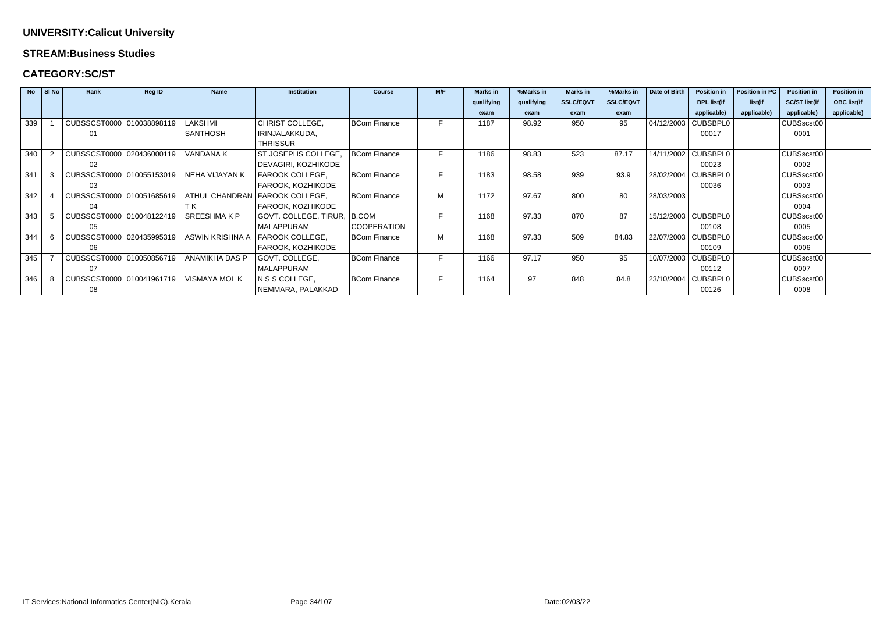#### **STREAM:Business Studies**

### **CATEGORY:SC/ST**

|     | $No$ SINo | Rank                      | <b>Reg ID</b> | <b>Name</b>           | <b>Institution</b>     | <b>Course</b>       | M/F | <b>Marks</b> in | %Marks in  | <b>Marks</b> in  | %Marks in        | Date of Birth | <b>Position in</b>    | Position in PC | <b>Position in</b>   | <b>Position in</b> |
|-----|-----------|---------------------------|---------------|-----------------------|------------------------|---------------------|-----|-----------------|------------|------------------|------------------|---------------|-----------------------|----------------|----------------------|--------------------|
|     |           |                           |               |                       |                        |                     |     | qualifying      | qualifying | <b>SSLC/EQVT</b> | <b>SSLC/EQVT</b> |               | <b>BPL list(if</b>    | list(if        | <b>SC/ST list(if</b> | <b>OBC list(if</b> |
|     |           |                           |               |                       |                        |                     |     | exam            | exam       | exam             | exam             |               | applicable)           | applicable)    | applicable)          | applicable)        |
| 339 |           | CUBSSCST0000 010038898119 |               | LAKSHMI               | CHRIST COLLEGE,        | <b>BCom Finance</b> |     | 1187            | 98.92      | 950              | 95               |               | 04/12/2003   CUBSBPL0 |                | CUBSscst00           |                    |
|     |           | 01                        |               | <b>SANTHOSH</b>       | IRINJALAKKUDA,         |                     |     |                 |            |                  |                  |               | 00017                 |                | 0001                 |                    |
|     |           |                           |               |                       | <b>THRISSUR</b>        |                     |     |                 |            |                  |                  |               |                       |                |                      |                    |
| 340 |           | CUBSSCST0000 020436000119 |               | <b>VANDANA K</b>      | ST.JOSEPHS COLLEGE,    | <b>BCom Finance</b> |     | 1186            | 98.83      | 523              | 87.17            |               | 14/11/2002   CUBSBPL0 |                | CUBSscst00           |                    |
|     |           | 02                        |               |                       | DEVAGIRI, KOZHIKODE    |                     |     |                 |            |                  |                  |               | 00023                 |                | 0002                 |                    |
| 341 |           | CUBSSCST0000 010055153019 |               | NEHA VIJAYAN K        | FAROOK COLLEGE,        | <b>BCom Finance</b> |     | 1183            | 98.58      | 939              | 93.9             |               | 28/02/2004   CUBSBPL0 |                | CUBSscst00           |                    |
|     |           | 03                        |               |                       | FAROOK, KOZHIKODE      |                     |     |                 |            |                  |                  |               | 00036                 |                | 0003                 |                    |
| 342 |           | CUBSSCST0000 010051685619 |               | <b>ATHUL CHANDRAN</b> | <b>FAROOK COLLEGE,</b> | <b>BCom Finance</b> | М   | 1172            | 97.67      | 800              | 80               | 28/03/2003    |                       |                | CUBSscst00           |                    |
|     |           | 04                        |               |                       | FAROOK, KOZHIKODE      |                     |     |                 |            |                  |                  |               |                       |                | 0004                 |                    |
| 343 |           | CUBSSCST0000 010048122419 |               | <b>SREESHMAKP</b>     | GOVT. COLLEGE, TIRUR,  | B.COM               |     | 1168            | 97.33      | 870              | 87               |               | 15/12/2003   CUBSBPL0 |                | CUBSscst00           |                    |
|     |           | 05                        |               |                       | MALAPPURAM             | <b>COOPERATION</b>  |     |                 |            |                  |                  |               | 00108                 |                | 0005                 |                    |
| 344 |           | CUBSSCST0000 020435995319 |               | ASWIN KRISHNA A       | <b>FAROOK COLLEGE,</b> | <b>BCom Finance</b> | М   | 1168            | 97.33      | 509              | 84.83            |               | 22/07/2003 CUBSBPL0   |                | CUBSscst00           |                    |
|     |           | 06                        |               |                       | FAROOK, KOZHIKODE      |                     |     |                 |            |                  |                  |               | 00109                 |                | 0006                 |                    |
| 345 |           | CUBSSCST0000 010050856719 |               | ANAMIKHA DAS P        | GOVT. COLLEGE,         | <b>BCom Finance</b> |     | 1166            | 97.17      | 950              | 95               |               | 10/07/2003   CUBSBPL0 |                | CUBSscst00           |                    |
|     |           | 07                        |               |                       | MALAPPURAM             |                     |     |                 |            |                  |                  |               | 00112                 |                | 0007                 |                    |
| 346 |           | CUBSSCST0000 010041961719 |               | VISMAYA MOL K         | N S S COLLEGE,         | BCom Finance        |     | 1164            | 97         | 848              | 84.8             | 23/10/2004    | <b>CUBSBPL0</b>       |                | CUBSscst00           |                    |
|     |           | 08                        |               |                       | NEMMARA, PALAKKAD      |                     |     |                 |            |                  |                  |               | 00126                 |                | 0008                 |                    |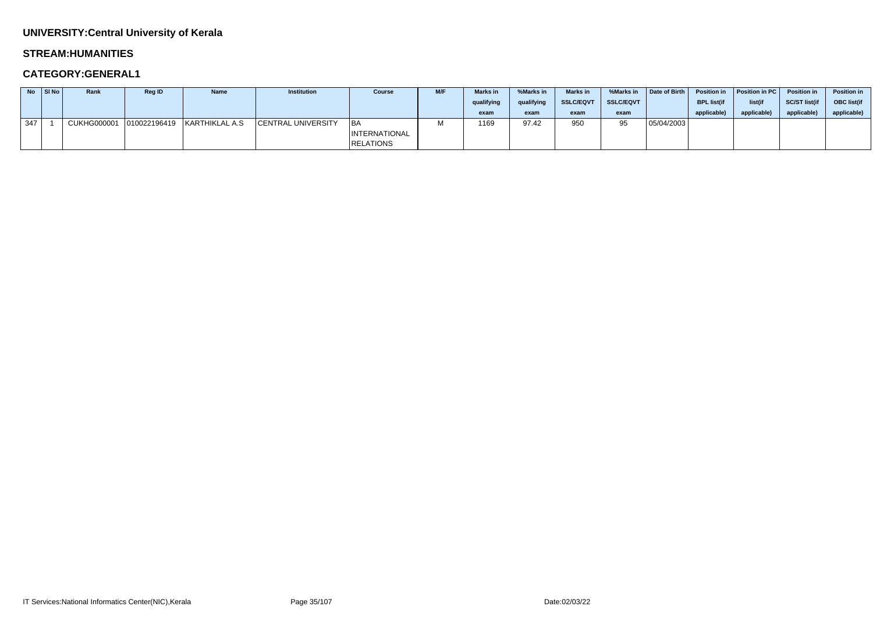## **UNIVERSITY:Central University of Kerala**

#### **STREAM:HUMANITIES**

|     | $No$ SI No | Rank               | <b>Reg ID</b> | <b>Name</b>                 | <b>Institution</b>        | <b>Course</b>        | M/F | <b>Marks</b> in | %Marks in  | <b>Marks in</b>  | %Marks in        | Date of Birth | <b>Position in</b> | Position in PC | <b>Position in</b>   | <b>Position in</b> |
|-----|------------|--------------------|---------------|-----------------------------|---------------------------|----------------------|-----|-----------------|------------|------------------|------------------|---------------|--------------------|----------------|----------------------|--------------------|
|     |            |                    |               |                             |                           |                      |     | qualifying      | qualifying | <b>SSLC/EQVT</b> | <b>SSLC/EQVT</b> |               | <b>BPL list(if</b> | list(if        | <b>SC/ST list(if</b> | <b>OBC</b> list(if |
|     |            |                    |               |                             |                           |                      |     | exam            | exam       | exam             | exam             |               | applicable)        | applicable)    | applicable)          | applicable)        |
| 347 |            | <b>CUKHG000001</b> |               | 010022196419 KARTHIKLAL A.S | <b>CENTRAL UNIVERSITY</b> | ∣BA                  |     | 1169            | 97.42      | 950              | QR               | 05/04/2003    |                    |                |                      |                    |
|     |            |                    |               |                             |                           | <b>INTERNATIONAL</b> |     |                 |            |                  |                  |               |                    |                |                      |                    |
|     |            |                    |               |                             |                           | RELATIONS            |     |                 |            |                  |                  |               |                    |                |                      |                    |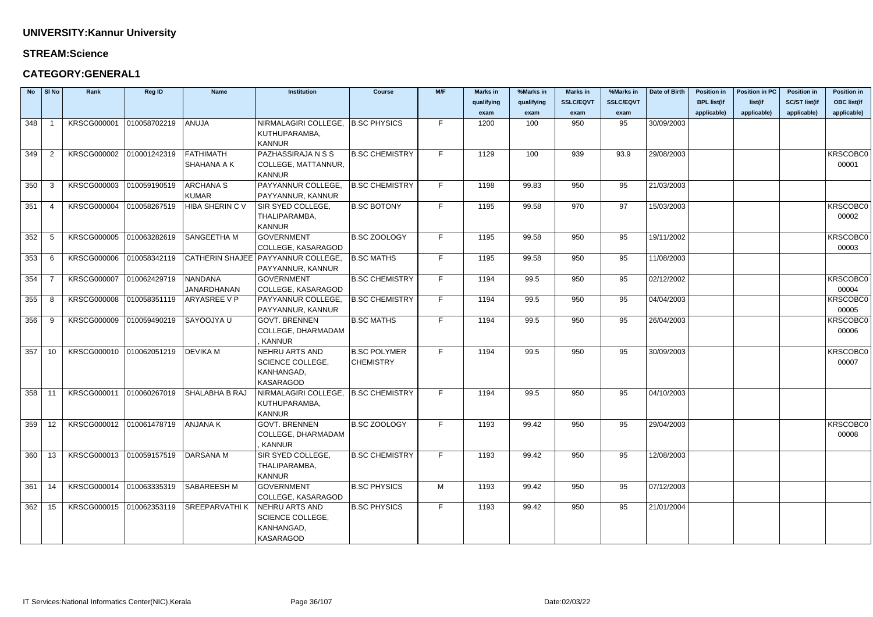#### **STREAM:Science**

| <b>No</b> | SI No          | Rank                     | Reg ID                   | <b>Name</b>           | <b>Institution</b>                   | <b>Course</b>         | M/F | <b>Marks in</b> | %Marks in  | <b>Marks in</b>  | %Marks in        | Date of Birth | <b>Position in</b> | <b>Position in PC</b> | <b>Position in</b>   | <b>Position in</b> |
|-----------|----------------|--------------------------|--------------------------|-----------------------|--------------------------------------|-----------------------|-----|-----------------|------------|------------------|------------------|---------------|--------------------|-----------------------|----------------------|--------------------|
|           |                |                          |                          |                       |                                      |                       |     | qualifying      | qualifying | <b>SSLC/EQVT</b> | <b>SSLC/EQVT</b> |               | <b>BPL list(if</b> | list(if               | <b>SC/ST list(if</b> | <b>OBC list(if</b> |
|           |                |                          |                          |                       |                                      |                       |     | exam            | exam       | exam             | exam             |               | applicable)        | applicable)           | applicable)          | applicable)        |
| 348       |                | <b>KRSCG000001</b>       | 010058702219             | ANUJA                 | NIRMALAGIRI COLLEGE,                 | <b>B.SC PHYSICS</b>   | F.  | 1200            | 100        | 950              | 95               | 30/09/2003    |                    |                       |                      |                    |
|           |                |                          |                          |                       | KUTHUPARAMBA,                        |                       |     |                 |            |                  |                  |               |                    |                       |                      |                    |
|           |                |                          |                          |                       | <b>KANNUR</b>                        |                       |     |                 |            |                  |                  |               |                    |                       |                      |                    |
| 349       | $\overline{2}$ | <b>KRSCG000002</b>       | 010001242319             | <b>FATHIMATH</b>      | PAZHASSIRAJA N S S                   | <b>B.SC CHEMISTRY</b> | F.  | 1129            | 100        | 939              | 93.9             | 29/08/2003    |                    |                       |                      | KRSCOBC0           |
|           |                |                          |                          | SHAHANA A K           | COLLEGE, MATTANNUR,                  |                       |     |                 |            |                  |                  |               |                    |                       |                      | 00001              |
|           |                |                          |                          |                       | <b>KANNUR</b>                        |                       |     |                 |            |                  |                  |               |                    |                       |                      |                    |
| 350       | -3             | <b>KRSCG000003</b>       | 010059190519             | <b>ARCHANA S</b>      | PAYYANNUR COLLEGE                    | <b>B.SC CHEMISTRY</b> | F.  | 1198            | 99.83      | 950              | 95               | 21/03/2003    |                    |                       |                      |                    |
|           |                |                          |                          | <b>KUMAR</b>          | PAYYANNUR, KANNUR                    |                       |     |                 |            |                  |                  |               |                    |                       |                      |                    |
| 351       | -4             | <b>KRSCG000004</b>       | 010058267519             | HIBA SHERIN C V       | SIR SYED COLLEGE,                    | <b>B.SC BOTONY</b>    | F.  | 1195            | 99.58      | 970              | 97               | 15/03/2003    |                    |                       |                      | KRSCOBC0           |
|           |                |                          |                          |                       | THALIPARAMBA,                        |                       |     |                 |            |                  |                  |               |                    |                       |                      | 00002              |
|           |                |                          |                          |                       | <b>KANNUR</b>                        |                       |     |                 |            |                  |                  |               |                    |                       |                      |                    |
| 352       | -5             | <b>KRSCG000005</b>       | 010063282619             | <b>SANGEETHA M</b>    | <b>GOVERNMENT</b>                    | <b>B.SC ZOOLOGY</b>   | F.  | 1195            | 99.58      | 950              | 95               | 19/11/2002    |                    |                       |                      | KRSCOBC0           |
|           |                |                          |                          |                       | COLLEGE, KASARAGOD                   |                       |     |                 |            |                  |                  |               |                    |                       |                      | 00003              |
| 353       | 6              | <b>KRSCG000006</b>       | 010058342119             |                       | CATHERIN SHAJEE   PAYYANNUR COLLEGE, | <b>B.SC MATHS</b>     | F.  | 1195            | 99.58      | 950              | 95               | 11/08/2003    |                    |                       |                      |                    |
|           |                |                          |                          |                       | PAYYANNUR, KANNUR                    |                       |     |                 |            |                  |                  |               |                    |                       |                      |                    |
| 354       | -7             | <b>KRSCG000007</b>       | 010062429719             | <b>NANDANA</b>        | <b>GOVERNMENT</b>                    | <b>B.SC CHEMISTRY</b> | F.  | 1194            | 99.5       | 950              | 95               | 02/12/2002    |                    |                       |                      | KRSCOBC0           |
|           |                |                          |                          | <b>JANARDHANAN</b>    | COLLEGE, KASARAGOD                   |                       |     |                 |            |                  |                  |               |                    |                       |                      | 00004              |
| 355       | -8             | <b>KRSCG000008</b>       | 010058351119             | ARYASREE V P          | PAYYANNUR COLLEGE,                   | <b>B.SC CHEMISTRY</b> | F.  | 1194            | 99.5       | 950              | 95               | 04/04/2003    |                    |                       |                      | KRSCOBC0           |
|           |                |                          |                          |                       | PAYYANNUR, KANNUR                    |                       |     |                 |            |                  |                  |               |                    |                       |                      | 00005              |
| 356       | -9             | <b>KRSCG000009</b>       | 010059490219             | <b>SAYOOJYAU</b>      | <b>GOVT. BRENNEN</b>                 | <b>B.SC MATHS</b>     | F.  | 1194            | 99.5       | 950              | 95               | 26/04/2003    |                    |                       |                      | KRSCOBC0           |
|           |                |                          |                          |                       | COLLEGE, DHARMADAM                   |                       |     |                 |            |                  |                  |               |                    |                       |                      | 00006              |
|           |                |                          |                          |                       | <b>KANNUR</b>                        |                       |     |                 |            |                  |                  |               |                    |                       |                      |                    |
| 357       | 10             | KRSCG000010              | 010062051219             | <b>DEVIKA M</b>       | NEHRU ARTS AND                       | <b>B.SC POLYMER</b>   | F.  | 1194            | 99.5       | 950              | 95               | 30/09/2003    |                    |                       |                      | <b>KRSCOBC0</b>    |
|           |                |                          |                          |                       | SCIENCE COLLEGE,                     | <b>CHEMISTRY</b>      |     |                 |            |                  |                  |               |                    |                       |                      | 00007              |
|           |                |                          |                          |                       | KANHANGAD,                           |                       |     |                 |            |                  |                  |               |                    |                       |                      |                    |
|           |                |                          |                          |                       | <b>KASARAGOD</b>                     |                       |     |                 |            |                  |                  |               |                    |                       |                      |                    |
| 358       | $-11$          | <b>KRSCG000011</b>       | 010060267019             | <b>SHALABHA B RAJ</b> | NIRMALAGIRI COLLEGE,                 | <b>B.SC CHEMISTRY</b> | F.  | 1194            | 99.5       | 950              | 95               | 04/10/2003    |                    |                       |                      |                    |
|           |                |                          |                          |                       | KUTHUPARAMBA,                        |                       |     |                 |            |                  |                  |               |                    |                       |                      |                    |
|           |                |                          |                          |                       | KANNUR                               |                       |     |                 |            |                  |                  |               |                    |                       |                      |                    |
| 359       | 12             |                          | KRSCG000012 010061478719 | <b>ANJANA K</b>       | <b>GOVT. BRENNEN</b>                 | <b>B.SC ZOOLOGY</b>   | F.  | 1193            | 99.42      | 950              | 95               | 29/04/2003    |                    |                       |                      | KRSCOBC0           |
|           |                |                          |                          |                       | COLLEGE, DHARMADAM                   |                       |     |                 |            |                  |                  |               |                    |                       |                      | 00008              |
|           |                |                          |                          |                       | , KANNUR                             |                       |     |                 |            |                  |                  |               |                    |                       |                      |                    |
| 360       | 13             | KRSCG000013 010059157519 |                          | DARSANA M             | SIR SYED COLLEGE,                    | <b>B.SC CHEMISTRY</b> | F.  | 1193            | 99.42      | 950              | 95               | 12/08/2003    |                    |                       |                      |                    |
|           |                |                          |                          |                       | THALIPARAMBA,                        |                       |     |                 |            |                  |                  |               |                    |                       |                      |                    |
|           |                |                          |                          |                       | <b>KANNUR</b>                        |                       |     |                 |            |                  |                  |               |                    |                       |                      |                    |
| 361       | 14             | KRSCG000014 010063335319 |                          | <b>SABAREESH M</b>    | <b>GOVERNMENT</b>                    | <b>B.SC PHYSICS</b>   | M   | 1193            | 99.42      | 950              | 95               | 07/12/2003    |                    |                       |                      |                    |
|           |                |                          |                          |                       | COLLEGE, KASARAGOD                   |                       |     |                 |            |                  |                  |               |                    |                       |                      |                    |
| 362       | 15             | KRSCG000015 010062353119 |                          | <b>SREEPARVATHIK</b>  | NEHRU ARTS AND                       | <b>B.SC PHYSICS</b>   | F.  | 1193            | 99.42      | 950              | 95               | 21/01/2004    |                    |                       |                      |                    |
|           |                |                          |                          |                       | SCIENCE COLLEGE,                     |                       |     |                 |            |                  |                  |               |                    |                       |                      |                    |
|           |                |                          |                          |                       | KANHANGAD,                           |                       |     |                 |            |                  |                  |               |                    |                       |                      |                    |
|           |                |                          |                          |                       | KASARAGOD                            |                       |     |                 |            |                  |                  |               |                    |                       |                      |                    |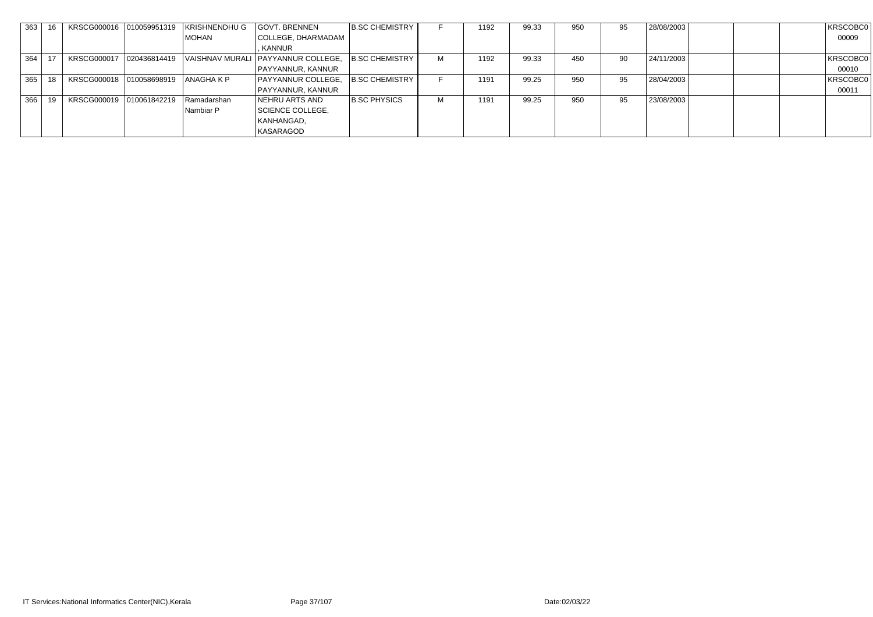| 363 | 16 |                            | KRSCG000016 010059951319 KRISHNENDHU G | GOVT. BRENNEN                                     | <b>B.SC CHEMISTRY</b> |   | 1192 | 99.33 | 950 | 95 | 28/08/2003 | KRSCOBC0 |
|-----|----|----------------------------|----------------------------------------|---------------------------------------------------|-----------------------|---|------|-------|-----|----|------------|----------|
|     |    |                            | MOHAN                                  | COLLEGE, DHARMADAM                                |                       |   |      |       |     |    |            | 00009    |
|     |    |                            |                                        | KANNUR                                            |                       |   |      |       |     |    |            |          |
| 364 |    | KRSCG000017   020436814419 |                                        | VAISHNAV MURALI PAYYANNUR COLLEGE, B.SC CHEMISTRY |                       |   | 1192 | 99.33 | 450 | 90 | 24/11/2003 | KRSCOBC0 |
|     |    |                            |                                        | PAYYANNUR, KANNUR                                 |                       |   |      |       |     |    |            | 00010    |
| 365 |    | KRSCG000018 010058698919   | ANAGHA K P                             | PAYYANNUR COLLEGE,                                | B.SC CHEMISTRY        |   | 1191 | 99.25 | 950 | 95 | 28/04/2003 | KRSCOBC0 |
|     |    |                            |                                        | PAYYANNUR, KANNUR                                 |                       |   |      |       |     |    |            | 00011    |
| 366 |    | KRSCG000019 010061842219   | Ramadarshan                            | NEHRU ARTS AND                                    | <b>B.SC PHYSICS</b>   | м | 1191 | 99.25 | 950 | 95 | 23/08/2003 |          |
|     |    |                            | Nambiar P                              | SCIENCE COLLEGE,                                  |                       |   |      |       |     |    |            |          |
|     |    |                            |                                        | KANHANGAD,                                        |                       |   |      |       |     |    |            |          |
|     |    |                            |                                        | <b>KASARAGOD</b>                                  |                       |   |      |       |     |    |            |          |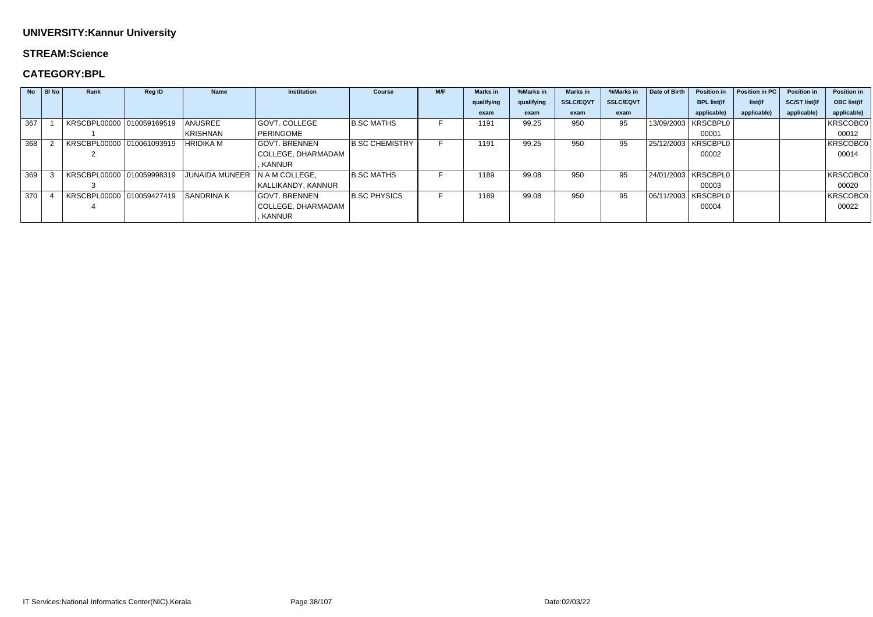## **STREAM:Science**

|     | $No$ SI No | Rank                      | <b>Reg ID</b> | <b>Name</b>           | <b>Institution</b>   | <b>Course</b>         | M/F | <b>Marks in</b> | %Marks in  | <b>Marks in</b>  | %Marks in        | Date of Birth | <b>Position in</b>    | Position in PC | <b>Position in</b>   | Position in        |
|-----|------------|---------------------------|---------------|-----------------------|----------------------|-----------------------|-----|-----------------|------------|------------------|------------------|---------------|-----------------------|----------------|----------------------|--------------------|
|     |            |                           |               |                       |                      |                       |     | qualifying      | qualifying | <b>SSLC/EQVT</b> | <b>SSLC/EQVT</b> |               | <b>BPL list(if</b>    | list(if        | <b>SC/ST list(if</b> | <b>OBC list(if</b> |
|     |            |                           |               |                       |                      |                       |     | exam            | exam       | exam             | exam             |               | applicable)           | applicable)    | applicable)          | applicable)        |
| 367 |            | KRSCBPL00000 010059169519 |               | ANUSREE               | <b>GOVT. COLLEGE</b> | <b>B.SC MATHS</b>     |     | 1191            | 99.25      | 950              | 95               |               | 13/09/2003   KRSCBPL0 |                |                      | KRSCOBC0           |
|     |            |                           |               | <b>KRISHNAN</b>       | PERINGOME            |                       |     |                 |            |                  |                  |               | 00001                 |                |                      | 00012              |
| 368 |            | KRSCBPL00000 010061093919 |               | <b>HRIDIKA M</b>      | <b>GOVT. BRENNEN</b> | <b>B.SC CHEMISTRY</b> |     | 1191            | 99.25      | 950              | 95               |               | 25/12/2003   KRSCBPL0 |                |                      | KRSCOBC0           |
|     |            |                           |               |                       | COLLEGE, DHARMADAM   |                       |     |                 |            |                  |                  |               | 00002                 |                |                      | 00014              |
|     |            |                           |               |                       | <b>KANNUR</b>        |                       |     |                 |            |                  |                  |               |                       |                |                      |                    |
| 369 |            | KRSCBPL00000 010059998319 |               | <b>JUNAIDA MUNEER</b> | IN A M COLLEGE.      | <b>B.SC MATHS</b>     |     | 1189            | 99.08      | 950              | 95               |               | 24/01/2003   KRSCBPL0 |                |                      | KRSCOBC0           |
|     |            |                           |               |                       | KALLIKANDY, KANNUR   |                       |     |                 |            |                  |                  |               | 00003                 |                |                      | 00020              |
| 370 |            | KRSCBPL00000 010059427419 |               | <b>SANDRINA K</b>     | <b>GOVT. BRENNEN</b> | <b>B.SC PHYSICS</b>   |     | 1189            | 99.08      | 950              | 95               |               | 06/11/2003   KRSCBPL0 |                |                      | KRSCOBC0           |
|     |            |                           |               |                       | COLLEGE, DHARMADAM   |                       |     |                 |            |                  |                  |               | 00004                 |                |                      | 00022              |
|     |            |                           |               |                       | <b>KANNUR</b>        |                       |     |                 |            |                  |                  |               |                       |                |                      |                    |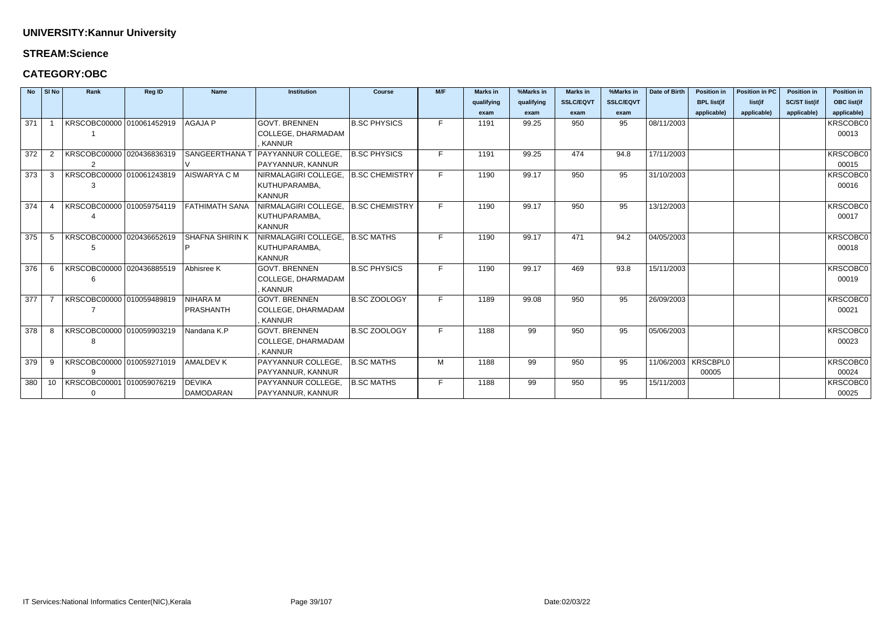## **STREAM:Science**

|     | No SI No        | Rank                      | Reg ID | <b>Name</b>               | <b>Institution</b>                    | <b>Course</b>       | M/F | <b>Marks in</b> | %Marks in  | <b>Marks in</b>  | %Marks in        | Date of Birth         | <b>Position in</b> | <b>Position in PC</b> | <b>Position in</b>   | <b>Position in</b> |
|-----|-----------------|---------------------------|--------|---------------------------|---------------------------------------|---------------------|-----|-----------------|------------|------------------|------------------|-----------------------|--------------------|-----------------------|----------------------|--------------------|
|     |                 |                           |        |                           |                                       |                     |     | qualifying      | qualifying | <b>SSLC/EQVT</b> | <b>SSLC/EQVT</b> |                       | <b>BPL list(if</b> | list(if               | <b>SC/ST list(if</b> | <b>OBC list(if</b> |
|     |                 |                           |        |                           |                                       |                     |     | exam            | exam       | exam             | exam             |                       | applicable)        | applicable)           | applicable)          | applicable)        |
| 371 |                 | KRSCOBC00000 010061452919 |        | <b>AGAJA P</b>            | <b>GOVT. BRENNEN</b>                  | <b>B.SC PHYSICS</b> | F.  | 1191            | 99.25      | 950              | 95               | 08/11/2003            |                    |                       |                      | KRSCOBC0           |
|     |                 |                           |        |                           | COLLEGE, DHARMADAM                    |                     |     |                 |            |                  |                  |                       |                    |                       |                      | 00013              |
|     |                 |                           |        |                           | KANNUR                                |                     |     |                 |            |                  |                  |                       |                    |                       |                      |                    |
| 372 |                 | KRSCOBC00000 020436836319 |        | SANGEERTHANA <sup>-</sup> | <b>PAYYANNUR COLLEGE.</b>             | <b>B.SC PHYSICS</b> | F.  | 1191            | 99.25      | 474              | 94.8             | 17/11/2003            |                    |                       |                      | <b>KRSCOBC0</b>    |
|     |                 | $\mathcal{P}$             |        |                           | PAYYANNUR, KANNUR                     |                     |     |                 |            |                  |                  |                       |                    |                       |                      | 00015              |
| 373 | 3               | KRSCOBC00000 010061243819 |        | AISWARYA C M              | NIRMALAGIRI COLLEGE,                  | B.SC CHEMISTRY      | F.  | 1190            | 99.17      | 950              | 95               | 31/10/2003            |                    |                       |                      | <b>KRSCOBC0</b>    |
|     |                 | 3                         |        |                           | KUTHUPARAMBA,                         |                     |     |                 |            |                  |                  |                       |                    |                       |                      | 00016              |
|     |                 |                           |        |                           | <b>KANNUR</b>                         |                     |     |                 |            |                  |                  |                       |                    |                       |                      |                    |
| 374 | $\overline{4}$  | KRSCOBC00000 010059754119 |        | FATHIMATH SANA            | NIRMALAGIRI COLLEGE,   B.SC CHEMISTRY |                     | F.  | 1190            | 99.17      | 950              | 95               | 13/12/2003            |                    |                       |                      | <b>KRSCOBC0</b>    |
|     |                 |                           |        |                           | KUTHUPARAMBA,                         |                     |     |                 |            |                  |                  |                       |                    |                       |                      | 00017              |
|     |                 |                           |        |                           | <b>KANNUR</b>                         |                     |     |                 |            |                  |                  |                       |                    |                       |                      |                    |
| 375 | 5               | KRSCOBC00000 020436652619 |        | Í SHAFNA SHIRIN K         | NIRMALAGIRI COLLEGE,                  | B.SC MATHS          | F.  | 1190            | 99.17      | 471              | 94.2             | 04/05/2003            |                    |                       |                      | <b>KRSCOBC0</b>    |
|     |                 |                           |        |                           | KUTHUPARAMBA,                         |                     |     |                 |            |                  |                  |                       |                    |                       |                      | 00018              |
|     |                 |                           |        |                           | <b>KANNUR</b>                         |                     |     |                 |            |                  |                  |                       |                    |                       |                      |                    |
| 376 | -6              | KRSCOBC00000 020436885519 |        | Abhisree K                | <b>GOVT. BRENNEN</b>                  | <b>B.SC PHYSICS</b> | F.  | 1190            | 99.17      | 469              | 93.8             | 15/11/2003            |                    |                       |                      | <b>KRSCOBC0</b>    |
|     |                 | 6                         |        |                           | COLLEGE, DHARMADAM                    |                     |     |                 |            |                  |                  |                       |                    |                       |                      | 00019              |
|     |                 |                           |        |                           | KANNUR                                |                     |     |                 |            |                  |                  |                       |                    |                       |                      |                    |
| 377 |                 | KRSCOBC00000 010059489819 |        | NIHARA M                  | <b>GOVT. BRENNEN</b>                  | B.SC ZOOLOGY        | F.  | 1189            | 99.08      | 950              | 95               | 26/09/2003            |                    |                       |                      | <b>KRSCOBC0</b>    |
|     |                 |                           |        | PRASHANTH                 | COLLEGE, DHARMADAM                    |                     |     |                 |            |                  |                  |                       |                    |                       |                      | 00021              |
|     |                 |                           |        |                           | , KANNUR                              |                     |     |                 |            |                  |                  |                       |                    |                       |                      |                    |
| 378 | -8              | KRSCOBC00000 010059903219 |        | Nandana K.P               | <b>GOVT. BRENNEN</b>                  | B.SC ZOOLOGY        | F.  | 1188            | 99         | 950              | 95               | 05/06/2003            |                    |                       |                      | <b>KRSCOBC0</b>    |
|     |                 |                           |        |                           | COLLEGE, DHARMADAM                    |                     |     |                 |            |                  |                  |                       |                    |                       |                      | 00023              |
|     |                 |                           |        |                           | KANNUR                                |                     |     |                 |            |                  |                  |                       |                    |                       |                      |                    |
| 379 | 9               | KRSCOBC00000 010059271019 |        | <b>AMALDEV K</b>          | PAYYANNUR COLLEGE,                    | <b>B.SC MATHS</b>   | M   | 1188            | 99         | 950              | 95               | 11/06/2003   KRSCBPL0 |                    |                       |                      | <b>KRSCOBC0</b>    |
|     |                 | 9                         |        |                           | PAYYANNUR, KANNUR                     |                     |     |                 |            |                  |                  |                       | 00005              |                       |                      | 00024              |
| 380 | 10 <sup>1</sup> | KRSCOBC00001 010059076219 |        | DEVIKA                    | PAYYANNUR COLLEGE,                    | <b>B.SC MATHS</b>   | F.  | 1188            | 99         | 950              | 95               | 15/11/2003            |                    |                       |                      | <b>KRSCOBC0</b>    |
|     |                 |                           |        | DAMODARAN                 | PAYYANNUR, KANNUR                     |                     |     |                 |            |                  |                  |                       |                    |                       |                      | 00025              |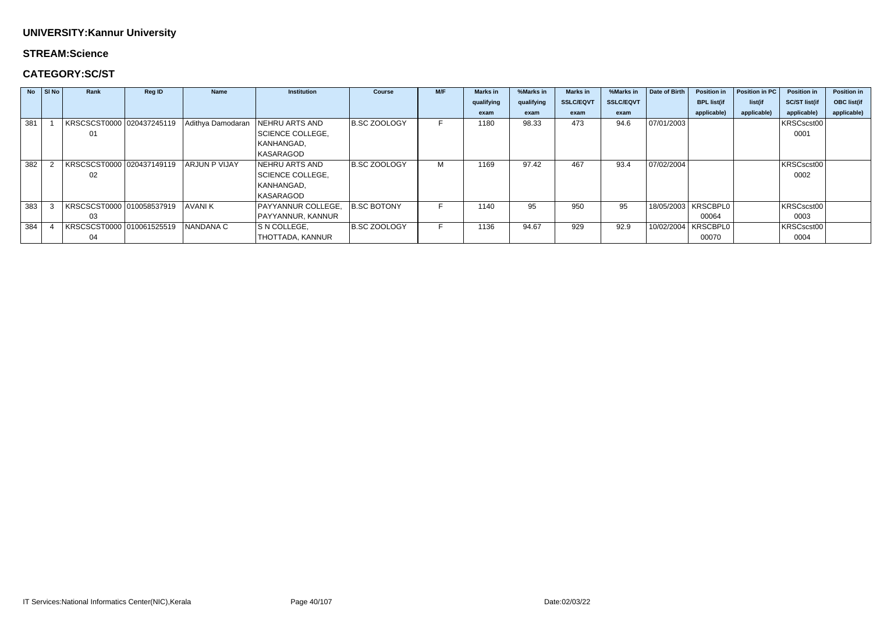## **STREAM:Science**

## **CATEGORY:SC/ST**

|     | $No$ $ S $ $No$ | Rank                      | <b>Reg ID</b> | <b>Name</b>          | <b>Institution</b>      | <b>Course</b>      | M/F | <b>Marks in</b> | %Marks in  | <b>Marks in</b>  | %Marks in        | Date of Birth | <b>Position in</b>    | Position in PC | <b>Position in</b>   | <b>Position in</b> |
|-----|-----------------|---------------------------|---------------|----------------------|-------------------------|--------------------|-----|-----------------|------------|------------------|------------------|---------------|-----------------------|----------------|----------------------|--------------------|
|     |                 |                           |               |                      |                         |                    |     | qualifying      | qualifying | <b>SSLC/EQVT</b> | <b>SSLC/EQVT</b> |               | <b>BPL list(if</b>    | list(if        | <b>SC/ST list(if</b> | <b>OBC list(if</b> |
|     |                 |                           |               |                      |                         |                    |     | exam            | exam       | exam             | exam             |               | applicable)           | applicable)    | applicable)          | applicable)        |
| 381 |                 | KRSCSCST0000 020437245119 |               | Adithya Damodaran    | <b>NEHRU ARTS AND</b>   | B.SC ZOOLOGY       |     | 1180            | 98.33      | 473              | 94.6             | 07/01/2003    |                       |                | KRSCscst00           |                    |
|     |                 | 01                        |               |                      | <b>SCIENCE COLLEGE,</b> |                    |     |                 |            |                  |                  |               |                       |                | 0001                 |                    |
|     |                 |                           |               |                      | KANHANGAD,              |                    |     |                 |            |                  |                  |               |                       |                |                      |                    |
|     |                 |                           |               |                      | <b>KASARAGOD</b>        |                    |     |                 |            |                  |                  |               |                       |                |                      |                    |
| 382 |                 | KRSCSCST0000 020437149119 |               | <b>ARJUN P VIJAY</b> | <b>NEHRU ARTS AND</b>   | B.SC ZOOLOGY       | М   | 1169            | 97.42      | 467              | 93.4             | 07/02/2004    |                       |                | KRSCscst00           |                    |
|     |                 | 02                        |               |                      | <b>SCIENCE COLLEGE,</b> |                    |     |                 |            |                  |                  |               |                       |                | 0002                 |                    |
|     |                 |                           |               |                      | KANHANGAD,              |                    |     |                 |            |                  |                  |               |                       |                |                      |                    |
|     |                 |                           |               |                      | KASARAGOD               |                    |     |                 |            |                  |                  |               |                       |                |                      |                    |
| 383 |                 | KRSCSCST0000 010058537919 |               | <b>AVANIK</b>        | PAYYANNUR COLLEGE,      | <b>B.SC BOTONY</b> |     | 1140            | 95         | 950              | 95               |               | 18/05/2003   KRSCBPL0 |                | KRSCscst00           |                    |
|     |                 | 03                        |               |                      | PAYYANNUR, KANNUR       |                    |     |                 |            |                  |                  |               | 00064                 |                | 0003                 |                    |
| 384 |                 | KRSCSCST0000 010061525519 |               | NANDANA C            | S N COLLEGE,            | B.SC ZOOLOGY       | н.  | 1136            | 94.67      | 929              | 92.9             |               | 10/02/2004   KRSCBPL0 |                | KRSCscst00           |                    |
|     |                 | 04                        |               |                      | <b>THOTTADA, KANNUR</b> |                    |     |                 |            |                  |                  |               | 00070                 |                | 0004                 |                    |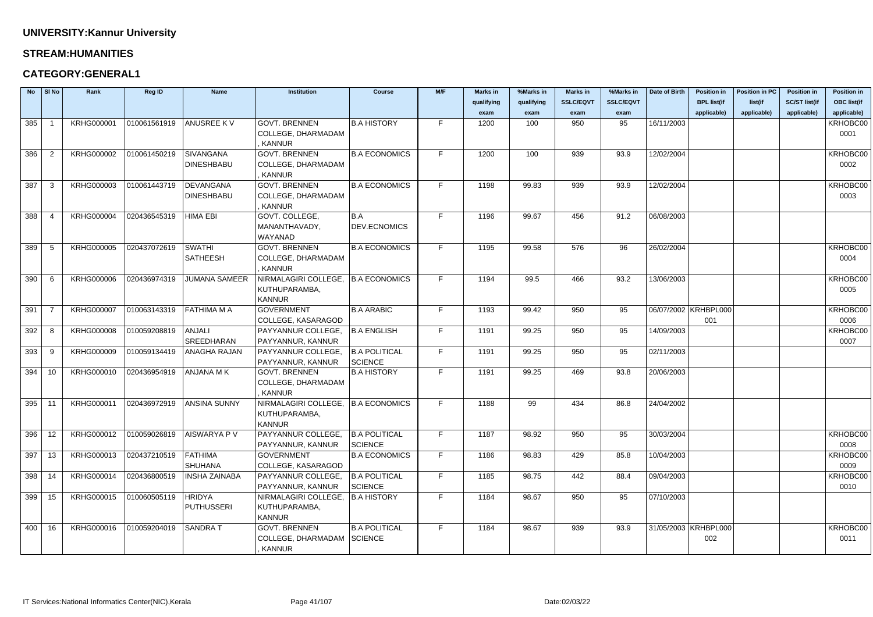### **STREAM:HUMANITIES**

## **CATEGORY:GENERAL1**

| <b>No</b>  | $\vert$ SI No  | Rank              | Reg ID       | <b>Name</b>                           | <b>Institution</b>                        | <b>Course</b>                 | M/F | <b>Marks in</b> | %Marks in  | <b>Marks in</b>  | %Marks in        | Date of Birth          | <b>Position in</b>   | <b>Position in PC</b> | <b>Position in</b>   | <b>Position in</b> |
|------------|----------------|-------------------|--------------|---------------------------------------|-------------------------------------------|-------------------------------|-----|-----------------|------------|------------------|------------------|------------------------|----------------------|-----------------------|----------------------|--------------------|
|            |                |                   |              |                                       |                                           |                               |     | qualifying      | qualifying | <b>SSLC/EQVT</b> | <b>SSLC/EQVT</b> |                        | <b>BPL list(if</b>   | list(if               | <b>SC/ST list(if</b> | <b>OBC list(if</b> |
|            |                |                   |              |                                       |                                           |                               |     | exam            | exam       | exam             | exam             |                        | applicable)          | applicable)           | applicable)          | applicable)        |
| 385        |                | <b>KRHG000001</b> | 010061561919 | <b>ANUSREE KV</b>                     | <b>GOVT. BRENNEN</b>                      | <b>B.A HISTORY</b>            | F.  | 1200            | 100        | 950              | 95               | 16/11/2003             |                      |                       |                      | KRHOBC00           |
|            |                |                   |              |                                       | COLLEGE, DHARMADAM                        |                               |     |                 |            |                  |                  |                        |                      |                       |                      | 0001               |
|            |                |                   |              |                                       | <b>KANNUR</b>                             |                               |     |                 |            |                  |                  |                        |                      |                       |                      |                    |
| 386        | $\overline{2}$ | KRHG000002        | 010061450219 | <b>SIVANGANA</b>                      | <b>GOVT. BRENNEN</b>                      | <b>B.A ECONOMICS</b>          | F.  | 1200            | 100        | 939              | 93.9             | 12/02/2004             |                      |                       |                      | KRHOBC00           |
|            |                |                   |              | <b>DINESHBABU</b>                     | COLLEGE, DHARMADAM                        |                               |     |                 |            |                  |                  |                        |                      |                       |                      | 0002               |
|            |                |                   |              |                                       | <b>KANNUR</b>                             |                               |     |                 |            |                  |                  |                        |                      |                       |                      |                    |
| 387        | -3             | KRHG000003        | 010061443719 | <b>DEVANGANA</b><br><b>DINESHBABU</b> | <b>GOVT. BRENNEN</b>                      | <b>B.A ECONOMICS</b>          | F.  | 1198            | 99.83      | 939              | 93.9             | 12/02/2004             |                      |                       |                      | KRHOBC00<br>0003   |
|            |                |                   |              |                                       | COLLEGE, DHARMADAM<br><b>KANNUR</b>       |                               |     |                 |            |                  |                  |                        |                      |                       |                      |                    |
| 388        |                | <b>KRHG000004</b> | 020436545319 | <b>HIMA EBI</b>                       | GOVT. COLLEGE,                            | B.A                           | F.  | 1196            | 99.67      | 456              | 91.2             | 06/08/2003             |                      |                       |                      |                    |
|            |                |                   |              |                                       | MANANTHAVADY,                             | <b>DEV.ECNOMICS</b>           |     |                 |            |                  |                  |                        |                      |                       |                      |                    |
|            |                |                   |              |                                       | WAYANAD                                   |                               |     |                 |            |                  |                  |                        |                      |                       |                      |                    |
| 389        | -5             | <b>KRHG000005</b> | 020437072619 | <b>SWATHI</b>                         | <b>GOVT. BRENNEN</b>                      | <b>B.A ECONOMICS</b>          | F.  | 1195            | 99.58      | 576              | 96               | 26/02/2004             |                      |                       |                      | KRHOBC00           |
|            |                |                   |              | <b>SATHEESH</b>                       | COLLEGE, DHARMADAM                        |                               |     |                 |            |                  |                  |                        |                      |                       |                      | 0004               |
|            |                |                   |              |                                       | <b>KANNUR</b>                             |                               |     |                 |            |                  |                  |                        |                      |                       |                      |                    |
| 390        | -6             | <b>KRHG000006</b> | 020436974319 | <b>JUMANA SAMEER</b>                  | NIRMALAGIRI COLLEGE,                      | <b>B.A ECONOMICS</b>          | F.  | 1194            | 99.5       | 466              | 93.2             | 13/06/2003             |                      |                       |                      | KRHOBC00           |
|            |                |                   |              |                                       | KUTHUPARAMBA,                             |                               |     |                 |            |                  |                  |                        |                      |                       |                      | 0005               |
|            |                |                   |              |                                       | <b>KANNUR</b>                             |                               |     |                 |            |                  |                  |                        |                      |                       |                      |                    |
| 391        | -7             | <b>KRHG000007</b> | 010063143319 | <b>FATHIMA M A</b>                    | <b>GOVERNMENT</b>                         | <b>B.A ARABIC</b>             | F.  | 1193            | 99.42      | 950              | 95               |                        | 06/07/2002 KRHBPL000 |                       |                      | KRHOBC00           |
|            |                |                   |              |                                       | COLLEGE, KASARAGOD                        |                               |     |                 |            |                  |                  |                        | 001                  |                       |                      | 0006               |
| 392        | 8              | <b>KRHG000008</b> | 010059208819 | <b>ANJALI</b>                         | PAYYANNUR COLLEGE,                        | <b>B.A ENGLISH</b>            | F.  | 1191            | 99.25      | 950              | 95               | 14/09/2003             |                      |                       |                      | KRHOBC00           |
|            |                |                   |              | SREEDHARAN                            | PAYYANNUR, KANNUR                         |                               |     |                 |            |                  |                  |                        |                      |                       |                      | 0007               |
| 393        | -9             | <b>KRHG000009</b> | 010059134419 | <b>ANAGHA RAJAN</b>                   | PAYYANNUR COLLEGE,                        | <b>B.A POLITICAL</b>          | F.  | 1191            | 99.25      | 950              | 95               | 02/11/2003             |                      |                       |                      |                    |
| 394        | 10             | KRHG000010        | 020436954919 | ANJANA MK                             | PAYYANNUR, KANNUR<br><b>GOVT. BRENNEN</b> | SCIENCE<br><b>B.A HISTORY</b> | F.  | 1191            | 99.25      | 469              | 93.8             | 20/06/2003             |                      |                       |                      |                    |
|            |                |                   |              |                                       | COLLEGE, DHARMADAM                        |                               |     |                 |            |                  |                  |                        |                      |                       |                      |                    |
|            |                |                   |              |                                       | <b>KANNUR</b>                             |                               |     |                 |            |                  |                  |                        |                      |                       |                      |                    |
| 395        | - 11           | KRHG000011        | 020436972919 | <b>ANSINA SUNNY</b>                   | NIRMALAGIRI COLLEGE,                      | <b>B.A ECONOMICS</b>          | F.  | 1188            | 99         | 434              | 86.8             | 24/04/2002             |                      |                       |                      |                    |
|            |                |                   |              |                                       | KUTHUPARAMBA,                             |                               |     |                 |            |                  |                  |                        |                      |                       |                      |                    |
|            |                |                   |              |                                       | <b>KANNUR</b>                             |                               |     |                 |            |                  |                  |                        |                      |                       |                      |                    |
| 396        | 12             | KRHG000012        | 010059026819 | <b>AISWARYA P V</b>                   | PAYYANNUR COLLEGE,                        | <b>B.A POLITICAL</b>          | F.  | 1187            | 98.92      | 950              | 95               | 30/03/2004             |                      |                       |                      | KRHOBC00           |
|            |                |                   |              |                                       | PAYYANNUR, KANNUR                         | SCIENCE                       |     |                 |            |                  |                  |                        |                      |                       |                      | 0008               |
| 397        | 13             | KRHG000013        | 020437210519 | <b>FATHIMA</b>                        | <b>GOVERNMENT</b>                         | <b>B.A ECONOMICS</b>          | F   | 1186            | 98.83      | 429              | 85.8             | 10/04/2003             |                      |                       |                      | KRHOBC00           |
|            |                |                   |              | <b>SHUHANA</b>                        | COLLEGE, KASARAGOD                        |                               |     |                 |            |                  |                  |                        |                      |                       |                      | 0009               |
| $398$   14 |                | KRHG000014        | 020436800519 | <b>INSHA ZAINABA</b>                  | PAYYANNUR COLLEGE,                        | <b>B.A POLITICAL</b>          | F.  | 1185            | 98.75      | 442              | 88.4             | 09/04/2003             |                      |                       |                      | KRHOBC00           |
|            |                |                   |              |                                       | PAYYANNUR, KANNUR                         | SCIENCE                       |     |                 |            |                  |                  |                        |                      |                       |                      | 0010               |
| 399        | 15             | <b>KRHG000015</b> | 010060505119 | <b>HRIDYA</b>                         | NIRMALAGIRI COLLEGE,   B.A HISTORY        |                               | F.  | 1184            | 98.67      | 950              | 95               | 07/10/2003             |                      |                       |                      |                    |
|            |                |                   |              | <b>PUTHUSSERI</b>                     | KUTHUPARAMBA,                             |                               |     |                 |            |                  |                  |                        |                      |                       |                      |                    |
|            |                |                   |              |                                       | <b>KANNUR</b>                             |                               |     |                 |            |                  |                  |                        |                      |                       |                      |                    |
| 400        | 16             | KRHG000016        | 010059204019 | SANDRA T                              | <b>GOVT. BRENNEN</b>                      | <b>B.A POLITICAL</b>          | F.  | 1184            | 98.67      | 939              | 93.9             | 31/05/2003   KRHBPL000 |                      |                       |                      | KRHOBC00           |
|            |                |                   |              |                                       | COLLEGE, DHARMADAM SCIENCE                |                               |     |                 |            |                  |                  |                        | 002                  |                       |                      | 0011               |
|            |                |                   |              |                                       | KANNUR                                    |                               |     |                 |            |                  |                  |                        |                      |                       |                      |                    |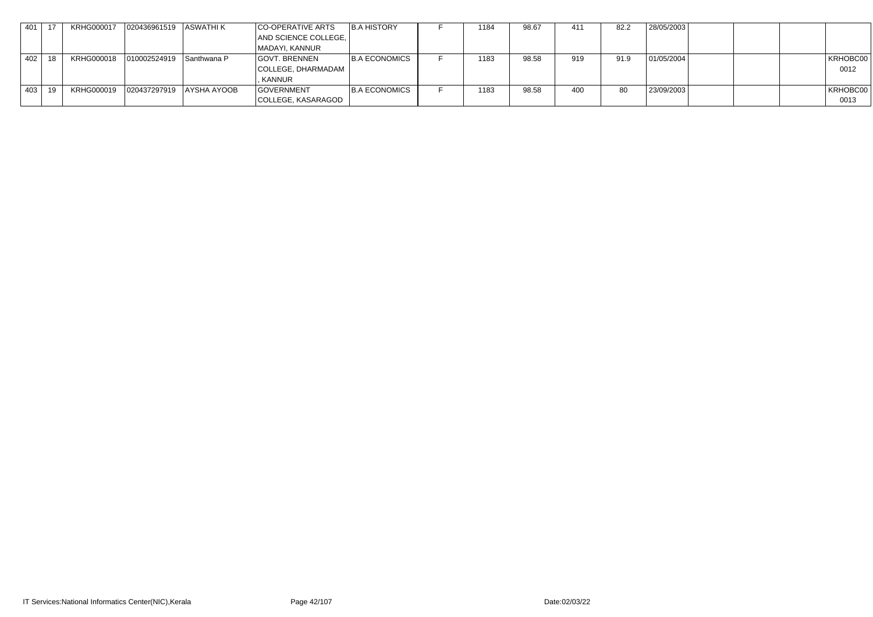| 401 | .17 | <b>KRHG000017</b> | 020436961519   ASWATHI K |                          | CO-OPERATIVE ARTS    | B.A HISTORY          | 1184 | 98.67 | -411 | 82.2 | 28/05/2003 |          |
|-----|-----|-------------------|--------------------------|--------------------------|----------------------|----------------------|------|-------|------|------|------------|----------|
|     |     |                   |                          |                          | AND SCIENCE COLLEGE, |                      |      |       |      |      |            |          |
|     |     |                   |                          |                          | MADAYI, KANNUR       |                      |      |       |      |      |            |          |
| 402 | 18  | KRHG000018        | 010002524919 Santhwana P |                          | GOVT. BRENNEN        | <b>B.A ECONOMICS</b> | 1183 | 98.58 | 919  | 91.9 | 01/05/2004 | KRHOBC00 |
|     |     |                   |                          |                          | COLLEGE, DHARMADAM   |                      |      |       |      |      |            | 0012     |
|     |     |                   |                          |                          | , KANNUR             |                      |      |       |      |      |            |          |
| 403 | 19  | KRHG000019        |                          | 020437297919 AYSHA AYOOB | <b>GOVERNMENT</b>    | <b>B.A ECONOMICS</b> | 1183 | 98.58 | 400  | 80   | 23/09/2003 | KRHOBC00 |
|     |     |                   |                          |                          | COLLEGE, KASARAGOD   |                      |      |       |      |      |            | 0013     |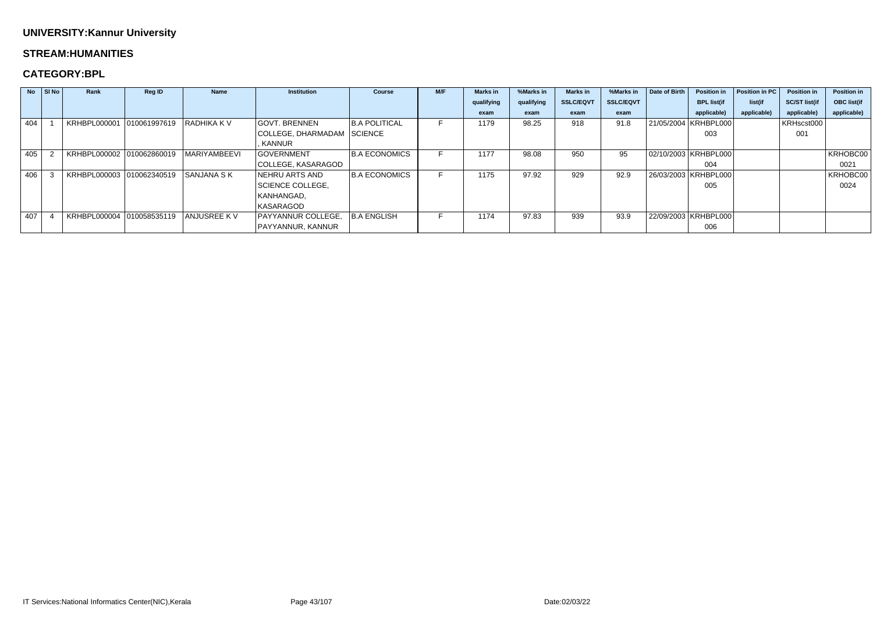#### **STREAM:HUMANITIES**

|     | $\overline{N}$   SI $\overline{N}$ o | Rank                      | <b>Reg ID</b> | <b>Name</b>       | <b>Institution</b>         | <b>Course</b>        | M/F | <b>Marks</b> in | %Marks in  | <b>Marks</b> in  | %Marks in        | Date of Birth | <b>Position in</b>     | Position in PC | <b>Position in</b>   | <b>Position in</b> |
|-----|--------------------------------------|---------------------------|---------------|-------------------|----------------------------|----------------------|-----|-----------------|------------|------------------|------------------|---------------|------------------------|----------------|----------------------|--------------------|
|     |                                      |                           |               |                   |                            |                      |     | qualifying      | qualifying | <b>SSLC/EQVT</b> | <b>SSLC/EQVT</b> |               | <b>BPL list(if</b>     | list(if        | <b>SC/ST list(if</b> | <b>OBC list(if</b> |
|     |                                      |                           |               |                   |                            |                      |     | exam            | exam       | exam             | exam             |               | applicable)            | applicable)    | applicable)          | applicable)        |
| 404 |                                      | <b>KRHBPL000001</b>       | 010061997619  | I RADHIKA K V     | <b>GOVT. BRENNEN</b>       | <b>B.A POLITICAL</b> |     | 1179            | 98.25      | 918              | 91.8             |               | 21/05/2004   KRHBPL000 |                | KRHscst000           |                    |
|     |                                      |                           |               |                   | COLLEGE, DHARMADAM SCIENCE |                      |     |                 |            |                  |                  |               | 003                    |                | 001                  |                    |
|     |                                      |                           |               |                   | <b>KANNUR</b>              |                      |     |                 |            |                  |                  |               |                        |                |                      |                    |
| 405 |                                      | KRHBPL000002 010062860019 |               | MARIYAMBEEVI      | <b>GOVERNMENT</b>          | <b>B.A ECONOMICS</b> |     | 1177            | 98.08      | 950              | 95               |               | 02/10/2003   KRHBPL000 |                |                      | KRHOBC00           |
|     |                                      |                           |               |                   | COLLEGE, KASARAGOD         |                      |     |                 |            |                  |                  |               | 004                    |                |                      | 0021               |
| 406 |                                      | KRHBPL000003 010062340519 |               | <b>SANJANA SK</b> | NEHRU ARTS AND             | <b>B.A ECONOMICS</b> |     | 1175            | 97.92      | 929              | 92.9             |               | 26/03/2003   KRHBPL000 |                |                      | KRHOBC00           |
|     |                                      |                           |               |                   | <b>SCIENCE COLLEGE,</b>    |                      |     |                 |            |                  |                  |               | 005                    |                |                      | 0024               |
|     |                                      |                           |               |                   | KANHANGAD,                 |                      |     |                 |            |                  |                  |               |                        |                |                      |                    |
|     |                                      |                           |               |                   | KASARAGOD                  |                      |     |                 |            |                  |                  |               |                        |                |                      |                    |
| 407 |                                      | KRHBPL000004              | 010058535119  | ANJUSREE KV       | PAYYANNUR COLLEGE,         | B.A ENGLISH          |     | 1174            | 97.83      | 939              | 93.9             |               | 22/09/2003   KRHBPL000 |                |                      |                    |
|     |                                      |                           |               |                   | PAYYANNUR, KANNUR          |                      |     |                 |            |                  |                  |               | 006                    |                |                      |                    |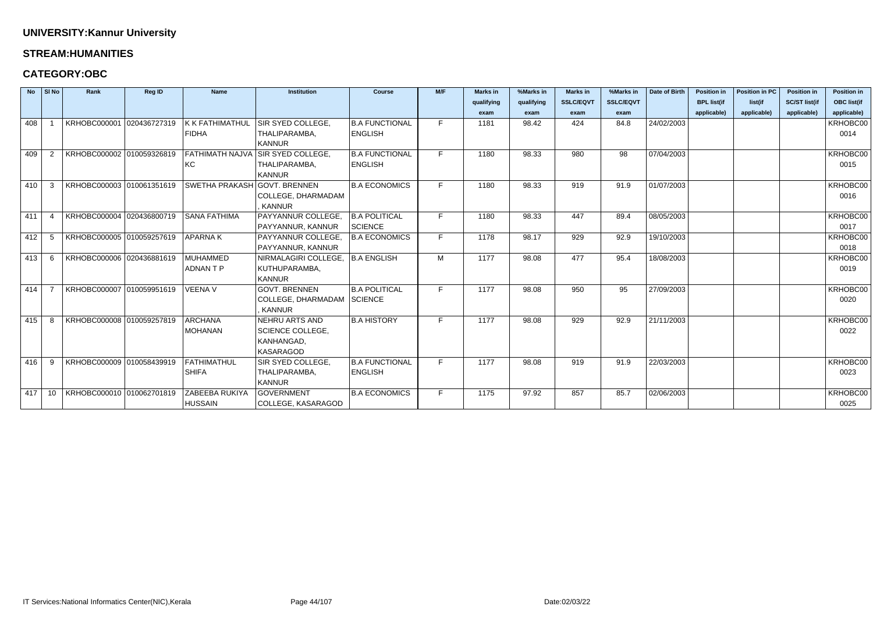#### **STREAM:HUMANITIES**

| <b>No</b> | SI No          | Rank                      | Reg ID | <b>Name</b>                  | <b>Institution</b>                       | <b>Course</b>         | M/F | <b>Marks in</b> | %Marks in  | <b>Marks in</b>  | %Marks in        | Date of Birth | <b>Position in</b> | <b>Position in PC</b> | <b>Position in</b>   | <b>Position in</b> |
|-----------|----------------|---------------------------|--------|------------------------------|------------------------------------------|-----------------------|-----|-----------------|------------|------------------|------------------|---------------|--------------------|-----------------------|----------------------|--------------------|
|           |                |                           |        |                              |                                          |                       |     | qualifying      | qualifying | <b>SSLC/EQVT</b> | <b>SSLC/EQVT</b> |               | <b>BPL list(if</b> | list(if               | <b>SC/ST list(if</b> | <b>OBC list(if</b> |
|           |                |                           |        |                              |                                          |                       |     | exam            | exam       | exam             | exam             |               | applicable)        | applicable)           | applicable)          | applicable)        |
| 408       |                | KRHOBC000001 020436727319 |        | <b>K K FATHIMATHUL</b>       | SIR SYED COLLEGE.                        | <b>B.A FUNCTIONAL</b> | F.  | 1181            | 98.42      | 424              | 84.8             | 24/02/2003    |                    |                       |                      | KRHOBC00           |
|           |                |                           |        | <b>FIDHA</b>                 | THALIPARAMBA,                            | <b>ENGLISH</b>        |     |                 |            |                  |                  |               |                    |                       |                      | 0014               |
|           |                |                           |        |                              | <b>KANNUR</b>                            |                       |     |                 |            |                  |                  |               |                    |                       |                      |                    |
| 409       | $\overline{2}$ | KRHOBC000002 010059326819 |        |                              | <b>FATHIMATH NAJVA SIR SYED COLLEGE,</b> | <b>B.A FUNCTIONAL</b> | F.  | 1180            | 98.33      | 980              | 98               | 07/04/2003    |                    |                       |                      | KRHOBC00           |
|           |                |                           |        | KC                           | THALIPARAMBA,                            | <b>ENGLISH</b>        |     |                 |            |                  |                  |               |                    |                       |                      | 0015               |
|           |                |                           |        |                              | <b>KANNUR</b>                            |                       |     |                 |            |                  |                  |               |                    |                       |                      |                    |
| 410       | 3              | KRHOBC000003 010061351619 |        | SWETHA PRAKASH GOVT. BRENNEN |                                          | <b>B.A ECONOMICS</b>  | F.  | 1180            | 98.33      | 919              | 91.9             | 01/07/2003    |                    |                       |                      | KRHOBC00           |
|           |                |                           |        |                              | COLLEGE, DHARMADAM                       |                       |     |                 |            |                  |                  |               |                    |                       |                      | 0016               |
|           |                |                           |        |                              | <b>KANNUR</b>                            |                       |     |                 |            |                  |                  |               |                    |                       |                      |                    |
| 411       |                | KRHOBC000004 020436800719 |        | <b>SANA FATHIMA</b>          | PAYYANNUR COLLEGE,                       | <b>B.A POLITICAL</b>  | F.  | 1180            | 98.33      | 447              | 89.4             | 08/05/2003    |                    |                       |                      | KRHOBC00           |
|           |                |                           |        |                              | PAYYANNUR, KANNUR                        | SCIENCE               |     |                 |            |                  |                  |               |                    |                       |                      | 0017               |
| 412       | -5             | KRHOBC000005 010059257619 |        | <b>APARNAK</b>               | PAYYANNUR COLLEGE,                       | <b>B.A ECONOMICS</b>  | F.  | 1178            | 98.17      | 929              | 92.9             | 19/10/2003    |                    |                       |                      | KRHOBC00           |
|           |                |                           |        |                              | PAYYANNUR, KANNUR                        |                       |     |                 |            |                  |                  |               |                    |                       |                      | 0018               |
| 413       | -6             | KRHOBC000006 020436881619 |        | MUHAMMED                     | NIRMALAGIRI COLLEGE,                     | B.A ENGLISH           | M   | 1177            | 98.08      | 477              | 95.4             | 18/08/2003    |                    |                       |                      | KRHOBC00           |
|           |                |                           |        | <b>ADNANTP</b>               | KUTHUPARAMBA,                            |                       |     |                 |            |                  |                  |               |                    |                       |                      | 0019               |
|           |                |                           |        |                              | <b>KANNUR</b>                            |                       |     |                 |            |                  |                  |               |                    |                       |                      |                    |
| 414       |                | KRHOBC000007 010059951619 |        | <b>VEENA V</b>               | <b>GOVT. BRENNEN</b>                     | <b>B.A POLITICAL</b>  | F.  | 1177            | 98.08      | 950              | 95               | 27/09/2003    |                    |                       |                      | KRHOBC00           |
|           |                |                           |        |                              | COLLEGE, DHARMADAM SCIENCE               |                       |     |                 |            |                  |                  |               |                    |                       |                      | 0020               |
|           |                |                           |        |                              | <b>KANNUR</b>                            |                       |     |                 |            |                  |                  |               |                    |                       |                      |                    |
| 415       | 8              | KRHOBC000008 010059257819 |        | <b>ARCHANA</b>               | NEHRU ARTS AND                           | <b>B.A HISTORY</b>    | F.  | 1177            | 98.08      | 929              | 92.9             | 21/11/2003    |                    |                       |                      | KRHOBC00           |
|           |                |                           |        | <b>MOHANAN</b>               | <b>SCIENCE COLLEGE,</b>                  |                       |     |                 |            |                  |                  |               |                    |                       |                      | 0022               |
|           |                |                           |        |                              | KANHANGAD,                               |                       |     |                 |            |                  |                  |               |                    |                       |                      |                    |
|           |                |                           |        |                              | <b>KASARAGOD</b>                         |                       |     |                 |            |                  |                  |               |                    |                       |                      |                    |
| 416       | -9             | KRHOBC000009 010058439919 |        | FATHIMATHUL                  | SIR SYED COLLEGE,                        | <b>B.A FUNCTIONAL</b> | F.  | 1177            | 98.08      | 919              | 91.9             | 22/03/2003    |                    |                       |                      | KRHOBC00           |
|           |                |                           |        | <b>SHIFA</b>                 | THALIPARAMBA,                            | <b>ENGLISH</b>        |     |                 |            |                  |                  |               |                    |                       |                      | 0023               |
|           |                |                           |        |                              | <b>KANNUR</b>                            |                       |     |                 |            |                  |                  |               |                    |                       |                      |                    |
| 417       | 10             | KRHOBC000010 010062701819 |        | <b>ZABEEBA RUKIYA</b>        | <b>GOVERNMENT</b>                        | <b>B.A ECONOMICS</b>  | F.  | 1175            | 97.92      | 857              | 85.7             | 02/06/2003    |                    |                       |                      | KRHOBC00           |
|           |                |                           |        | <b>HUSSAIN</b>               | COLLEGE, KASARAGOD                       |                       |     |                 |            |                  |                  |               |                    |                       |                      | 0025               |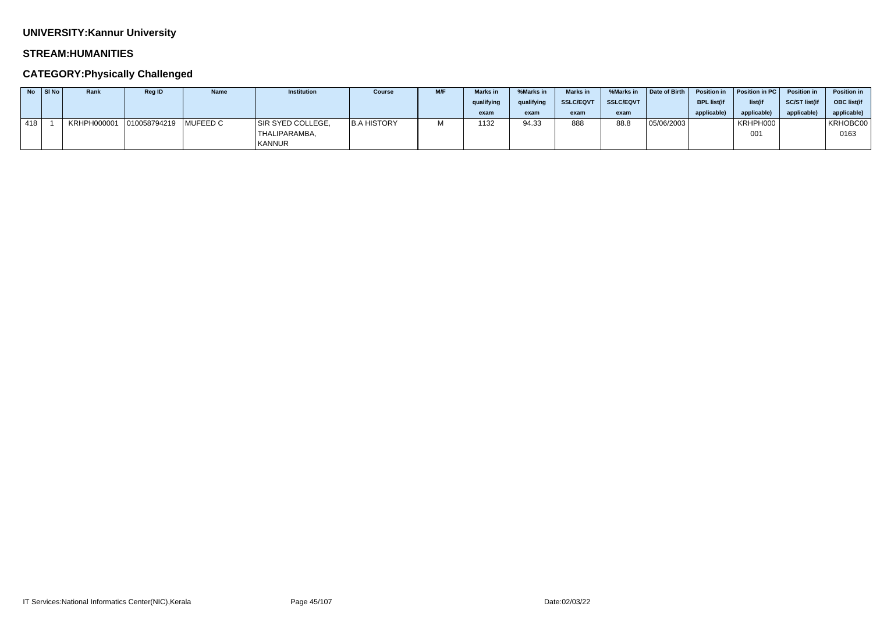### **STREAM:HUMANITIES**

## **CATEGORY:Physically Challenged**

|     | $No$ SI No | Rank                              | Reg ID | <b>Name</b> | <b>Institution</b> | Course             | <b>M/F</b> | <b>Marks</b> in | %Marks in  | <b>Marks in</b>  | %Marks in        | Date of Birth | <b>Position in</b> | Position in PC | <b>Position in</b>   | <b>Position in</b> |
|-----|------------|-----------------------------------|--------|-------------|--------------------|--------------------|------------|-----------------|------------|------------------|------------------|---------------|--------------------|----------------|----------------------|--------------------|
|     |            |                                   |        |             |                    |                    |            | qualifying      | qualifying | <b>SSLC/EQVT</b> | <b>SSLC/EQVT</b> |               | <b>BPL list(if</b> | list(if        | <b>SC/ST list(if</b> | <b>OBC</b> list(if |
|     |            |                                   |        |             |                    |                    |            | exam            | exam       | exam             | exam             |               | applicable)        | applicable     | applicable           | applicable)        |
| 418 |            | KRHPH000001 010058794219 MUFEED C |        |             | SIR SYED COLLEGE,  | <b>B.A HISTORY</b> |            | 1132            | 94.33      | 888              | 88.8             | 05/06/2003    |                    | KRHPH000       |                      | KRHOBC00           |
|     |            |                                   |        |             | THALIPARAMBA,      |                    |            |                 |            |                  |                  |               |                    | 001            |                      | 0163               |
|     |            |                                   |        |             | <b>KANNUR</b>      |                    |            |                 |            |                  |                  |               |                    |                |                      |                    |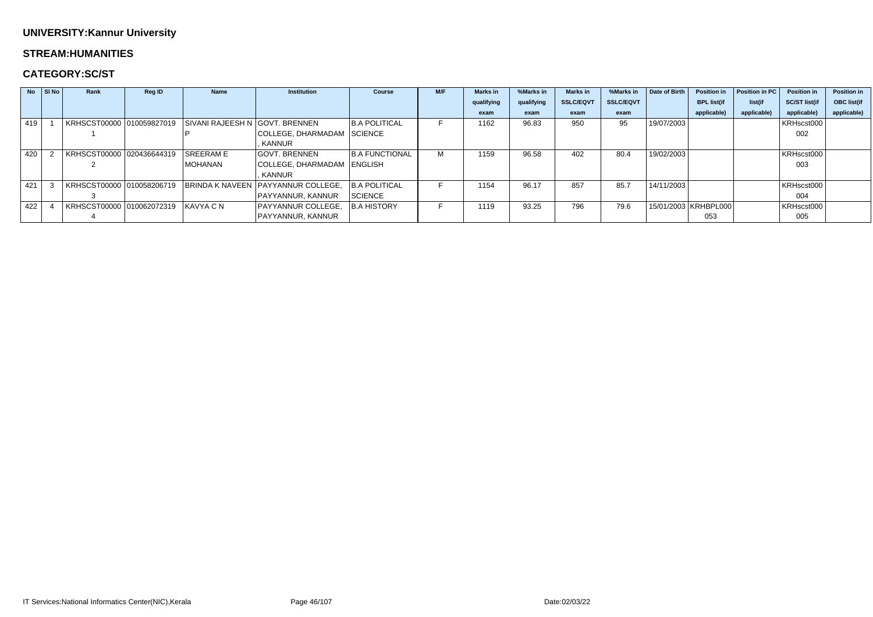### **STREAM:HUMANITIES**

## **CATEGORY:SC/ST**

| <b>No</b> | $ $ SI No $ $ | Rank                                | <b>Reg ID</b> | <b>Name</b>                                              | <b>Institution</b>                                           | <b>Course</b>         | M/F | <b>Marks</b> in | %Marks in  | <b>Marks in</b>  | %Marks in        | Date of Birth | <b>Position in</b>     | Position in PC | <b>Position in</b>   | <b>Position in</b> |
|-----------|---------------|-------------------------------------|---------------|----------------------------------------------------------|--------------------------------------------------------------|-----------------------|-----|-----------------|------------|------------------|------------------|---------------|------------------------|----------------|----------------------|--------------------|
|           |               |                                     |               |                                                          |                                                              |                       |     | qualifying      | qualifying | <b>SSLC/EQVT</b> | <b>SSLC/EQVT</b> |               | <b>BPL list(if</b>     | list(if        | <b>SC/ST list(if</b> | <b>OBC list(if</b> |
|           |               |                                     |               |                                                          |                                                              |                       |     | exam            | exam       | exam             | exam             |               | applicable)            | applicable)    | applicable)          | applicable)        |
| 419       |               |                                     |               | KRHSCST00000 010059827019 SIVANI RAJEESH N GOVT. BRENNEN |                                                              | <b>B.A POLITICAL</b>  |     | 1162            | 96.83      | 950              | 95               | 19/07/2003    |                        |                | KRHscst000           |                    |
|           |               |                                     |               |                                                          | COLLEGE, DHARMADAM SCIENCE                                   |                       |     |                 |            |                  |                  |               |                        |                | 002                  |                    |
|           |               |                                     |               |                                                          | KANNUR                                                       |                       |     |                 |            |                  |                  |               |                        |                |                      |                    |
| 420       |               | KRHSCST00000 020436644319           |               | <b>SREERAME</b>                                          | <b>GOVT. BRENNEN</b>                                         | <b>B.A FUNCTIONAL</b> | M   | 1159            | 96.58      | 402              | 80.4             | 19/02/2003    |                        |                | KRHscst000           |                    |
|           |               |                                     |               | MOHANAN                                                  | COLLEGE, DHARMADAM   ENGLISH                                 |                       |     |                 |            |                  |                  |               |                        |                | 003                  |                    |
|           |               |                                     |               |                                                          | KANNUR                                                       |                       |     |                 |            |                  |                  |               |                        |                |                      |                    |
| 421       |               |                                     |               |                                                          | KRHSCST00000 010058206719 BRINDA K NAVEEN PAYYANNUR COLLEGE. | <b>B.A POLITICAL</b>  |     | 1154            | 96.17      | 857              | 85.7             | 14/11/2003    |                        |                | KRHscst000           |                    |
|           |               |                                     |               |                                                          | PAYYANNUR, KANNUR                                            | SCIENCE               |     |                 |            |                  |                  |               |                        |                | 004                  |                    |
| 422       |               | KRHSCST00000 010062072319 KAVYA C N |               |                                                          | PAYYANNUR COLLEGE,                                           | <b>B.A HISTORY</b>    |     | 1119            | 93.25      | 796              | 79.6             |               | 15/01/2003   KRHBPL000 |                | KRHscst000           |                    |
|           |               |                                     |               |                                                          | PAYYANNUR, KANNUR                                            |                       |     |                 |            |                  |                  |               | 053                    |                | 005                  |                    |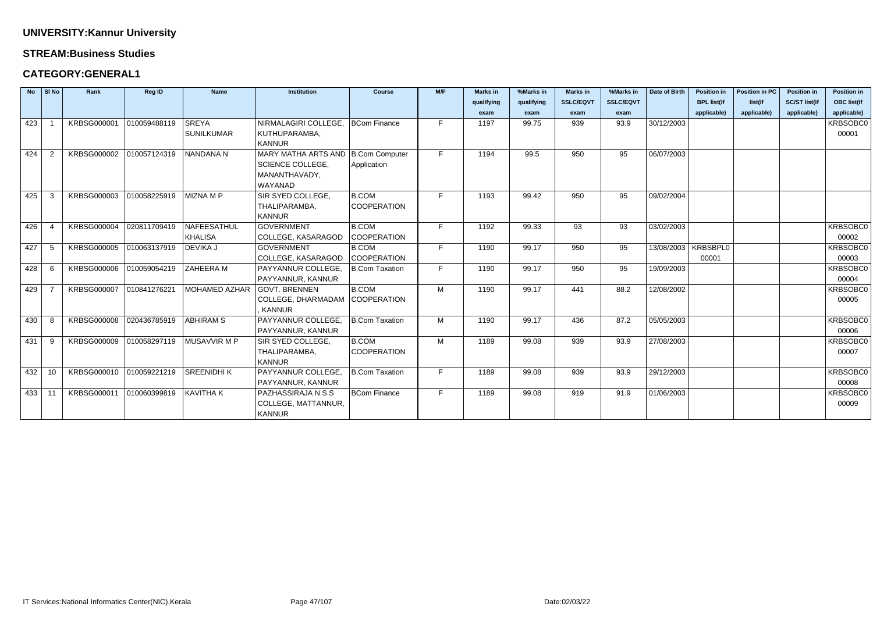#### **STREAM:Business Studies**

## **CATEGORY:GENERAL1**

| <b>No</b> | SI No          | Rank                     | Reg ID       | <b>Name</b>       | <b>Institution</b>                   | <b>Course</b>         | M/F | <b>Marks in</b> | %Marks in  | <b>Marks</b> in  | %Marks in        | Date of Birth         | <b>Position in</b> | <b>Position in PC</b> | <b>Position in</b>   | <b>Position in</b> |
|-----------|----------------|--------------------------|--------------|-------------------|--------------------------------------|-----------------------|-----|-----------------|------------|------------------|------------------|-----------------------|--------------------|-----------------------|----------------------|--------------------|
|           |                |                          |              |                   |                                      |                       |     | qualifying      | qualifying | <b>SSLC/EQVT</b> | <b>SSLC/EQVT</b> |                       | <b>BPL list(if</b> | list(if               | <b>SC/ST list(if</b> | <b>OBC list(if</b> |
|           |                |                          |              |                   |                                      |                       |     | exam            | exam       | exam             | exam             |                       | applicable)        | applicable)           | applicable)          | applicable)        |
| 423       |                | KRBSG000001              | 010059488119 | <b>SREYA</b>      | NIRMALAGIRI COLLEGE,                 | <b>BCom Finance</b>   | F.  | 1197            | 99.75      | 939              | 93.9             | 30/12/2003            |                    |                       |                      | KRBSOBC0           |
|           |                |                          |              | <b>SUNILKUMAR</b> | KUTHUPARAMBA,                        |                       |     |                 |            |                  |                  |                       |                    |                       |                      | 00001              |
|           |                |                          |              |                   | <b>KANNUR</b>                        |                       |     |                 |            |                  |                  |                       |                    |                       |                      |                    |
| 424       | $\overline{2}$ | KRBSG000002 010057124319 |              | NANDANA N         | MARY MATHA ARTS AND   B.Com Computer |                       | F.  | 1194            | 99.5       | 950              | 95               | 06/07/2003            |                    |                       |                      |                    |
|           |                |                          |              |                   | <b>SCIENCE COLLEGE,</b>              | Application           |     |                 |            |                  |                  |                       |                    |                       |                      |                    |
|           |                |                          |              |                   | MANANTHAVADY,                        |                       |     |                 |            |                  |                  |                       |                    |                       |                      |                    |
|           |                |                          |              |                   | WAYANAD                              |                       |     |                 |            |                  |                  |                       |                    |                       |                      |                    |
| 425       | -3             | KRBSG000003              | 010058225919 | MIZNA M P         | SIR SYED COLLEGE,                    | <b>B.COM</b>          | F.  | 1193            | 99.42      | 950              | 95               | 09/02/2004            |                    |                       |                      |                    |
|           |                |                          |              |                   | THALIPARAMBA,                        | <b>COOPERATION</b>    |     |                 |            |                  |                  |                       |                    |                       |                      |                    |
|           |                |                          |              |                   | <b>KANNUR</b>                        |                       |     |                 |            |                  |                  |                       |                    |                       |                      |                    |
| 426       |                | KRBSG000004              | 020811709419 | NAFEESATHUL       | <b>GOVERNMENT</b>                    | <b>B.COM</b>          | F.  | 1192            | 99.33      | 93               | 93               | 03/02/2003            |                    |                       |                      | KRBSOBC0           |
|           |                |                          |              | <b>KHALISA</b>    | COLLEGE, KASARAGOD                   | <b>COOPERATION</b>    |     |                 |            |                  |                  |                       |                    |                       |                      | 00002              |
| 427       | -5             | <b>KRBSG000005</b>       | 010063137919 | <b>DEVIKA J</b>   | <b>GOVERNMENT</b>                    | <b>B.COM</b>          | F.  | 1190            | 99.17      | 950              | 95               | 13/08/2003   KRBSBPL0 |                    |                       |                      | KRBSOBC0           |
|           |                |                          |              |                   | COLLEGE, KASARAGOD                   | <b>COOPERATION</b>    |     |                 |            |                  |                  |                       | 00001              |                       |                      | 00003              |
| 428       | -6             | KRBSG000006              | 010059054219 | ZAHEERA M         | PAYYANNUR COLLEGE,                   | B.Com Taxation        | F.  | 1190            | 99.17      | 950              | 95               | 19/09/2003            |                    |                       |                      | KRBSOBC0           |
|           |                |                          |              |                   | PAYYANNUR, KANNUR                    |                       |     |                 |            |                  |                  |                       |                    |                       |                      | 00004              |
| 429       |                | <b>KRBSG000007</b>       | 010841276221 | MOHAMED AZHAR     | <b>GOVT. BRENNEN</b>                 | <b>B.COM</b>          | M   | 1190            | 99.17      | 441              | 88.2             | 12/08/2002            |                    |                       |                      | KRBSOBC0           |
|           |                |                          |              |                   | COLLEGE, DHARMADAM   COOPERATION     |                       |     |                 |            |                  |                  |                       |                    |                       |                      | 00005              |
|           |                |                          |              |                   | <b>KANNUR</b>                        |                       |     |                 |            |                  |                  |                       |                    |                       |                      |                    |
| 430       | -8             | <b>KRBSG000008</b>       | 020436785919 | <b>ABHIRAM S</b>  | PAYYANNUR COLLEGE.                   | B.Com Taxation        | M   | 1190            | 99.17      | 436              | 87.2             | 05/05/2003            |                    |                       |                      | KRBSOBC0           |
|           |                |                          |              |                   | PAYYANNUR, KANNUR                    |                       |     |                 |            |                  |                  |                       |                    |                       |                      | 00006              |
| 431       | 9              | KRBSG000009 010058297119 |              | MUSAVVIR M P      | SIR SYED COLLEGE,                    | <b>B.COM</b>          | M   | 1189            | 99.08      | 939              | 93.9             | 27/08/2003            |                    |                       |                      | KRBSOBC0           |
|           |                |                          |              |                   | THALIPARAMBA,                        | <b>COOPERATION</b>    |     |                 |            |                  |                  |                       |                    |                       |                      | 00007              |
|           |                |                          |              |                   | <b>KANNUR</b>                        |                       |     |                 |            |                  |                  |                       |                    |                       |                      |                    |
| 432       | 10             | KRBSG000010              | 010059221219 | SREENIDHI K       | PAYYANNUR COLLEGE.                   | <b>B.Com Taxation</b> | F.  | 1189            | 99.08      | 939              | 93.9             | 29/12/2003            |                    |                       |                      | <b>KRBSOBC0</b>    |
|           |                |                          |              |                   | PAYYANNUR, KANNUR                    |                       |     |                 |            |                  |                  |                       |                    |                       |                      | 00008              |
| 433       | 11             | KRBSG000011              | 010060399819 | KAVITHA K         | PAZHASSIRAJA N S S                   | <b>BCom Finance</b>   | F.  | 1189            | 99.08      | 919              | 91.9             | 01/06/2003            |                    |                       |                      | KRBSOBC0           |
|           |                |                          |              |                   | COLLEGE, MATTANNUR,                  |                       |     |                 |            |                  |                  |                       |                    |                       |                      | 00009              |
|           |                |                          |              |                   | <b>KANNUR</b>                        |                       |     |                 |            |                  |                  |                       |                    |                       |                      |                    |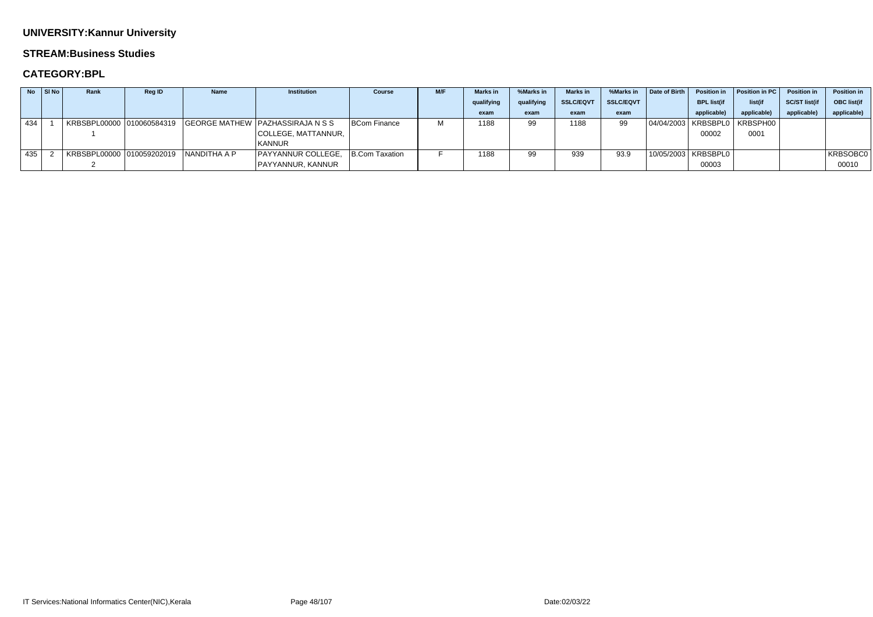#### **STREAM:Business Studies**

|     | $No$ SI $No$ | Rank | <b>Reg ID</b> | <b>Name</b>  | Institution                      | <b>Course</b>  | <b>M/F</b> | <b>Marks</b> in | %Marks in  | <b>Marks</b> in  | %Marks in        | Date of Birth | <b>Position in</b>    | Position in PC                   | <b>Position in</b>  | Position in |
|-----|--------------|------|---------------|--------------|----------------------------------|----------------|------------|-----------------|------------|------------------|------------------|---------------|-----------------------|----------------------------------|---------------------|-------------|
|     |              |      |               |              |                                  |                |            | qualifying      | qualifying | <b>SSLC/EQVT</b> | <b>SSLC/EQVT</b> |               | <b>BPL list(if</b>    | list(if                          | <b>SC/ST list(i</b> | OBC list(if |
|     |              |      |               |              |                                  |                |            | exam            | exam       | exam             | exam             |               | applicable)           | applicable)                      | applicable          | applicable) |
| 434 |              |      |               |              | GEORGE MATHEW PAZHASSIRAJA N S S | BCom Finance   |            | 1188            |            | 1188             | 99               |               |                       | 04/04/2003   KRBSBPL0   KRBSPH00 |                     |             |
|     |              |      |               |              | COLLEGE, MATTANNUR,              |                |            |                 |            |                  |                  |               | 00002                 | 0001                             |                     |             |
|     |              |      |               |              | <b>KANNUR</b>                    |                |            |                 |            |                  |                  |               |                       |                                  |                     |             |
| 435 |              |      |               | NANDITHA A P | <b>PAYYANNUR COLLEGE,</b>        | B.Com Taxation |            | 1188            |            | 939              | 93.9             |               | 10/05/2003   KRBSBPL0 |                                  |                     | KRBSOBC0    |
|     |              |      |               |              | PAYYANNUR, KANNUR                |                |            |                 |            |                  |                  |               | 00003                 |                                  |                     | 00010       |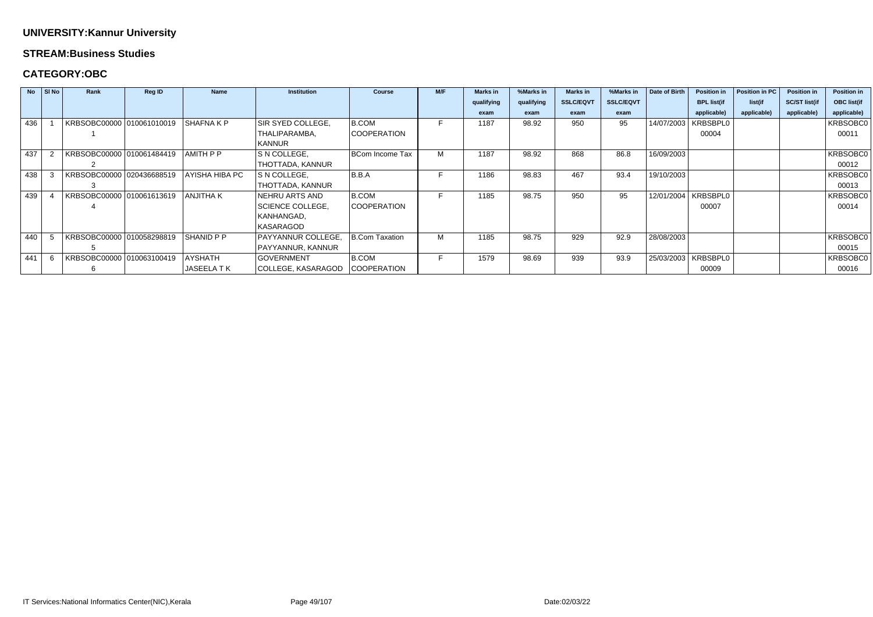#### **STREAM:Business Studies**

|     | $No$ SI No | Rank                      | <b>Reg ID</b> | <b>Name</b>    | <b>Institution</b>      | <b>Course</b>          | M/F | <b>Marks</b> in | %Marks in  | <b>Marks in</b>  | %Marks in        | Date of Birth | <b>Position in</b> | Position in PC | <b>Position in</b>   | <b>Position in</b> |
|-----|------------|---------------------------|---------------|----------------|-------------------------|------------------------|-----|-----------------|------------|------------------|------------------|---------------|--------------------|----------------|----------------------|--------------------|
|     |            |                           |               |                |                         |                        |     | qualifying      | qualifying | <b>SSLC/EQVT</b> | <b>SSLC/EQVT</b> |               | <b>BPL list(if</b> | list(if        | <b>SC/ST list(if</b> | <b>OBC list(if</b> |
|     |            |                           |               |                |                         |                        |     | exam            | exam       | exam             | exam             |               | applicable)        | applicable)    | applicable)          | applicable)        |
| 436 |            | KRBSOBC00000 010061010019 |               | SHAFNA K P     | SIR SYED COLLEGE,       | <b>B.COM</b>           |     | 1187            | 98.92      | 950              | 95               | 14/07/2003    | KRBSBPL0           |                |                      | KRBSOBC0           |
|     |            |                           |               |                | THALIPARAMBA,           | <b>COOPERATION</b>     |     |                 |            |                  |                  |               | 00004              |                |                      | 00011              |
|     |            |                           |               |                | KANNUR                  |                        |     |                 |            |                  |                  |               |                    |                |                      |                    |
| 437 |            | KRBSOBC00000 010061484419 |               | AMITH P P      | S N COLLEGE,            | <b>BCom Income Tax</b> |     | 1187            | 98.92      | 868              | 86.8             | 16/09/2003    |                    |                |                      | KRBSOBC0           |
|     |            |                           |               |                | THOTTADA, KANNUR        |                        |     |                 |            |                  |                  |               |                    |                |                      | 00012              |
| 438 |            | KRBSOBC00000 020436688519 |               | AYISHA HIBA PC | S N COLLEGE,            | B.B.A                  |     | 1186            | 98.83      | 467              | 93.4             | 19/10/2003    |                    |                |                      | KRBSOBC0           |
|     |            |                           |               |                | THOTTADA, KANNUR        |                        |     |                 |            |                  |                  |               |                    |                |                      | 00013              |
| 439 |            | KRBSOBC00000 010061613619 |               | ANJITHA K      | NEHRU ARTS AND          | <b>B.COM</b>           |     | 1185            | 98.75      | 950              | 95               | 12/01/2004    | KRBSBPL0           |                |                      | KRBSOBC0           |
|     |            |                           |               |                | <b>SCIENCE COLLEGE,</b> | <b>COOPERATION</b>     |     |                 |            |                  |                  |               | 00007              |                |                      | 00014              |
|     |            |                           |               |                | KANHANGAD,              |                        |     |                 |            |                  |                  |               |                    |                |                      |                    |
|     |            |                           |               |                | <b>KASARAGOD</b>        |                        |     |                 |            |                  |                  |               |                    |                |                      |                    |
| 440 |            | KRBSOBC00000 010058298819 |               | SHANID P P     | PAYYANNUR COLLEGE,      | B.Com Taxation         | М   | 1185            | 98.75      | 929              | 92.9             | 28/08/2003    |                    |                |                      | KRBSOBC0           |
|     |            |                           |               |                | PAYYANNUR, KANNUR       |                        |     |                 |            |                  |                  |               |                    |                |                      | 00015              |
| 441 |            | KRBSOBC00000 010063100419 |               | <b>AYSHATH</b> | <b>GOVERNMENT</b>       | <b>B.COM</b>           | F   | 1579            | 98.69      | 939              | 93.9             | 25/03/2003    | KRBSBPL0           |                |                      | KRBSOBC0           |
|     |            |                           |               | JASEELA TK     | COLLEGE, KASARAGOD      | <b>COOPERATION</b>     |     |                 |            |                  |                  |               | 00009              |                |                      | 00016              |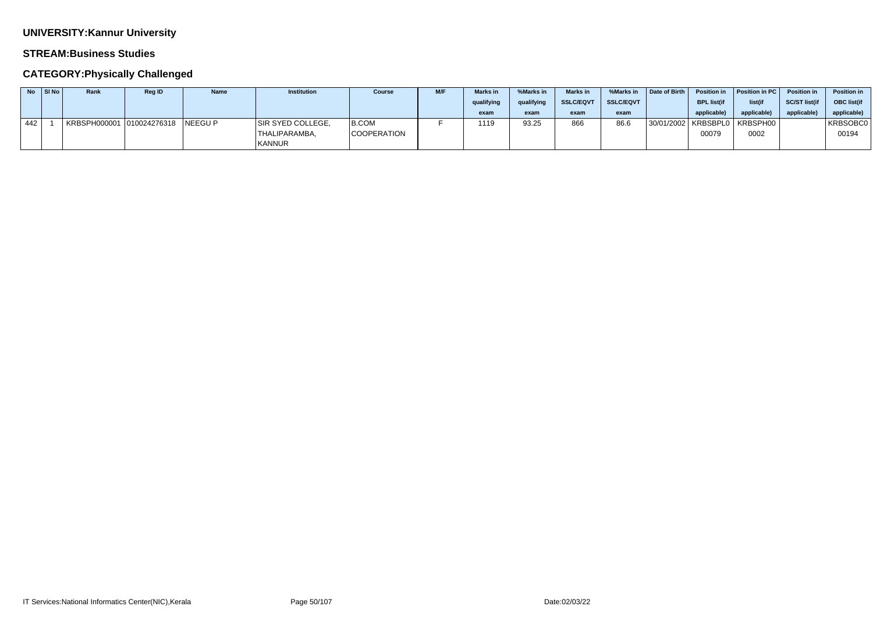### **STREAM:Business Studies**

## **CATEGORY:Physically Challenged**

|     | SI No | Rank | <b>Reg ID</b> | <b>Name</b> | <b>Institution</b> | <b>Course</b>      | M/F | <b>Marks</b> in | %Marks in  | <b>Marks in</b>  | %Marks in        | Date of Birth | <b>Position in</b> | Position in PC | Position in   | <b>Position in</b> |
|-----|-------|------|---------------|-------------|--------------------|--------------------|-----|-----------------|------------|------------------|------------------|---------------|--------------------|----------------|---------------|--------------------|
|     |       |      |               |             |                    |                    |     | qualifying      | qualifying | <b>SSLC/EQVT</b> | <b>SSLC/EQVT</b> |               | <b>BPL list(if</b> | list(if        | SC/ST list(i) | <b>OBC</b> list(if |
|     |       |      |               |             |                    |                    |     | exam            | exam       | exam             | exam             |               | applicable)        | applicable     | applicable    | applicable)        |
| 442 |       |      |               | NEEGU P     | SIR SYED COLLEGE,  | B.COM              |     | 1119            | 93.25      | 866              | 86.6             | 130/01/2002   | ! KRBSBPL0         | ∣KRBSPH00 I    |               | KRBSOBC0           |
|     |       |      |               |             | THALIPARAMBA,      | <b>COOPERATION</b> |     |                 |            |                  |                  |               | 00079              | 0002           |               | 00194              |
|     |       |      |               |             | <b>KANNUR</b>      |                    |     |                 |            |                  |                  |               |                    |                |               |                    |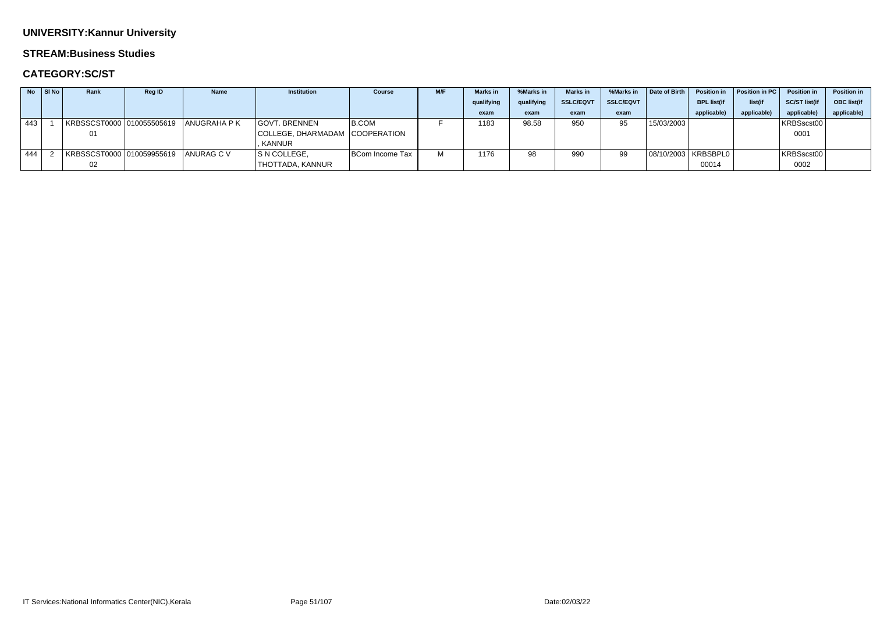#### **STREAM:Business Studies**

## **CATEGORY:SC/ST**

|     | No SI No | Rank                      | <b>Reg ID</b> | <b>Name</b>         | <b>Institution</b>             | <b>Course</b>   | M/F | <b>Marks in</b> | %Marks in  | <b>Marks in</b>  | %Marks in        | Date of Birth | <b>Position in</b> | Position in PC | <b>Position in</b>  | <b>Position in</b> |
|-----|----------|---------------------------|---------------|---------------------|--------------------------------|-----------------|-----|-----------------|------------|------------------|------------------|---------------|--------------------|----------------|---------------------|--------------------|
|     |          |                           |               |                     |                                |                 |     | qualifying      | qualifying | <b>SSLC/EQVT</b> | <b>SSLC/EQVT</b> |               | <b>BPL list(if</b> | list(if        | <b>SC/ST list(i</b> | OBC list(if        |
|     |          |                           |               |                     |                                |                 |     | exam            | exam       | exam             | exam             |               | applicable)        | applicable)    | applicable          | applicable)        |
| 443 |          | KRBSSCST0000 010055505619 |               | <b>ANUGRAHA P K</b> | <b>GOVT. BRENNEN</b>           | $ B$ .COM       |     | 1183            | 98.58      | 950              | 95               | 15/03/2003    |                    |                | KRBSscst00          |                    |
|     |          | 01                        |               |                     | COLLEGE, DHARMADAM COOPERATION |                 |     |                 |            |                  |                  |               |                    |                | 0001                |                    |
|     |          |                           |               |                     | . KANNUR                       |                 |     |                 |            |                  |                  |               |                    |                |                     |                    |
| 444 |          | KRBSSCST0000 010059955619 |               | ANURAG C V          | S N COLLEGE,                   | BCom Income Tax |     | 1176            | 98         | 990              | 99               |               |                    |                | KRBSscst00          |                    |
|     |          | 02                        |               |                     | THOTTADA, KANNUR               |                 |     |                 |            |                  |                  |               | 00014              |                | 0002                |                    |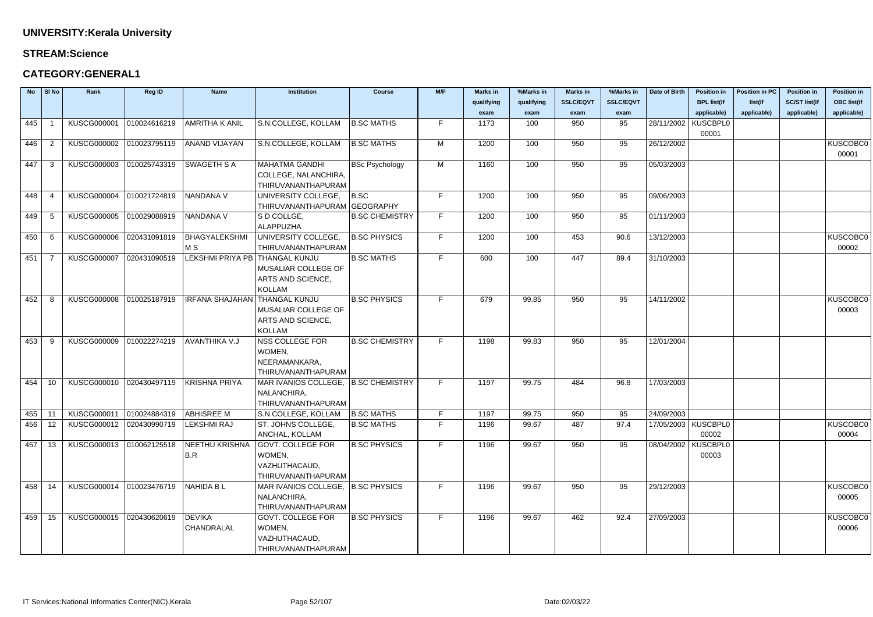## **STREAM:Science**

## **CATEGORY:GENERAL1**

| <b>No</b> | SI No          | Rank                                             | <b>Reg ID</b> | <b>Name</b>                    | Institution                         | <b>Course</b>         | M/F | <b>Marks in</b> | %Marks in  | <b>Marks in</b>  | %Marks in        | Date of Birth | <b>Position in</b>    | <b>Position in PC</b> | <b>Position in</b>   | <b>Position in</b> |
|-----------|----------------|--------------------------------------------------|---------------|--------------------------------|-------------------------------------|-----------------------|-----|-----------------|------------|------------------|------------------|---------------|-----------------------|-----------------------|----------------------|--------------------|
|           |                |                                                  |               |                                |                                     |                       |     | qualifying      | qualifying | <b>SSLC/EQVT</b> | <b>SSLC/EQVT</b> |               | <b>BPL list(if</b>    | list(if               | <b>SC/ST list(if</b> | <b>OBC list(if</b> |
|           |                |                                                  |               |                                |                                     |                       |     | exam            | exam       | exam             | exam             |               | applicable)           | applicable)           | applicable)          | applicable)        |
| 445       |                | <b>KUSCG000001</b>                               | 010024616219  | <b>AMRITHA K ANIL</b>          | S.N.COLLEGE, KOLLAM                 | <b>B.SC MATHS</b>     | F.  | 1173            | 100        | 950              | 95               | 28/11/2002    | KUSCBPL0              |                       |                      |                    |
|           |                |                                                  |               |                                |                                     |                       |     |                 |            |                  |                  |               | 00001                 |                       |                      |                    |
| 446       | $\overline{2}$ | <b>KUSCG000002</b>                               | 010023795119  | <b>ANAND VIJAYAN</b>           | S.N.COLLEGE, KOLLAM                 | <b>B.SC MATHS</b>     | M   | 1200            | 100        | 950              | 95               | 26/12/2002    |                       |                       |                      | <b>KUSCOBCO</b>    |
|           |                |                                                  |               |                                |                                     |                       |     |                 |            |                  |                  |               |                       |                       |                      | 00001              |
| 447       | -3             | <b>KUSCG000003</b>                               | 010025743319  | <b>SWAGETH S A</b>             | MAHATMA GANDHI                      | <b>BSc Psychology</b> | M   | 1160            | 100        | 950              | 95               | 05/03/2003    |                       |                       |                      |                    |
|           |                |                                                  |               |                                | COLLEGE, NALANCHIRA,                |                       |     |                 |            |                  |                  |               |                       |                       |                      |                    |
|           |                |                                                  |               |                                | THIRUVANANTHAPURAM                  |                       |     |                 |            |                  |                  |               |                       |                       |                      |                    |
| 448       | -4             | KUSCG000004 010021724819                         |               | NANDANA V                      | UNIVERSITY COLLEGE,                 | B.SC                  | F.  | 1200            | 100        | 950              | 95               | 09/06/2003    |                       |                       |                      |                    |
|           |                |                                                  |               |                                | THIRUVANANTHAPURAM GEOGRAPHY        |                       |     |                 |            |                  |                  |               |                       |                       |                      |                    |
| 449       | -5             | <b>KUSCG000005</b>                               | 010029088919  | NANDANA V                      | S D COLLGE,                         | <b>B.SC CHEMISTRY</b> | F.  | 1200            | 100        | 950              | 95               | 01/11/2003    |                       |                       |                      |                    |
|           |                |                                                  |               |                                | ALAPPUZHA                           |                       |     |                 |            |                  |                  |               |                       |                       |                      |                    |
| 450       | -6             | <b>KUSCG000006</b>                               | 020431091819  | BHAGYALEKSHMI                  | UNIVERSITY COLLEGE,                 | <b>B.SC PHYSICS</b>   | F.  | 1200            | 100        | 453              | 90.6             | 13/12/2003    |                       |                       |                      | <b>KUSCOBCO</b>    |
|           |                |                                                  |               | M S                            | THIRUVANANTHAPURAM                  |                       |     |                 |            |                  |                  |               |                       |                       |                      | 00002              |
| 451       |                | <b>KUSCG000007</b>                               | 020431090519  | LEKSHMI PRIYA PB THANGAL KUNJU |                                     | <b>B.SC MATHS</b>     | F.  | 600             | 100        | 447              | 89.4             | 31/10/2003    |                       |                       |                      |                    |
|           |                |                                                  |               |                                | MUSALIAR COLLEGE OF                 |                       |     |                 |            |                  |                  |               |                       |                       |                      |                    |
|           |                |                                                  |               |                                | ARTS AND SCIENCE,                   |                       |     |                 |            |                  |                  |               |                       |                       |                      |                    |
|           |                |                                                  |               |                                | <b>KOLLAM</b>                       |                       |     |                 |            |                  |                  |               |                       |                       |                      |                    |
| 452       | -8             | <b>KUSCG000008</b>                               | 010025187919  | IRFANA SHAJAHAN THANGAL KUNJU  |                                     | <b>B.SC PHYSICS</b>   | F.  | 679             | 99.85      | 950              | 95               | 14/11/2002    |                       |                       |                      | <b>KUSCOBCO</b>    |
|           |                |                                                  |               |                                | MUSALIAR COLLEGE OF                 |                       |     |                 |            |                  |                  |               |                       |                       |                      | 00003              |
|           |                |                                                  |               |                                | ARTS AND SCIENCE,                   |                       |     |                 |            |                  |                  |               |                       |                       |                      |                    |
|           |                |                                                  |               |                                | <b>KOLLAM</b>                       |                       |     |                 |            |                  |                  |               |                       |                       |                      |                    |
| 453       | -9             | <b>KUSCG000009</b>                               | 010022274219  | AVANTHIKA V.J                  | NSS COLLEGE FOR                     | <b>B.SC CHEMISTRY</b> | F.  | 1198            | 99.83      | 950              | 95               | 12/01/2004    |                       |                       |                      |                    |
|           |                |                                                  |               |                                | WOMEN,                              |                       |     |                 |            |                  |                  |               |                       |                       |                      |                    |
|           |                |                                                  |               |                                | NEERAMANKARA,                       |                       |     |                 |            |                  |                  |               |                       |                       |                      |                    |
|           |                |                                                  |               |                                | THIRUVANANTHAPURAM                  |                       |     |                 |            |                  |                  |               |                       |                       |                      |                    |
| 454       | 10             | KUSCG000010 020430497119                         |               | KRISHNA PRIYA                  | MAR IVANIOS COLLEGE, B.SC CHEMISTRY |                       | F.  | 1197            | 99.75      | 484              | 96.8             | 17/03/2003    |                       |                       |                      |                    |
|           |                |                                                  |               |                                | NALANCHIRA,                         |                       |     |                 |            |                  |                  |               |                       |                       |                      |                    |
|           |                |                                                  |               |                                | THIRUVANANTHAPURAM                  |                       |     |                 |            |                  |                  |               |                       |                       |                      |                    |
|           |                | 455   11   KUSCG000011  010024884319  ABHISREE M |               |                                | S.N.COLLEGE, KOLLAM   B.SC MATHS    |                       | F.  | 1197            | 99.75      | 950              | 95               | 24/09/2003    |                       |                       |                      |                    |
| 456       | 12             | KUSCG000012 020430990719                         |               | LEKSHMI RAJ                    | ST. JOHNS COLLEGE,                  | <b>B.SC MATHS</b>     | F.  | 1196            | 99.67      | 487              | 97.4             |               | 17/05/2003   KUSCBPL0 |                       |                      | <b>KUSCOBCO</b>    |
|           |                |                                                  |               |                                | ANCHAL, KOLLAM                      |                       |     |                 |            |                  |                  |               | 00002                 |                       |                      | 00004              |
| 457       | 13             | KUSCG000013 010062125518                         |               | <b>NEETHU KRISHNA</b>          | GOVT. COLLEGE FOR                   | <b>B.SC PHYSICS</b>   | F.  | 1196            | 99.67      | 950              | 95               | 08/04/2002    | <b>KUSCBPL0</b>       |                       |                      |                    |
|           |                |                                                  |               | B.R                            | WOMEN,                              |                       |     |                 |            |                  |                  |               | 00003                 |                       |                      |                    |
|           |                |                                                  |               |                                | VAZHUTHACAUD,                       |                       |     |                 |            |                  |                  |               |                       |                       |                      |                    |
|           |                |                                                  |               |                                | THIRUVANANTHAPURAM                  |                       |     |                 |            |                  |                  |               |                       |                       |                      |                    |
| 458       | - 14           | KUSCG000014 010023476719                         |               | NAHIDA B L                     | MAR IVANIOS COLLEGE, B.SC PHYSICS   |                       | F.  | 1196            | 99.67      | 950              | 95               | 29/12/2003    |                       |                       |                      | <b>KUSCOBCO</b>    |
|           |                |                                                  |               |                                | NALANCHIRA,                         |                       |     |                 |            |                  |                  |               |                       |                       |                      | 00005              |
|           |                |                                                  |               |                                | THIRUVANANTHAPURAM                  |                       |     |                 |            |                  |                  |               |                       |                       |                      |                    |
| 459       | 15             | KUSCG000015 020430620619                         |               | DEVIKA                         | <b>GOVT. COLLEGE FOR</b>            | <b>B.SC PHYSICS</b>   | F.  | 1196            | 99.67      | 462              | 92.4             | 27/09/2003    |                       |                       |                      | <b>KUSCOBCO</b>    |
|           |                |                                                  |               | CHANDRALAL                     | WOMEN,                              |                       |     |                 |            |                  |                  |               |                       |                       |                      | 00006              |
|           |                |                                                  |               |                                | VAZHUTHACAUD,                       |                       |     |                 |            |                  |                  |               |                       |                       |                      |                    |
|           |                |                                                  |               |                                | THIRUVANANTHAPURAM                  |                       |     |                 |            |                  |                  |               |                       |                       |                      |                    |

| Date of Birth | <b>Position in</b>       | <b>Position in PC</b> | <b>Position in</b>   | <b>Position in</b>       |
|---------------|--------------------------|-----------------------|----------------------|--------------------------|
|               | <b>BPL list(if</b>       | list(if               | <b>SC/ST list(if</b> | <b>OBC list(if</b>       |
|               | applicable)              | applicable)           | applicable)          | applicable)              |
| 28/11/2002    | <b>KUSCBPL0</b>          |                       |                      |                          |
|               | 00001                    |                       |                      |                          |
| 26/12/2002    |                          |                       |                      | KUSCOBC0                 |
|               |                          |                       |                      | 00001                    |
| 05/03/2003    |                          |                       |                      |                          |
|               |                          |                       |                      |                          |
| 09/06/2003    |                          |                       |                      |                          |
| 01/11/2003    |                          |                       |                      |                          |
| 13/12/2003    |                          |                       |                      | KUSCOBC0                 |
|               |                          |                       |                      | 00002                    |
| 31/10/2003    |                          |                       |                      |                          |
| 14/11/2002    |                          |                       |                      | <b>KUSCOBC0</b><br>00003 |
| 12/01/2004    |                          |                       |                      |                          |
| 17/03/2003    |                          |                       |                      |                          |
| 24/09/2003    |                          |                       |                      |                          |
| 17/05/2003    | <b>KUSCBPL0</b><br>00002 |                       |                      | <b>KUSCOBC0</b><br>00004 |
| 08/04/2002    | <b>KUSCBPL0</b><br>00003 |                       |                      |                          |
| 29/12/2003    |                          |                       |                      | KUSCOBC0<br>00005        |
| 27/09/2003    |                          |                       |                      | KUSCOBC0<br>00006        |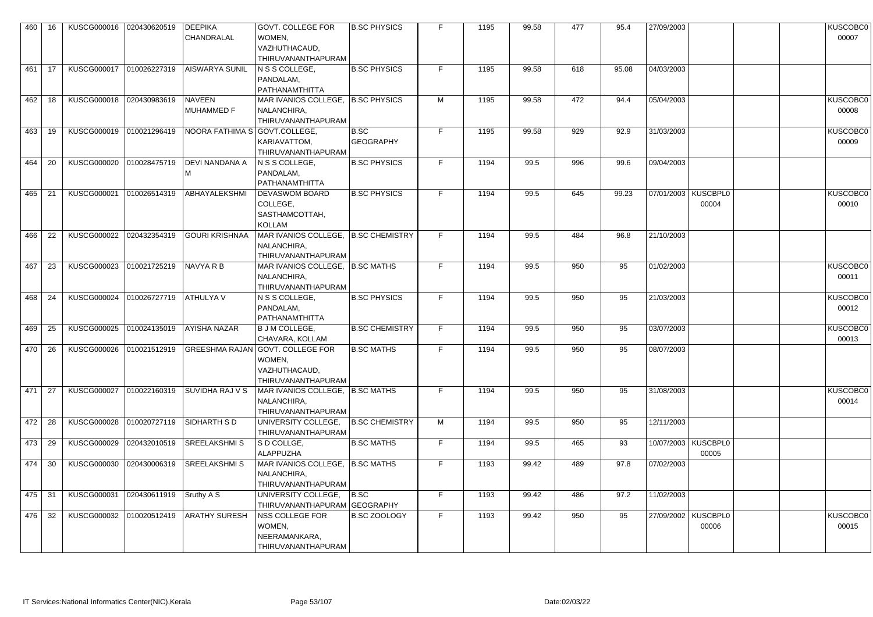| 460    | 16  | KUSCG000016                | 020430620519 | <b>DEEPIKA</b><br><b>CHANDRALAL</b> | <b>GOVT. COLLEGE FOR</b><br>WOMEN,<br>VAZHUTHACAUD,<br>THIRUVANANTHAPURAM                                           | <b>B.SC PHYSICS</b>      |    | 1195 | 99.58 | 477 | 95.4  | 27/09/2003                     | <b>KUSCOBC0</b><br>00007 |
|--------|-----|----------------------------|--------------|-------------------------------------|---------------------------------------------------------------------------------------------------------------------|--------------------------|----|------|-------|-----|-------|--------------------------------|--------------------------|
| 461    | -17 | KUSCG000017   010026227319 |              | <b>AISWARYA SUNIL</b>               | N S SCOLLEGE,<br>PANDALAM,<br>PATHANAMTHITTA                                                                        | <b>B.SC PHYSICS</b>      | F. | 1195 | 99.58 | 618 | 95.08 | 04/03/2003                     |                          |
| 462    | 18  | KUSCG000018                | 020430983619 | <b>NAVEEN</b><br><b>MUHAMMED F</b>  | MAR IVANIOS COLLEGE, B.SC PHYSICS<br>NALANCHIRA,<br>THIRUVANANTHAPURAM                                              |                          | м  | 1195 | 99.58 | 472 | 94.4  | 05/04/2003                     | <b>KUSCOBC0</b><br>00008 |
| 463    | -19 | KUSCG000019 010021296419   |              | NOORA FATHIMA S   GOVT.COLLEGE,     | KARIAVATTOM,<br>THIRUVANANTHAPURAM                                                                                  | B.SC<br><b>GEOGRAPHY</b> | F. | 1195 | 99.58 | 929 | 92.9  | 31/03/2003                     | <b>KUSCOBC0</b><br>00009 |
| 464    | 20  | <b>KUSCG000020</b>         | 010028475719 | DEVI NANDANA A                      | $ N S$ S COLLEGE,<br>PANDALAM,<br>PATHANAMTHITTA                                                                    | <b>B.SC PHYSICS</b>      | F. | 1194 | 99.5  | 996 | 99.6  | 09/04/2003                     |                          |
| 465    | -21 | KUSCG000021                | 010026514319 | <b>ABHAYALEKSHMI</b>                | <b>DEVASWOM BOARD</b><br>COLLEGE,<br>SASTHAMCOTTAH,<br><b>KOLLAM</b>                                                | <b>B.SC PHYSICS</b>      | F  | 1194 | 99.5  | 645 | 99.23 | 07/01/2003   KUSCBPL0<br>00004 | <b>KUSCOBC0</b><br>00010 |
| 466    | 22  | <b>KUSCG000022</b>         | 020432354319 | GOURI KRISHNAA                      | MAR IVANIOS COLLEGE, B.SC CHEMISTRY<br>NALANCHIRA,<br>THIRUVANANTHAPURAM                                            |                          | F. | 1194 | 99.5  | 484 | 96.8  | 21/10/2003                     |                          |
| 467    | 23  | KUSCG000023                | 010021725219 | <b>NAVYA R B</b>                    | MAR IVANIOS COLLEGE,   B.SC MATHS<br>NALANCHIRA,<br>THIRUVANANTHAPURAM                                              |                          | F. | 1194 | 99.5  | 950 | 95    | 01/02/2003                     | <b>KUSCOBC0</b><br>00011 |
| 468    | 24  | <b>KUSCG000024</b>         | 010026727719 | ATHULYA V                           | N S S COLLEGE,<br>PANDALAM,<br>PATHANAMTHITTA                                                                       | <b>B.SC PHYSICS</b>      | F. | 1194 | 99.5  | 950 | 95    | 21/03/2003                     | <b>KUSCOBC0</b><br>00012 |
| 469    | 25  | KUSCG000025                | 010024135019 | <b>AYISHA NAZAR</b>                 | <b>B J M COLLEGE,</b><br>CHAVARA, KOLLAM                                                                            | <b>B.SC CHEMISTRY</b>    | F. | 1194 | 99.5  | 950 | 95    | 03/07/2003                     | <b>KUSCOBC0</b><br>00013 |
|        |     |                            |              |                                     | 470 26   KUSCG000026 010021512919 GREESHMA RAJAN GOVT. COLLEGE FOR<br>WOMEN,<br>VAZHUTHACAUD,<br>THIRUVANANTHAPURAM | <b>B.SC MATHS</b>        | F  | 1194 | 99.5  | 950 | 95    | 08/07/2003                     |                          |
| 471    | 27  | KUSCG000027 010022160319   |              | <b>SUVIDHA RAJ V S</b>              | MAR IVANIOS COLLEGE,   B.SC MATHS<br>NALANCHIRA,<br>THIRUVANANTHAPURAM                                              |                          | F. | 1194 | 99.5  | 950 | 95    | 31/08/2003                     | <b>KUSCOBC0</b><br>00014 |
| 472    | -28 | KUSCG000028 010020727119   |              | <b>SIDHARTH SD</b>                  | UNIVERSITY COLLEGE,<br>THIRUVANANTHAPURAM                                                                           | <b>B.SC CHEMISTRY</b>    | M  | 1194 | 99.5  | 950 | 95    | 12/11/2003                     |                          |
| 473    | 29  | KUSCG000029                | 020432010519 | SREELAKSHMIS                        | S D COLLGE,<br>ALAPPUZHA                                                                                            | <b>B.SC MATHS</b>        | F. | 1194 | 99.5  | 465 | 93    | 10/07/2003   KUSCBPL0<br>00005 |                          |
| 474 30 |     | <b>KUSCG000030</b>         | 020430006319 | SREELAKSHMIS                        | MAR IVANIOS COLLEGE,   B.SC MATHS<br>NALANCHIRA,<br>THIRUVANANTHAPURAM                                              |                          | F  | 1193 | 99.42 | 489 | 97.8  | 07/02/2003                     |                          |
| 475    | -31 | <b>KUSCG000031</b>         | 020430611919 | Sruthy A S                          | UNIVERSITY COLLEGE,<br>THIRUVANANTHAPURAM GEOGRAPHY                                                                 | B.SC                     | F  | 1193 | 99.42 | 486 | 97.2  | 11/02/2003                     |                          |
| 476 32 |     | KUSCG000032 010020512419   |              | <b>ARATHY SURESH</b>                | NSS COLLEGE FOR<br>WOMEN,<br>NEERAMANKARA,<br>THIRUVANANTHAPURAM                                                    | <b>B.SC ZOOLOGY</b>      | F  | 1193 | 99.42 | 950 | 95    | 27/09/2002   KUSCBPL0<br>00006 | <b>KUSCOBC0</b><br>00015 |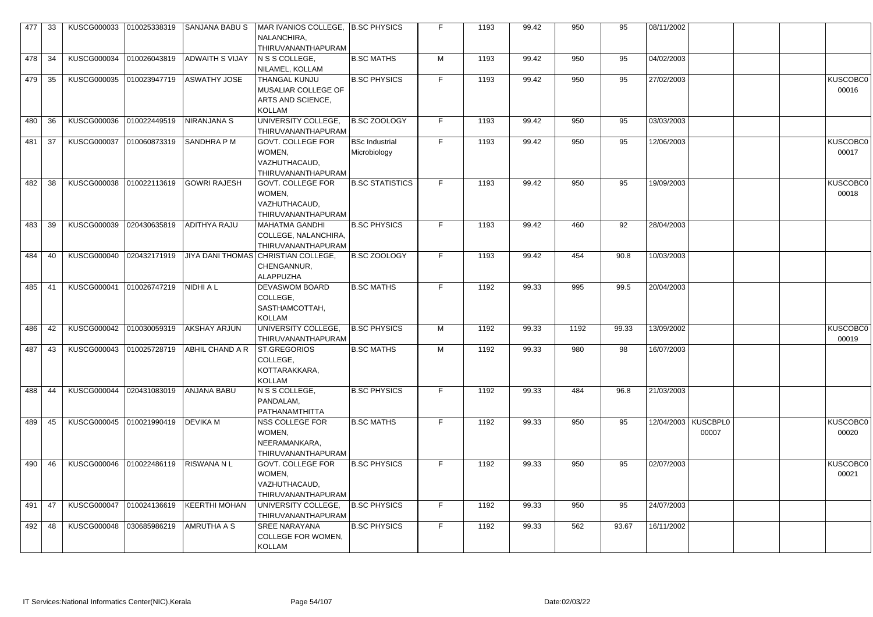| 477 | 33  | KUSCG000033              | 010025338319 | SANJANA BABU S                                        | MAR IVANIOS COLLEGE, B.SC PHYSICS<br>NALANCHIRA,<br><b>THIRUVANANTHAPURAM</b> |                        |    | 1193 | 99.42 | 950  | 95    | 08/11/2002 |                     |                 |
|-----|-----|--------------------------|--------------|-------------------------------------------------------|-------------------------------------------------------------------------------|------------------------|----|------|-------|------|-------|------------|---------------------|-----------------|
| 478 | 34  | KUSCG000034              | 010026043819 | ADWAITH S VIJAY                                       | $N$ S S COLLEGE,                                                              | <b>B.SC MATHS</b>      | M  | 1193 | 99.42 | 950  | 95    | 04/02/2003 |                     |                 |
|     |     |                          |              |                                                       | NILAMEL, KOLLAM                                                               |                        |    |      |       |      |       |            |                     |                 |
| 479 | 35  | <b>KUSCG000035</b>       | 010023947719 | ASWATHY JOSE                                          | THANGAL KUNJU                                                                 | <b>B.SC PHYSICS</b>    | F. | 1193 | 99.42 | 950  | 95    | 27/02/2003 |                     | <b>KUSCOBC0</b> |
|     |     |                          |              |                                                       | MUSALIAR COLLEGE OF                                                           |                        |    |      |       |      |       |            |                     | 00016           |
|     |     |                          |              |                                                       | ARTS AND SCIENCE,                                                             |                        |    |      |       |      |       |            |                     |                 |
|     |     |                          |              |                                                       | <b>KOLLAM</b>                                                                 |                        |    |      |       |      |       |            |                     |                 |
| 480 | 36  | <b>KUSCG000036</b>       | 010022449519 | NIRANJANA S                                           | UNIVERSITY COLLEGE,                                                           | <b>B.SC ZOOLOGY</b>    | F. | 1193 | 99.42 | 950  | 95    | 03/03/2003 |                     |                 |
|     |     |                          |              |                                                       | THIRUVANANTHAPURAM                                                            |                        |    |      |       |      |       |            |                     |                 |
| 481 | 37  | <b>KUSCG000037</b>       | 010060873319 | SANDHRA P M                                           | <b>GOVT. COLLEGE FOR</b>                                                      | <b>BSc Industrial</b>  | F. | 1193 | 99.42 | 950  | 95    | 12/06/2003 |                     | <b>KUSCOBC0</b> |
|     |     |                          |              |                                                       | WOMEN,                                                                        |                        |    |      |       |      |       |            |                     | 00017           |
|     |     |                          |              |                                                       | VAZHUTHACAUD,                                                                 | Microbiology           |    |      |       |      |       |            |                     |                 |
|     |     |                          |              |                                                       | THIRUVANANTHAPURAM                                                            |                        |    |      |       |      |       |            |                     |                 |
| 482 | 38  | <b>KUSCG000038</b>       | 010022113619 | <b>GOWRI RAJESH</b>                                   | <b>GOVT. COLLEGE FOR</b>                                                      | <b>B.SC STATISTICS</b> |    | 1193 | 99.42 | 950  | 95    | 19/09/2003 |                     | <b>KUSCOBC0</b> |
|     |     |                          |              |                                                       | WOMEN,                                                                        |                        |    |      |       |      |       |            |                     | 00018           |
|     |     |                          |              |                                                       | VAZHUTHACAUD,                                                                 |                        |    |      |       |      |       |            |                     |                 |
|     |     |                          |              |                                                       | THIRUVANANTHAPURAM                                                            |                        |    |      |       |      |       |            |                     |                 |
|     |     | KUSCG000039              | 020430635819 | <b>ADITHYA RAJU</b>                                   | <b>MAHATMA GANDHI</b>                                                         | <b>B.SC PHYSICS</b>    | F. | 1193 | 99.42 | 460  | 92    | 28/04/2003 |                     |                 |
| 483 | 39  |                          |              |                                                       |                                                                               |                        |    |      |       |      |       |            |                     |                 |
|     |     |                          |              |                                                       | COLLEGE, NALANCHIRA,                                                          |                        |    |      |       |      |       |            |                     |                 |
|     |     |                          |              |                                                       | THIRUVANANTHAPURAM                                                            |                        | F. |      |       |      |       |            |                     |                 |
| 484 | 40  | <b>KUSCG000040</b>       | 020432171919 |                                                       | JIYA DANI THOMAS CHRISTIAN COLLEGE,                                           | <b>B.SC ZOOLOGY</b>    |    | 1193 | 99.42 | 454  | 90.8  | 10/03/2003 |                     |                 |
|     |     |                          |              |                                                       | CHENGANNUR,                                                                   |                        |    |      |       |      |       |            |                     |                 |
|     |     |                          |              | <b>NIDHI A L</b>                                      | <b>ALAPPUZHA</b>                                                              |                        | E. | 1192 |       | 995  |       |            |                     |                 |
| 485 | -41 | <b>KUSCG000041</b>       | 010026747219 |                                                       | DEVASWOM BOARD                                                                | <b>B.SC MATHS</b>      |    |      | 99.33 |      | 99.5  | 20/04/2003 |                     |                 |
|     |     |                          |              |                                                       | COLLEGE,                                                                      |                        |    |      |       |      |       |            |                     |                 |
|     |     |                          |              |                                                       | SASTHAMCOTTAH,                                                                |                        |    |      |       |      |       |            |                     |                 |
|     |     |                          |              |                                                       | <b>KOLLAM</b>                                                                 |                        |    |      |       |      |       |            |                     |                 |
| 486 | 42  | <b>KUSCG000042</b>       | 010030059319 | <b>AKSHAY ARJUN</b>                                   | UNIVERSITY COLLEGE,                                                           | <b>B.SC PHYSICS</b>    | M  | 1192 | 99.33 | 1192 | 99.33 | 13/09/2002 |                     | <b>KUSCOBC0</b> |
|     |     |                          |              |                                                       | THIRUVANANTHAPURAM                                                            |                        |    |      |       |      |       |            |                     | 00019           |
|     |     |                          |              | 487 43   KUSCG000043   010025728719   ABHIL CHAND A R | ST.GREGORIOS                                                                  | <b>B.SC MATHS</b>      | M  | 1192 | 99.33 | 980  | 98    | 16/07/2003 |                     |                 |
|     |     |                          |              |                                                       | COLLEGE,                                                                      |                        |    |      |       |      |       |            |                     |                 |
|     |     |                          |              |                                                       | KOTTARAKKARA,                                                                 |                        |    |      |       |      |       |            |                     |                 |
|     |     |                          |              |                                                       | KOLLAM                                                                        |                        |    |      |       |      |       |            |                     |                 |
| 488 | 44  | KUSCG000044 020431083019 |              | ANJANA BABU                                           | N S S COLLEGE,                                                                | <b>B.SC PHYSICS</b>    | F. | 1192 | 99.33 | 484  | 96.8  | 21/03/2003 |                     |                 |
|     |     |                          |              |                                                       | PANDALAM,                                                                     |                        |    |      |       |      |       |            |                     |                 |
|     |     |                          |              |                                                       | PATHANAMTHITTA                                                                |                        |    |      |       |      |       |            | 12/04/2003 KUSCBPL0 | <b>KUSCOBC0</b> |
| 489 | 45  | <b>KUSCG000045</b>       | 010021990419 | <b>DEVIKA M</b>                                       | NSS COLLEGE FOR                                                               | <b>B.SC MATHS</b>      | F. | 1192 | 99.33 | 950  | 95    |            |                     |                 |
|     |     |                          |              |                                                       | WOMEN,                                                                        |                        |    |      |       |      |       |            | 00007               | 00020           |
|     |     |                          |              |                                                       | NEERAMANKARA,                                                                 |                        |    |      |       |      |       |            |                     |                 |
|     |     |                          |              |                                                       | THIRUVANANTHAPURAM                                                            |                        |    |      |       |      |       |            |                     |                 |
| 490 | 46  | KUSCG000046 010022486119 |              | RISWANA N L                                           | <b>GOVT. COLLEGE FOR</b>                                                      | <b>B.SC PHYSICS</b>    | F. | 1192 | 99.33 | 950  | 95    | 02/07/2003 |                     | <b>KUSCOBC0</b> |
|     |     |                          |              |                                                       | WOMEN,                                                                        |                        |    |      |       |      |       |            |                     | 00021           |
|     |     |                          |              |                                                       | VAZHUTHACAUD,                                                                 |                        |    |      |       |      |       |            |                     |                 |
|     |     |                          |              |                                                       | THIRUVANANTHAPURAM                                                            |                        |    |      |       |      |       |            |                     |                 |
| 491 | 47  | KUSCG000047 010024136619 |              | KEERTHI MOHAN                                         | UNIVERSITY COLLEGE,                                                           | <b>B.SC PHYSICS</b>    | F. | 1192 | 99.33 | 950  | 95    | 24/07/2003 |                     |                 |
|     |     |                          |              |                                                       | THIRUVANANTHAPURAM                                                            |                        |    |      |       |      |       |            |                     |                 |
| 492 | -48 | <b>KUSCG000048</b>       | 030685986219 | AMRUTHA A S                                           | <b>SREE NARAYANA</b>                                                          | <b>B.SC PHYSICS</b>    | F. | 1192 | 99.33 | 562  | 93.67 | 16/11/2002 |                     |                 |
|     |     |                          |              |                                                       | COLLEGE FOR WOMEN,                                                            |                        |    |      |       |      |       |            |                     |                 |
|     |     |                          |              |                                                       | <b>KOLLAM</b>                                                                 |                        |    |      |       |      |       |            |                     |                 |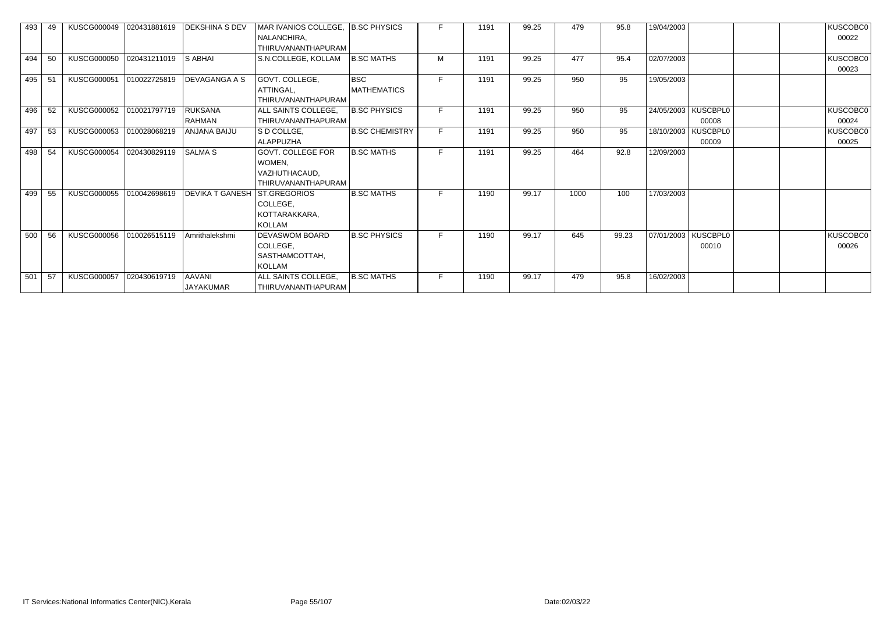| 493 | 49  | <b>KUSCG000049</b> | 020431881619 | <b>DEKSHINA S DEV</b>             | MAR IVANIOS COLLEGE, B.SC PHYSICS<br>NALANCHIRA,                          |                           |    | 1191 | 99.25 | 479  | 95.8  | 19/04/2003 |                                | KUSCOBC0<br>00022 |
|-----|-----|--------------------|--------------|-----------------------------------|---------------------------------------------------------------------------|---------------------------|----|------|-------|------|-------|------------|--------------------------------|-------------------|
| 494 | 50  | <b>KUSCG000050</b> | 020431211019 | <b>S ABHAI</b>                    | THIRUVANANTHAPURAM<br>S.N.COLLEGE, KOLLAM                                 | <b>B.SC MATHS</b>         | M  | 1191 | 99.25 | 477  | 95.4  | 02/07/2003 |                                | KUSCOBC0<br>00023 |
| 495 | -51 | <b>KUSCG000051</b> | 010022725819 | <b>DEVAGANGA A S</b>              | GOVT. COLLEGE,<br>ATTINGAL,<br>THIRUVANANTHAPURAM                         | <b>BSC</b><br>MATHEMATICS |    | 1191 | 99.25 | 950  | 95    | 19/05/2003 |                                |                   |
| 496 | 52  | <b>KUSCG000052</b> | 010021797719 | <b>RUKSANA</b><br><b>RAHMAN</b>   | ALL SAINTS COLLEGE,<br>THIRUVANANTHAPURAM                                 | <b>B.SC PHYSICS</b>       | F. | 1191 | 99.25 | 950  | 95    |            | 24/05/2003   KUSCBPL0<br>00008 | KUSCOBC0<br>00024 |
| 497 | 53  | KUSCG000053        | 010028068219 | <b>ANJANA BAIJU</b>               | S D COLLGE.<br><b>ALAPPUZHA</b>                                           | <b>B.SC CHEMISTRY</b>     | F. | 1191 | 99.25 | 950  | 95    | 18/10/2003 | <b>KUSCBPL0</b><br>00009       | KUSCOBC0<br>00025 |
| 498 | 54  | <b>KUSCG000054</b> | 020430829119 | <b>SALMA S</b>                    | <b>GOVT. COLLEGE FOR</b><br>WOMEN,<br>VAZHUTHACAUD,<br>THIRUVANANTHAPURAM | <b>B.SC MATHS</b>         | F  | 1191 | 99.25 | 464  | 92.8  | 12/09/2003 |                                |                   |
| 499 | 55  | <b>KUSCG000055</b> | 010042698619 | <b>DEVIKA T GANESH</b>            | <b>ST.GREGORIOS</b><br>COLLEGE,<br>KOTTARAKKARA,<br><b>KOLLAM</b>         | <b>B.SC MATHS</b>         |    | 1190 | 99.17 | 1000 | 100   | 17/03/2003 |                                |                   |
| 500 | 56  | <b>KUSCG000056</b> | 010026515119 | Amrithalekshmi                    | DEVASWOM BOARD<br>COLLEGE,<br>SASTHAMCOTTAH,<br><b>KOLLAM</b>             | <b>B.SC PHYSICS</b>       | F. | 1190 | 99.17 | 645  | 99.23 |            | 07/01/2003   KUSCBPL0<br>00010 | KUSCOBC0<br>00026 |
| 501 | 57  | <b>KUSCG000057</b> | 020430619719 | <b>AAVANI</b><br><b>JAYAKUMAR</b> | ALL SAINTS COLLEGE,<br>THIRUVANANTHAPURAM                                 | <b>B.SC MATHS</b>         | F. | 1190 | 99.17 | 479  | 95.8  | 16/02/2003 |                                |                   |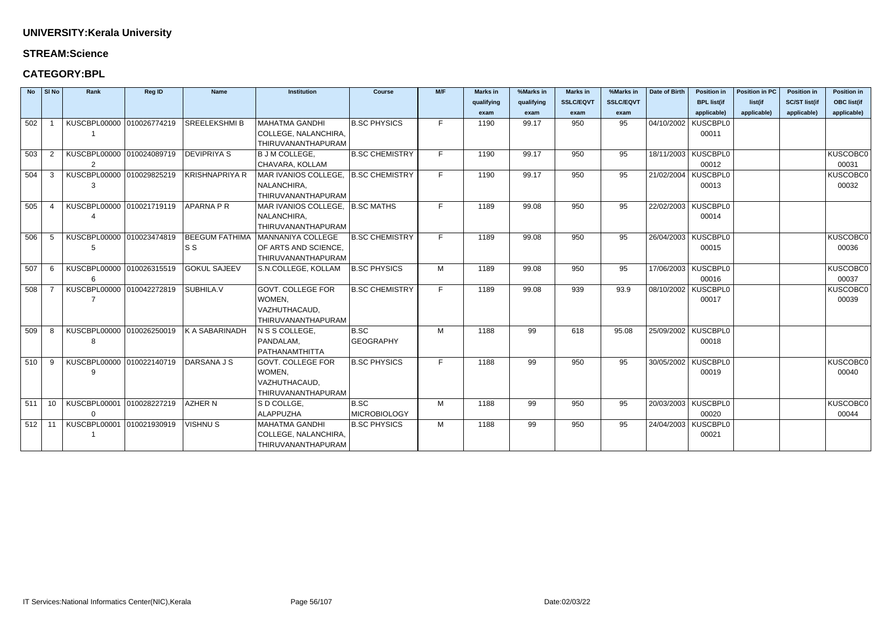### **STREAM:Science**

| <b>SSLC/EQVT</b><br><b>SSLC/EQVT</b><br><b>BPL list(if</b><br>list(if<br>qualifying<br>qualifying<br>applicable)<br>applicable)<br>exam<br>exam<br>exam<br>exam<br>F<br>04/10/2002   KUSCBPL0<br>KUSCBPL00000 010026774219<br><b>SREELEKSHMI B</b><br><b>MAHATMA GANDHI</b><br><b>B.SC PHYSICS</b><br>950<br>95<br>502<br>1190<br>99.17<br>COLLEGE, NALANCHIRA,<br>00011 | <b>SC/ST list(if</b><br><b>OBC list(if</b><br>applicable)<br>applicable)<br><b>KUSCOBC0</b><br>00031 |
|--------------------------------------------------------------------------------------------------------------------------------------------------------------------------------------------------------------------------------------------------------------------------------------------------------------------------------------------------------------------------|------------------------------------------------------------------------------------------------------|
|                                                                                                                                                                                                                                                                                                                                                                          |                                                                                                      |
|                                                                                                                                                                                                                                                                                                                                                                          |                                                                                                      |
|                                                                                                                                                                                                                                                                                                                                                                          |                                                                                                      |
|                                                                                                                                                                                                                                                                                                                                                                          |                                                                                                      |
| THIRUVANANTHAPURAM                                                                                                                                                                                                                                                                                                                                                       |                                                                                                      |
| KUSCBPL00000 010024089719<br><b>B.SC CHEMISTRY</b><br>F<br>18/11/2003 KUSCBPL0<br>503<br><b>DEVIPRIYA S</b><br><b>B J M COLLEGE,</b><br>99.17<br>950<br>95<br>$\overline{2}$<br>1190                                                                                                                                                                                     |                                                                                                      |
| 00012<br>2<br>CHAVARA, KOLLAM                                                                                                                                                                                                                                                                                                                                            |                                                                                                      |
| KUSCBPL00000 010029825219<br>KRISHNAPRIYA R<br>MAR IVANIOS COLLEGE, B.SC CHEMISTRY<br>F<br>21/02/2004   KUSCBPL0<br>504<br>1190<br>99.17<br>950<br>95<br>3                                                                                                                                                                                                               | <b>KUSCOBC0</b>                                                                                      |
| NALANCHIRA,<br>00013<br>3                                                                                                                                                                                                                                                                                                                                                | 00032                                                                                                |
| THIRUVANANTHAPURAM                                                                                                                                                                                                                                                                                                                                                       |                                                                                                      |
| F<br>22/02/2003 KUSCBPL0<br>KUSCBPL00000 010021719119<br><b>APARNA P R</b><br>MAR IVANIOS COLLEGE, B.SC MATHS<br>95<br>505<br>1189<br>99.08<br>950<br>-4                                                                                                                                                                                                                 |                                                                                                      |
| NALANCHIRA,<br>00014                                                                                                                                                                                                                                                                                                                                                     |                                                                                                      |
| THIRUVANANTHAPURAM                                                                                                                                                                                                                                                                                                                                                       |                                                                                                      |
| F<br>26/04/2003   KUSCBPL0<br>506<br>KUSCBPL00000 010023474819<br><b>BEEGUM FATHIMA</b><br>MANNANIYA COLLEGE<br><b>B.SC CHEMISTRY</b><br>1189<br>99.08<br>950<br>95<br>-5                                                                                                                                                                                                | <b>KUSCOBC0</b>                                                                                      |
| ls s<br>OF ARTS AND SCIENCE,<br>00015<br>-5                                                                                                                                                                                                                                                                                                                              | 00036                                                                                                |
| THIRUVANANTHAPURAM                                                                                                                                                                                                                                                                                                                                                       |                                                                                                      |
| 17/06/2003 KUSCBPL0<br>KUSCBPL00000 010026315519<br><b>GOKUL SAJEEV</b><br>S.N.COLLEGE, KOLLAM<br><b>B.SC PHYSICS</b><br>507<br>M<br>1189<br>99.08<br>950<br>95<br>-6                                                                                                                                                                                                    | <b>KUSCOBC0</b>                                                                                      |
| 00016<br>6                                                                                                                                                                                                                                                                                                                                                               | 00037                                                                                                |
| KUSCBPL00000 010042272819<br><b>GOVT. COLLEGE FOR</b><br>08/10/2002   KUSCBPL0<br>SUBHILA.V<br><b>B.SC CHEMISTRY</b><br>F<br>508<br>1189<br>99.08<br>939<br>93.9                                                                                                                                                                                                         | <b>KUSCOBC0</b>                                                                                      |
| $\overline{7}$<br>WOMEN,<br>00017                                                                                                                                                                                                                                                                                                                                        | 00039                                                                                                |
| VAZHUTHACAUD,                                                                                                                                                                                                                                                                                                                                                            |                                                                                                      |
| THIRUVANANTHAPURAM                                                                                                                                                                                                                                                                                                                                                       |                                                                                                      |
| KUSCBPL00000 010026250019<br>25/09/2002   KUSCBPL0<br>K A SABARINADH<br>$ $ N S S COLLEGE.<br>B.SC<br>M<br>99<br>509<br>1188<br>618<br>95.08<br>-8                                                                                                                                                                                                                       |                                                                                                      |
| PANDALAM,<br><b>GEOGRAPHY</b><br>00018<br>8<br>PATHANAMTHITTA                                                                                                                                                                                                                                                                                                            |                                                                                                      |
| KUSCBPL00000 010022140719<br><b>GOVT. COLLEGE FOR</b><br>F<br>30/05/2002 KUSCBPL0<br>DARSANA J S<br><b>B.SC PHYSICS</b><br>99<br>950<br>95<br>510<br>1188<br>-9                                                                                                                                                                                                          | <b>KUSCOBC0</b>                                                                                      |
| 00019<br>WOMEN,<br>9                                                                                                                                                                                                                                                                                                                                                     | 00040                                                                                                |
| VAZHUTHACAUD,                                                                                                                                                                                                                                                                                                                                                            |                                                                                                      |
| THIRUVANANTHAPURAM                                                                                                                                                                                                                                                                                                                                                       |                                                                                                      |
| KUSCBPL00001 010028227219<br>20/03/2003   KUSCBPL0<br>511<br>AZHER N<br>S D COLLGE,<br>B.SC<br>M<br>99<br>950<br>95<br>$10^{-}$<br>1188                                                                                                                                                                                                                                  | <b>KUSCOBC0</b>                                                                                      |
| <b>ALAPPUZHA</b><br><b>MICROBIOLOGY</b><br>00020<br>$\Omega$                                                                                                                                                                                                                                                                                                             | 00044                                                                                                |
| 24/04/2003   KUSCBPL0<br>KUSCBPL00001 010021930919<br><b>MAHATMA GANDHI</b><br><b>B.SC PHYSICS</b><br>99<br><b>VISHNUS</b><br>M<br>1188<br>950<br>95<br>$512$ 11                                                                                                                                                                                                         |                                                                                                      |
| COLLEGE, NALANCHIRA,<br>00021                                                                                                                                                                                                                                                                                                                                            |                                                                                                      |
| THIRUVANANTHAPURAM                                                                                                                                                                                                                                                                                                                                                       |                                                                                                      |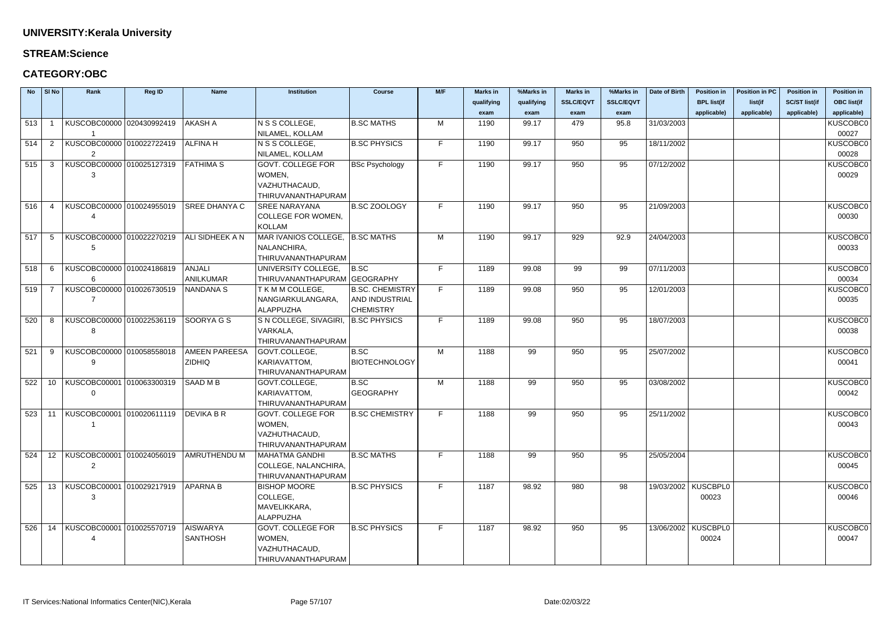### **STREAM:Science**

| <b>No</b> | SI No | Rank                                        | <b>Reg ID</b> | <b>Name</b>          | <b>Institution</b>                  | <b>Course</b>          | M/F | <b>Marks in</b> | %Marks in  | <b>Marks in</b>  | %Marks in        | Date of Birth | <b>Position in</b>    | <b>Position in PC</b> | <b>Position in</b>   | <b>Position in</b> |
|-----------|-------|---------------------------------------------|---------------|----------------------|-------------------------------------|------------------------|-----|-----------------|------------|------------------|------------------|---------------|-----------------------|-----------------------|----------------------|--------------------|
|           |       |                                             |               |                      |                                     |                        |     | qualifying      | qualifying | <b>SSLC/EQVT</b> | <b>SSLC/EQVT</b> |               | <b>BPL list(if</b>    | list(if               | <b>SC/ST list(if</b> | <b>OBC list(if</b> |
|           |       |                                             |               |                      |                                     |                        |     | exam            | exam       | exam             | exam             |               | applicable)           | applicable)           | applicable)          | applicable)        |
| 513       |       | KUSCOBC00000 020430992419                   |               | <b>AKASH A</b>       | N S S COLLEGE,                      | <b>B.SC MATHS</b>      | М   | 1190            | 99.17      | 479              | 95.8             | 31/03/2003    |                       |                       |                      | KUSCOBC0           |
|           |       |                                             |               |                      | NILAMEL, KOLLAM                     |                        |     |                 |            |                  |                  |               |                       |                       |                      | 00027              |
| 514       | 2     | KUSCOBC00000 010022722419                   |               | <b>ALFINA H</b>      | N S S COLLEGE,                      | <b>B.SC PHYSICS</b>    | F.  | 1190            | 99.17      | 950              | 95               | 18/11/2002    |                       |                       |                      | <b>KUSCOBC0</b>    |
|           |       |                                             |               |                      | NILAMEL, KOLLAM                     |                        |     |                 |            |                  |                  |               |                       |                       |                      | 00028              |
| 515       | -3    | KUSCOBC00000 010025127319                   |               | <b>FATHIMA S</b>     | <b>GOVT. COLLEGE FOR</b>            | <b>BSc Psychology</b>  | F.  | 1190            | 99.17      | 950              | 95               | 07/12/2002    |                       |                       |                      | <b>KUSCOBC0</b>    |
|           |       | 3                                           |               |                      | WOMEN,                              |                        |     |                 |            |                  |                  |               |                       |                       |                      | 00029              |
|           |       |                                             |               |                      | VAZHUTHACAUD,                       |                        |     |                 |            |                  |                  |               |                       |                       |                      |                    |
|           |       |                                             |               |                      | THIRUVANANTHAPURAM                  |                        |     |                 |            |                  |                  |               |                       |                       |                      |                    |
| 516       |       | KUSCOBC00000 010024955019                   |               | <b>SREE DHANYA C</b> | <b>SREE NARAYANA</b>                | <b>B.SC ZOOLOGY</b>    | F   | 1190            | 99.17      | 950              | 95               | 21/09/2003    |                       |                       |                      | <b>KUSCOBC0</b>    |
|           |       |                                             |               |                      | <b>COLLEGE FOR WOMEN,</b>           |                        |     |                 |            |                  |                  |               |                       |                       |                      | 00030              |
|           |       |                                             |               |                      | KOLLAM                              |                        |     |                 |            |                  |                  |               |                       |                       |                      |                    |
| 517       | -5    | KUSCOBC00000 010022270219                   |               | ALI SIDHEEK A N      | MAR IVANIOS COLLEGE, B.SC MATHS     |                        | M   | 1190            | 99.17      | 929              | 92.9             | 24/04/2003    |                       |                       |                      | <b>KUSCOBC0</b>    |
|           |       | 5                                           |               |                      | NALANCHIRA,                         |                        |     |                 |            |                  |                  |               |                       |                       |                      | 00033              |
|           |       |                                             |               |                      | THIRUVANANTHAPURAM                  |                        |     |                 |            |                  |                  |               |                       |                       |                      |                    |
| 518       | -6    | KUSCOBC00000 010024186819                   |               | <b>ANJALI</b>        | UNIVERSITY COLLEGE,                 | B.SC                   | F.  | 1189            | 99.08      | 99               | 99               | 07/11/2003    |                       |                       |                      | KUSCOBC0           |
|           |       | 6                                           |               | ANILKUMAR            | THIRUVANANTHAPURAM GEOGRAPHY        |                        |     |                 |            |                  |                  |               |                       |                       |                      | 00034              |
| 519       |       | KUSCOBC00000 010026730519                   |               | <b>NANDANA S</b>     | <b>TKMMCOLLEGE,</b>                 | <b>B.SC. CHEMISTRY</b> | F.  | 1189            | 99.08      | 950              | 95               | 12/01/2003    |                       |                       |                      | <b>KUSCOBC0</b>    |
|           |       |                                             |               |                      | NANGIARKULANGARA,                   | AND INDUSTRIAL         |     |                 |            |                  |                  |               |                       |                       |                      | 00035              |
|           |       |                                             |               |                      | <b>ALAPPUZHA</b>                    | <b>CHEMISTRY</b>       |     |                 |            |                  |                  |               |                       |                       |                      |                    |
| 520       | -8    | KUSCOBC00000 010022536119                   |               | SOORYA G S           | S N COLLEGE, SIVAGIRI, B.SC PHYSICS |                        |     | 1189            | 99.08      | 950              | 95               | 18/07/2003    |                       |                       |                      | <b>KUSCOBC0</b>    |
|           |       | 8                                           |               |                      | VARKALA,                            |                        |     |                 |            |                  |                  |               |                       |                       |                      | 00038              |
|           |       |                                             |               |                      | THIRUVANANTHAPURAM                  |                        |     |                 |            |                  |                  |               |                       |                       |                      |                    |
| 521       | -9    | KUSCOBC00000 010058558018                   |               | <b>AMEEN PAREESA</b> | GOVT.COLLEGE,                       | B.SC                   | M   | 1188            | 99         | 950              | 95               | 25/07/2002    |                       |                       |                      | <b>KUSCOBC0</b>    |
|           |       | 9                                           |               | ZIDHIQ               | KARIAVATTOM,                        | <b>BIOTECHNOLOGY</b>   |     |                 |            |                  |                  |               |                       |                       |                      | 00041              |
|           |       |                                             |               |                      | THIRUVANANTHAPURAM                  |                        |     |                 |            |                  |                  |               |                       |                       |                      |                    |
| 522       | 10    | KUSCOBC00001 010063300319                   |               | SAAD M B             | GOVT.COLLEGE,                       | B.SC                   | M   | 1188            | 99         | 950              | 95               | 03/08/2002    |                       |                       |                      | KUSCOBC0           |
|           |       | $\Omega$                                    |               |                      | KARIAVATTOM,                        | GEOGRAPHY              |     |                 |            |                  |                  |               |                       |                       |                      | 00042              |
|           |       | 523 11 KUSCOBC00001 010020611119 DEVIKA B R |               |                      | THIRUVANANTHAPURAM                  |                        | F.  |                 |            |                  |                  | 25/11/2002    |                       |                       |                      | <b>KUSCOBC0</b>    |
|           |       |                                             |               |                      | <b>GOVT. COLLEGE FOR</b><br>WOMEN,  | <b>B.SC CHEMISTRY</b>  |     | 1188            | 99         | 950              | 95               |               |                       |                       |                      | 00043              |
|           |       |                                             |               |                      | VAZHUTHACAUD,                       |                        |     |                 |            |                  |                  |               |                       |                       |                      |                    |
|           |       |                                             |               |                      | THIRUVANANTHAPURAM                  |                        |     |                 |            |                  |                  |               |                       |                       |                      |                    |
| 524       |       | 12   KUSCOBC00001   010024056019            |               | AMRUTHENDU M         | MAHATMA GANDHI                      | <b>B.SC MATHS</b>      | Е.  | 1188            | 99         | 950              | 95               | 25/05/2004    |                       |                       |                      | <b>KUSCOBC0</b>    |
|           |       | 2                                           |               |                      | COLLEGE, NALANCHIRA,                |                        |     |                 |            |                  |                  |               |                       |                       |                      | 00045              |
|           |       |                                             |               |                      | THIRUVANANTHAPURAM                  |                        |     |                 |            |                  |                  |               |                       |                       |                      |                    |
| 525       |       | 13   KUSCOBC00001   010029217919            |               | <b>APARNA B</b>      | <b>BISHOP MOORE</b>                 | <b>B.SC PHYSICS</b>    | F.  | 1187            | 98.92      | 980              | 98               |               | 19/03/2002 KUSCBPL0   |                       |                      | <b>KUSCOBC0</b>    |
|           |       | 3                                           |               |                      | COLLEGE,                            |                        |     |                 |            |                  |                  |               | 00023                 |                       |                      | 00046              |
|           |       |                                             |               |                      | MAVELIKKARA,                        |                        |     |                 |            |                  |                  |               |                       |                       |                      |                    |
|           |       |                                             |               |                      | ALAPPUZHA                           |                        |     |                 |            |                  |                  |               |                       |                       |                      |                    |
| 526       |       | 14   KUSCOBC00001   010025570719            |               | <b>AISWARYA</b>      | <b>GOVT. COLLEGE FOR</b>            | <b>B.SC PHYSICS</b>    | F.  | 1187            | 98.92      | 950              | 95               |               | 13/06/2002   KUSCBPL0 |                       |                      | KUSCOBC0           |
|           |       |                                             |               | <b>SANTHOSH</b>      | WOMEN,                              |                        |     |                 |            |                  |                  |               | 00024                 |                       |                      | 00047              |
|           |       |                                             |               |                      | VAZHUTHACAUD,                       |                        |     |                 |            |                  |                  |               |                       |                       |                      |                    |
|           |       |                                             |               |                      | THIRUVANANTHAPURAM                  |                        |     |                 |            |                  |                  |               |                       |                       |                      |                    |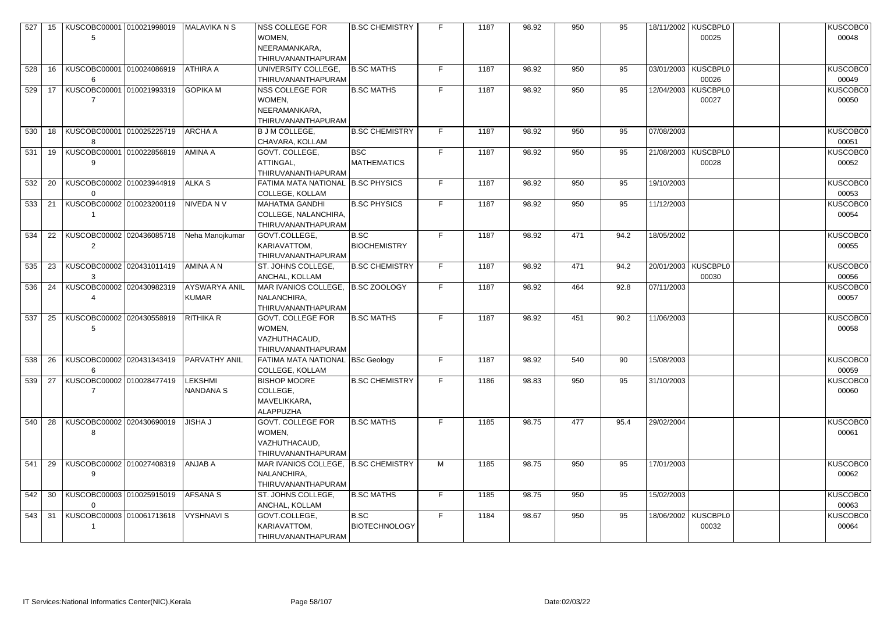| 527 | 15 | KUSCOBC00001 010021998019             | MALAVIKA N S                         | NSS COLLEGE FOR<br>WOMEN,<br>NEERAMANKARA,<br><b>THIRUVANANTHAPURAM</b>   | <b>B.SC CHEMISTRY</b>            |    | 1187 | 98.92 | 950 | 95   |            | 18/11/2002   KUSCBPL0<br>00025 | KUSCOBC0<br>00048        |
|-----|----|---------------------------------------|--------------------------------------|---------------------------------------------------------------------------|----------------------------------|----|------|-------|-----|------|------------|--------------------------------|--------------------------|
| 528 |    | 16   KUSCOBC00001   010024086919<br>6 | ATHIRA A                             | UNIVERSITY COLLEGE,<br>THIRUVANANTHAPURAM                                 | <b>B.SC MATHS</b>                | F. | 1187 | 98.92 | 950 | 95   |            | 03/01/2003 KUSCBPL0<br>00026   | <b>KUSCOBC0</b><br>00049 |
| 529 |    | 17   KUSCOBC00001   010021993319      | <b>GOPIKA M</b>                      | NSS COLLEGE FOR<br>WOMEN,<br>NEERAMANKARA,<br>THIRUVANANTHAPURAM          | <b>B.SC MATHS</b>                | F  | 1187 | 98.92 | 950 | 95   |            | 12/04/2003   KUSCBPL0<br>00027 | KUSCOBC0<br>00050        |
| 530 |    | 18   KUSCOBC00001   010025225719<br>8 | <b>ARCHA A</b>                       | <b>B J M COLLEGE,</b><br>CHAVARA, KOLLAM                                  | <b>B.SC CHEMISTRY</b>            | F. | 1187 | 98.92 | 950 | 95   | 07/08/2003 |                                | KUSCOBC0<br>00051        |
| 531 | 19 | KUSCOBC00001 010022856819<br>9        | AMINA A                              | GOVT. COLLEGE,<br>ATTINGAL,<br>THIRUVANANTHAPURAM                         | <b>BSC</b><br><b>MATHEMATICS</b> | F. | 1187 | 98.92 | 950 | 95   | 21/08/2003 | <b>KUSCBPL0</b><br>00028       | KUSCOBC0<br>00052        |
| 532 | 20 | KUSCOBC00002 010023944919<br>$\Omega$ | <b>ALKAS</b>                         | FATIMA MATA NATIONAL B.SC PHYSICS<br><b>COLLEGE, KOLLAM</b>               |                                  | F. | 1187 | 98.92 | 950 | 95   | 19/10/2003 |                                | <b>KUSCOBC0</b><br>00053 |
| 533 | 21 | KUSCOBC00002 010023200119             | NIVEDA N V                           | <b>MAHATMA GANDHI</b><br>COLLEGE, NALANCHIRA,<br>THIRUVANANTHAPURAM       | <b>B.SC PHYSICS</b>              | F  | 1187 | 98.92 | 950 | 95   | 11/12/2003 |                                | KUSCOBC0<br>00054        |
| 534 | 22 | KUSCOBC00002 020436085718             | Neha Manojkumar                      | GOVT.COLLEGE,<br>KARIAVATTOM,<br>THIRUVANANTHAPURAM                       | B.SC<br><b>BIOCHEMISTRY</b>      | F. | 1187 | 98.92 | 471 | 94.2 | 18/05/2002 |                                | KUSCOBC0<br>00055        |
| 535 | 23 | KUSCOBC00002 020431011419<br>3        | AMINA A N                            | ST. JOHNS COLLEGE,<br>ANCHAL, KOLLAM                                      | <b>B.SC CHEMISTRY</b>            | F  | 1187 | 98.92 | 471 | 94.2 | 20/01/2003 | KUSCBPL0<br>00030              | KUSCOBC0<br>00056        |
| 536 | 24 | KUSCOBC00002 020430982319             | <b>AYSWARYA ANIL</b><br><b>KUMAR</b> | MAR IVANIOS COLLEGE, B.SC ZOOLOGY<br>NALANCHIRA,<br>THIRUVANANTHAPURAM    |                                  | F  | 1187 | 98.92 | 464 | 92.8 | 07/11/2003 |                                | KUSCOBC0<br>00057        |
| 537 | 25 | KUSCOBC00002 020430558919<br>5        | <b>RITHIKA R</b>                     | <b>GOVT. COLLEGE FOR</b><br>WOMEN,<br>VAZHUTHACAUD,<br>THIRUVANANTHAPURAM | <b>B.SC MATHS</b>                | F  | 1187 | 98.92 | 451 | 90.2 | 11/06/2003 |                                | <b>KUSCOBC0</b><br>00058 |
| 538 | 26 | KUSCOBC00002 020431343419<br>6        | <b>PARVATHY ANIL</b>                 | FATIMA MATA NATIONAL   BSc Geology<br><b>COLLEGE, KOLLAM</b>              |                                  | F. | 1187 | 98.92 | 540 | 90   | 15/08/2003 |                                | KUSCOBC0<br>00059        |
| 539 | 27 | KUSCOBC00002 010028477419             | <b>LEKSHMI</b><br><b>NANDANA S</b>   | <b>BISHOP MOORE</b><br>COLLEGE,<br>MAVELIKKARA,<br><b>ALAPPUZHA</b>       | <b>B.SC CHEMISTRY</b>            | F  | 1186 | 98.83 | 950 | 95   | 31/10/2003 |                                | KUSCOBC0<br>00060        |
| 540 | 28 | KUSCOBC00002 020430690019<br>8        | <b>JISHA J</b>                       | <b>GOVT. COLLEGE FOR</b><br>WOMEN,<br>VAZHUTHACAUD,<br>THIRUVANANTHAPURAM | <b>B.SC MATHS</b>                | F  | 1185 | 98.75 | 477 | 95.4 | 29/02/2004 |                                | KUSCOBC0<br>00061        |
| 541 | 29 | KUSCOBC00002 010027408319<br>9        | <b>ANJAB A</b>                       | MAR IVANIOS COLLEGE, B.SC CHEMISTRY<br>NALANCHIRA,<br>THIRUVANANTHAPURAM  |                                  | M  | 1185 | 98.75 | 950 | 95   | 17/01/2003 |                                | KUSCOBC0<br>00062        |
| 542 | 30 | KUSCOBC00003 010025915019<br>$\Omega$ | <b>AFSANA S</b>                      | ST. JOHNS COLLEGE,<br>ANCHAL, KOLLAM                                      | <b>B.SC MATHS</b>                | F. | 1185 | 98.75 | 950 | 95   | 15/02/2003 |                                | KUSCOBC0<br>00063        |
| 543 | 31 | KUSCOBC00003 010061713618             | <b>VYSHNAVI S</b>                    | GOVT.COLLEGE,<br>KARIAVATTOM,<br>THIRUVANANTHAPURAM                       | B.SC<br><b>BIOTECHNOLOGY</b>     | F. | 1184 | 98.67 | 950 | 95   |            | 18/06/2002 KUSCBPL0<br>00032   | KUSCOBC0<br>00064        |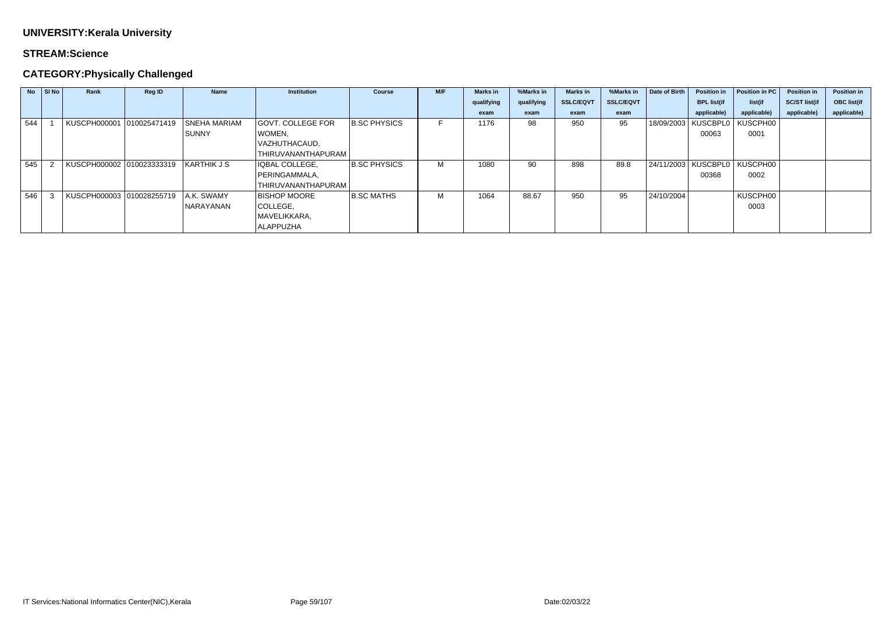### **STREAM:Science**

## **CATEGORY:Physically Challenged**

| <b>No</b> | SI No | Rank                      | <b>Reg ID</b> | <b>Name</b>         | <b>Institution</b>  | <b>Course</b>       | M/F | <b>Marks</b> in | %Marks in  | <b>Marks in</b>  | %Marks in        | Date of Birth | <b>Position in</b>               | Position in PC | <b>Position in</b>   | <b>Position in</b> |
|-----------|-------|---------------------------|---------------|---------------------|---------------------|---------------------|-----|-----------------|------------|------------------|------------------|---------------|----------------------------------|----------------|----------------------|--------------------|
|           |       |                           |               |                     |                     |                     |     | qualifying      | qualifying | <b>SSLC/EQVT</b> | <b>SSLC/EQVT</b> |               | <b>BPL list(if</b>               | list(if        | <b>SC/ST list(if</b> | <b>OBC</b> list(if |
|           |       |                           |               |                     |                     |                     |     | exam            | exam       | exam             | exam             |               | applicable)                      | applicable)    | applicable)          | applicable)        |
| 544       |       | KUSCPH000001 010025471419 |               | <b>SNEHA MARIAM</b> | GOVT. COLLEGE FOR   | <b>B.SC PHYSICS</b> |     | 1176            | 98         | 950              | 95               |               | 18/09/2003   KUSCBPL0   KUSCPH00 |                |                      |                    |
|           |       |                           |               | SUNNY               | WOMEN,              |                     |     |                 |            |                  |                  |               | 00063                            | 0001           |                      |                    |
|           |       |                           |               |                     | VAZHUTHACAUD,       |                     |     |                 |            |                  |                  |               |                                  |                |                      |                    |
|           |       |                           |               |                     | THIRUVANANTHAPURAM  |                     |     |                 |            |                  |                  |               |                                  |                |                      |                    |
| 545       |       | KUSCPH000002 010023333319 |               | KARTHIK J S         | IQBAL COLLEGE,      | <b>B.SC PHYSICS</b> | м   | 1080            | 90         | 898              | 89.8             |               | 24/11/2003   KUSCBPL0   KUSCPH00 |                |                      |                    |
|           |       |                           |               |                     | PERINGAMMALA,       |                     |     |                 |            |                  |                  |               | 00368                            | 0002           |                      |                    |
|           |       |                           |               |                     | THIRUVANANTHAPURAM  |                     |     |                 |            |                  |                  |               |                                  |                |                      |                    |
| 546       |       | KUSCPH000003 010028255719 |               | A.K. SWAMY          | <b>BISHOP MOORE</b> | <b>B.SC MATHS</b>   | M   | 1064            | 88.67      | 950              | 95               | 24/10/2004    |                                  | KUSCPH00       |                      |                    |
|           |       |                           |               | NARAYANAN           | COLLEGE,            |                     |     |                 |            |                  |                  |               |                                  | 0003           |                      |                    |
|           |       |                           |               |                     | MAVELIKKARA,        |                     |     |                 |            |                  |                  |               |                                  |                |                      |                    |
|           |       |                           |               |                     | <b>ALAPPUZHA</b>    |                     |     |                 |            |                  |                  |               |                                  |                |                      |                    |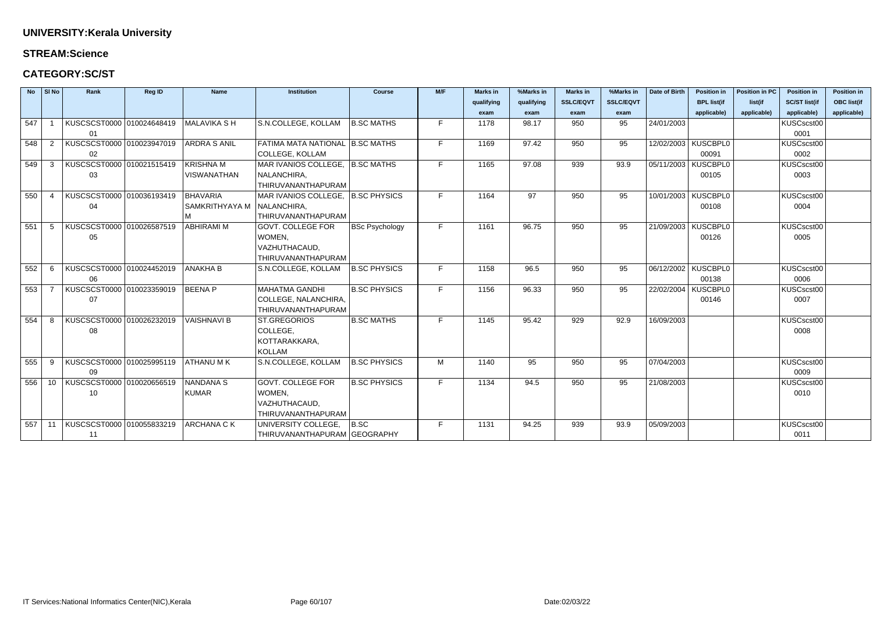### **STREAM:Science**

## **CATEGORY:SC/ST**

| $No$ SI No |                | Rank                      | <b>Reg ID</b> | <b>Name</b>           | <b>Institution</b>                         | <b>Course</b>         | M/F | <b>Marks in</b> | %Marks in  | <b>Marks in</b>  | %Marks in        | Date of Birth         | <b>Position in</b>    | <b>Position in PC</b> | <b>Position in</b>   | <b>Position in</b> |
|------------|----------------|---------------------------|---------------|-----------------------|--------------------------------------------|-----------------------|-----|-----------------|------------|------------------|------------------|-----------------------|-----------------------|-----------------------|----------------------|--------------------|
|            |                |                           |               |                       |                                            |                       |     | qualifying      | qualifying | <b>SSLC/EQVT</b> | <b>SSLC/EQVT</b> |                       | <b>BPL list(if</b>    | list(if               | <b>SC/ST list(if</b> | <b>OBC</b> list(if |
|            |                |                           |               |                       |                                            |                       |     | exam            | exam       | exam             | exam             |                       | applicable)           | applicable)           | applicable)          | applicable)        |
| 547        |                | KUSCSCST0000 010024648419 |               | MALAVIKA SH           | S.N.COLLEGE, KOLLAM                        | <b>B.SC MATHS</b>     | F   | 1178            | 98.17      | 950              | 95               | 24/01/2003            |                       |                       | KUSCscst00           |                    |
|            |                | 01                        |               |                       |                                            |                       |     |                 |            |                  |                  |                       |                       |                       | 0001                 |                    |
| 548        | 2              | KUSCSCST0000 010023947019 |               | <b>ARDRA S ANIL</b>   | FATIMA MATA NATIONAL B.SC MATHS            |                       | F.  | 1169            | 97.42      | 950              | 95               |                       | 12/02/2003   KUSCBPL0 |                       | KUSCscst00           |                    |
|            |                | 02                        |               |                       | <b>COLLEGE, KOLLAM</b>                     |                       |     |                 |            |                  |                  |                       | 00091                 |                       | 0002                 |                    |
| 549        | 3              | KUSCSCST0000 010021515419 |               | <b>KRISHNA M</b>      | MAR IVANIOS COLLEGE,   B.SC MATHS          |                       | F   | 1165            | 97.08      | 939              | 93.9             | 05/11/2003   KUSCBPL0 |                       |                       | KUSCscst00           |                    |
|            |                | 03                        |               | <b>VISWANATHAN</b>    | NALANCHIRA,                                |                       |     |                 |            |                  |                  |                       | 00105                 |                       | 0003                 |                    |
|            |                |                           |               |                       | THIRUVANANTHAPURAM                         |                       |     |                 |            |                  |                  |                       |                       |                       |                      |                    |
| 550        | $\overline{a}$ | KUSCSCST0000 010036193419 |               | <b>BHAVARIA</b>       | MAR IVANIOS COLLEGE, B.SC PHYSICS          |                       | F.  | 1164            | 97         | 950              | 95               |                       | 10/01/2003   KUSCBPL0 |                       | KUSCscst00           |                    |
|            |                | 04                        |               | <b>SAMKRITHYAYA M</b> | NALANCHIRA,                                |                       |     |                 |            |                  |                  |                       | 00108                 |                       | 0004                 |                    |
|            |                |                           |               |                       | THIRUVANANTHAPURAM                         |                       |     |                 |            |                  |                  |                       |                       |                       |                      |                    |
| 551        | 5              | KUSCSCST0000 010026587519 |               | ABHIRAMI M            | <b>GOVT. COLLEGE FOR</b>                   | <b>BSc Psychology</b> | F   | 1161            | 96.75      | 950              | 95               | 21/09/2003   KUSCBPL0 |                       |                       | KUSCscst00           |                    |
|            |                | 05                        |               |                       | WOMEN,                                     |                       |     |                 |            |                  |                  |                       | 00126                 |                       | 0005                 |                    |
|            |                |                           |               |                       | VAZHUTHACAUD,                              |                       |     |                 |            |                  |                  |                       |                       |                       |                      |                    |
|            |                |                           |               |                       | THIRUVANANTHAPURAM                         |                       |     |                 |            |                  |                  |                       |                       |                       |                      |                    |
| 552        | -6             | KUSCSCST0000 010024452019 |               | <b>ANAKHA B</b>       | S.N.COLLEGE, KOLLAM                        | <b>B.SC PHYSICS</b>   | F   | 1158            | 96.5       | 950              | 95               | 06/12/2002 KUSCBPL0   |                       |                       | KUSCscst00           |                    |
|            |                | 06                        |               |                       |                                            |                       |     |                 |            |                  |                  |                       | 00138                 |                       | 0006                 |                    |
| 553        |                | KUSCSCST0000 010023359019 |               | <b>BEENAP</b>         | <b>MAHATMA GANDHI</b>                      | <b>B.SC PHYSICS</b>   | F   | 1156            | 96.33      | 950              | 95               |                       | 22/02/2004 KUSCBPL0   |                       | KUSCscst00           |                    |
|            |                | 07                        |               |                       | COLLEGE, NALANCHIRA,<br>THIRUVANANTHAPURAM |                       |     |                 |            |                  |                  |                       | 00146                 |                       | 0007                 |                    |
| 554        | 8              | KUSCSCST0000 010026232019 |               | <b>VAISHNAVI B</b>    | ST.GREGORIOS                               | <b>B.SC MATHS</b>     | F.  | 1145            | 95.42      | 929              | 92.9             | 16/09/2003            |                       |                       | KUSCscst00           |                    |
|            |                | 08                        |               |                       | COLLEGE,                                   |                       |     |                 |            |                  |                  |                       |                       |                       | 0008                 |                    |
|            |                |                           |               |                       | KOTTARAKKARA,                              |                       |     |                 |            |                  |                  |                       |                       |                       |                      |                    |
|            |                |                           |               |                       | <b>KOLLAM</b>                              |                       |     |                 |            |                  |                  |                       |                       |                       |                      |                    |
| 555        | 9              | KUSCSCST0000 010025995119 |               | ATHANU M K            | S.N.COLLEGE, KOLLAM                        | <b>B.SC PHYSICS</b>   | M   | 1140            | 95         | 950              | 95               | 07/04/2003            |                       |                       | KUSCscst00           |                    |
|            |                | 09                        |               |                       |                                            |                       |     |                 |            |                  |                  |                       |                       |                       | 0009                 |                    |
| 556        | 10             | KUSCSCST0000 010020656519 |               | NANDANA S             | <b>GOVT. COLLEGE FOR</b>                   | <b>B.SC PHYSICS</b>   | F   | 1134            | 94.5       | 950              | 95               | 21/08/2003            |                       |                       | KUSCscst00           |                    |
|            |                | 10                        |               | <b>KUMAR</b>          | WOMEN,                                     |                       |     |                 |            |                  |                  |                       |                       |                       | 0010                 |                    |
|            |                |                           |               |                       | VAZHUTHACAUD,                              |                       |     |                 |            |                  |                  |                       |                       |                       |                      |                    |
|            |                |                           |               |                       | THIRUVANANTHAPURAM                         |                       |     |                 |            |                  |                  |                       |                       |                       |                      |                    |
| 557        | 11             | KUSCSCST0000 010055833219 |               | ARCHANA C K           | UNIVERSITY COLLEGE,                        | B.SC                  | F.  | 1131            | 94.25      | 939              | 93.9             | 05/09/2003            |                       |                       | KUSCscst00           |                    |
|            |                | 11                        |               |                       | THIRUVANANTHAPURAM GEOGRAPHY               |                       |     |                 |            |                  |                  |                       |                       |                       | 0011                 |                    |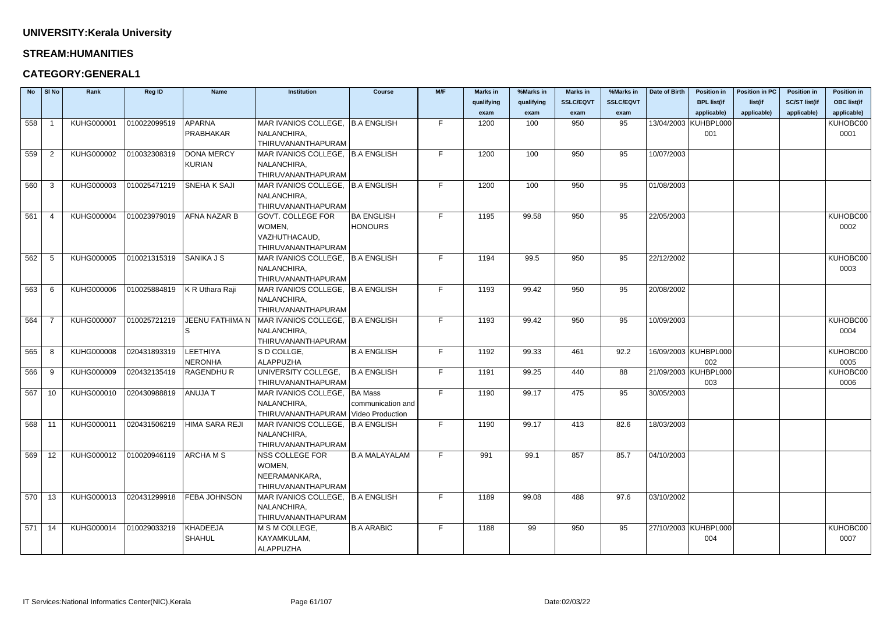#### **STREAM:HUMANITIES**

## **CATEGORY:GENERAL1**

| <b>No</b> | $\vert$ SI No     | Rank              | Reg ID       | <b>Name</b>            | <b>Institution</b>                                       | <b>Course</b>        | M/F | <b>Marks in</b> | %Marks in  | <b>Marks in</b>  | %Marks in        | Date of Birth | <b>Position in</b>     | <b>Position in PC</b> | <b>Position in</b>   | <b>Position in</b> |
|-----------|-------------------|-------------------|--------------|------------------------|----------------------------------------------------------|----------------------|-----|-----------------|------------|------------------|------------------|---------------|------------------------|-----------------------|----------------------|--------------------|
|           |                   |                   |              |                        |                                                          |                      |     | qualifying      | qualifying | <b>SSLC/EQVT</b> | <b>SSLC/EQVT</b> |               | <b>BPL list(if</b>     | list(if               | <b>SC/ST list(if</b> | <b>OBC list(if</b> |
|           |                   |                   |              |                        |                                                          |                      |     | exam            | exam       | exam             | exam             |               | applicable)            | applicable)           | applicable)          | applicable)        |
| 558       |                   | KUHG000001        | 010022099519 | <b>APARNA</b>          | MAR IVANIOS COLLEGE,   B.A ENGLISH                       |                      | F.  | 1200            | 100        | 950              | 95               |               | 13/04/2003 KUHBPL000   |                       |                      | KUHOBC00           |
|           |                   |                   |              | PRABHAKAR              | NALANCHIRA,                                              |                      |     |                 |            |                  |                  |               | 001                    |                       |                      | 0001               |
|           |                   |                   |              |                        | THIRUVANANTHAPURAM                                       |                      |     |                 |            |                  |                  |               |                        |                       |                      |                    |
| 559       | -2                | KUHG000002        | 010032308319 | <b>DONA MERCY</b>      | MAR IVANIOS COLLEGE, B.A ENGLISH                         |                      | F.  | 1200            | 100        | 950              | 95               | 10/07/2003    |                        |                       |                      |                    |
|           |                   |                   |              | <b>KURIAN</b>          | NALANCHIRA,                                              |                      |     |                 |            |                  |                  |               |                        |                       |                      |                    |
|           |                   |                   |              |                        | THIRUVANANTHAPURAM                                       |                      |     |                 |            |                  |                  |               |                        |                       |                      |                    |
| 560       | -3                | KUHG000003        | 010025471219 | <b>SNEHA K SAJI</b>    | MAR IVANIOS COLLEGE,   B.A ENGLISH                       |                      | F.  | 1200            | 100        | 950              | 95               | 01/08/2003    |                        |                       |                      |                    |
|           |                   |                   |              |                        | NALANCHIRA,                                              |                      |     |                 |            |                  |                  |               |                        |                       |                      |                    |
|           |                   |                   |              |                        | THIRUVANANTHAPURAM                                       |                      |     |                 |            |                  |                  |               |                        |                       |                      |                    |
| 561       | -4                | KUHG000004        | 010023979019 | <b>AFNA NAZAR B</b>    | <b>GOVT. COLLEGE FOR</b>                                 | <b>BA ENGLISH</b>    | F.  | 1195            | 99.58      | 950              | 95               | 22/05/2003    |                        |                       |                      | KUHOBC00           |
|           |                   |                   |              |                        | WOMEN,                                                   | <b>HONOURS</b>       |     |                 |            |                  |                  |               |                        |                       |                      | 0002               |
|           |                   |                   |              |                        | VAZHUTHACAUD,                                            |                      |     |                 |            |                  |                  |               |                        |                       |                      |                    |
|           |                   |                   |              |                        | THIRUVANANTHAPURAM                                       |                      |     |                 |            |                  |                  |               |                        |                       |                      |                    |
| 562       | -5                | KUHG000005        | 010021315319 | <b>SANIKA J S</b>      | MAR IVANIOS COLLEGE,   B.A ENGLISH                       |                      | F.  | 1194            | 99.5       | 950              | 95               | 22/12/2002    |                        |                       |                      | KUHOBC00           |
|           |                   |                   |              |                        | NALANCHIRA,                                              |                      |     |                 |            |                  |                  |               |                        |                       |                      | 0003               |
|           |                   |                   |              |                        | THIRUVANANTHAPURAM                                       |                      |     |                 |            |                  |                  |               |                        |                       |                      |                    |
| 563       |                   | KUHG000006        | 010025884819 | K R Uthara Raji        | MAR IVANIOS COLLEGE,   B.A ENGLISH                       |                      | F.  | 1193            | 99.42      | 950              | 95               | 20/08/2002    |                        |                       |                      |                    |
|           |                   |                   |              |                        | NALANCHIRA,                                              |                      |     |                 |            |                  |                  |               |                        |                       |                      |                    |
|           |                   |                   |              |                        | THIRUVANANTHAPURAM                                       |                      |     |                 |            |                  |                  |               |                        |                       |                      |                    |
| 564       |                   | <b>KUHG000007</b> | 010025721219 | <b>JEENU FATHIMA N</b> | MAR IVANIOS COLLEGE, B.A ENGLISH                         |                      | F.  | 1193            | 99.42      | 950              | 95               | 10/09/2003    |                        |                       |                      | KUHOBC00           |
|           |                   |                   |              | <sub>S</sub>           | NALANCHIRA,                                              |                      |     |                 |            |                  |                  |               |                        |                       |                      | 0004               |
|           |                   |                   |              |                        | THIRUVANANTHAPURAM                                       |                      |     |                 |            |                  |                  |               |                        |                       |                      |                    |
| 565       | -8                | <b>KUHG000008</b> | 020431893319 | LEETHIYA               | S D COLLGE,                                              | <b>B.A ENGLISH</b>   | F.  | 1192            | 99.33      | 461              | 92.2             |               | 16/09/2003   KUHBPL000 |                       |                      | KUHOBC00           |
|           |                   |                   |              | <b>NERONHA</b>         | ALAPPUZHA                                                |                      |     |                 |            |                  |                  |               | 002                    |                       |                      | 0005               |
| 566       | -9                | <b>KUHG000009</b> | 020432135419 | <b>RAGENDHUR</b>       | UNIVERSITY COLLEGE,                                      | <b>B.A ENGLISH</b>   | F.  | 1191            | 99.25      | 440              | 88               |               | 21/09/2003 KUHBPL000   |                       |                      | KUHOBC00           |
|           |                   |                   |              |                        | THIRUVANANTHAPURAM                                       |                      |     |                 |            |                  |                  |               | 003                    |                       |                      | 0006               |
| 567       | 10                | KUHG000010        | 020430988819 | <b>ANUJAT</b>          | MAR IVANIOS COLLEGE,   BA Mass                           |                      | F.  | 1190            | 99.17      | 475              | 95               | 30/05/2003    |                        |                       |                      |                    |
|           |                   |                   |              |                        | NALANCHIRA,                                              | communication and    |     |                 |            |                  |                  |               |                        |                       |                      |                    |
|           |                   |                   |              |                        | THIRUVANANTHAPURAM Video Production                      |                      |     |                 |            |                  |                  |               |                        |                       |                      |                    |
| 568       | 11                | KUHG000011        | 020431506219 | HIMA SARA REJI         | MAR IVANIOS COLLEGE,   B.A ENGLISH                       |                      | F.  | 1190            | 99.17      | 413              | 82.6             | 18/03/2003    |                        |                       |                      |                    |
|           |                   |                   |              |                        | NALANCHIRA,                                              |                      |     |                 |            |                  |                  |               |                        |                       |                      |                    |
|           |                   |                   |              |                        | <b>THIRUVANANTHAPURAM</b>                                |                      |     |                 |            |                  |                  |               |                        |                       |                      |                    |
| 569       | $12 \overline{ }$ | KUHG000012        | 010020946119 | <b>ARCHAMS</b>         | <b>NSS COLLEGE FOR</b>                                   | <b>B.A MALAYALAM</b> | F.  | 991             | 99.1       | 857              | 85.7             | 04/10/2003    |                        |                       |                      |                    |
|           |                   |                   |              |                        | WOMEN,                                                   |                      |     |                 |            |                  |                  |               |                        |                       |                      |                    |
|           |                   |                   |              |                        | NEERAMANKARA,                                            |                      |     |                 |            |                  |                  |               |                        |                       |                      |                    |
| 570       |                   | KUHG000013        | 020431299918 | <b>FEBA JOHNSON</b>    | THIRUVANANTHAPURAM<br>MAR IVANIOS COLLEGE,   B.A ENGLISH |                      | F.  | 1189            | 99.08      | 488              | 97.6             | 03/10/2002    |                        |                       |                      |                    |
|           | 13                |                   |              |                        | NALANCHIRA,                                              |                      |     |                 |            |                  |                  |               |                        |                       |                      |                    |
|           |                   |                   |              |                        | THIRUVANANTHAPURAM                                       |                      |     |                 |            |                  |                  |               |                        |                       |                      |                    |
| 571       | 14                | KUHG000014        | 010029033219 | <b>KHADEEJA</b>        | M S M COLLEGE,                                           | <b>B.A ARABIC</b>    | F.  | 1188            | 99         | 950              | 95               |               | 27/10/2003   KUHBPL000 |                       |                      | KUHOBC00           |
|           |                   |                   |              | <b>SHAHUL</b>          | KAYAMKULAM,                                              |                      |     |                 |            |                  |                  |               | 004                    |                       |                      | 0007               |
|           |                   |                   |              |                        | ALAPPUZHA                                                |                      |     |                 |            |                  |                  |               |                        |                       |                      |                    |
|           |                   |                   |              |                        |                                                          |                      |     |                 |            |                  |                  |               |                        |                       |                      |                    |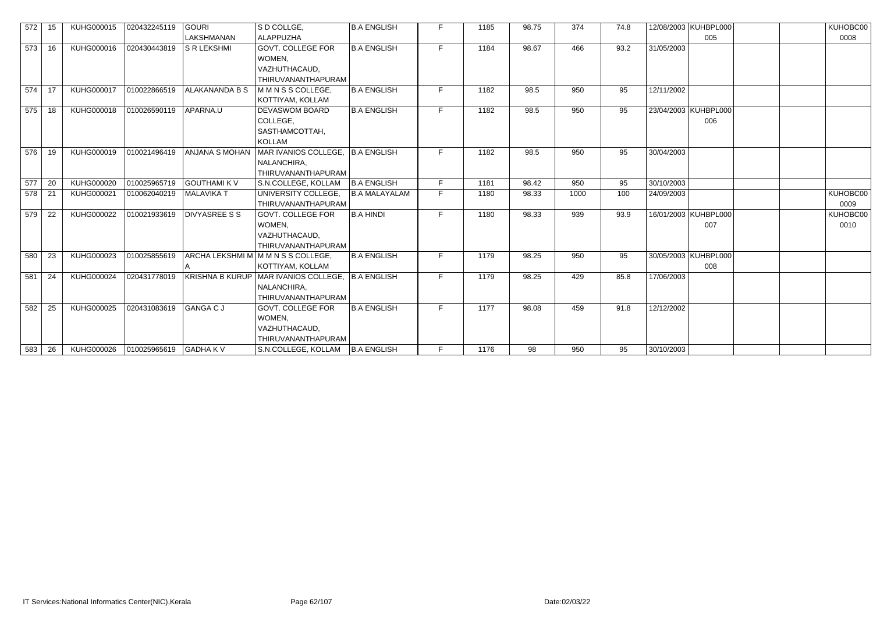| 572 | 15   | KUHG000015 | 020432245119           | <b>GOURI</b>          | S D COLLGE,                                      | <b>B.A ENGLISH</b>   |    | 1185 | 98.75 | 374  | 74.8 |            | 12/08/2003   KUHBPL000 | KUHOBC00 |
|-----|------|------------|------------------------|-----------------------|--------------------------------------------------|----------------------|----|------|-------|------|------|------------|------------------------|----------|
|     |      |            |                        | <b>LAKSHMANAN</b>     | ALAPPUZHA                                        |                      |    |      |       |      |      |            | 005                    | 0008     |
| 573 | 16   | KUHG000016 | 020430443819           | <b>S R LEKSHMI</b>    | GOVT. COLLEGE FOR                                | <b>B.A ENGLISH</b>   | F. | 1184 | 98.67 | 466  | 93.2 | 31/05/2003 |                        |          |
|     |      |            |                        |                       | WOMEN,                                           |                      |    |      |       |      |      |            |                        |          |
|     |      |            |                        |                       | VAZHUTHACAUD,                                    |                      |    |      |       |      |      |            |                        |          |
|     |      |            |                        |                       | THIRUVANANTHAPURAM                               |                      |    |      |       |      |      |            |                        |          |
| 574 | 17   | KUHG000017 | 010022866519           | ALAKANANDA B S        | MMNSS COLLEGE,                                   | <b>B.A ENGLISH</b>   | F. | 1182 | 98.5  | 950  | 95   | 12/11/2002 |                        |          |
|     |      |            |                        |                       | KOTTIYAM, KOLLAM                                 |                      |    |      |       |      |      |            |                        |          |
| 575 | 18   | KUHG000018 | 010026590119           | APARNA.U              | DEVASWOM BOARD                                   | <b>B.A ENGLISH</b>   | F. | 1182 | 98.5  | 950  | 95   |            | 23/04/2003   KUHBPL000 |          |
|     |      |            |                        |                       | COLLEGE,                                         |                      |    |      |       |      |      |            | 006                    |          |
|     |      |            |                        |                       | SASTHAMCOTTAH,                                   |                      |    |      |       |      |      |            |                        |          |
|     |      |            |                        |                       | <b>KOLLAM</b>                                    |                      |    |      |       |      |      |            |                        |          |
| 576 | 19   | KUHG000019 | 010021496419           | <b>ANJANA S MOHAN</b> | MAR IVANIOS COLLEGE, B.A ENGLISH                 |                      | Е  | 1182 | 98.5  | 950  | 95   | 30/04/2003 |                        |          |
|     |      |            |                        |                       | NALANCHIRA,                                      |                      |    |      |       |      |      |            |                        |          |
|     |      |            |                        |                       | THIRUVANANTHAPURAM                               |                      |    |      |       |      |      |            |                        |          |
| 577 | 20   | KUHG000020 | 010025965719           | <b>GOUTHAMI K V</b>   | S.N.COLLEGE, KOLLAM                              | <b>B.A ENGLISH</b>   | E. | 1181 | 98.42 | 950  | 95   | 30/10/2003 |                        |          |
| 578 | - 21 | KUHG000021 | 010062040219           | MALAVIKA T            | UNIVERSITY COLLEGE,                              | <b>B.A MALAYALAM</b> | F. | 1180 | 98.33 | 1000 | 100  | 24/09/2003 |                        | KUHOBC00 |
|     |      |            |                        |                       | THIRUVANANTHAPURAM                               |                      |    |      |       |      |      |            |                        | 0009     |
| 579 | 22   | KUHG000022 | 010021933619           | <b>DIVYASREE S S</b>  | <b>GOVT. COLLEGE FOR</b>                         | <b>B.A HINDI</b>     | Е  | 1180 | 98.33 | 939  | 93.9 |            | 16/01/2003   KUHBPL000 | KUHOBC00 |
|     |      |            |                        |                       | WOMEN,                                           |                      |    |      |       |      |      |            | 007                    | 0010     |
|     |      |            |                        |                       | VAZHUTHACAUD,                                    |                      |    |      |       |      |      |            |                        |          |
|     |      |            |                        |                       | THIRUVANANTHAPURAM                               |                      |    |      |       |      |      |            |                        |          |
| 580 | 23   | KUHG000023 | 010025855619           |                       | ARCHA LEKSHMI M M M N S S COLLEGE,               | <b>B.A ENGLISH</b>   | F. | 1179 | 98.25 | 950  | 95   |            | 30/05/2003   KUHBPL000 |          |
|     |      |            |                        |                       | KOTTIYAM, KOLLAM                                 |                      |    |      |       |      |      |            | 008                    |          |
| 581 | 24   | KUHG000024 | 020431778019           |                       | KRISHNA B KURUP MAR IVANIOS COLLEGE, B.A ENGLISH |                      | F. | 1179 | 98.25 | 429  | 85.8 | 17/06/2003 |                        |          |
|     |      |            |                        |                       | NALANCHIRA,                                      |                      |    |      |       |      |      |            |                        |          |
|     |      |            |                        |                       | THIRUVANANTHAPURAM                               |                      |    |      |       |      |      |            |                        |          |
| 582 | 25   | KUHG000025 | 020431083619           | GANGA C J             | GOVT. COLLEGE FOR                                | <b>B.A ENGLISH</b>   | F. | 1177 | 98.08 | 459  | 91.8 | 12/12/2002 |                        |          |
|     |      |            |                        |                       | WOMEN,                                           |                      |    |      |       |      |      |            |                        |          |
|     |      |            |                        |                       | VAZHUTHACAUD,                                    |                      |    |      |       |      |      |            |                        |          |
|     |      |            |                        |                       | THIRUVANANTHAPURAM                               |                      |    |      |       |      |      |            |                        |          |
| 583 | 26   | KUHG000026 | 010025965619 GADHA K V |                       | S.N.COLLEGE, KOLLAM   B.A ENGLISH                |                      |    | 1176 | 98    | 950  | 95   | 30/10/2003 |                        |          |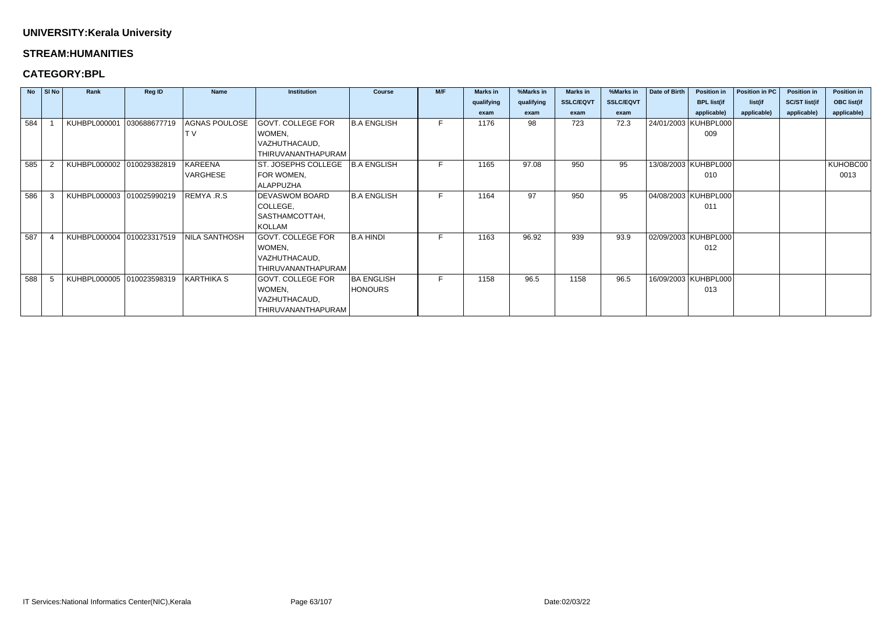#### **STREAM:HUMANITIES**

|     | $\overline{N}$   SI $\overline{N}$ o | Rank                        | Reg ID       | <b>Name</b>          | <b>Institution</b>       | <b>Course</b>      | M/F | <b>Marks in</b> | %Marks in  | <b>Marks in</b>  | %Marks in        | Date of Birth | <b>Position in</b>     | Position in PC | <b>Position in</b>   | Position in        |
|-----|--------------------------------------|-----------------------------|--------------|----------------------|--------------------------|--------------------|-----|-----------------|------------|------------------|------------------|---------------|------------------------|----------------|----------------------|--------------------|
|     |                                      |                             |              |                      |                          |                    |     | qualifying      | qualifying | <b>SSLC/EQVT</b> | <b>SSLC/EQVT</b> |               | <b>BPL list(if</b>     | list(if        | <b>SC/ST list(if</b> | <b>OBC list(if</b> |
|     |                                      |                             |              |                      |                          |                    |     | exam            | exam       | exam             | exam             |               | applicable)            | applicable)    | applicable)          | applicable)        |
| 584 |                                      | KUHBPL000001                | 030688677719 | AGNAS POULOSE        | <b>GOVT. COLLEGE FOR</b> | <b>B.A ENGLISH</b> |     | 1176            | 98         | 723              | 72.3             |               | 24/01/2003   KUHBPL000 |                |                      |                    |
|     |                                      |                             |              |                      | WOMEN,                   |                    |     |                 |            |                  |                  |               | 009                    |                |                      |                    |
|     |                                      |                             |              |                      | VAZHUTHACAUD,            |                    |     |                 |            |                  |                  |               |                        |                |                      |                    |
|     |                                      |                             |              |                      | THIRUVANANTHAPURAM       |                    |     |                 |            |                  |                  |               |                        |                |                      |                    |
| 585 |                                      | KUHBPL000002 010029382819   |              | KAREENA              | ST. JOSEPHS COLLEGE      | B.A ENGLISH        | E.  | 1165            | 97.08      | 950              | 95               |               | 13/08/2003   KUHBPL000 |                |                      | KUHOBC00           |
|     |                                      |                             |              | VARGHESE             | FOR WOMEN,               |                    |     |                 |            |                  |                  |               | 010                    |                |                      | 0013               |
|     |                                      |                             |              |                      | <b>ALAPPUZHA</b>         |                    |     |                 |            |                  |                  |               |                        |                |                      |                    |
| 586 | -3                                   | KUHBPL000003 010025990219   |              | REMYA .R.S           | <b>DEVASWOM BOARD</b>    | <b>B.A ENGLISH</b> | F.  | 1164            | 97         | 950              | 95               |               | 04/08/2003   KUHBPL000 |                |                      |                    |
|     |                                      |                             |              |                      | COLLEGE,                 |                    |     |                 |            |                  |                  |               | 011                    |                |                      |                    |
|     |                                      |                             |              |                      | SASTHAMCOTTAH,           |                    |     |                 |            |                  |                  |               |                        |                |                      |                    |
|     |                                      |                             |              |                      | KOLLAM                   |                    |     |                 |            |                  |                  |               |                        |                |                      |                    |
| 587 |                                      | KUHBPL000004                | 010023317519 | <b>NILA SANTHOSH</b> | GOVT. COLLEGE FOR        | <b>B.A HINDI</b>   |     | 1163            | 96.92      | 939              | 93.9             |               | 02/09/2003   KUHBPL000 |                |                      |                    |
|     |                                      |                             |              |                      | WOMEN,                   |                    |     |                 |            |                  |                  |               | 012                    |                |                      |                    |
|     |                                      |                             |              |                      | VAZHUTHACAUD,            |                    |     |                 |            |                  |                  |               |                        |                |                      |                    |
|     |                                      |                             |              |                      | THIRUVANANTHAPURAM       |                    |     |                 |            |                  |                  |               |                        |                |                      |                    |
| 588 |                                      | KUHBPL000005   010023598319 |              | KARTHIKA S           | <b>GOVT. COLLEGE FOR</b> | <b>BA ENGLISH</b>  | F.  | 1158            | 96.5       | 1158             | 96.5             |               | 16/09/2003   KUHBPL000 |                |                      |                    |
|     |                                      |                             |              |                      | WOMEN,                   | <b>HONOURS</b>     |     |                 |            |                  |                  |               | 013                    |                |                      |                    |
|     |                                      |                             |              |                      | VAZHUTHACAUD,            |                    |     |                 |            |                  |                  |               |                        |                |                      |                    |
|     |                                      |                             |              |                      | THIRUVANANTHAPURAM       |                    |     |                 |            |                  |                  |               |                        |                |                      |                    |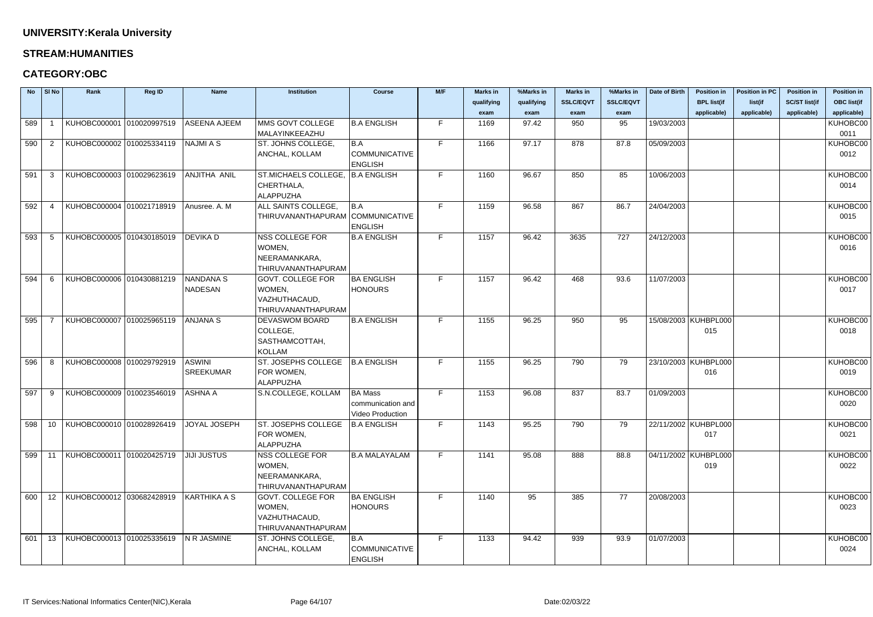#### **STREAM:HUMANITIES**

| <b>No</b> | $\vert$ SI No   | Rank                                           | <b>Reg ID</b> | <b>Name</b>         | <b>Institution</b>               | <b>Course</b>        | M/F | <b>Marks in</b> | %Marks in  | <b>Marks in</b>  | %Marks in        | Date of Birth | <b>Position in</b>   | <b>Position in PC</b> | <b>Position in</b>   | <b>Position in</b> |
|-----------|-----------------|------------------------------------------------|---------------|---------------------|----------------------------------|----------------------|-----|-----------------|------------|------------------|------------------|---------------|----------------------|-----------------------|----------------------|--------------------|
|           |                 |                                                |               |                     |                                  |                      |     | qualifying      | qualifying | <b>SSLC/EQVT</b> | <b>SSLC/EQVT</b> |               | <b>BPL list(if</b>   | list(if               | <b>SC/ST list(if</b> | <b>OBC list(if</b> |
|           |                 |                                                |               |                     |                                  |                      |     | exam            | exam       | exam             | exam             |               | applicable)          | applicable)           | applicable)          | applicable)        |
| 589       |                 | KUHOBC000001 010020997519                      |               | <b>ASEENA AJEEM</b> | MMS GOVT COLLEGE                 | <b>B.A ENGLISH</b>   | E.  | 1169            | 97.42      | 950              | 95               | 19/03/2003    |                      |                       |                      | KUHOBC00           |
|           |                 |                                                |               |                     | MALAYINKEEAZHU                   |                      |     |                 |            |                  |                  |               |                      |                       |                      | 0011               |
| 590       | 2               | KUHOBC000002 010025334119                      |               | <b>NAJMI A S</b>    | ST. JOHNS COLLEGE,               | B.A                  | F.  | 1166            | 97.17      | 878              | 87.8             | 05/09/2003    |                      |                       |                      | KUHOBC00           |
|           |                 |                                                |               |                     | ANCHAL, KOLLAM                   | <b>COMMUNICATIVE</b> |     |                 |            |                  |                  |               |                      |                       |                      | 0012               |
|           |                 |                                                |               |                     |                                  | <b>ENGLISH</b>       |     |                 |            |                  |                  |               |                      |                       |                      |                    |
| 591       | 3               | KUHOBC000003 010029623619                      |               | ANJITHA ANIL        | ST.MICHAELS COLLEGE, B.A ENGLISH |                      | F.  | 1160            | 96.67      | 850              | 85               | 10/06/2003    |                      |                       |                      | KUHOBC00           |
|           |                 |                                                |               |                     | CHERTHALA,                       |                      |     |                 |            |                  |                  |               |                      |                       |                      | 0014               |
|           |                 |                                                |               |                     | <b>ALAPPUZHA</b>                 |                      |     |                 |            |                  |                  |               |                      |                       |                      |                    |
| 592       |                 | KUHOBC000004 010021718919                      |               | Anusree. A. M.      | ALL SAINTS COLLEGE,              | B.A                  | E.  | 1159            | 96.58      | 867              | 86.7             | 24/04/2003    |                      |                       |                      | KUHOBC00           |
|           |                 |                                                |               |                     | THIRUVANANTHAPURAM COMMUNICATIVE |                      |     |                 |            |                  |                  |               |                      |                       |                      | 0015               |
|           |                 |                                                |               |                     |                                  | <b>ENGLISH</b>       |     |                 |            |                  |                  |               |                      |                       |                      |                    |
| 593       | -5              | KUHOBC000005 010430185019                      |               | DEVIKA D            | NSS COLLEGE FOR                  | <b>B.A ENGLISH</b>   | F.  | 1157            | 96.42      | 3635             | 727              | 24/12/2003    |                      |                       |                      | KUHOBC00           |
|           |                 |                                                |               |                     | WOMEN,                           |                      |     |                 |            |                  |                  |               |                      |                       |                      | 0016               |
|           |                 |                                                |               |                     | NEERAMANKARA,                    |                      |     |                 |            |                  |                  |               |                      |                       |                      |                    |
|           |                 |                                                |               |                     | THIRUVANANTHAPURAM               |                      |     |                 |            |                  |                  |               |                      |                       |                      |                    |
| 594       | -6              | KUHOBC000006 010430881219                      |               | <b>NANDANA S</b>    | <b>GOVT. COLLEGE FOR</b>         | <b>BA ENGLISH</b>    | F.  | 1157            | 96.42      | 468              | 93.6             | 11/07/2003    |                      |                       |                      | KUHOBC00           |
|           |                 |                                                |               | <b>NADESAN</b>      | WOMEN,                           | <b>HONOURS</b>       |     |                 |            |                  |                  |               |                      |                       |                      | 0017               |
|           |                 |                                                |               |                     | VAZHUTHACAUD,                    |                      |     |                 |            |                  |                  |               |                      |                       |                      |                    |
|           |                 |                                                |               |                     | THIRUVANANTHAPURAM               |                      |     |                 |            |                  |                  |               |                      |                       |                      |                    |
| 595       |                 | KUHOBC000007 010025965119                      |               | <b>ANJANA S</b>     | DEVASWOM BOARD                   | <b>B.A ENGLISH</b>   | E.  | 1155            | 96.25      | 950              | 95               |               | 15/08/2003 KUHBPL000 |                       |                      | KUHOBC00           |
|           |                 |                                                |               |                     | COLLEGE,                         |                      |     |                 |            |                  |                  |               | 015                  |                       |                      | 0018               |
|           |                 |                                                |               |                     | SASTHAMCOTTAH,                   |                      |     |                 |            |                  |                  |               |                      |                       |                      |                    |
|           |                 |                                                |               |                     | <b>KOLLAM</b>                    |                      |     |                 |            |                  |                  |               |                      |                       |                      |                    |
| 596       | -8              | KUHOBC000008 010029792919                      |               | <b>ASWINI</b>       | ST. JOSEPHS COLLEGE              | B.A ENGLISH          | F.  | 1155            | 96.25      | 790              | 79               |               | 23/10/2003 KUHBPL000 |                       |                      | KUHOBC00           |
|           |                 |                                                |               | <b>SREEKUMAR</b>    | FOR WOMEN,                       |                      |     |                 |            |                  |                  |               | 016                  |                       |                      | 0019               |
|           |                 |                                                |               |                     | <b>ALAPPUZHA</b>                 |                      |     |                 |            |                  |                  |               |                      |                       |                      |                    |
| 597       | -9              | KUHOBC000009 010023546019                      |               | ASHNA A             | S.N.COLLEGE, KOLLAM              | <b>BA Mass</b>       | F.  | 1153            | 96.08      | 837              | 83.7             | 01/09/2003    |                      |                       |                      | KUHOBC00           |
|           |                 |                                                |               |                     |                                  | communication and    |     |                 |            |                  |                  |               |                      |                       |                      | 0020               |
|           |                 |                                                |               |                     |                                  | Video Production     |     |                 |            |                  |                  |               |                      |                       |                      |                    |
| 598       | 10 <sup>1</sup> | KUHOBC000010 010028926419                      |               | JOYAL JOSEPH        | ST. JOSEPHS COLLEGE              | B.A ENGLISH          | F.  | 1143            | 95.25      | 790              | 79               |               | 22/11/2002 KUHBPL000 |                       |                      | KUHOBC00           |
|           |                 |                                                |               |                     | FOR WOMEN,                       |                      |     |                 |            |                  |                  |               | 017                  |                       |                      | 0021               |
|           |                 |                                                |               |                     | ALAPPUZHA                        |                      |     |                 |            |                  |                  |               |                      |                       |                      |                    |
| 599       | 11              | KUHOBC000011 010020425719                      |               | JIJI JUSTUS         | NSS COLLEGE FOR                  | <b>B.A MALAYALAM</b> | F   | 1141            | 95.08      | 888              | 88.8             |               | 04/11/2002 KUHBPL000 |                       |                      | KUHOBC00           |
|           |                 |                                                |               |                     | WOMEN,                           |                      |     |                 |            |                  |                  |               | 019                  |                       |                      | 0022               |
|           |                 |                                                |               |                     | NEERAMANKARA,                    |                      |     |                 |            |                  |                  |               |                      |                       |                      |                    |
|           |                 |                                                |               |                     | THIRUVANANTHAPURAM               |                      |     |                 |            |                  |                  |               |                      |                       |                      |                    |
| 600       |                 | 12   KUHOBC000012   030682428919               |               | KARTHIKA A S        | <b>GOVT. COLLEGE FOR</b>         | <b>BA ENGLISH</b>    | F.  | 1140            | 95         | 385              | 77               | 20/08/2003    |                      |                       |                      | KUHOBC00           |
|           |                 |                                                |               |                     | WOMEN,                           | <b>HONOURS</b>       |     |                 |            |                  |                  |               |                      |                       |                      | 0023               |
|           |                 |                                                |               |                     | VAZHUTHACAUD,                    |                      |     |                 |            |                  |                  |               |                      |                       |                      |                    |
|           |                 |                                                |               |                     | THIRUVANANTHAPURAM               |                      |     |                 |            |                  |                  |               |                      |                       |                      |                    |
| 601       |                 | 13   KUHOBC000013   010025335619   N R JASMINE |               |                     | ST. JOHNS COLLEGE,               | BA                   | F.  | 1133            | 94.42      | 939              | 93.9             | 01/07/2003    |                      |                       |                      | KUHOBC00           |
|           |                 |                                                |               |                     | ANCHAL, KOLLAM                   | <b>COMMUNICATIVE</b> |     |                 |            |                  |                  |               |                      |                       |                      | 0024               |
|           |                 |                                                |               |                     |                                  | <b>ENGLISH</b>       |     |                 |            |                  |                  |               |                      |                       |                      |                    |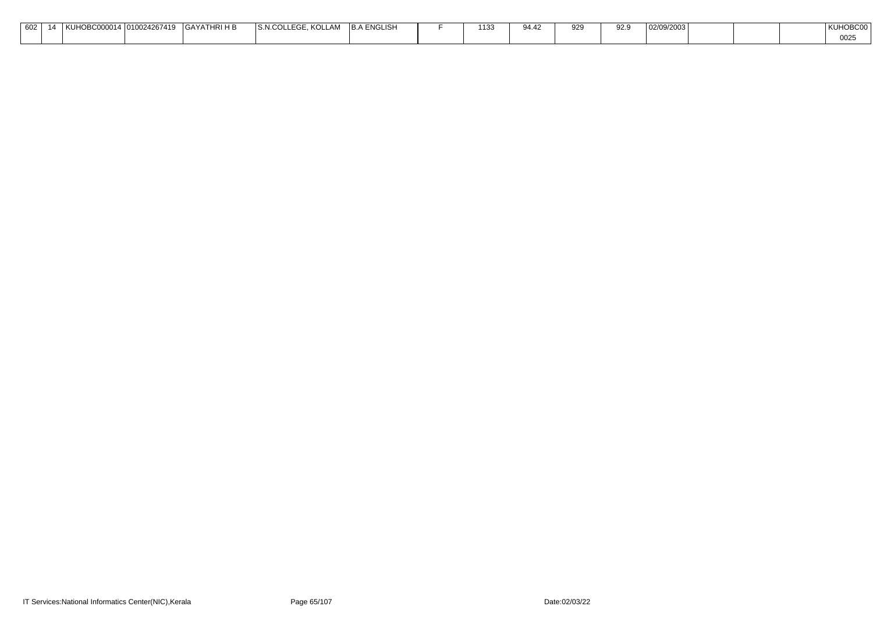| 602 | KUHOBCO | 10/124267410<br>$.10100^\circ$ | <b>IRIHB</b><br>$\bigcap$ $\bigwedge$ $\bigvee$ $\bigwedge$<br>1 H<br>GAYA | KOLLAM<br>$  -$<br>'S N.COL<br>.<br><b>INVLLAI.</b><br>. | .A ENGLISH<br>1 D. A | 112'<br>∖ ب | $\alpha A A^c$<br><b>J⊤.</b> − | 929 | -ao a | '02/09/2003 |  | $\cap \cap \cap \cap$<br>UDUL |
|-----|---------|--------------------------------|----------------------------------------------------------------------------|----------------------------------------------------------|----------------------|-------------|--------------------------------|-----|-------|-------------|--|-------------------------------|
|     |         |                                |                                                                            |                                                          |                      |             |                                |     |       |             |  | $\sim$ $\sim$<br><b>0025</b>  |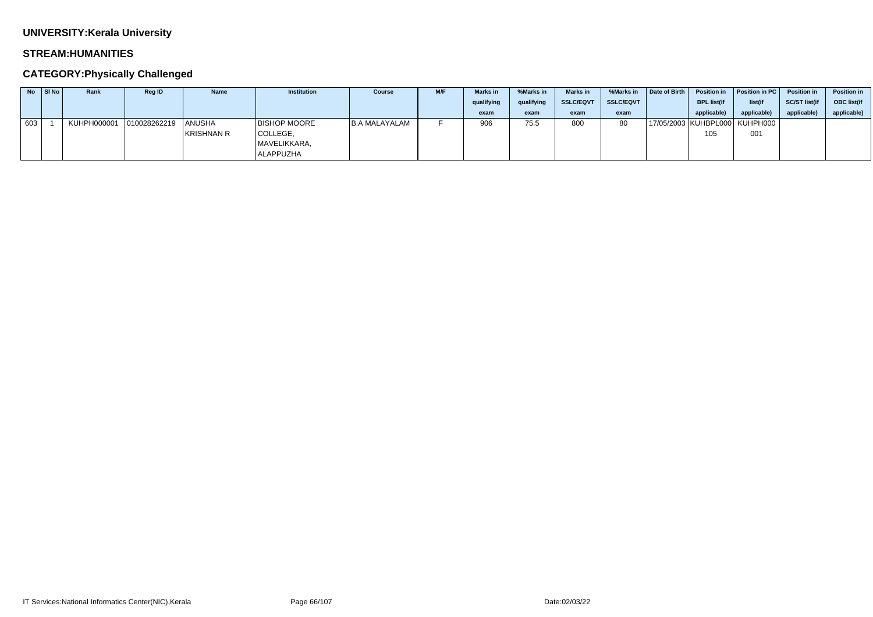### **STREAM:HUMANITIES**

## **CATEGORY:Physically Challenged**

|     | $\overline{N}$   SI No | Rank        | <b>Reg ID</b> | <b>Name</b>       | <b>Institution</b>  | <b>Course</b> | <b>M/F</b> | <b>Marks in</b> | %Marks in  | <b>Marks in</b>  | %Marks in        | Date of Birth | <b>Position in</b> | Position in PC                    | <b>Position in</b>   | <b>Position in</b> |
|-----|------------------------|-------------|---------------|-------------------|---------------------|---------------|------------|-----------------|------------|------------------|------------------|---------------|--------------------|-----------------------------------|----------------------|--------------------|
|     |                        |             |               |                   |                     |               |            | qualifying      | qualifying | <b>SSLC/EQVT</b> | <b>SSLC/EQVT</b> |               | <b>BPL list(if</b> | list(if                           | <b>SC/ST list(if</b> | <b>OBC</b> list(if |
|     |                        |             |               |                   |                     |               |            | exam            | exam       | exam             | exam             |               | applicable)        | applicable                        | applicable           | applicable)        |
| 603 |                        | KUHPH000001 | 010028262219  | <b>ANUSHA</b>     | <b>BISHOP MOORE</b> | B.A MALAYALAM |            | 906             | 75.5       | 800              | 80               |               |                    | 17/05/2003   KUHBPL000   KUHPH000 |                      |                    |
|     |                        |             |               | <b>KRISHNAN R</b> | COLLEGE,            |               |            |                 |            |                  |                  |               | 105                | 001                               |                      |                    |
|     |                        |             |               |                   | MAVELIKKARA,        |               |            |                 |            |                  |                  |               |                    |                                   |                      |                    |
|     |                        |             |               |                   | <b>ALAPPUZHA</b>    |               |            |                 |            |                  |                  |               |                    |                                   |                      |                    |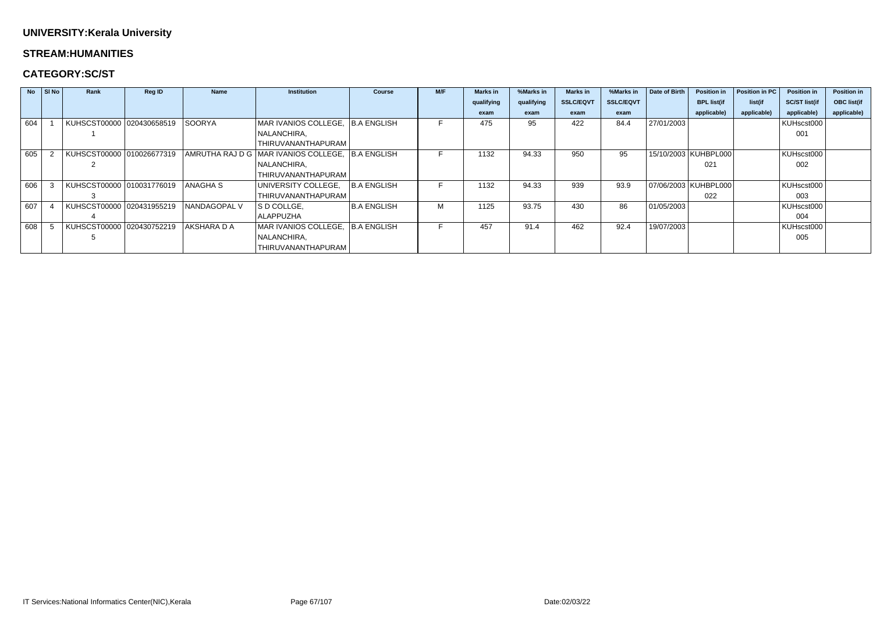#### **STREAM:HUMANITIES**

## **CATEGORY:SC/ST**

|     | $No$ $ S $ $No$ | Rank                      | <b>Reg ID</b> | <b>Name</b>   | <b>Institution</b>                     | <b>Course</b>      | M/F | <b>Marks in</b> | %Marks in  | Marks in         | %Marks in        | Date of Birth | <b>Position in</b>     | Position in PC | <b>Position in</b>   | <b>Position in</b> |
|-----|-----------------|---------------------------|---------------|---------------|----------------------------------------|--------------------|-----|-----------------|------------|------------------|------------------|---------------|------------------------|----------------|----------------------|--------------------|
|     |                 |                           |               |               |                                        |                    |     | qualifying      | qualifying | <b>SSLC/EQVT</b> | <b>SSLC/EQVT</b> |               | <b>BPL list(if</b>     | list(if        | <b>SC/ST list(if</b> | <b>OBC</b> list(if |
|     |                 |                           |               |               |                                        |                    |     | exam            | exam       | exam             | exam             |               | applicable)            | applicable)    | applicable)          | applicable)        |
| 604 |                 | KUHSCST00000 020430658519 |               | <b>SOORYA</b> | MAR IVANIOS COLLEGE,                   | B.A ENGLISH        |     | 475             | 95         | 422              | 84.4             | 27/01/2003    |                        |                | KUHscst000           |                    |
|     |                 |                           |               |               | NALANCHIRA,                            |                    |     |                 |            |                  |                  |               |                        |                | 001                  |                    |
|     |                 |                           |               |               | THIRUVANANTHAPURAM                     |                    |     |                 |            |                  |                  |               |                        |                |                      |                    |
| 605 |                 | KUHSCST00000 010026677319 |               |               | AMRUTHA RAJ D G   MAR IVANIOS COLLEGE, | <b>B.A ENGLISH</b> |     | 1132            | 94.33      | 950              | 95               |               | 15/10/2003   KUHBPL000 |                | KUHscst000           |                    |
|     |                 |                           |               |               | NALANCHIRA,                            |                    |     |                 |            |                  |                  |               | 021                    |                | 002                  |                    |
|     |                 |                           |               |               | THIRUVANANTHAPURAM                     |                    |     |                 |            |                  |                  |               |                        |                |                      |                    |
| 606 |                 | KUHSCST00000 010031776019 |               | ANAGHA S      | UNIVERSITY COLLEGE,                    | <b>B.A ENGLISH</b> |     | 1132            | 94.33      | 939              | 93.9             |               | 07/06/2003   KUHBPL000 |                | KUHscst000           |                    |
|     |                 |                           |               |               | THIRUVANANTHAPURAM                     |                    |     |                 |            |                  |                  |               | 022                    |                | 003                  |                    |
| 607 |                 | KUHSCST00000 020431955219 |               | NANDAGOPAL V  | S D COLLGE,                            | <b>B.A ENGLISH</b> | M   | 1125            | 93.75      | 430              | 86               | 01/05/2003    |                        |                | KUHscst000           |                    |
|     |                 |                           |               |               | <b>ALAPPUZHA</b>                       |                    |     |                 |            |                  |                  |               |                        |                | 004                  |                    |
| 608 |                 | KUHSCST00000 020430752219 |               | AKSHARA D A   | MAR IVANIOS COLLEGE,                   | . B.A ENGLISH      |     | 457             | 91.4       | 462              | 92.4             | 19/07/2003    |                        |                | KUHscst000           |                    |
|     |                 |                           |               |               | NALANCHIRA,                            |                    |     |                 |            |                  |                  |               |                        |                | 005                  |                    |
|     |                 |                           |               |               | THIRUVANANTHAPURAM                     |                    |     |                 |            |                  |                  |               |                        |                |                      |                    |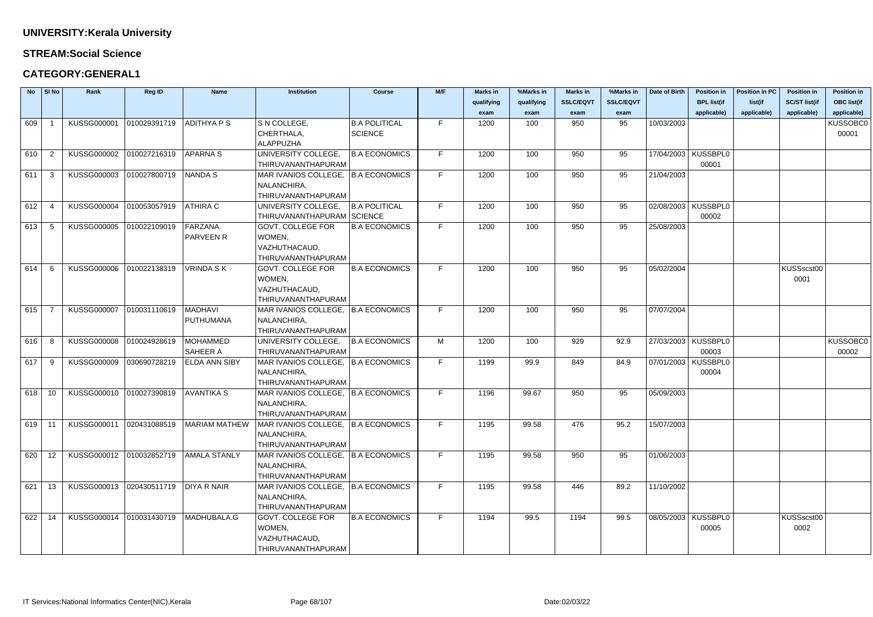### **STREAM:Social Science**

## **CATEGORY:GENERAL1**

|          | $No$ SI No     | Rank                     | <b>Reg ID</b> | Name                 | <b>Institution</b>                   | <b>Course</b>        | M/F | <b>Marks in</b> | %Marks in  | <b>Marks in</b>  | %Marks in        | Date of Birth | <b>Position in</b>    | <b>Position in PC</b> | <b>Position in</b>   | <b>Position in</b> |
|----------|----------------|--------------------------|---------------|----------------------|--------------------------------------|----------------------|-----|-----------------|------------|------------------|------------------|---------------|-----------------------|-----------------------|----------------------|--------------------|
|          |                |                          |               |                      |                                      |                      |     | qualifying      | qualifying | <b>SSLC/EQVT</b> | <b>SSLC/EQVT</b> |               | <b>BPL list(if</b>    | list(if               | <b>SC/ST list(if</b> | <b>OBC list(if</b> |
|          |                |                          |               |                      |                                      |                      |     | exam            | exam       | exam             | exam             |               | applicable)           | applicable)           | applicable)          | applicable)        |
| 609      |                | KUSSG000001              | 010029391719  | <b>ADITHYAPS</b>     | S N COLLEGE,                         | <b>B.A POLITICAL</b> | F.  | 1200            | 100        | 950              | 95               | 10/03/2003    |                       |                       |                      | <b>KUSSOBC0</b>    |
|          |                |                          |               |                      | CHERTHALA,                           | SCIENCE              |     |                 |            |                  |                  |               |                       |                       |                      | 00001              |
|          |                |                          |               |                      | ALAPPUZHA                            |                      |     |                 |            |                  |                  |               |                       |                       |                      |                    |
| 610      | $\overline{2}$ | KUSSG000002              | 010027216319  | <b>APARNAS</b>       | UNIVERSITY COLLEGE,                  | <b>B.A ECONOMICS</b> | F.  | 1200            | 100        | 950              | 95               |               | 17/04/2003   KUSSBPL0 |                       |                      |                    |
|          |                |                          |               |                      | THIRUVANANTHAPURAM                   |                      |     |                 |            |                  |                  |               | 00001                 |                       |                      |                    |
| $611$ 3  |                | KUSSG000003              | 010027800719  | <b>NANDA S</b>       | MAR IVANIOS COLLEGE, B.A ECONOMICS   |                      | F.  | 1200            | 100        | 950              | 95               | 21/04/2003    |                       |                       |                      |                    |
|          |                |                          |               |                      | NALANCHIRA,                          |                      |     |                 |            |                  |                  |               |                       |                       |                      |                    |
|          |                |                          |               |                      | THIRUVANANTHAPURAM                   |                      |     |                 |            |                  |                  |               |                       |                       |                      |                    |
| 612      | - 4            | KUSSG000004              | 010053057919  | <b>ATHIRA C</b>      | UNIVERSITY COLLEGE,                  | <b>B.A POLITICAL</b> | F.  | 1200            | 100        | 950              | 95               |               | 02/08/2003 KUSSBPL0   |                       |                      |                    |
|          |                |                          |               |                      | THIRUVANANTHAPURAM SCIENCE           |                      |     |                 |            |                  |                  |               | 00002                 |                       |                      |                    |
| 613      | - 5            | KUSSG000005              | 010022109019  | FARZANA              | <b>GOVT. COLLEGE FOR</b>             | <b>B.A ECONOMICS</b> | F.  | 1200            | 100        | 950              | 95               | 25/08/2003    |                       |                       |                      |                    |
|          |                |                          |               | <b>PARVEEN R</b>     | WOMEN,                               |                      |     |                 |            |                  |                  |               |                       |                       |                      |                    |
|          |                |                          |               |                      | VAZHUTHACAUD,                        |                      |     |                 |            |                  |                  |               |                       |                       |                      |                    |
|          |                |                          |               |                      | THIRUVANANTHAPURAM                   |                      |     |                 |            |                  |                  |               |                       |                       |                      |                    |
| 614      | - 6            | KUSSG000006              | 010022138319  | <b>VRINDA SK</b>     | <b>GOVT. COLLEGE FOR</b>             | <b>B.A ECONOMICS</b> | F.  | 1200            | 100        | 950              | 95               | 05/02/2004    |                       |                       | KUSSscst00           |                    |
|          |                |                          |               |                      | WOMEN,                               |                      |     |                 |            |                  |                  |               |                       |                       | 0001                 |                    |
|          |                |                          |               |                      | VAZHUTHACAUD,                        |                      |     |                 |            |                  |                  |               |                       |                       |                      |                    |
|          |                |                          |               |                      | THIRUVANANTHAPURAM                   |                      |     |                 |            |                  |                  |               |                       |                       |                      |                    |
| 615      |                | KUSSG000007              | 010031110619  | <b>MADHAVI</b>       | MAR IVANIOS COLLEGE, B.A ECONOMICS   |                      | F.  | 1200            | 100        | 950              | 95               | 07/07/2004    |                       |                       |                      |                    |
|          |                |                          |               | PUTHUMANA            | NALANCHIRA,                          |                      |     |                 |            |                  |                  |               |                       |                       |                      |                    |
|          |                |                          |               |                      | THIRUVANANTHAPURAM                   |                      |     |                 |            |                  |                  |               |                       |                       |                      |                    |
| 616      | - 8            | KUSSG000008              | 010024928619  | MOHAMMED             | UNIVERSITY COLLEGE,                  | <b>B.A ECONOMICS</b> | М   | 1200            | 100        | 929              | 92.9             |               | 27/03/2003   KUSSBPL0 |                       |                      | <b>KUSSOBCO</b>    |
|          |                |                          |               | <b>SAHEER A</b>      | THIRUVANANTHAPURAM                   |                      |     |                 |            |                  |                  |               | 00003                 |                       |                      | 00002              |
| 617      | - 9            | KUSSG000009              | 030690728219  | <b>ELDA ANN SIBY</b> | MAR IVANIOS COLLEGE, B.A ECONOMICS   |                      | F.  | 1199            | 99.9       | 849              | 84.9             | 07/01/2003    | <b>KUSSBPL0</b>       |                       |                      |                    |
|          |                |                          |               |                      | NALANCHIRA,                          |                      |     |                 |            |                  |                  |               | 00004                 |                       |                      |                    |
|          |                |                          |               |                      | THIRUVANANTHAPURAM                   |                      |     |                 |            |                  |                  |               |                       |                       |                      |                    |
| $618$ 10 |                | KUSSG000010              | 010027390819  | <b>AVANTIKA S</b>    | MAR IVANIOS COLLEGE,   B.A ECONOMICS |                      | F.  | 1196            | 99.67      | 950              | 95               | 05/09/2003    |                       |                       |                      |                    |
|          |                |                          |               |                      | NALANCHIRA,                          |                      |     |                 |            |                  |                  |               |                       |                       |                      |                    |
|          |                |                          |               |                      | THIRUVANANTHAPURAM                   |                      |     |                 |            |                  |                  |               |                       |                       |                      |                    |
| $619$ 11 |                | KUSSG000011              | 020431088519  | MARIAM MATHEW        | MAR IVANIOS COLLEGE, B.A ECONOMICS   |                      | F.  | 1195            | 99.58      | 476              | 95.2             | 15/07/2003    |                       |                       |                      |                    |
|          |                |                          |               |                      | NALANCHIRA,                          |                      |     |                 |            |                  |                  |               |                       |                       |                      |                    |
|          |                |                          |               |                      | THIRUVANANTHAPURAM                   |                      |     |                 |            |                  |                  |               |                       |                       |                      |                    |
| $620$ 12 |                | KUSSG000012 010032852719 |               | AMALA STANLY         | MAR IVANIOS COLLEGE, B.A ECONOMICS   |                      | F.  | 1195            | 99.58      | 950              | 95               | 01/06/2003    |                       |                       |                      |                    |
|          |                |                          |               |                      | NALANCHIRA,                          |                      |     |                 |            |                  |                  |               |                       |                       |                      |                    |
|          |                |                          |               |                      | THIRUVANANTHAPURAM                   |                      |     |                 |            |                  |                  |               |                       |                       |                      |                    |
| 621      | 13             | KUSSG000013              | 020430511719  | <b>DIYA R NAIR</b>   | MAR IVANIOS COLLEGE, B.A ECONOMICS   |                      | F.  | 1195            | 99.58      | 446              | 89.2             | 11/10/2002    |                       |                       |                      |                    |
|          |                |                          |               |                      | NALANCHIRA,                          |                      |     |                 |            |                  |                  |               |                       |                       |                      |                    |
|          |                |                          |               |                      | THIRUVANANTHAPURAM                   |                      |     |                 |            |                  |                  |               |                       |                       |                      |                    |
| 622      | 14             | KUSSG000014 010031430719 |               | MADHUBALA.G          | <b>GOVT. COLLEGE FOR</b>             | <b>B.A ECONOMICS</b> | F.  | 1194            | 99.5       | 1194             | 99.5             |               | 08/05/2003   KUSSBPL0 |                       | KUSSscst00           |                    |
|          |                |                          |               |                      | WOMEN,                               |                      |     |                 |            |                  |                  |               | 00005                 |                       | 0002                 |                    |
|          |                |                          |               |                      | VAZHUTHACAUD,                        |                      |     |                 |            |                  |                  |               |                       |                       |                      |                    |
|          |                |                          |               |                      | THIRUVANANTHAPURAM                   |                      |     |                 |            |                  |                  |               |                       |                       |                      |                    |

| Date of Birth | <b>Position in</b> | <b>Position in PC</b> | <b>Position in</b>   | <b>Position in</b> |
|---------------|--------------------|-----------------------|----------------------|--------------------|
|               | <b>BPL list(if</b> | list(if               | <b>SC/ST list(if</b> | <b>OBC list(if</b> |
|               | applicable)        | applicable)           | applicable)          | applicable)        |
| 10/03/2003    |                    |                       |                      | KUSSOBC0           |
|               |                    |                       |                      | 00001              |
|               |                    |                       |                      |                    |
| 17/04/2003    | KUSSBPL0           |                       |                      |                    |
|               | 00001              |                       |                      |                    |
| 21/04/2003    |                    |                       |                      |                    |
|               |                    |                       |                      |                    |
|               |                    |                       |                      |                    |
| 02/08/2003    | <b>KUSSBPL0</b>    |                       |                      |                    |
|               | 00002              |                       |                      |                    |
| 25/08/2003    |                    |                       |                      |                    |
|               |                    |                       |                      |                    |
|               |                    |                       |                      |                    |
|               |                    |                       |                      |                    |
| 05/02/2004    |                    |                       | KUSSscst00           |                    |
|               |                    |                       | 0001                 |                    |
|               |                    |                       |                      |                    |
|               |                    |                       |                      |                    |
| 07/07/2004    |                    |                       |                      |                    |
|               |                    |                       |                      |                    |
|               |                    |                       |                      |                    |
| 27/03/2003    | <b>KUSSBPL0</b>    |                       |                      | KUSSOBC0           |
|               | 00003              |                       |                      | 00002              |
| 07/01/2003    | KUSSBPL0           |                       |                      |                    |
|               | 00004              |                       |                      |                    |
|               |                    |                       |                      |                    |
| 05/09/2003    |                    |                       |                      |                    |
|               |                    |                       |                      |                    |
|               |                    |                       |                      |                    |
| 15/07/2003    |                    |                       |                      |                    |
|               |                    |                       |                      |                    |
|               |                    |                       |                      |                    |
| 01/06/2003    |                    |                       |                      |                    |
|               |                    |                       |                      |                    |
| 11/10/2002    |                    |                       |                      |                    |
|               |                    |                       |                      |                    |
|               |                    |                       |                      |                    |
| 08/05/2003    | <b>KUSSBPL0</b>    |                       | KUSSscst00           |                    |
|               | 00005              |                       | 0002                 |                    |
|               |                    |                       |                      |                    |
|               |                    |                       |                      |                    |
|               |                    |                       |                      |                    |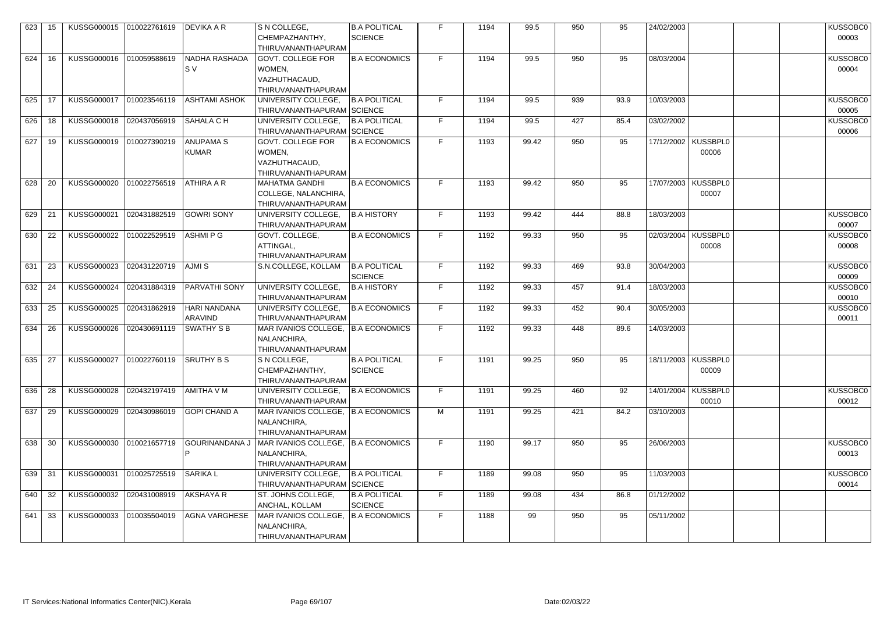| 623 | -15 |                          | KUSSG000015 010022761619 DEVIKA A R |                       | S N COLLEGE,                         | <b>B.A POLITICAL</b> | F. | 1194 | 99.5  | 950 | 95   | 24/02/2003 |                       | KUSSOBC0 |
|-----|-----|--------------------------|-------------------------------------|-----------------------|--------------------------------------|----------------------|----|------|-------|-----|------|------------|-----------------------|----------|
|     |     |                          |                                     |                       | CHEMPAZHANTHY,                       | <b>SCIENCE</b>       |    |      |       |     |      |            |                       | 00003    |
|     |     |                          |                                     |                       | THIRUVANANTHAPURAM                   |                      |    |      |       |     |      |            |                       |          |
| 624 | 16  | KUSSG000016 010059588619 |                                     | NADHA RASHADA         | <b>GOVT. COLLEGE FOR</b>             | <b>B.A ECONOMICS</b> | F. | 1194 | 99.5  | 950 | 95   | 08/03/2004 |                       | KUSSOBC0 |
|     |     |                          |                                     |                       |                                      |                      |    |      |       |     |      |            |                       |          |
|     |     |                          |                                     | ls v                  | WOMEN,                               |                      |    |      |       |     |      |            |                       | 00004    |
|     |     |                          |                                     |                       | VAZHUTHACAUD,                        |                      |    |      |       |     |      |            |                       |          |
|     |     |                          |                                     |                       | THIRUVANANTHAPURAM                   |                      |    |      |       |     |      |            |                       |          |
| 625 | 17  | KUSSG000017 010023546119 |                                     | ASHTAMI ASHOK         | UNIVERSITY COLLEGE.                  | <b>B.A POLITICAL</b> | F. | 1194 | 99.5  | 939 | 93.9 | 10/03/2003 |                       | KUSSOBC0 |
|     |     |                          |                                     |                       | THIRUVANANTHAPURAM SCIENCE           |                      |    |      |       |     |      |            |                       | 00005    |
| 626 | -18 | KUSSG000018              | 020437056919                        | SAHALA C H            | UNIVERSITY COLLEGE,                  | <b>B.A POLITICAL</b> | F. | 1194 | 99.5  | 427 | 85.4 | 03/02/2002 |                       | KUSSOBC0 |
|     |     |                          |                                     |                       | THIRUVANANTHAPURAM SCIENCE           |                      |    |      |       |     |      |            |                       | 00006    |
| 627 | 19  | KUSSG000019 010027390219 |                                     | <b>ANUPAMA S</b>      | <b>GOVT. COLLEGE FOR</b>             | <b>B.A ECONOMICS</b> | F. | 1193 | 99.42 | 950 | 95   |            | 17/12/2002   KUSSBPL0 |          |
|     |     |                          |                                     | <b>KUMAR</b>          | WOMEN,                               |                      |    |      |       |     |      |            | 00006                 |          |
|     |     |                          |                                     |                       | VAZHUTHACAUD,                        |                      |    |      |       |     |      |            |                       |          |
|     |     |                          |                                     |                       | THIRUVANANTHAPURAM                   |                      |    |      |       |     |      |            |                       |          |
|     |     |                          |                                     |                       |                                      |                      |    |      |       |     |      |            |                       |          |
| 628 | -20 | KUSSG000020 010022756519 |                                     | <b>ATHIRA A R</b>     | <b>MAHATMA GANDHI</b>                | <b>B.A ECONOMICS</b> | F. | 1193 | 99.42 | 950 | 95   |            | 17/07/2003 KUSSBPL0   |          |
|     |     |                          |                                     |                       | COLLEGE, NALANCHIRA,                 |                      |    |      |       |     |      |            | 00007                 |          |
|     |     |                          |                                     |                       | THIRUVANANTHAPURAM                   |                      |    |      |       |     |      |            |                       |          |
| 629 | 21  | KUSSG000021              | 020431882519                        | GOWRI SONY            | UNIVERSITY COLLEGE,                  | <b>B.A HISTORY</b>   | F. | 1193 | 99.42 | 444 | 88.8 | 18/03/2003 |                       | KUSSOBC0 |
|     |     |                          |                                     |                       | THIRUVANANTHAPURAM                   |                      |    |      |       |     |      |            |                       | 00007    |
| 630 | 22  | <b>KUSSG000022</b>       | 010022529519                        | ASHMI P G             | GOVT. COLLEGE,                       | <b>B.A ECONOMICS</b> | F. | 1192 | 99.33 | 950 | 95   | 02/03/2004 | <b>KUSSBPL0</b>       | KUSSOBC0 |
|     |     |                          |                                     |                       | ATTINGAL,                            |                      |    |      |       |     |      |            | 00008                 | 00008    |
|     |     |                          |                                     |                       | THIRUVANANTHAPURAM                   |                      |    |      |       |     |      |            |                       |          |
| 631 | 23  | KUSSG000023              | 020431220719                        | <b>AJMIS</b>          | S.N.COLLEGE, KOLLAM                  | <b>B.A POLITICAL</b> | F. | 1192 | 99.33 | 469 | 93.8 | 30/04/2003 |                       | KUSSOBC0 |
|     |     |                          |                                     |                       |                                      | <b>SCIENCE</b>       |    |      |       |     |      |            |                       | 00009    |
| 632 | 24  | KUSSG000024              | 020431884319                        | <b>PARVATHI SONY</b>  | UNIVERSITY COLLEGE,                  | <b>B.A HISTORY</b>   | F. | 1192 | 99.33 | 457 | 91.4 | 18/03/2003 |                       | KUSSOBC0 |
|     |     |                          |                                     |                       | THIRUVANANTHAPURAM                   |                      |    |      |       |     |      |            |                       | 00010    |
| 633 | 25  | KUSSG000025              | 020431862919                        | HARI NANDANA          | UNIVERSITY COLLEGE,                  | <b>B.A ECONOMICS</b> | F. | 1192 | 99.33 | 452 | 90.4 | 30/05/2003 |                       | KUSSOBC0 |
|     |     |                          |                                     | ARAVIND               | THIRUVANANTHAPURAM                   |                      |    |      |       |     |      |            |                       | 00011    |
|     |     |                          |                                     |                       |                                      |                      |    |      |       |     |      |            |                       |          |
| 634 | -26 | KUSSG000026              | 020430691119                        | SWATHY S B            | MAR IVANIOS COLLEGE,   B.A ECONOMICS |                      | F. | 1192 | 99.33 | 448 | 89.6 | 14/03/2003 |                       |          |
|     |     |                          |                                     |                       | NALANCHIRA,                          |                      |    |      |       |     |      |            |                       |          |
|     |     |                          |                                     |                       | THIRUVANANTHAPURAM                   |                      |    |      |       |     |      |            |                       |          |
| 635 | -27 | KUSSG000027              | 010022760119                        | <b>SRUTHY B S</b>     | S N COLLEGE,                         | <b>B.A POLITICAL</b> | F. | 1191 | 99.25 | 950 | 95   |            | 18/11/2003   KUSSBPL0 |          |
|     |     |                          |                                     |                       | CHEMPAZHANTHY,                       | <b>SCIENCE</b>       |    |      |       |     |      |            | 00009                 |          |
|     |     |                          |                                     |                       | THIRUVANANTHAPURAM                   |                      |    |      |       |     |      |            |                       |          |
| 636 | 28  | KUSSG000028              | 020432197419                        | AMITHA V M            | UNIVERSITY COLLEGE,                  | <b>B.A ECONOMICS</b> | F. | 1191 | 99.25 | 460 | 92   | 14/01/2004 | KUSSBPL0              | KUSSOBC0 |
|     |     |                          |                                     |                       | THIRUVANANTHAPURAM                   |                      |    |      |       |     |      |            | 00010                 | 00012    |
| 637 | 29  | KUSSG000029              | 020430986019                        | GOPI CHAND A          | MAR IVANIOS COLLEGE, B.A ECONOMICS   |                      | M  | 1191 | 99.25 | 421 | 84.2 | 03/10/2003 |                       |          |
|     |     |                          |                                     |                       | NALANCHIRA,                          |                      |    |      |       |     |      |            |                       |          |
|     |     |                          |                                     |                       | THIRUVANANTHAPURAM                   |                      |    |      |       |     |      |            |                       |          |
| 638 | -30 | KUSSG000030              | 010021657719                        | <b>GOURINANDANA J</b> | MAR IVANIOS COLLEGE, B.A ECONOMICS   |                      | F. | 1190 | 99.17 | 950 | 95   | 26/06/2003 |                       | KUSSOBC0 |
|     |     |                          |                                     |                       | NALANCHIRA,                          |                      |    |      |       |     |      |            |                       | 00013    |
|     |     |                          |                                     |                       | THIRUVANANTHAPURAM                   |                      |    |      |       |     |      |            |                       |          |
|     |     |                          |                                     |                       |                                      |                      |    |      |       |     |      |            |                       |          |
| 639 | -31 | KUSSG000031              | 010025725519                        | <b>SARIKA L</b>       | UNIVERSITY COLLEGE,                  | <b>B.A POLITICAL</b> | F. | 1189 | 99.08 | 950 | 95   | 11/03/2003 |                       | KUSSOBC0 |
|     |     |                          |                                     |                       | THIRUVANANTHAPURAM SCIENCE           |                      |    |      |       |     |      |            |                       | 00014    |
| 640 | 32  | KUSSG000032              | 020431008919                        | AKSHAYA R             | ST. JOHNS COLLEGE,                   | <b>B.A POLITICAL</b> | F. | 1189 | 99.08 | 434 | 86.8 | 01/12/2002 |                       |          |
|     |     |                          |                                     |                       | ANCHAL, KOLLAM                       | <b>SCIENCE</b>       |    |      |       |     |      |            |                       |          |
| 641 | 33  | KUSSG000033              | 010035504019                        | <b>AGNA VARGHESE</b>  | MAR IVANIOS COLLEGE,   B.A ECONOMICS |                      | F. | 1188 | 99    | 950 | 95   | 05/11/2002 |                       |          |
|     |     |                          |                                     |                       | NALANCHIRA,                          |                      |    |      |       |     |      |            |                       |          |
|     |     |                          |                                     |                       | THIRUVANANTHAPURAM                   |                      |    |      |       |     |      |            |                       |          |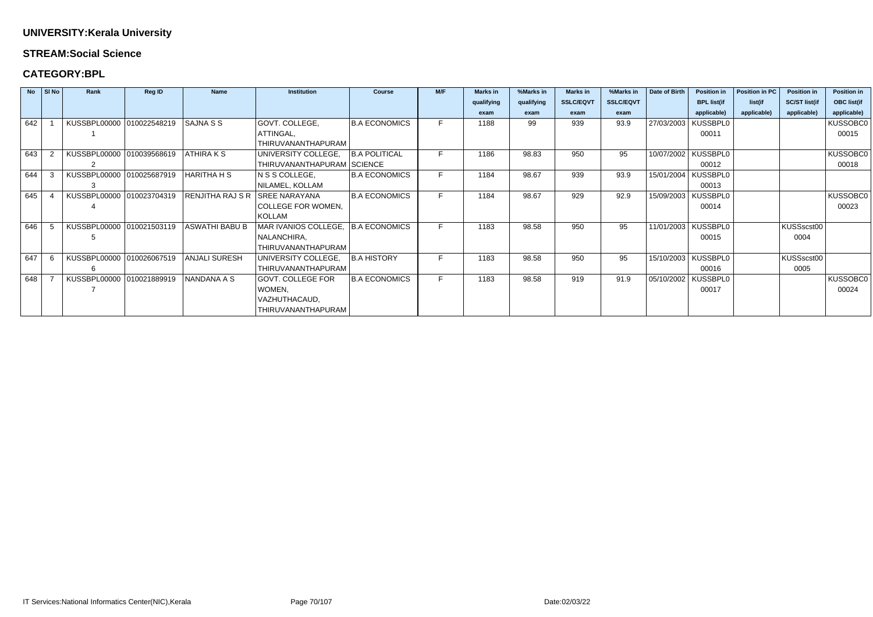### **STREAM:Social Science**

|     | $No$ SINO | Rank                      | <b>Reg ID</b> | <b>Name</b>      | <b>Institution</b>                 | <b>Course</b>        | M/F | <b>Marks</b> in | %Marks in  | <b>Marks</b> in  | %Marks in        | Date of Birth | <b>Position in</b>    | Position in PC | <b>Position in</b>   | <b>Position in</b> |
|-----|-----------|---------------------------|---------------|------------------|------------------------------------|----------------------|-----|-----------------|------------|------------------|------------------|---------------|-----------------------|----------------|----------------------|--------------------|
|     |           |                           |               |                  |                                    |                      |     | qualifying      | qualifying | <b>SSLC/EQVT</b> | <b>SSLC/EQVT</b> |               | <b>BPL list(if</b>    | list(if        | <b>SC/ST list(if</b> | <b>OBC list(if</b> |
|     |           |                           |               |                  |                                    |                      |     | exam            | exam       | exam             | exam             |               | applicable)           | applicable)    | applicable)          | applicable)        |
| 642 |           | KUSSBPL00000 010022548219 |               | SAJNA S S        | GOVT. COLLEGE,                     | <b>B.A ECONOMICS</b> | F.  | 1188            | 99         | 939              | 93.9             | 27/03/2003    | <b>KUSSBPL0</b>       |                |                      | KUSSOBC0           |
|     |           |                           |               |                  | ATTINGAL,                          |                      |     |                 |            |                  |                  |               | 00011                 |                |                      | 00015              |
|     |           |                           |               |                  | THIRUVANANTHAPURAM                 |                      |     |                 |            |                  |                  |               |                       |                |                      |                    |
| 643 |           | KUSSBPL00000 010039568619 |               | ATHIRA K S       | UNIVERSITY COLLEGE,                | <b>B.A POLITICAL</b> | F   | 1186            | 98.83      | 950              | 95               | 10/07/2002    | <b>KUSSBPL0</b>       |                |                      | KUSSOBC0           |
|     |           |                           |               |                  | THIRUVANANTHAPURAM SCIENCE         |                      |     |                 |            |                  |                  |               | 00012                 |                |                      | 00018              |
| 644 |           | KUSSBPL00000 010025687919 |               | HARITHA H S      | N S S COLLEGE,                     | <b>B.A ECONOMICS</b> |     | 1184            | 98.67      | 939              | 93.9             | 15/01/2004    | <b>KUSSBPL0</b>       |                |                      |                    |
|     |           |                           |               |                  | NILAMEL, KOLLAM                    |                      |     |                 |            |                  |                  |               | 00013                 |                |                      |                    |
| 645 |           | KUSSBPL00000 010023704319 |               | RENJITHA RAJ S R | <b>SREE NARAYANA</b>               | <b>B.A ECONOMICS</b> | F.  | 1184            | 98.67      | 929              | 92.9             | 15/09/2003    | KUSSBPL0              |                |                      | <b>KUSSOBC0</b>    |
|     |           |                           |               |                  | COLLEGE FOR WOMEN,                 |                      |     |                 |            |                  |                  |               | 00014                 |                |                      | 00023              |
|     |           |                           |               |                  | <b>KOLLAM</b>                      |                      |     |                 |            |                  |                  |               |                       |                |                      |                    |
| 646 |           | KUSSBPL00000 010021503119 |               | ASWATHI BABU B   | MAR IVANIOS COLLEGE, B.A ECONOMICS |                      | F.  | 1183            | 98.58      | 950              | 95               |               | 11/01/2003   KUSSBPL0 |                | KUSSscst00           |                    |
|     |           |                           |               |                  | NALANCHIRA,                        |                      |     |                 |            |                  |                  |               | 00015                 |                | 0004                 |                    |
|     |           |                           |               |                  | THIRUVANANTHAPURAM                 |                      |     |                 |            |                  |                  |               |                       |                |                      |                    |
| 647 |           | KUSSBPL00000 010026067519 |               | ANJALI SURESH    | UNIVERSITY COLLEGE,                | B.A HISTORY          | F.  | 1183            | 98.58      | 950              | 95               |               | 15/10/2003   KUSSBPL0 |                | KUSSscst00           |                    |
|     |           | 6                         |               |                  | THIRUVANANTHAPURAM                 |                      |     |                 |            |                  |                  |               | 00016                 |                | 0005                 |                    |
| 648 |           | KUSSBPL00000 010021889919 |               | NANDANA A S      | <b>GOVT. COLLEGE FOR</b>           | <b>B.A ECONOMICS</b> | F   | 1183            | 98.58      | 919              | 91.9             | 05/10/2002    | KUSSBPL0              |                |                      | KUSSOBC0           |
|     |           |                           |               |                  | WOMEN,                             |                      |     |                 |            |                  |                  |               | 00017                 |                |                      | 00024              |
|     |           |                           |               |                  | VAZHUTHACAUD,                      |                      |     |                 |            |                  |                  |               |                       |                |                      |                    |
|     |           |                           |               |                  | THIRUVANANTHAPURAM                 |                      |     |                 |            |                  |                  |               |                       |                |                      |                    |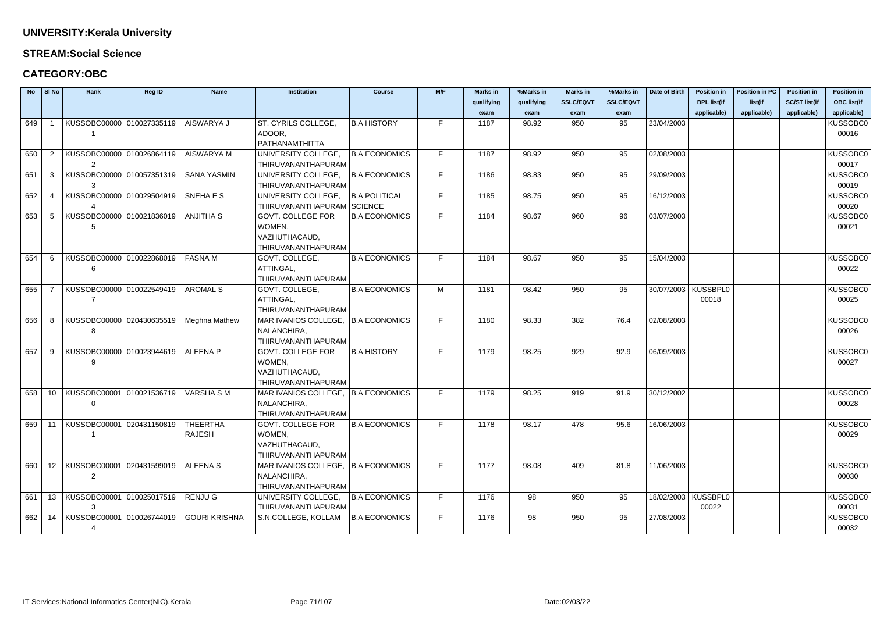### **STREAM:Social Science**

|        | $No$ SI No | Rank                             | <b>Reg ID</b> | <b>Name</b>          | <b>Institution</b>                   | <b>Course</b>        | M/F | <b>Marks in</b> | %Marks in  | <b>Marks in</b>  | %Marks in        | Date of Birth | <b>Position in</b>    | <b>Position in PC</b> | <b>Position in</b>   | <b>Position in</b> |
|--------|------------|----------------------------------|---------------|----------------------|--------------------------------------|----------------------|-----|-----------------|------------|------------------|------------------|---------------|-----------------------|-----------------------|----------------------|--------------------|
|        |            |                                  |               |                      |                                      |                      |     | qualifying      | qualifying | <b>SSLC/EQVT</b> | <b>SSLC/EQVT</b> |               | <b>BPL list(if</b>    | list(if               | <b>SC/ST list(if</b> | <b>OBC list(if</b> |
|        |            |                                  |               |                      |                                      |                      |     | exam            | exam       | exam             | exam             |               | applicable)           | applicable)           | applicable)          | applicable)        |
| 649    |            | KUSSOBC00000 010027335119        |               | AISWARYA J           | ST. CYRILS COLLEGE,                  | <b>B.A HISTORY</b>   | F.  | 1187            | 98.92      | 950              | 95               | 23/04/2003    |                       |                       |                      | KUSSOBC0           |
|        |            |                                  |               |                      | ADOOR,                               |                      |     |                 |            |                  |                  |               |                       |                       |                      | 00016              |
|        |            |                                  |               |                      | PATHANAMTHITTA                       |                      |     |                 |            |                  |                  |               |                       |                       |                      |                    |
| 650    |            | KUSSOBC00000 010026864119        |               | AISWARYA M           | UNIVERSITY COLLEGE,                  | <b>B.A ECONOMICS</b> |     | 1187            | 98.92      | 950              | 95               | 02/08/2003    |                       |                       |                      | KUSSOBC0           |
|        |            | 2                                |               |                      | <b>THIRUVANANTHAPURAM</b>            |                      |     |                 |            |                  |                  |               |                       |                       |                      | 00017              |
| 651    | -3         | KUSSOBC00000 010057351319        |               | İSANA YASMIN         | UNIVERSITY COLLEGE,                  | <b>B.A ECONOMICS</b> | F.  | 1186            | 98.83      | 950              | 95               | 29/09/2003    |                       |                       |                      | KUSSOBC0           |
|        |            | 3                                |               |                      | THIRUVANANTHAPURAM                   |                      |     |                 |            |                  |                  |               |                       |                       |                      | 00019              |
| 652    | -4         | KUSSOBC00000 010029504919        |               | SNEHA E S            | UNIVERSITY COLLEGE,                  | <b>B.A POLITICAL</b> | F.  | 1185            | 98.75      | 950              | 95               | 16/12/2003    |                       |                       |                      | KUSSOBC0           |
|        |            |                                  |               |                      | THIRUVANANTHAPURAM SCIENCE           |                      |     |                 |            |                  |                  |               |                       |                       |                      | 00020              |
| 653    | -5         | KUSSOBC00000 010021836019        |               | <b>ANJITHA S</b>     | GOVT. COLLEGE FOR                    | <b>B.A ECONOMICS</b> | E.  | 1184            | 98.67      | 960              | 96               | 03/07/2003    |                       |                       |                      | KUSSOBC0           |
|        |            | 5                                |               |                      | WOMEN,                               |                      |     |                 |            |                  |                  |               |                       |                       |                      | 00021              |
|        |            |                                  |               |                      | VAZHUTHACAUD,                        |                      |     |                 |            |                  |                  |               |                       |                       |                      |                    |
|        |            |                                  |               |                      | THIRUVANANTHAPURAM                   |                      |     |                 |            |                  |                  |               |                       |                       |                      |                    |
| 654    | -6         | KUSSOBC00000 010022868019        |               | <b>FASNAM</b>        | GOVT. COLLEGE,<br>ATTINGAL,          | <b>B.A ECONOMICS</b> | E.  | 1184            | 98.67      | 950              | 95               | 15/04/2003    |                       |                       |                      | KUSSOBC0<br>00022  |
|        |            | 6                                |               |                      | THIRUVANANTHAPURAM                   |                      |     |                 |            |                  |                  |               |                       |                       |                      |                    |
| 655    |            | KUSSOBC00000 010022549419        |               | <b>AROMAL S</b>      | GOVT. COLLEGE,                       | <b>B.A ECONOMICS</b> | M   | 1181            | 98.42      | 950              | 95               |               | 30/07/2003   KUSSBPL0 |                       |                      | KUSSOBC0           |
|        |            |                                  |               |                      | ATTINGAL,                            |                      |     |                 |            |                  |                  |               | 00018                 |                       |                      | 00025              |
|        |            |                                  |               |                      | THIRUVANANTHAPURAM                   |                      |     |                 |            |                  |                  |               |                       |                       |                      |                    |
| 656    | -8         | KUSSOBC00000 020430635519        |               | Meghna Mathew        | MAR IVANIOS COLLEGE,   B.A ECONOMICS |                      |     | 1180            | 98.33      | 382              | 76.4             | 02/08/2003    |                       |                       |                      | KUSSOBC0           |
|        |            | 8                                |               |                      | NALANCHIRA,                          |                      |     |                 |            |                  |                  |               |                       |                       |                      | 00026              |
|        |            |                                  |               |                      | THIRUVANANTHAPURAM                   |                      |     |                 |            |                  |                  |               |                       |                       |                      |                    |
| 657    | -9         | KUSSOBC00000 010023944619        |               | <b>ALEENA P</b>      | <b>GOVT. COLLEGE FOR</b>             | <b>B.A HISTORY</b>   | F.  | 1179            | 98.25      | 929              | 92.9             | 06/09/2003    |                       |                       |                      | KUSSOBC0           |
|        |            | 9                                |               |                      | WOMEN,                               |                      |     |                 |            |                  |                  |               |                       |                       |                      | 00027              |
|        |            |                                  |               |                      | VAZHUTHACAUD,                        |                      |     |                 |            |                  |                  |               |                       |                       |                      |                    |
|        |            |                                  |               |                      | THIRUVANANTHAPURAM                   |                      |     |                 |            |                  |                  |               |                       |                       |                      |                    |
| 658    | 10         | KUSSOBC00001 010021536719        |               | VARSHA S M           | MAR IVANIOS COLLEGE, B.A ECONOMICS   |                      | F.  | 1179            | 98.25      | 919              | 91.9             | 30/12/2002    |                       |                       |                      | KUSSOBC0           |
|        |            | 0                                |               |                      | NALANCHIRA,                          |                      |     |                 |            |                  |                  |               |                       |                       |                      | 00028              |
|        |            |                                  |               |                      | THIRUVANANTHAPURAM                   |                      |     |                 |            |                  |                  |               |                       |                       |                      |                    |
| 659 11 |            | KUSSOBC00001 020431150819        |               | THEERTHA             | <b>GOVT. COLLEGE FOR</b>             | <b>B.A ECONOMICS</b> | F.  | 1178            | 98.17      | 478              | 95.6             | 16/06/2003    |                       |                       |                      | KUSSOBC0           |
|        |            |                                  |               | <b>RAJESH</b>        | WOMEN,                               |                      |     |                 |            |                  |                  |               |                       |                       |                      | 00029              |
|        |            |                                  |               |                      | VAZHUTHACAUD,                        |                      |     |                 |            |                  |                  |               |                       |                       |                      |                    |
|        |            |                                  |               |                      | THIRUVANANTHAPURAM                   |                      |     |                 |            |                  |                  |               |                       |                       |                      |                    |
| 660    |            | 12   KUSSOBC00001   020431599019 |               | <b>ALEENA S</b>      | MAR IVANIOS COLLEGE,   B.A ECONOMICS |                      |     | 1177            | 98.08      | 409              | 81.8             | 11/06/2003    |                       |                       |                      | KUSSOBC0           |
|        |            | $2^{\circ}$                      |               |                      | NALANCHIRA,                          |                      |     |                 |            |                  |                  |               |                       |                       |                      | 00030              |
|        |            |                                  |               |                      | THIRUVANANTHAPURAM                   |                      |     |                 |            |                  |                  |               |                       |                       |                      |                    |
| 661    |            | 13 KUSSOBC00001 010025017519     |               | RENJU G              | UNIVERSITY COLLEGE,                  | <b>B.A ECONOMICS</b> | F.  | 1176            | 98         | 950              | 95               |               | 18/02/2003   KUSSBPL0 |                       |                      | KUSSOBC0           |
|        |            | 3                                |               |                      | THIRUVANANTHAPURAM                   |                      | F.  |                 |            |                  |                  |               | 00022                 |                       |                      | 00031              |
| 662    | 14         | KUSSOBC00001 010026744019        |               | <b>GOURI KRISHNA</b> | S.N.COLLEGE, KOLLAM                  | <b>B.A ECONOMICS</b> |     | 1176            | 98         | 950              | 95               | 27/08/2003    |                       |                       |                      | KUSSOBC0           |
|        |            | 4                                |               |                      |                                      |                      |     |                 |            |                  |                  |               |                       |                       |                      | 00032              |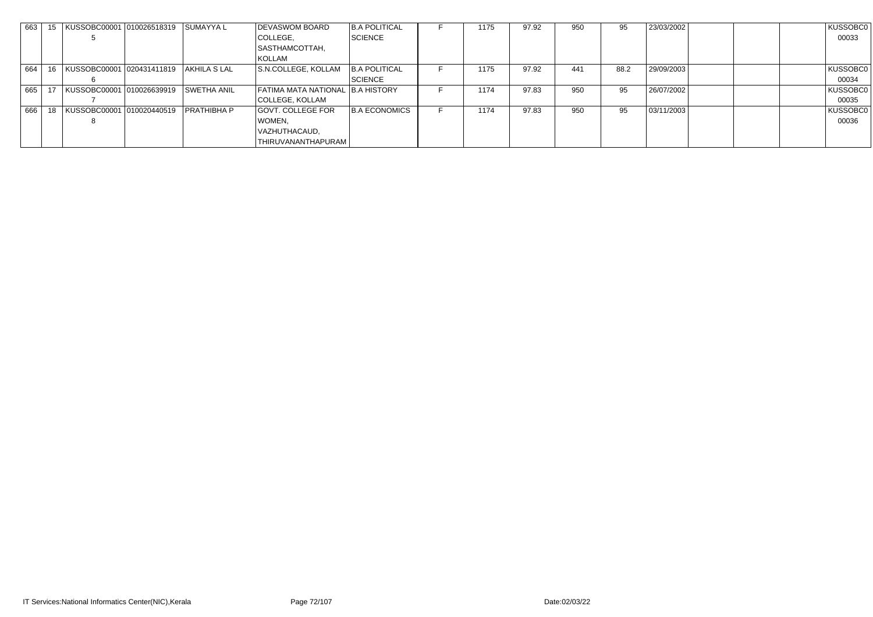|       |    | 663   15   KUSSOBC00001  010026518319    SUMAYYA L |                    | DEVASWOM BOARD                   | <b>B.A POLITICAL</b> | 1175 | 97.92 | 950 | 95   | 23/03/2002 | KUSSOBC0 |
|-------|----|----------------------------------------------------|--------------------|----------------------------------|----------------------|------|-------|-----|------|------------|----------|
|       |    |                                                    |                    | COLLEGE,                         | SCIENCE              |      |       |     |      |            | 00033    |
|       |    |                                                    |                    | SASTHAMCOTTAH,                   |                      |      |       |     |      |            |          |
|       |    |                                                    |                    | KOLLAM                           |                      |      |       |     |      |            |          |
| 664   | 16 | KUSSOBC00001 020431411819                          | AKHILA S LAL       | S.N.COLLEGE, KOLLAM              | <b>B.A POLITICAL</b> | 1175 | 97.92 | 441 | 88.2 | 29/09/2003 | KUSSOBC0 |
|       |    |                                                    |                    |                                  | SCIENCE              |      |       |     |      |            | 00034    |
| 665   |    | KUSSOBC00001 010026639919                          | <b>SWETHA ANIL</b> | FATIMA MATA NATIONAL B.A HISTORY |                      | 1174 | 97.83 | 950 | 95   | 26/07/2002 | KUSSOBC0 |
|       |    |                                                    |                    | COLLEGE, KOLLAM                  |                      |      |       |     |      |            | 00035    |
| 666 l |    | KUSSOBC00001 010020440519                          | <b>PRATHIBHA P</b> | <b>GOVT. COLLEGE FOR</b>         | <b>B.A ECONOMICS</b> | 1174 | 97.83 | 950 | 95   | 03/11/2003 | KUSSOBC0 |
|       |    |                                                    |                    | WOMEN,                           |                      |      |       |     |      |            | 00036    |
|       |    |                                                    |                    | VAZHUTHACAUD,                    |                      |      |       |     |      |            |          |
|       |    |                                                    |                    | THIRUVANANTHAPURAM               |                      |      |       |     |      |            |          |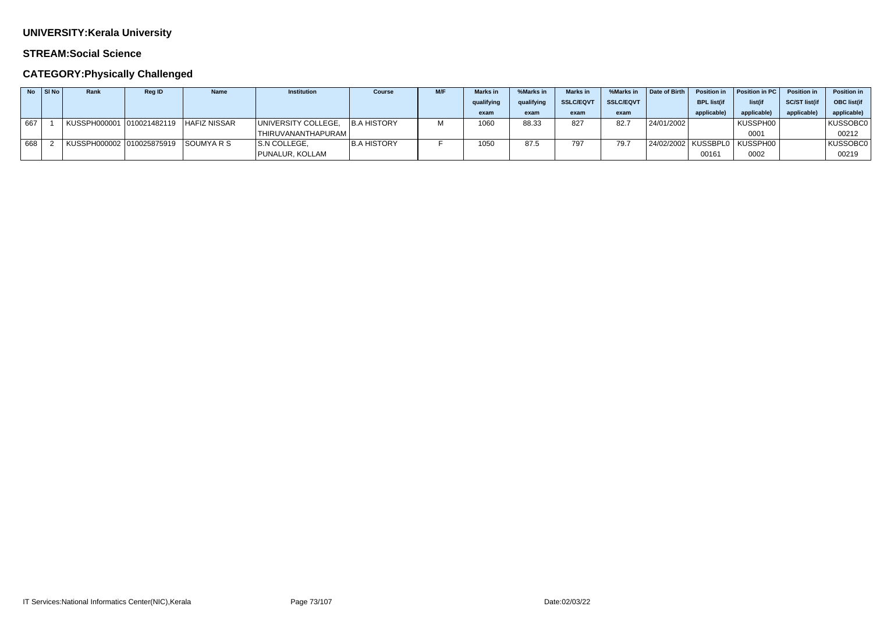### **STREAM:Social Science**

|     | $No$ SI No | Rank | <b>Reg ID</b> | <b>Name</b> | <b>Institution</b>  | <b>Course</b>      | M/F | <b>Marks in</b> | %Marks in  | <b>Marks</b> in | %Marks in        | Date of Birth | <b>Position in</b> | Position in PC                   | <b>Position in</b>  | <b>Position in</b> |
|-----|------------|------|---------------|-------------|---------------------|--------------------|-----|-----------------|------------|-----------------|------------------|---------------|--------------------|----------------------------------|---------------------|--------------------|
|     |            |      |               |             |                     |                    |     | qualifying      | qualifying | SSLC/EQV1       | <b>SSLC/EQVT</b> |               | <b>BPL list(if</b> | list(if                          | <b>SC/ST list(i</b> | <b>OBC</b> list(if |
|     |            |      |               |             |                     |                    |     | exam            | exam       | exam            | exam             |               | applicable)        | applicable)                      | applicable          | applicable)        |
| 667 |            |      |               |             | UNIVERSITY COLLEGE, | B.A HISTORY        |     | 1060            | 88.33      | 827             | 82.7             | 24/01/2002    |                    | KUSSPH00                         |                     | KUSSOBC0           |
|     |            |      |               |             | 'THIRUVANANTHAPURAM |                    |     |                 |            |                 |                  |               |                    | 0001                             |                     | 00212              |
| 668 |            |      |               |             | S.N COLLEGE,        | <b>B.A HISTORY</b> |     | 1050            | 87.5       | 707             | 79.7             |               |                    | 24/02/2002   KUSSBPL0   KUSSPH00 |                     | KUSSOBC0           |
|     |            |      |               |             | PUNALUR, KOLLAM     |                    |     |                 |            |                 |                  |               | 00161              | 0002                             |                     | 00219              |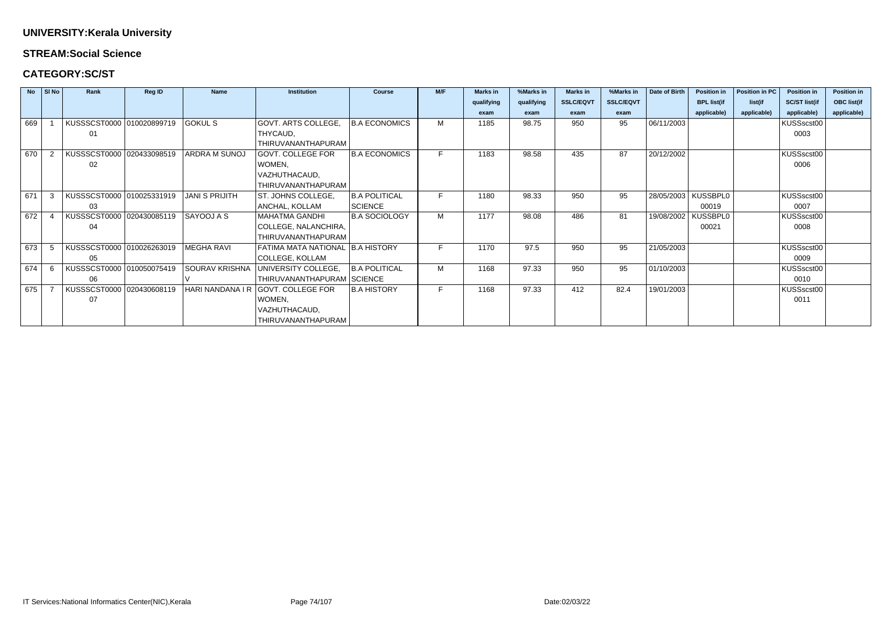#### **STREAM:Social Science**

### **CATEGORY:SC/ST**

|     | No SI No | Rank                      | Reg ID | <b>Name</b>           | <b>Institution</b>                 | <b>Course</b>        | M/F | <b>Marks in</b> | %Marks in  | <b>Marks in</b>  | %Marks in        | Date of Birth | <b>Position in</b>    | Position in PC | <b>Position in</b>   | <b>Position in</b> |
|-----|----------|---------------------------|--------|-----------------------|------------------------------------|----------------------|-----|-----------------|------------|------------------|------------------|---------------|-----------------------|----------------|----------------------|--------------------|
|     |          |                           |        |                       |                                    |                      |     | qualifying      | qualifying | <b>SSLC/EQVT</b> | <b>SSLC/EQVT</b> |               | <b>BPL list(if</b>    | list(if        | <b>SC/ST list(if</b> | <b>OBC list(if</b> |
|     |          |                           |        |                       |                                    |                      |     | exam            | exam       | exam             | exam             |               | applicable)           | applicable)    | applicable)          | applicable)        |
| 669 |          | KUSSSCST0000 010020899719 |        | <b>GOKUL S</b>        | GOVT. ARTS COLLEGE,                | <b>B.A ECONOMICS</b> | M   | 1185            | 98.75      | 950              | 95               | 06/11/2003    |                       |                | KUSSscst00           |                    |
|     |          | 01                        |        |                       | THYCAUD,                           |                      |     |                 |            |                  |                  |               |                       |                | 0003                 |                    |
|     |          |                           |        |                       | THIRUVANANTHAPURAM                 |                      |     |                 |            |                  |                  |               |                       |                |                      |                    |
| 670 |          | KUSSSCST0000 020433098519 |        | <b>ARDRA M SUNOJ</b>  | GOVT. COLLEGE FOR                  | <b>B.A ECONOMICS</b> |     | 1183            | 98.58      | 435              | 87               | 20/12/2002    |                       |                | KUSSscst00           |                    |
|     |          | 02                        |        |                       | WOMEN,                             |                      |     |                 |            |                  |                  |               |                       |                | 0006                 |                    |
|     |          |                           |        |                       | VAZHUTHACAUD,                      |                      |     |                 |            |                  |                  |               |                       |                |                      |                    |
|     |          |                           |        |                       | THIRUVANANTHAPURAM                 |                      |     |                 |            |                  |                  |               |                       |                |                      |                    |
| 671 | 3        | KUSSSCST0000 010025331919 |        | <b>JANI S PRIJITH</b> | ST. JOHNS COLLEGE,                 | <b>B.A POLITICAL</b> |     | 1180            | 98.33      | 950              | 95               |               | 28/05/2003   KUSSBPL0 |                | KUSSscst00           |                    |
|     |          | 03                        |        |                       | ANCHAL, KOLLAM                     | SCIENCE              |     |                 |            |                  |                  |               | 00019                 |                | 0007                 |                    |
| 672 |          | KUSSSCST0000 020430085119 |        | SAYOOJ A S            | <b>MAHATMA GANDHI</b>              | <b>B.A SOCIOLOGY</b> | M   | 1177            | 98.08      | 486              | 81               | 19/08/2002    | KUSSBPL0              |                | KUSSscst00           |                    |
|     |          | 04                        |        |                       | COLLEGE, NALANCHIRA,               |                      |     |                 |            |                  |                  |               | 00021                 |                | 0008                 |                    |
|     |          |                           |        |                       | THIRUVANANTHAPURAM                 |                      |     |                 |            |                  |                  |               |                       |                |                      |                    |
| 673 |          | KUSSSCST0000 010026263019 |        | <b>MEGHA RAVI</b>     | FATIMA MATA NATIONAL   B.A HISTORY |                      |     | 1170            | 97.5       | 950              | 95               | 21/05/2003    |                       |                | KUSSscst00           |                    |
|     |          | 05                        |        |                       | <b>COLLEGE, KOLLAM</b>             |                      |     |                 |            |                  |                  |               |                       |                | 0009                 |                    |
| 674 | -6       | KUSSSCST0000 010050075419 |        | SOURAV KRISHNA        | UNIVERSITY COLLEGE,                | <b>B.A POLITICAL</b> | M   | 1168            | 97.33      | 950              | 95               | 01/10/2003    |                       |                | KUSSscst00           |                    |
|     |          | 06                        |        |                       | THIRUVANANTHAPURAM SCIENCE         |                      |     |                 |            |                  |                  |               |                       |                | 0010                 |                    |
| 675 |          | KUSSSCST0000 020430608119 |        | HARI NANDANA I R      | GOVT. COLLEGE FOR                  | <b>B.A HISTORY</b>   | F.  | 1168            | 97.33      | 412              | 82.4             | 19/01/2003    |                       |                | KUSSscst00           |                    |
|     |          | 07                        |        |                       | WOMEN,                             |                      |     |                 |            |                  |                  |               |                       |                | 0011                 |                    |
|     |          |                           |        |                       | VAZHUTHACAUD,                      |                      |     |                 |            |                  |                  |               |                       |                |                      |                    |
|     |          |                           |        |                       | THIRUVANANTHAPURAM                 |                      |     |                 |            |                  |                  |               |                       |                |                      |                    |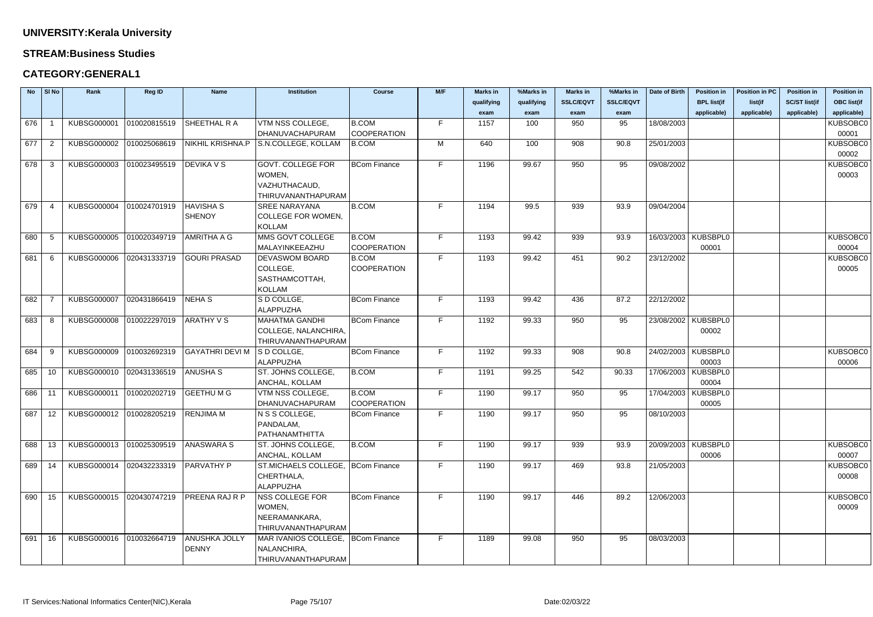#### **STREAM:Business Studies**

### **CATEGORY:GENERAL1**

| <b>No</b> | SI No          | Rank                                              | <b>Reg ID</b>            | <b>Name</b>           | <b>Institution</b>                  | <b>Course</b>       | M/F | <b>Marks in</b> | %Marks in  | <b>Marks in</b>  | %Marks in        | Date of Birth | <b>Position in</b>    | <b>Position in PC</b> | <b>Position in</b>   | <b>Position in</b> |
|-----------|----------------|---------------------------------------------------|--------------------------|-----------------------|-------------------------------------|---------------------|-----|-----------------|------------|------------------|------------------|---------------|-----------------------|-----------------------|----------------------|--------------------|
|           |                |                                                   |                          |                       |                                     |                     |     | qualifying      | qualifying | <b>SSLC/EQVT</b> | <b>SSLC/EQVT</b> |               | <b>BPL list(if</b>    | list(if               | <b>SC/ST list(if</b> | <b>OBC</b> list(if |
|           |                |                                                   |                          |                       |                                     |                     |     | exam            | exam       | exam             | exam             |               | applicable)           | applicable)           | applicable)          | applicable)        |
| 676       |                | KUBSG000001                                       | 010020815519             | SHEETHAL R A          | VTM NSS COLLEGE,                    | <b>B.COM</b>        | F.  | 1157            | 100        | 950              | 95               | 18/08/2003    |                       |                       |                      | KUBSOBC0           |
|           |                |                                                   |                          |                       | DHANUVACHAPURAM                     | <b>COOPERATION</b>  |     |                 |            |                  |                  |               |                       |                       |                      | 00001              |
| 677       | $\overline{2}$ | KUBSG000002                                       | 010025068619             | NIKHIL KRISHNA.P      | S.N.COLLEGE, KOLLAM                 | B.COM               | M   | 640             | 100        | 908              | 90.8             | 25/01/2003    |                       |                       |                      | KUBSOBC0           |
|           |                |                                                   |                          |                       |                                     |                     |     |                 |            |                  |                  |               |                       |                       |                      | 00002              |
| 678       | 3              | KUBSG000003 010023495519                          |                          | <b>DEVIKA V S</b>     | <b>GOVT. COLLEGE FOR</b>            | <b>BCom Finance</b> | F.  | 1196            | 99.67      | 950              | 95               | 09/08/2002    |                       |                       |                      | KUBSOBC0           |
|           |                |                                                   |                          |                       | WOMEN,                              |                     |     |                 |            |                  |                  |               |                       |                       |                      | 00003              |
|           |                |                                                   |                          |                       | VAZHUTHACAUD,                       |                     |     |                 |            |                  |                  |               |                       |                       |                      |                    |
|           |                |                                                   |                          |                       | THIRUVANANTHAPURAM                  |                     |     |                 |            |                  |                  |               |                       |                       |                      |                    |
| 679       |                | KUBSG000004                                       | 010024701919             | <b>HAVISHA S</b>      | <b>SREE NARAYANA</b>                | <b>B.COM</b>        | F.  | 1194            | 99.5       | 939              | 93.9             | 09/04/2004    |                       |                       |                      |                    |
|           |                |                                                   |                          | <b>SHENOY</b>         | <b>COLLEGE FOR WOMEN,</b>           |                     |     |                 |            |                  |                  |               |                       |                       |                      |                    |
|           |                |                                                   |                          |                       | <b>KOLLAM</b>                       |                     |     |                 |            |                  |                  |               |                       |                       |                      |                    |
| 680       | -5             | KUBSG000005                                       | 010020349719             | <b>AMRITHA A G</b>    | MMS GOVT COLLEGE                    | <b>B.COM</b>        | F.  | 1193            | 99.42      | 939              | 93.9             |               | 16/03/2003   KUBSBPL0 |                       |                      | KUBSOBC0           |
|           |                |                                                   |                          |                       | MALAYINKEEAZHU                      | <b>COOPERATION</b>  |     |                 |            |                  |                  |               | 00001                 |                       |                      | 00004              |
| 681       | -6             | KUBSG000006                                       | 020431333719             | GOURI PRASAD          | DEVASWOM BOARD                      | <b>B.COM</b>        | F.  | 1193            | 99.42      | 451              | 90.2             | 23/12/2002    |                       |                       |                      | KUBSOBC0           |
|           |                |                                                   |                          |                       | COLLEGE,                            | <b>COOPERATION</b>  |     |                 |            |                  |                  |               |                       |                       |                      | 00005              |
|           |                |                                                   |                          |                       | SASTHAMCOTTAH,                      |                     |     |                 |            |                  |                  |               |                       |                       |                      |                    |
|           |                |                                                   |                          |                       | <b>KOLLAM</b>                       |                     |     |                 |            |                  |                  |               |                       |                       |                      |                    |
| 682       |                | <b>KUBSG000007</b>                                | 020431866419             | <b>NEHAS</b>          | S D COLLGE,                         | <b>BCom Finance</b> | F.  | 1193            | 99.42      | 436              | 87.2             | 22/12/2002    |                       |                       |                      |                    |
|           |                |                                                   |                          |                       | <b>ALAPPUZHA</b>                    |                     |     |                 |            |                  |                  |               |                       |                       |                      |                    |
| 683       | -8             | <b>KUBSG000008</b>                                | 010022297019             | <b>ARATHY VS</b>      | <b>MAHATMA GANDHI</b>               | <b>BCom Finance</b> | F.  | 1192            | 99.33      | 950              | 95               |               | 23/08/2002 KUBSBPL0   |                       |                      |                    |
|           |                |                                                   |                          |                       | COLLEGE, NALANCHIRA,                |                     |     |                 |            |                  |                  |               | 00002                 |                       |                      |                    |
|           |                |                                                   |                          |                       | THIRUVANANTHAPURAM                  |                     |     |                 |            |                  |                  |               |                       |                       |                      |                    |
| 684       | -9             | <b>KUBSG000009</b>                                | 010032692319             | GAYATHRI DEVI M       | S D COLLGE,                         | <b>BCom Finance</b> | F.  | 1192            | 99.33      | 908              | 90.8             |               | 24/02/2003   KUBSBPL0 |                       |                      | KUBSOBC0           |
|           |                |                                                   |                          |                       | <b>ALAPPUZHA</b>                    |                     |     |                 |            |                  |                  |               | 00003                 |                       |                      | 00006              |
| 685       | 10             | KUBSG000010 020431336519                          |                          | ANUSHA S              | ST. JOHNS COLLEGE,                  | <b>B.COM</b>        | F.  | 1191            | 99.25      | 542              | 90.33            | 17/06/2003    | KUBSBPL0              |                       |                      |                    |
|           |                |                                                   |                          |                       | ANCHAL, KOLLAM                      |                     |     |                 |            |                  |                  |               | 00004                 |                       |                      |                    |
| 686       | 11             | KUBSG000011                                       | 010020202719             | GEETHU M G            | VTM NSS COLLEGE,                    | <b>B.COM</b>        | F.  | 1190            | 99.17      | 950              | 95               | 17/04/2003    | KUBSBPL0              |                       |                      |                    |
|           |                |                                                   |                          |                       | DHANUVACHAPURAM                     | <b>COOPERATION</b>  |     |                 |            |                  |                  |               | 00005                 |                       |                      |                    |
|           |                | 687   12   KUBSG000012   010028205219   RENJIMA M |                          |                       | N S S COLLEGE,                      | <b>BCom Finance</b> | F.  | 1190            | 99.17      | 950              | 95               | 08/10/2003    |                       |                       |                      |                    |
|           |                |                                                   |                          |                       | PANDALAM,                           |                     |     |                 |            |                  |                  |               |                       |                       |                      |                    |
|           |                |                                                   |                          |                       | PATHANAMTHITTA                      |                     |     |                 |            |                  |                  |               |                       |                       |                      |                    |
| 688       | 13             | KUBSG000013 010025309519                          |                          | ANASWARA S            | ST. JOHNS COLLEGE,                  | <b>B.COM</b>        | F.  | 1190            | 99.17      | 939              | 93.9             |               | 20/09/2003 KUBSBPL0   |                       |                      | KUBSOBC0           |
|           |                |                                                   |                          |                       | ANCHAL, KOLLAM                      |                     |     |                 |            |                  |                  |               | 00006                 |                       |                      | 00007              |
| 689       | 14             | KUBSG000014 020432233319                          |                          | <b>PARVATHY P</b>     | ST.MICHAELS COLLEGE,   BCom Finance |                     | F.  | 1190            | 99.17      | 469              | 93.8             | 21/05/2003    |                       |                       |                      | KUBSOBC0           |
|           |                |                                                   |                          |                       | CHERTHALA,                          |                     |     |                 |            |                  |                  |               |                       |                       |                      | 00008              |
|           |                |                                                   |                          |                       | ALAPPUZHA                           |                     |     |                 |            |                  |                  |               |                       |                       |                      |                    |
| 690       | 15             |                                                   | KUBSG000015 020430747219 | <b>PREENA RAJ R P</b> | NSS COLLEGE FOR                     | <b>BCom Finance</b> | F.  | 1190            | 99.17      | 446              | 89.2             | 12/06/2003    |                       |                       |                      | KUBSOBC0           |
|           |                |                                                   |                          |                       | WOMEN,                              |                     |     |                 |            |                  |                  |               |                       |                       |                      | 00009              |
|           |                |                                                   |                          |                       | NEERAMANKARA,                       |                     |     |                 |            |                  |                  |               |                       |                       |                      |                    |
|           |                |                                                   |                          |                       | THIRUVANANTHAPURAM                  |                     |     |                 |            |                  |                  |               |                       |                       |                      |                    |
| 691       | 16             | KUBSG000016 010032664719                          |                          | ANUSHKA JOLLY         | MAR IVANIOS COLLEGE,   BCom Finance |                     | F.  | 1189            | 99.08      | 950              | 95               | 08/03/2003    |                       |                       |                      |                    |
|           |                |                                                   |                          | <b>DENNY</b>          | NALANCHIRA,                         |                     |     |                 |            |                  |                  |               |                       |                       |                      |                    |
|           |                |                                                   |                          |                       | THIRUVANANTHAPURAM                  |                     |     |                 |            |                  |                  |               |                       |                       |                      |                    |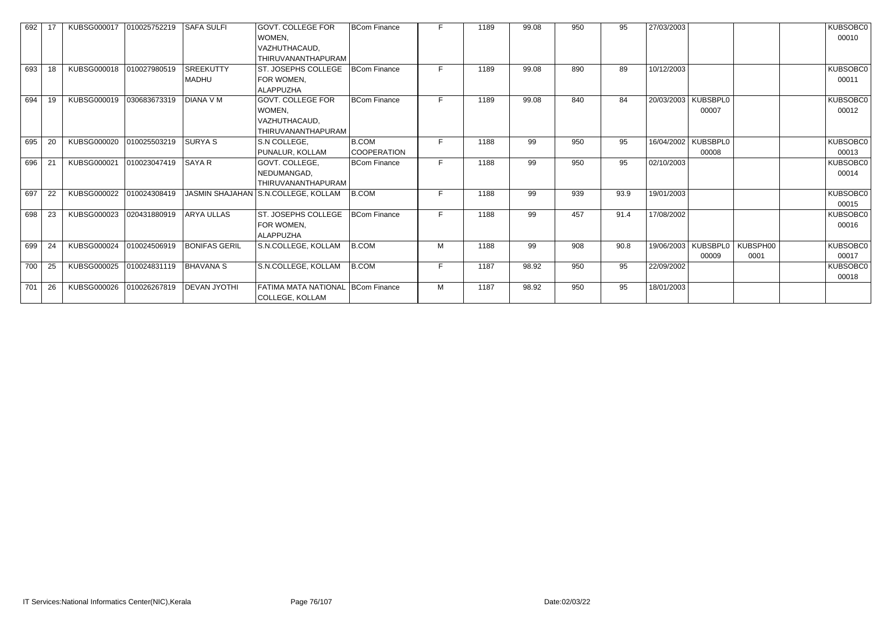| 692 |    | KUBSG000017 | 010025752219 | <b>SAFA SULFI</b>    | <b>GOVT. COLLEGE FOR</b>            | <b>BCom Finance</b> | F. | 1189 | 99.08 | 950 | 95   | 27/03/2003 |                     |          | KUBSOBC0 |
|-----|----|-------------|--------------|----------------------|-------------------------------------|---------------------|----|------|-------|-----|------|------------|---------------------|----------|----------|
|     |    |             |              |                      | WOMEN,                              |                     |    |      |       |     |      |            |                     |          | 00010    |
|     |    |             |              |                      | VAZHUTHACAUD,                       |                     |    |      |       |     |      |            |                     |          |          |
|     |    |             |              |                      | THIRUVANANTHAPURAM                  |                     |    |      |       |     |      |            |                     |          |          |
| 693 | 18 | KUBSG000018 | 010027980519 | <b>SREEKUTTY</b>     | <b>ST. JOSEPHS COLLEGE</b>          | <b>BCom Finance</b> | E. | 1189 | 99.08 | 890 | 89   | 10/12/2003 |                     |          | KUBSOBC0 |
|     |    |             |              | <b>MADHU</b>         | FOR WOMEN,                          |                     |    |      |       |     |      |            |                     |          | 00011    |
|     |    |             |              |                      | <b>ALAPPUZHA</b>                    |                     |    |      |       |     |      |            |                     |          |          |
| 694 | 19 | KUBSG000019 | 030683673319 | <b>DIANA V M</b>     | <b>GOVT. COLLEGE FOR</b>            | <b>BCom Finance</b> | F. | 1189 | 99.08 | 840 | 84   | 20/03/2003 | KUBSBPL0            |          | KUBSOBC0 |
|     |    |             |              |                      | WOMEN,                              |                     |    |      |       |     |      |            | 00007               |          | 00012    |
|     |    |             |              |                      | VAZHUTHACAUD,                       |                     |    |      |       |     |      |            |                     |          |          |
|     |    |             |              |                      | THIRUVANANTHAPURAM                  |                     |    |      |       |     |      |            |                     |          |          |
| 695 | 20 | KUBSG000020 | 010025503219 | <b>SURYAS</b>        | S.N COLLEGE,                        | B.COM               | F. | 1188 | 99    | 950 | 95   |            | 16/04/2002 KUBSBPL0 |          | KUBSOBC0 |
|     |    |             |              |                      | PUNALUR, KOLLAM                     | <b>COOPERATION</b>  |    |      |       |     |      |            | 00008               |          | 00013    |
| 696 | 21 | KUBSG000021 | 010023047419 | <b>SAYAR</b>         | GOVT. COLLEGE,                      | <b>BCom Finance</b> | F  | 1188 | 99    | 950 | 95   | 02/10/2003 |                     |          | KUBSOBC0 |
|     |    |             |              |                      | NEDUMANGAD,                         |                     |    |      |       |     |      |            |                     |          | 00014    |
|     |    |             |              |                      | THIRUVANANTHAPURAM                  |                     |    |      |       |     |      |            |                     |          |          |
| 697 | 22 | KUBSG000022 | 010024308419 |                      | JASMIN SHAJAHAN S.N.COLLEGE, KOLLAM | B.COM               | F. | 1188 | 99    | 939 | 93.9 | 19/01/2003 |                     |          | KUBSOBC0 |
|     |    |             |              |                      |                                     |                     |    |      |       |     |      |            |                     |          | 00015    |
| 698 | 23 | KUBSG000023 | 020431880919 | <b>ARYA ULLAS</b>    | <b>ST. JOSEPHS COLLEGE</b>          | BCom Finance        | E. | 1188 | 99    | 457 | 91.4 | 17/08/2002 |                     |          | KUBSOBC0 |
|     |    |             |              |                      | FOR WOMEN,                          |                     |    |      |       |     |      |            |                     |          | 00016    |
|     |    |             |              |                      | <b>ALAPPUZHA</b>                    |                     |    |      |       |     |      |            |                     |          |          |
| 699 | 24 | KUBSG000024 | 010024506919 | <b>BONIFAS GERIL</b> | S.N.COLLEGE, KOLLAM                 | B.COM               | M  | 1188 | 99    | 908 | 90.8 | 19/06/2003 | KUBSBPL0            | KUBSPH00 | KUBSOBC0 |
|     |    |             |              |                      |                                     |                     |    |      |       |     |      |            | 00009               | 0001     | 00017    |
| 700 | 25 | KUBSG000025 | 010024831119 | <b>BHAVANA S</b>     | S.N.COLLEGE, KOLLAM                 | B.COM               | F. | 1187 | 98.92 | 950 | 95   | 22/09/2002 |                     |          | KUBSOBC0 |
|     |    |             |              |                      |                                     |                     |    |      |       |     |      |            |                     |          | 00018    |
| 701 | 26 | KUBSG000026 | 010026267819 | <b>DEVAN JYOTHI</b>  | FATIMA MATA NATIONAL   BCom Finance |                     | M  | 1187 | 98.92 | 950 | 95   | 18/01/2003 |                     |          |          |
|     |    |             |              |                      | <b>COLLEGE, KOLLAM</b>              |                     |    |      |       |     |      |            |                     |          |          |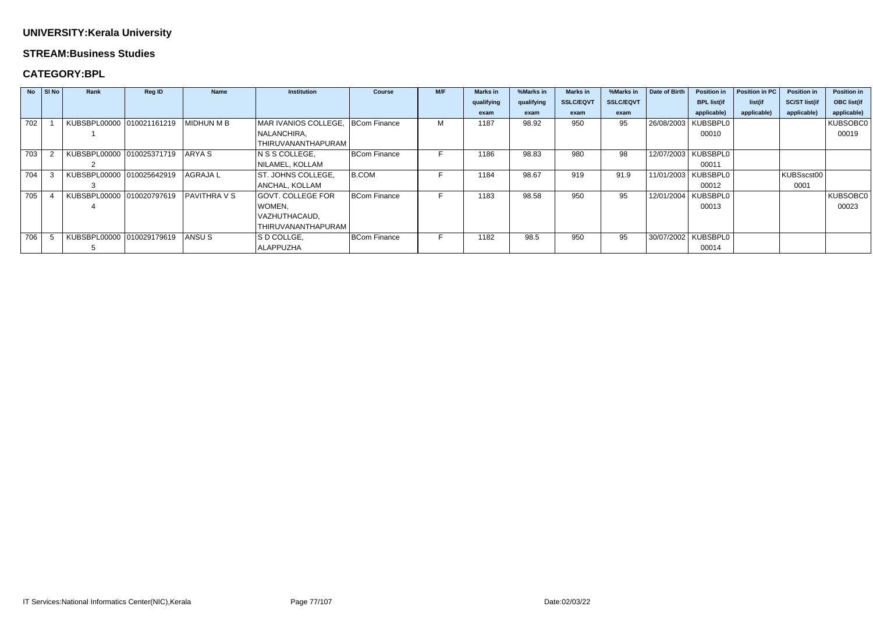#### **STREAM:Business Studies**

### **CATEGORY:BPL**

|       | $No$ $ $ SI No $ $ | Rank                      | Reg ID       | <b>Name</b>       | <b>Institution</b>   | <b>Course</b>       | M/F | <b>Marks in</b> | %Marks in  | <b>Marks in</b>  | %Marks in        | Date of Birth         | <b>Position in</b>    | Position in PC | <b>Position in</b>   | <b>Position in</b> |
|-------|--------------------|---------------------------|--------------|-------------------|----------------------|---------------------|-----|-----------------|------------|------------------|------------------|-----------------------|-----------------------|----------------|----------------------|--------------------|
|       |                    |                           |              |                   |                      |                     |     | qualifying      | qualifying | <b>SSLC/EQVT</b> | <b>SSLC/EQVT</b> |                       | <b>BPL list(if</b>    | list(if        | <b>SC/ST list(if</b> | <b>OBC</b> list(if |
|       |                    |                           |              |                   |                      |                     |     | exam            | exam       | exam             | exam             |                       | applicable)           | applicable)    | applicable)          | applicable)        |
| 702   |                    | KUBSBPL00000 010021161219 |              | MIDHUN M B        | MAR IVANIOS COLLEGE, | BCom Finance        | М   | 1187            | 98.92      | 950              | 95               | 26/08/2003   KUBSBPL0 |                       |                |                      | KUBSOBC0           |
|       |                    |                           |              |                   | NALANCHIRA,          |                     |     |                 |            |                  |                  |                       | 00010                 |                |                      | 00019              |
|       |                    |                           |              |                   | THIRUVANANTHAPURAM   |                     |     |                 |            |                  |                  |                       |                       |                |                      |                    |
| 703   |                    | KUBSBPL00000 010025371719 |              | IARYA S           | N S S COLLEGE,       | BCom Finance        |     | 1186            | 98.83      | 980              | 98               |                       | 12/07/2003   KUBSBPL0 |                |                      |                    |
|       |                    |                           |              |                   | NILAMEL, KOLLAM      |                     |     |                 |            |                  |                  |                       | 00011                 |                |                      |                    |
| 704   |                    | KUBSBPL00000              | 010025642919 | <b>AGRAJAL</b>    | ST. JOHNS COLLEGE,   | B.COM               |     | 1184            | 98.67      | 919              | 91.9             |                       | 11/01/2003   KUBSBPL0 |                | KUBSscst00           |                    |
|       |                    |                           |              |                   | ANCHAL, KOLLAM       |                     |     |                 |            |                  |                  |                       | 00012                 |                | 0001                 |                    |
| 705 l |                    | KUBSBPL00000 010020797619 |              | <b>PAVITHRAVS</b> | GOVT. COLLEGE FOR    | BCom Finance        |     | 1183            | 98.58      | 950              | 95               |                       | 12/01/2004   KUBSBPL0 |                |                      | KUBSOBC0           |
|       |                    |                           |              |                   | WOMEN,               |                     |     |                 |            |                  |                  |                       | 00013                 |                |                      | 00023              |
|       |                    |                           |              |                   | VAZHUTHACAUD,        |                     |     |                 |            |                  |                  |                       |                       |                |                      |                    |
|       |                    |                           |              |                   | THIRUVANANTHAPURAM   |                     |     |                 |            |                  |                  |                       |                       |                |                      |                    |
| 706   |                    | KUBSBPL00000 010029179619 |              | ANSU S            | S D COLLGE,          | <b>BCom Finance</b> |     | 1182            | 98.5       | 950              | 95               | 30/07/2002   KUBSBPL0 |                       |                |                      |                    |
|       |                    |                           |              |                   | <b>ALAPPUZHA</b>     |                     |     |                 |            |                  |                  |                       | 00014                 |                |                      |                    |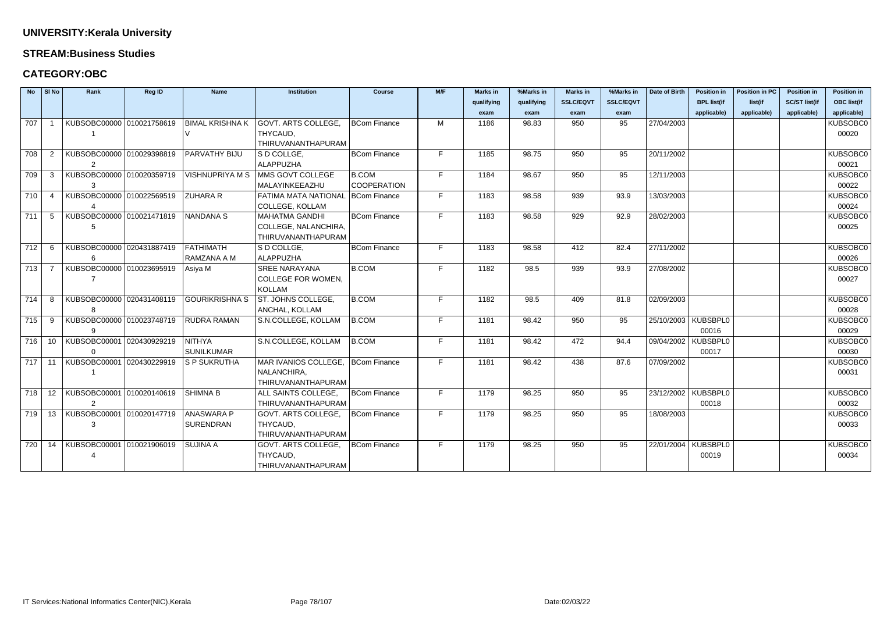#### **STREAM:Business Studies**

### **CATEGORY:OBC**

| <b>No</b> | SI No | Rank                                                 | Reg ID | <b>Name</b>            | <b>Institution</b>                  | <b>Course</b>       | M/F | <b>Marks in</b> | %Marks in  | <b>Marks in</b>  | %Marks in        | Date of Birth         | <b>Position in</b> | <b>Position in PC</b> | <b>Position in</b>   | <b>Position in</b> |
|-----------|-------|------------------------------------------------------|--------|------------------------|-------------------------------------|---------------------|-----|-----------------|------------|------------------|------------------|-----------------------|--------------------|-----------------------|----------------------|--------------------|
|           |       |                                                      |        |                        |                                     |                     |     | qualifying      | qualifying | <b>SSLC/EQVT</b> | <b>SSLC/EQVT</b> |                       | <b>BPL list(if</b> | list(if               | <b>SC/ST list(if</b> | <b>OBC list(if</b> |
|           |       |                                                      |        |                        |                                     |                     |     | exam            | exam       | exam             | exam             |                       | applicable)        | applicable)           | applicable)          | applicable)        |
| 707       |       | KUBSOBC00000 010021758619                            |        | <b>BIMAL KRISHNA K</b> | <b>GOVT. ARTS COLLEGE,</b>          | <b>BCom Finance</b> | м   | 1186            | 98.83      | 950              | 95               | 27/04/2003            |                    |                       |                      | KUBSOBC0           |
|           |       |                                                      |        |                        | THYCAUD,                            |                     |     |                 |            |                  |                  |                       |                    |                       |                      | 00020              |
|           |       |                                                      |        |                        | THIRUVANANTHAPURAM                  |                     |     |                 |            |                  |                  |                       |                    |                       |                      |                    |
| 708       | 2     | KUBSOBC00000 010029398819                            |        | PARVATHY BIJU          | S D COLLGE,                         | <b>BCom Finance</b> | F.  | 1185            | 98.75      | 950              | 95               | 20/11/2002            |                    |                       |                      | KUBSOBC0           |
|           |       | 2                                                    |        |                        | <b>ALAPPUZHA</b>                    |                     |     |                 |            |                  |                  |                       |                    |                       |                      | 00021              |
| 709       | 3     | KUBSOBC00000 010020359719                            |        | <b>VISHNUPRIYA M S</b> | MMS GOVT COLLEGE                    | <b>B.COM</b>        | F.  | 1184            | 98.67      | 950              | 95               | 12/11/2003            |                    |                       |                      | KUBSOBC0           |
|           |       | -3                                                   |        |                        | MALAYINKEEAZHU                      | <b>COOPERATION</b>  |     |                 |            |                  |                  |                       |                    |                       |                      | 00022              |
| 710       | -4    | KUBSOBC00000 010022569519                            |        | <b>ZUHARA R</b>        | FATIMA MATA NATIONAL   BCom Finance |                     | F   | 1183            | 98.58      | 939              | 93.9             | 13/03/2003            |                    |                       |                      | KUBSOBC0           |
|           |       |                                                      |        |                        | <b>COLLEGE, KOLLAM</b>              |                     |     |                 |            |                  |                  |                       |                    |                       |                      | 00024              |
| 711       | -5    | KUBSOBC00000 010021471819                            |        | <b>NANDANA S</b>       | <b>MAHATMA GANDHI</b>               | <b>BCom Finance</b> | F.  | 1183            | 98.58      | 929              | 92.9             | 28/02/2003            |                    |                       |                      | KUBSOBC0           |
|           |       |                                                      |        |                        | COLLEGE, NALANCHIRA,                |                     |     |                 |            |                  |                  |                       |                    |                       |                      | 00025              |
|           |       |                                                      |        |                        | THIRUVANANTHAPURAM                  |                     |     |                 |            |                  |                  |                       |                    |                       |                      |                    |
| 712       | -6    | KUBSOBC00000 020431887419                            |        | <b>FATHIMATH</b>       | S D COLLGE,                         | <b>BCom Finance</b> | F.  | 1183            | 98.58      | 412              | 82.4             | 27/11/2002            |                    |                       |                      | KUBSOBC0           |
|           |       |                                                      |        | RAMZANA A M            | ALAPPUZHA                           |                     |     |                 |            |                  |                  |                       |                    |                       |                      | 00026              |
| 713       |       | KUBSOBC00000 010023695919                            |        | Asiya M                | <b>SREE NARAYANA</b>                | <b>B.COM</b>        | F.  | 1182            | 98.5       | 939              | 93.9             | 27/08/2002            |                    |                       |                      | KUBSOBC0           |
|           |       |                                                      |        |                        | <b>COLLEGE FOR WOMEN,</b>           |                     |     |                 |            |                  |                  |                       |                    |                       |                      | 00027              |
|           |       |                                                      |        |                        | <b>KOLLAM</b>                       |                     |     |                 |            |                  |                  |                       |                    |                       |                      |                    |
| 714       | -8    | KUBSOBC00000 020431408119                            |        | <b>GOURIKRISHNA S</b>  | <b>ST. JOHNS COLLEGE,</b>           | <b>B.COM</b>        | F   | 1182            | 98.5       | 409              | 81.8             | 02/09/2003            |                    |                       |                      | KUBSOBC0           |
|           |       |                                                      |        |                        | ANCHAL, KOLLAM                      |                     |     |                 |            |                  |                  |                       |                    |                       |                      | 00028              |
| 715       | 9     | KUBSOBC00000 010023748719                            |        | <b>RUDRA RAMAN</b>     | S.N.COLLEGE, KOLLAM                 | <b>B.COM</b>        | F.  | 1181            | 98.42      | 950              | 95               | 25/10/2003   KUBSBPL0 |                    |                       |                      | KUBSOBC0           |
|           |       | 9                                                    |        |                        |                                     |                     |     |                 |            |                  |                  |                       | 00016              |                       |                      | 00029              |
| 716       | 10    | KUBSOBC00001 020430929219                            |        | <b>NITHYA</b>          | S.N.COLLEGE, KOLLAM                 | B.COM               | F.  | 1181            | 98.42      | 472              | 94.4             | 09/04/2002   KUBSBPL0 |                    |                       |                      | KUBSOBC0           |
|           |       | $\Omega$                                             |        | <b>SUNILKUMAR</b>      |                                     |                     |     |                 |            |                  |                  |                       | 00017              |                       |                      | 00030              |
| 717       | 11    | KUBSOBC00001 020430229919                            |        | S P SUKRUTHA           | MAR IVANIOS COLLEGE,   BCom Finance |                     | F.  | 1181            | 98.42      | 438              | 87.6             | 07/09/2002            |                    |                       |                      | KUBSOBC0           |
|           |       |                                                      |        |                        | NALANCHIRA,                         |                     |     |                 |            |                  |                  |                       |                    |                       |                      | 00031              |
|           |       |                                                      |        |                        | THIRUVANANTHAPURAM                  |                     |     |                 |            |                  |                  |                       |                    |                       |                      |                    |
| 718       | 12    | KUBSOBC00001 010020140619                            |        | <b>SHIMNA B</b>        | ALL SAINTS COLLEGE,                 | BCom Finance        | F   | 1179            | 98.25      | 950              | 95               | 23/12/2002   KUBSBPL0 |                    |                       |                      | KUBSOBC0           |
|           |       |                                                      |        |                        | THIRUVANANTHAPURAM                  |                     |     |                 |            |                  |                  |                       | 00018              |                       |                      | 00032              |
|           |       | 719   13   KUBSOBC00001  010020147719     ANASWARA P |        |                        | GOVT. ARTS COLLEGE,   BCom Finance  |                     | F.  | 1179            | 98.25      | 950              | 95               | 18/08/2003            |                    |                       |                      | KUBSOBC0           |
|           |       | 3                                                    |        | SURENDRAN              | THYCAUD,                            |                     |     |                 |            |                  |                  |                       |                    |                       |                      | 00033              |
|           |       |                                                      |        |                        | THIRUVANANTHAPURAM                  |                     |     |                 |            |                  |                  |                       |                    |                       |                      |                    |
| 720       |       | 14   KUBSOBC00001   010021906019                     |        | SUJINA A               | GOVT. ARTS COLLEGE,                 | BCom Finance        | F   | 1179            | 98.25      | 950              | 95               | 22/01/2004   KUBSBPL0 |                    |                       |                      | KUBSOBC0           |
|           |       | 4                                                    |        |                        | THYCAUD,                            |                     |     |                 |            |                  |                  |                       | 00019              |                       |                      | 00034              |
|           |       |                                                      |        |                        | THIRUVANANTHAPURAM                  |                     |     |                 |            |                  |                  |                       |                    |                       |                      |                    |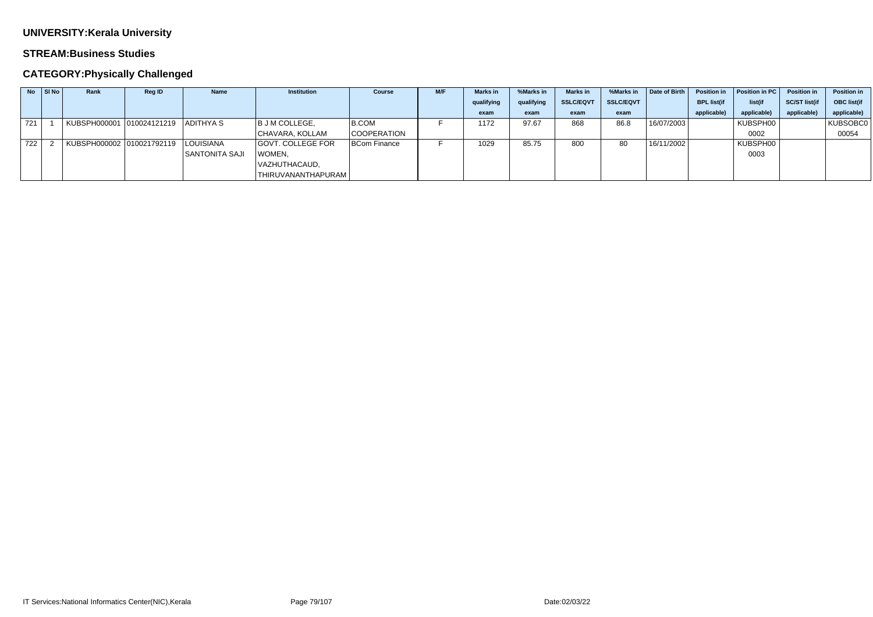#### **STREAM:Business Studies**

| <b>No</b> | SI No | Rank                                | <b>Reg ID</b> | <b>Name</b>           | <b>Institution</b> | <b>Course</b>      | M/F | <b>Marks</b> in | %Marks in  | <b>Marks</b> in  | %Marks in        | Date of Birth | <b>Position in</b> | Position in PC | <b>Position in</b>   | <b>Position in</b> |
|-----------|-------|-------------------------------------|---------------|-----------------------|--------------------|--------------------|-----|-----------------|------------|------------------|------------------|---------------|--------------------|----------------|----------------------|--------------------|
|           |       |                                     |               |                       |                    |                    |     | qualifying      | qualifying | <b>SSLC/EQVT</b> | <b>SSLC/EQVT</b> |               | <b>BPL list(if</b> | list(if        | <b>SC/ST list(if</b> | OBC list(if        |
|           |       |                                     |               |                       |                    |                    |     | exam            | exam       | exam             | exam             |               | applicable)        | applicable)    | applicable)          | applicable)        |
| 721       |       |                                     |               | ADITHYA S             | B J M COLLEGE,     | B.COM              |     | 1172            | 97.67      | 868              | 86.8             | 16/07/2003    |                    | KUBSPH00       |                      | KUBSOBC0           |
|           |       |                                     |               |                       | CHAVARA, KOLLAM    | <b>COOPERATION</b> |     |                 |            |                  |                  |               |                    | 0002           |                      | 00054              |
| 722       |       | KUBSPH000002 010021792119 LOUISIANA |               |                       | GOVT. COLLEGE FOR  | BCom Finance       |     | 1029            | 85.75      | 800              | 80               | 16/11/2002    |                    | KUBSPH00       |                      |                    |
|           |       |                                     |               | <b>SANTONITA SAJI</b> | WOMEN,             |                    |     |                 |            |                  |                  |               |                    | 0003           |                      |                    |
|           |       |                                     |               |                       | VAZHUTHACAUD,      |                    |     |                 |            |                  |                  |               |                    |                |                      |                    |
|           |       |                                     |               |                       | THIRUVANANTHAPURAM |                    |     |                 |            |                  |                  |               |                    |                |                      |                    |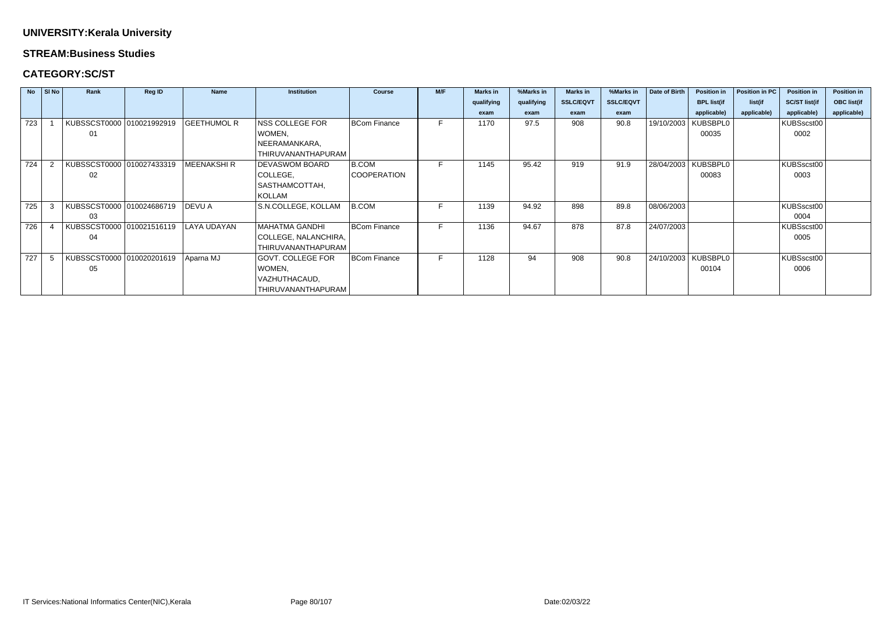#### **STREAM:Business Studies**

### **CATEGORY:SC/ST**

|     | $No$ SI No | Rank                      | <b>Reg ID</b> | <b>Name</b>        | <b>Institution</b>    | <b>Course</b>       | M/F | <b>Marks in</b> | %Marks in  | <b>Marks in</b>  | %Marks in        | Date of Birth | <b>Position in</b> | Position in PC | <b>Position in</b>   | <b>Position in</b> |
|-----|------------|---------------------------|---------------|--------------------|-----------------------|---------------------|-----|-----------------|------------|------------------|------------------|---------------|--------------------|----------------|----------------------|--------------------|
|     |            |                           |               |                    |                       |                     |     | qualifying      | qualifying | <b>SSLC/EQVT</b> | <b>SSLC/EQVT</b> |               | <b>BPL list(if</b> | list(if        | <b>SC/ST list(if</b> | <b>OBC list(if</b> |
|     |            |                           |               |                    |                       |                     |     | exam            | exam       | exam             | exam             |               | applicable)        | applicable)    | applicable)          | applicable)        |
| 723 |            | KUBSSCST0000 010021992919 |               | <b>GEETHUMOL R</b> | NSS COLLEGE FOR       | <b>BCom Finance</b> |     | 1170            | 97.5       | 908              | 90.8             | 19/10/2003    | <b>KUBSBPL0</b>    |                | KUBSscst00           |                    |
|     |            | 01                        |               |                    | WOMEN,                |                     |     |                 |            |                  |                  |               | 00035              |                | 0002                 |                    |
|     |            |                           |               |                    | NEERAMANKARA,         |                     |     |                 |            |                  |                  |               |                    |                |                      |                    |
|     |            |                           |               |                    | THIRUVANANTHAPURAM    |                     |     |                 |            |                  |                  |               |                    |                |                      |                    |
| 724 |            | KUBSSCST0000 010027433319 |               | <b>MEENAKSHIR</b>  | <b>DEVASWOM BOARD</b> | <b>B.COM</b>        |     | 1145            | 95.42      | 919              | 91.9             | 28/04/2003    | KUBSBPL0           |                | KUBSscst00           |                    |
|     |            | 02                        |               |                    | COLLEGE,              | <b>COOPERATION</b>  |     |                 |            |                  |                  |               | 00083              |                | 0003                 |                    |
|     |            |                           |               |                    | SASTHAMCOTTAH,        |                     |     |                 |            |                  |                  |               |                    |                |                      |                    |
|     |            |                           |               |                    | KOLLAM                |                     |     |                 |            |                  |                  |               |                    |                |                      |                    |
| 725 |            | KUBSSCST0000 010024686719 |               | DEVU A             | S.N.COLLEGE, KOLLAM   | B.COM               |     | 1139            | 94.92      | 898              | 89.8             | 08/06/2003    |                    |                | KUBSscst00           |                    |
|     |            | 03                        |               |                    |                       |                     |     |                 |            |                  |                  |               |                    |                | 0004                 |                    |
| 726 |            | KUBSSCST0000 010021516119 |               | <b>LAYA UDAYAN</b> | <b>MAHATMA GANDHI</b> | <b>BCom Finance</b> | F.  | 1136            | 94.67      | 878              | 87.8             | 24/07/2003    |                    |                | KUBSscst00           |                    |
|     |            | 04                        |               |                    | COLLEGE, NALANCHIRA,  |                     |     |                 |            |                  |                  |               |                    |                | 0005                 |                    |
|     |            |                           |               |                    | THIRUVANANTHAPURAM    |                     |     |                 |            |                  |                  |               |                    |                |                      |                    |
| 727 |            | KUBSSCST0000 010020201619 |               | Aparna MJ          | GOVT. COLLEGE FOR     | <b>BCom Finance</b> | F.  | 1128            | 94         | 908              | 90.8             | 24/10/2003    | KUBSBPL0           |                | KUBSscst00           |                    |
|     |            | 05                        |               |                    | WOMEN,                |                     |     |                 |            |                  |                  |               | 00104              |                | 0006                 |                    |
|     |            |                           |               |                    | VAZHUTHACAUD,         |                     |     |                 |            |                  |                  |               |                    |                |                      |                    |
|     |            |                           |               |                    | THIRUVANANTHAPURAM    |                     |     |                 |            |                  |                  |               |                    |                |                      |                    |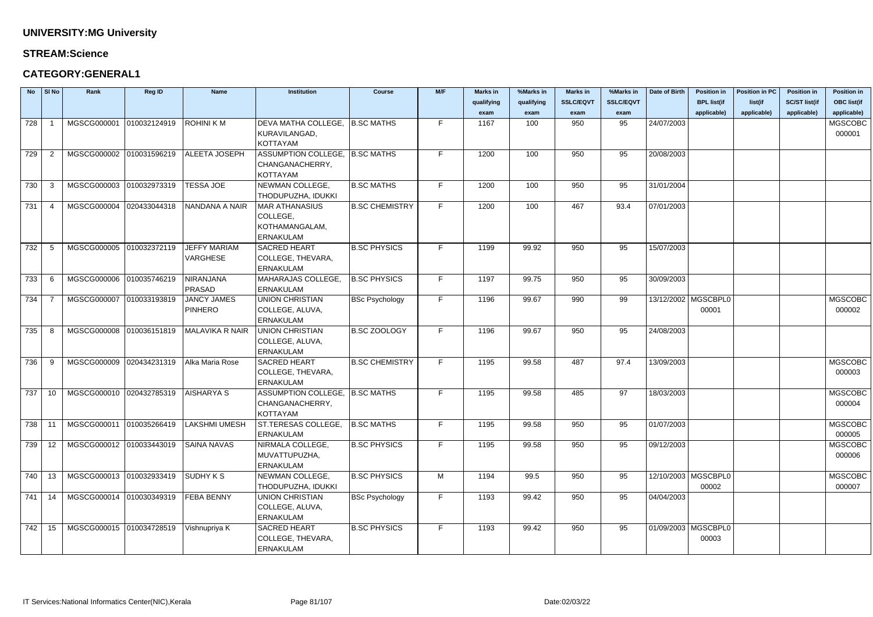#### **STREAM:Science**

### **CATEGORY:GENERAL1**

| <b>No</b> | SI No | Rank                     | Reg ID       | <b>Name</b>            | <b>Institution</b>              | <b>Course</b>         | M/F | <b>Marks in</b> | %Marks in  | <b>Marks in</b>  | %Marks in        | Date of Birth         | <b>Position in</b>    | <b>Position in PC</b> | <b>Position in</b>   | <b>Position in</b> |
|-----------|-------|--------------------------|--------------|------------------------|---------------------------------|-----------------------|-----|-----------------|------------|------------------|------------------|-----------------------|-----------------------|-----------------------|----------------------|--------------------|
|           |       |                          |              |                        |                                 |                       |     | qualifying      | qualifying | <b>SSLC/EQVT</b> | <b>SSLC/EQVT</b> |                       | <b>BPL list(if</b>    | list(if               | <b>SC/ST list(if</b> | <b>OBC list(if</b> |
|           |       |                          |              |                        |                                 |                       |     | exam            | exam       | exam             | exam             |                       | applicable)           | applicable)           | applicable)          | applicable)        |
| 728       |       | MGSCG000001 010032124919 |              | <b>ROHINI KM</b>       | DEVA MATHA COLLEGE,             | <b>B.SC MATHS</b>     | F.  | 1167            | 100        | 950              | 95               | 24/07/2003            |                       |                       |                      | <b>MGSCOBC</b>     |
|           |       |                          |              |                        | KURAVILANGAD,                   |                       |     |                 |            |                  |                  |                       |                       |                       |                      | 000001             |
|           |       |                          |              |                        | <b>KOTTAYAM</b>                 |                       |     |                 |            |                  |                  |                       |                       |                       |                      |                    |
| 729       |       | MGSCG000002 010031596219 |              | <b>ALEETA JOSEPH</b>   | ASSUMPTION COLLEGE,  B.SC MATHS |                       | F.  | 1200            | 100        | 950              | 95               | 20/08/2003            |                       |                       |                      |                    |
|           |       |                          |              |                        | CHANGANACHERRY,                 |                       |     |                 |            |                  |                  |                       |                       |                       |                      |                    |
|           |       |                          |              |                        | <b>KOTTAYAM</b>                 |                       |     |                 |            |                  |                  |                       |                       |                       |                      |                    |
| 730       | -3    | MGSCG000003              | 010032973319 | <b>TESSA JOE</b>       | NEWMAN COLLEGE,                 | <b>B.SC MATHS</b>     | F.  | 1200            | 100        | 950              | 95               | 31/01/2004            |                       |                       |                      |                    |
|           |       |                          |              |                        | THODUPUZHA, IDUKKI              |                       |     |                 |            |                  |                  |                       |                       |                       |                      |                    |
| 731       |       | MGSCG000004              | 020433044318 | NANDANA A NAIR         | <b>MAR ATHANASIUS</b>           | <b>B.SC CHEMISTRY</b> | F.  | 1200            | 100        | 467              | 93.4             | 07/01/2003            |                       |                       |                      |                    |
|           |       |                          |              |                        | COLLEGE,                        |                       |     |                 |            |                  |                  |                       |                       |                       |                      |                    |
|           |       |                          |              |                        | KOTHAMANGALAM,                  |                       |     |                 |            |                  |                  |                       |                       |                       |                      |                    |
|           |       |                          |              |                        | <b>ERNAKULAM</b>                |                       |     |                 |            |                  |                  |                       |                       |                       |                      |                    |
| 732       | -5    | MGSCG000005              | 010032372119 | <b>JEFFY MARIAM</b>    | <b>SACRED HEART</b>             | <b>B.SC PHYSICS</b>   | F.  | 1199            | 99.92      | 950              | 95               | 15/07/2003            |                       |                       |                      |                    |
|           |       |                          |              | VARGHESE               | COLLEGE, THEVARA,               |                       |     |                 |            |                  |                  |                       |                       |                       |                      |                    |
|           |       |                          |              |                        | <b>ERNAKULAM</b>                |                       |     |                 |            |                  |                  |                       |                       |                       |                      |                    |
| 733       | -6    | MGSCG000006              | 010035746219 | <b>NIRANJANA</b>       | MAHARAJAS COLLEGE,              | <b>B.SC PHYSICS</b>   | F.  | 1197            | 99.75      | 950              | 95               | 30/09/2003            |                       |                       |                      |                    |
|           |       |                          |              | PRASAD                 | <b>ERNAKULAM</b>                |                       |     |                 |            |                  |                  |                       |                       |                       |                      |                    |
| 734       |       | MGSCG000007              | 010033193819 | <b>JANCY JAMES</b>     | <b>UNION CHRISTIAN</b>          | <b>BSc Psychology</b> | F.  | 1196            | 99.67      | 990              | 99               | 13/12/2002   MGSCBPL0 |                       |                       |                      | <b>MGSCOBC</b>     |
|           |       |                          |              | <b>PINHERO</b>         | COLLEGE, ALUVA,                 |                       |     |                 |            |                  |                  |                       | 00001                 |                       |                      | 000002             |
|           |       |                          |              |                        | <b>ERNAKULAM</b>                |                       |     |                 |            |                  |                  |                       |                       |                       |                      |                    |
| 735       | -8    | MGSCG000008 010036151819 |              | <b>MALAVIKA R NAIR</b> | <b>UNION CHRISTIAN</b>          | <b>B.SC ZOOLOGY</b>   | F.  | 1196            | 99.67      | 950              | 95               | 24/08/2003            |                       |                       |                      |                    |
|           |       |                          |              |                        | COLLEGE, ALUVA,                 |                       |     |                 |            |                  |                  |                       |                       |                       |                      |                    |
|           |       |                          |              |                        | <b>ERNAKULAM</b>                |                       |     |                 |            |                  |                  |                       |                       |                       |                      |                    |
| 736       | -9    | MGSCG000009              | 020434231319 | Alka Maria Rose        | <b>SACRED HEART</b>             | <b>B.SC CHEMISTRY</b> | F.  | 1195            | 99.58      | 487              | 97.4             | 13/09/2003            |                       |                       |                      | <b>MGSCOBC</b>     |
|           |       |                          |              |                        | COLLEGE, THEVARA,               |                       |     |                 |            |                  |                  |                       |                       |                       |                      | 000003             |
|           |       |                          |              |                        | <b>ERNAKULAM</b>                |                       |     |                 |            |                  |                  |                       |                       |                       |                      |                    |
| 737       | 10    | MGSCG000010              | 020432785319 | <b>AISHARYA S</b>      | ASSUMPTION COLLEGE,  B.SC MATHS |                       | F.  | 1195            | 99.58      | 485              | 97               | 18/03/2003            |                       |                       |                      | <b>MGSCOBC</b>     |
|           |       |                          |              |                        | CHANGANACHERRY,                 |                       |     |                 |            |                  |                  |                       |                       |                       |                      | 000004             |
|           |       |                          |              |                        | KOTTAYAM                        |                       |     |                 |            |                  |                  |                       |                       |                       |                      |                    |
| 738 11    |       | MGSCG000011 010035266419 |              | <b>LAKSHMI UMESH</b>   | ST.TERESAS COLLEGE,             | <b>B.SC MATHS</b>     | F.  | 1195            | 99.58      | 950              | 95               | 01/07/2003            |                       |                       |                      | <b>MGSCOBC</b>     |
|           |       |                          |              |                        | <b>ERNAKULAM</b>                |                       |     |                 |            |                  |                  |                       |                       |                       |                      | 000005             |
| 739       | 12    | MGSCG000012 010033443019 |              | <b>SAINA NAVAS</b>     | NIRMALA COLLEGE,                | <b>B.SC PHYSICS</b>   | F.  | 1195            | 99.58      | 950              | 95               | 09/12/2003            |                       |                       |                      | <b>MGSCOBC</b>     |
|           |       |                          |              |                        | MUVATTUPUZHA,                   |                       |     |                 |            |                  |                  |                       |                       |                       |                      | 000006             |
|           |       |                          |              |                        | <b>ERNAKULAM</b>                |                       |     |                 |            |                  |                  |                       |                       |                       |                      |                    |
| 740       | -13   | MGSCG000013 010032933419 |              | <b>SUDHY K S</b>       | NEWMAN COLLEGE,                 | <b>B.SC PHYSICS</b>   | M   | 1194            | 99.5       | 950              | 95               |                       | 12/10/2003   MGSCBPL0 |                       |                      | <b>MGSCOBC</b>     |
|           |       |                          |              |                        | THODUPUZHA, IDUKKI              |                       |     |                 |            |                  |                  |                       | 00002                 |                       |                      | 000007             |
| 741 14    |       | MGSCG000014 010030349319 |              | <b>FEBA BENNY</b>      | <b>UNION CHRISTIAN</b>          | <b>BSc Psychology</b> | F   | 1193            | 99.42      | 950              | 95               | 04/04/2003            |                       |                       |                      |                    |
|           |       |                          |              |                        | COLLEGE, ALUVA,                 |                       |     |                 |            |                  |                  |                       |                       |                       |                      |                    |
|           |       |                          |              |                        | ERNAKULAM                       |                       |     |                 |            |                  |                  |                       |                       |                       |                      |                    |
| 742       | 15    | MGSCG000015 010034728519 |              | Vishnupriya K          | <b>SACRED HEART</b>             | <b>B.SC PHYSICS</b>   | F.  | 1193            | 99.42      | 950              | 95               | 01/09/2003   MGSCBPL0 |                       |                       |                      |                    |
|           |       |                          |              |                        | COLLEGE, THEVARA,               |                       |     |                 |            |                  |                  |                       | 00003                 |                       |                      |                    |
|           |       |                          |              |                        | ERNAKULAM                       |                       |     |                 |            |                  |                  |                       |                       |                       |                      |                    |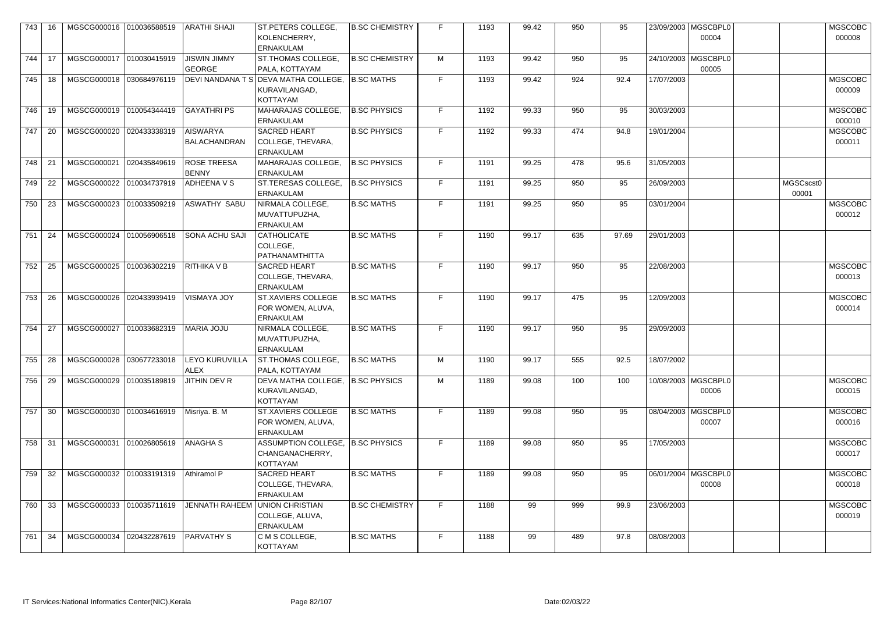| 743 | 16  | MGSCG000016 010036588519  |              | <b>ARATHI SHAJI</b>                  | ST.PETERS COLLEGE,<br>KOLENCHERRY,<br><b>ERNAKULAM</b>                   | <b>B.SC CHEMISTRY</b> |    | 1193 | 99.42 | 950 | 95    | 23/09/2003   MGSCBPL0<br>00004 |                    | <b>MGSCOBC</b><br>000008 |
|-----|-----|---------------------------|--------------|--------------------------------------|--------------------------------------------------------------------------|-----------------------|----|------|-------|-----|-------|--------------------------------|--------------------|--------------------------|
| 744 | 17  | MGSCG000017 010030415919  |              | <b>JISWIN JIMMY</b><br><b>GEORGE</b> | ST.THOMAS COLLEGE,<br>PALA, KOTTAYAM                                     | <b>B.SC CHEMISTRY</b> | M  | 1193 | 99.42 | 950 | 95    | 24/10/2003 MGSCBPL0<br>00005   |                    |                          |
| 745 | 18  | MGSCG000018 030684976119  |              |                                      | DEVI NANDANA T S DEVA MATHA COLLEGE,<br>KURAVILANGAD,<br><b>KOTTAYAM</b> | <b>B.SC MATHS</b>     | F. | 1193 | 99.42 | 924 | 92.4  | 17/07/2003                     |                    | <b>MGSCOBC</b><br>000009 |
| 746 | 19  | MGSCG000019 010054344419  |              | GAYATHRI PS                          | MAHARAJAS COLLEGE,<br><b>ERNAKULAM</b>                                   | <b>B.SC PHYSICS</b>   | F  | 1192 | 99.33 | 950 | 95    | 30/03/2003                     |                    | <b>MGSCOBC</b><br>000010 |
| 747 | 20  | MGSCG000020 020433338319  |              | <b>AISWARYA</b><br>BALACHANDRAN      | <b>SACRED HEART</b><br>COLLEGE, THEVARA,<br><b>ERNAKULAM</b>             | <b>B.SC PHYSICS</b>   | F. | 1192 | 99.33 | 474 | 94.8  | 19/01/2004                     |                    | <b>MGSCOBC</b><br>000011 |
| 748 | 21  | MGSCG000021               | 020435849619 | <b>ROSE TREESA</b><br>BENNY          | MAHARAJAS COLLEGE,<br><b>ERNAKULAM</b>                                   | <b>B.SC PHYSICS</b>   | F  | 1191 | 99.25 | 478 | 95.6  | 31/05/2003                     |                    |                          |
| 749 | 22  | MGSCG000022 010034737919  |              | ADHEENA V S                          | ST.TERESAS COLLEGE,<br><b>ERNAKULAM</b>                                  | <b>B.SC PHYSICS</b>   | F  | 1191 | 99.25 | 950 | 95    | 26/09/2003                     | MGSCscst0<br>00001 |                          |
| 750 | 23  | MGSCG000023 010033509219  |              | ASWATHY SABU                         | NIRMALA COLLEGE,<br>MUVATTUPUZHA,<br><b>ERNAKULAM</b>                    | <b>B.SC MATHS</b>     | F  | 1191 | 99.25 | 950 | 95    | 03/01/2004                     |                    | <b>MGSCOBC</b><br>000012 |
| 751 | 24  | MGSCG000024 010056906518  |              | SONA ACHU SAJI                       | <b>CATHOLICATE</b><br>COLLEGE,<br>PATHANAMTHITTA                         | <b>B.SC MATHS</b>     | F. | 1190 | 99.17 | 635 | 97.69 | 29/01/2003                     |                    |                          |
| 752 | 25  | MGSCG000025 010036302219  |              | RITHIKA V B                          | <b>SACRED HEART</b><br>COLLEGE, THEVARA,<br><b>ERNAKULAM</b>             | <b>B.SC MATHS</b>     | F  | 1190 | 99.17 | 950 | 95    | 22/08/2003                     |                    | <b>MGSCOBC</b><br>000013 |
| 753 | 26  | MGSCG000026 020433939419  |              | <b>VISMAYA JOY</b>                   | <b>ST.XAVIERS COLLEGE</b><br>FOR WOMEN, ALUVA,<br><b>ERNAKULAM</b>       | <b>B.SC MATHS</b>     | F  | 1190 | 99.17 | 475 | 95    | 12/09/2003                     |                    | <b>MGSCOBC</b><br>000014 |
| 754 | 27  | MGSCG000027               | 010033682319 | <b>MARIA JOJU</b>                    | NIRMALA COLLEGE,<br>MUVATTUPUZHA,<br>ERNAKULAM                           | <b>B.SC MATHS</b>     | F. | 1190 | 99.17 | 950 | 95    | 29/09/2003                     |                    |                          |
| 755 | -28 | MGSCG000028  030677233018 |              | <b>LEYO KURUVILLA</b><br><b>ALEX</b> | ST.THOMAS COLLEGE,<br>PALA, KOTTAYAM                                     | <b>B.SC MATHS</b>     | М  | 1190 | 99.17 | 555 | 92.5  | 18/07/2002                     |                    |                          |
| 756 | 29  | MGSCG000029 010035189819  |              | JITHIN DEV R                         | DEVA MATHA COLLEGE,<br>KURAVILANGAD,<br>KOTTAYAM                         | B.SC PHYSICS          | M  | 1189 | 99.08 | 100 | 100   | 10/08/2003   MGSCBPL0<br>00006 |                    | <b>MGSCOBC</b><br>000015 |
| 757 | 30  | MGSCG000030 010034616919  |              | Misriya. B. M                        | ST.XAVIERS COLLEGE<br>FOR WOMEN, ALUVA,<br><b>ERNAKULAM</b>              | <b>B.SC MATHS</b>     | F  | 1189 | 99.08 | 950 | 95    | 08/04/2003   MGSCBPL0<br>00007 |                    | <b>MGSCOBC</b><br>000016 |
| 758 | 31  | MGSCG000031 010026805619  |              | <b>ANAGHA S</b>                      | ASSUMPTION COLLEGE,   B.SC PHYSICS<br>CHANGANACHERRY,<br>KOTTAYAM        |                       | F. | 1189 | 99.08 | 950 | 95    | 17/05/2003                     |                    | <b>MGSCOBC</b><br>000017 |
| 759 | 32  | MGSCG000032 010033191319  |              | Athiramol P                          | <b>SACRED HEART</b><br>COLLEGE, THEVARA,<br><b>ERNAKULAM</b>             | <b>B.SC MATHS</b>     | F  | 1189 | 99.08 | 950 | 95    | 06/01/2004   MGSCBPL0<br>00008 |                    | <b>MGSCOBC</b><br>000018 |
| 760 | 33  | MGSCG000033 010035711619  |              | <b>JENNATH RAHEEM</b>                | UNION CHRISTIAN<br>COLLEGE, ALUVA,<br><b>ERNAKULAM</b>                   | <b>B.SC CHEMISTRY</b> | F  | 1188 | 99    | 999 | 99.9  | 23/06/2003                     |                    | <b>MGSCOBC</b><br>000019 |
| 761 | 34  | MGSCG000034               | 020432287619 | <b>PARVATHY S</b>                    | C M S COLLEGE,<br><b>KOTTAYAM</b>                                        | <b>B.SC MATHS</b>     | F  | 1188 | 99    | 489 | 97.8  | 08/08/2003                     |                    |                          |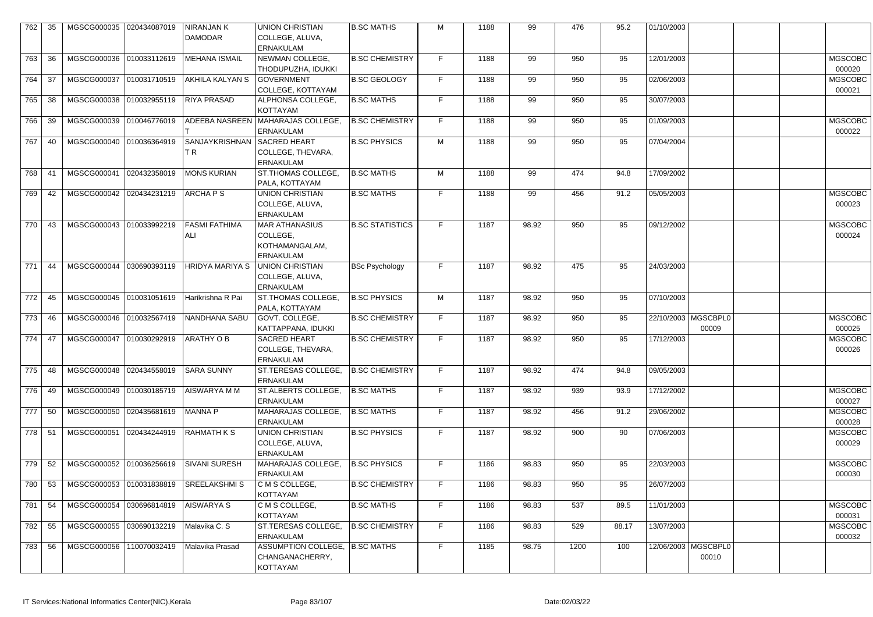| 762    | 35   | MGSCG000035              | 020434087019 | <b>NIRANJAN K</b><br><b>DAMODAR</b> | <b>UNION CHRISTIAN</b><br>COLLEGE, ALUVA,<br><b>ERNAKULAM</b>           | <b>B.SC MATHS</b>      | M  | 1188 | 99    | 476  | 95.2  | 01/10/2003 |                                |                          |  |
|--------|------|--------------------------|--------------|-------------------------------------|-------------------------------------------------------------------------|------------------------|----|------|-------|------|-------|------------|--------------------------------|--------------------------|--|
| 763    | 36   | MGSCG000036 010033112619 |              | <b>MEHANA ISMAIL</b>                | NEWMAN COLLEGE,<br>THODUPUZHA, IDUKKI                                   | <b>B.SC CHEMISTRY</b>  | F. | 1188 | 99    | 950  | 95    | 12/01/2003 |                                | <b>MGSCOBC</b><br>000020 |  |
| 764    | -37  | MGSCG000037 010031710519 |              | AKHILA KALYAN S                     | <b>GOVERNMENT</b><br>COLLEGE, KOTTAYAM                                  | <b>B.SC GEOLOGY</b>    | F. | 1188 | 99    | 950  | 95    | 02/06/2003 |                                | <b>MGSCOBC</b><br>000021 |  |
| 765    | 38   | MGSCG000038 010032955119 |              | <b>RIYA PRASAD</b>                  | ALPHONSA COLLEGE,<br><b>KOTTAYAM</b>                                    | <b>B.SC MATHS</b>      | F. | 1188 | 99    | 950  | 95    | 30/07/2003 |                                |                          |  |
| 766    | 39   | MGSCG000039 010046776019 |              | <b>ADEEBA NASREEN</b>               | MAHARAJAS COLLEGE,<br><b>ERNAKULAM</b>                                  | <b>B.SC CHEMISTRY</b>  | F. | 1188 | 99    | 950  | 95    | 01/09/2003 |                                | <b>MGSCOBC</b><br>000022 |  |
| 767    | 40   | MGSCG000040 010036364919 |              | <b>SANJAYKRISHNAN</b><br>TR.        | <b>SACRED HEART</b><br>COLLEGE, THEVARA,<br><b>ERNAKULAM</b>            | <b>B.SC PHYSICS</b>    | M  | 1188 | 99    | 950  | 95    | 07/04/2004 |                                |                          |  |
| 768    | -41  | MGSCG000041              | 020432358019 | <b>MONS KURIAN</b>                  | ST.THOMAS COLLEGE,<br>PALA, KOTTAYAM                                    | <b>B.SC MATHS</b>      | M  | 1188 | 99    | 474  | 94.8  | 17/09/2002 |                                |                          |  |
| 769    | 42   | MGSCG000042 020434231219 |              | ARCHAPS                             | <b>UNION CHRISTIAN</b><br>COLLEGE, ALUVA,<br><b>ERNAKULAM</b>           | <b>B.SC MATHS</b>      | F. | 1188 | 99    | 456  | 91.2  | 05/05/2003 |                                | <b>MGSCOBC</b><br>000023 |  |
| 770    | 43   | MGSCG000043 010033992219 |              | FASMI FATHIMA<br>ALI                | <b>MAR ATHANASIUS</b><br>COLLEGE,<br>KOTHAMANGALAM,<br><b>ERNAKULAM</b> | <b>B.SC STATISTICS</b> | F. | 1187 | 98.92 | 950  | 95    | 09/12/2002 |                                | <b>MGSCOBC</b><br>000024 |  |
| 771    | 44   | MGSCG000044              | 030690393119 | <b>HRIDYA MARIYA S</b>              | UNION CHRISTIAN<br>COLLEGE, ALUVA,<br><b>ERNAKULAM</b>                  | <b>BSc Psychology</b>  | F. | 1187 | 98.92 | 475  | 95    | 24/03/2003 |                                |                          |  |
| 772    | 45   | MGSCG000045 010031051619 |              | Harikrishna R Pai                   | ST.THOMAS COLLEGE.<br>PALA, KOTTAYAM                                    | <b>B.SC PHYSICS</b>    | M  | 1187 | 98.92 | 950  | 95    | 07/10/2003 |                                |                          |  |
| 773    | - 46 | MGSCG000046 010032567419 |              | NANDHANA SABU                       | <b>GOVT. COLLEGE,</b><br>KATTAPPANA, IDUKKI                             | <b>B.SC CHEMISTRY</b>  | F. | 1187 | 98.92 | 950  | 95    |            | 22/10/2003 MGSCBPL0<br>00009   | MGSCOBC<br>000025        |  |
| 774 47 |      | MGSCG000047 010030292919 |              | <b>ARATHY OB</b>                    | <b>SACRED HEART</b><br>COLLEGE, THEVARA,<br><b>ERNAKULAM</b>            | <b>B.SC CHEMISTRY</b>  | F. | 1187 | 98.92 | 950  | 95    | 17/12/2003 |                                | MGSCOBC<br>000026        |  |
| 775    | 48   | MGSCG000048 020434558019 |              | <b>SARA SUNNY</b>                   | ST.TERESAS COLLEGE,<br><b>ERNAKULAM</b>                                 | <b>B.SC CHEMISTRY</b>  | F. | 1187 | 98.92 | 474  | 94.8  | 09/05/2003 |                                |                          |  |
| 776    | - 49 | MGSCG000049 010030185719 |              | <b>AISWARYA MM</b>                  | ST.ALBERTS COLLEGE,<br><b>ERNAKULAM</b>                                 | <b>B.SC MATHS</b>      | F. | 1187 | 98.92 | 939  | 93.9  | 17/12/2002 |                                | MGSCOBC<br>000027        |  |
| 777    | - 50 | MGSCG000050 020435681619 |              | MANNA P                             | MAHARAJAS COLLEGE,<br><b>ERNAKULAM</b>                                  | <b>B.SC MATHS</b>      | F. | 1187 | 98.92 | 456  | 91.2  | 29/06/2002 |                                | <b>MGSCOBC</b><br>000028 |  |
| 778 51 |      | MGSCG000051              | 020434244919 | <b>RAHMATH K S</b>                  | <b>UNION CHRISTIAN</b><br>COLLEGE, ALUVA,<br><b>ERNAKULAM</b>           | <b>B.SC PHYSICS</b>    | F. | 1187 | 98.92 | 900  | 90    | 07/06/2003 |                                | <b>MGSCOBC</b><br>000029 |  |
| 779    | 52   | MGSCG000052 010036256619 |              | SIVANI SURESH                       | MAHARAJAS COLLEGE,<br><b>ERNAKULAM</b>                                  | <b>B.SC PHYSICS</b>    | F. | 1186 | 98.83 | 950  | 95    | 22/03/2003 |                                | <b>MGSCOBC</b><br>000030 |  |
| 780    | -53  | MGSCG000053 010031838819 |              | <b>SREELAKSHMIS</b>                 | C M S COLLEGE,<br><b>KOTTAYAM</b>                                       | <b>B.SC CHEMISTRY</b>  | F. | 1186 | 98.83 | 950  | 95    | 26/07/2003 |                                |                          |  |
| 781    | - 54 | MGSCG000054 030696814819 |              | <b>AISWARYA S</b>                   | C M S COLLEGE,<br><b>KOTTAYAM</b>                                       | <b>B.SC MATHS</b>      | F. | 1186 | 98.83 | 537  | 89.5  | 11/01/2003 |                                | MGSCOBC<br>000031        |  |
| 782    | 55   | MGSCG000055 030690132219 |              | Malavika C. S                       | ST.TERESAS COLLEGE,<br><b>ERNAKULAM</b>                                 | <b>B.SC CHEMISTRY</b>  | F. | 1186 | 98.83 | 529  | 88.17 | 13/07/2003 |                                | <b>MGSCOBC</b><br>000032 |  |
| 783    | 56   | MGSCG000056 110070032419 |              | Malavika Prasad                     | ASSUMPTION COLLEGE,  B.SC MATHS<br>CHANGANACHERRY,<br>KOTTAYAM          |                        | F. | 1185 | 98.75 | 1200 | 100   |            | 12/06/2003   MGSCBPL0<br>00010 |                          |  |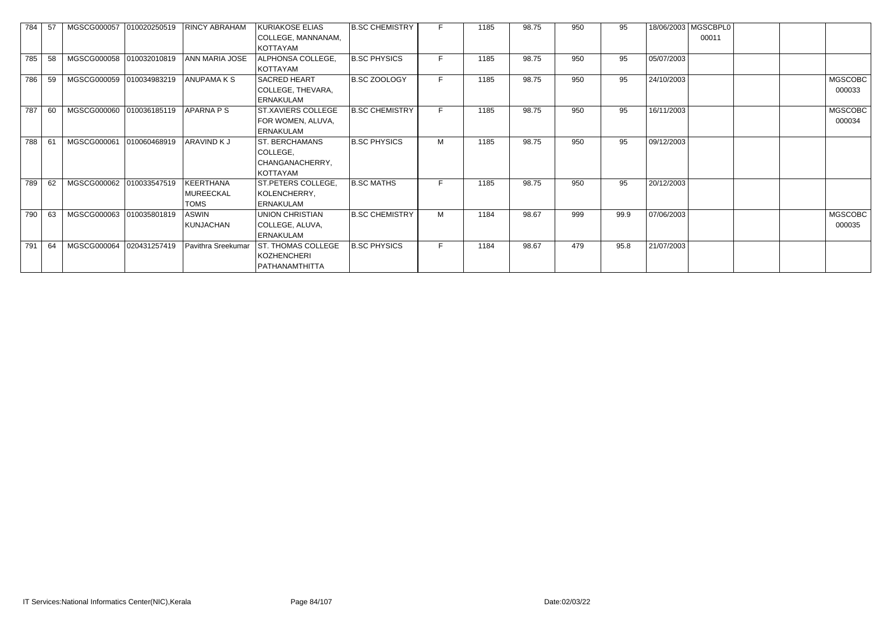| 784 | 57 | MGSCG000057              | 010020250519 | <b>RINCY ABRAHAM</b> | KURIAKOSE ELIAS           | <b>B.SC CHEMISTRY</b> |    | 1185 | 98.75 | 950 | 95   |            | 18/06/2003   MGSCBPL0 |                |
|-----|----|--------------------------|--------------|----------------------|---------------------------|-----------------------|----|------|-------|-----|------|------------|-----------------------|----------------|
|     |    |                          |              |                      | COLLEGE, MANNANAM,        |                       |    |      |       |     |      |            | 00011                 |                |
|     |    |                          |              |                      | KOTTAYAM                  |                       |    |      |       |     |      |            |                       |                |
| 785 | 58 | MGSCG000058 010032010819 |              | ANN MARIA JOSE       | ALPHONSA COLLEGE,         | <b>B.SC PHYSICS</b>   | F  | 1185 | 98.75 | 950 | 95   | 05/07/2003 |                       |                |
|     |    |                          |              |                      | KOTTAYAM                  |                       |    |      |       |     |      |            |                       |                |
| 786 | 59 | MGSCG000059 010034983219 |              | <b>ANUPAMAKS</b>     | SACRED HEART              | <b>B.SC ZOOLOGY</b>   | F. | 1185 | 98.75 | 950 | 95   | 24/10/2003 |                       | <b>MGSCOBC</b> |
|     |    |                          |              |                      | COLLEGE, THEVARA,         |                       |    |      |       |     |      |            |                       | 000033         |
|     |    |                          |              |                      | <b>ERNAKULAM</b>          |                       |    |      |       |     |      |            |                       |                |
| 787 | 60 | MGSCG000060              | 010036185119 | APARNA P S           | ST.XAVIERS COLLEGE        | <b>B.SC CHEMISTRY</b> | E. | 1185 | 98.75 | 950 | 95   | 16/11/2003 |                       | <b>MGSCOBC</b> |
|     |    |                          |              |                      | FOR WOMEN, ALUVA,         |                       |    |      |       |     |      |            |                       | 000034         |
|     |    |                          |              |                      | <b>ERNAKULAM</b>          |                       |    |      |       |     |      |            |                       |                |
| 788 | 61 | MGSCG000061              | 010060468919 | <b>ARAVIND KJ</b>    | <b>ST. BERCHAMANS</b>     | <b>B.SC PHYSICS</b>   | M  | 1185 | 98.75 | 950 | 95   | 09/12/2003 |                       |                |
|     |    |                          |              |                      | COLLEGE,                  |                       |    |      |       |     |      |            |                       |                |
|     |    |                          |              |                      | CHANGANACHERRY,           |                       |    |      |       |     |      |            |                       |                |
|     |    |                          |              |                      | KOTTAYAM                  |                       |    |      |       |     |      |            |                       |                |
| 789 | 62 | MGSCG000062              | 010033547519 | KEERTHANA            | ST.PETERS COLLEGE,        | <b>B.SC MATHS</b>     | F. | 1185 | 98.75 | 950 | 95   | 20/12/2003 |                       |                |
|     |    |                          |              | <b>MUREECKAL</b>     | KOLENCHERRY,              |                       |    |      |       |     |      |            |                       |                |
|     |    |                          |              | <b>TOMS</b>          | <b>ERNAKULAM</b>          |                       |    |      |       |     |      |            |                       |                |
| 790 | 63 | MGSCG000063 010035801819 |              | <b>ASWIN</b>         | UNION CHRISTIAN           | <b>B.SC CHEMISTRY</b> | M  | 1184 | 98.67 | 999 | 99.9 | 07/06/2003 |                       | <b>MGSCOBC</b> |
|     |    |                          |              | KUNJACHAN            | COLLEGE, ALUVA,           |                       |    |      |       |     |      |            |                       | 000035         |
|     |    |                          |              |                      | <b>ERNAKULAM</b>          |                       |    |      |       |     |      |            |                       |                |
| 791 | 64 | MGSCG000064              | 020431257419 | Pavithra Sreekumar   | <b>ST. THOMAS COLLEGE</b> | <b>B.SC PHYSICS</b>   | F. | 1184 | 98.67 | 479 | 95.8 | 21/07/2003 |                       |                |
|     |    |                          |              |                      | <b>KOZHENCHERI</b>        |                       |    |      |       |     |      |            |                       |                |
|     |    |                          |              |                      | PATHANAMTHITTA            |                       |    |      |       |     |      |            |                       |                |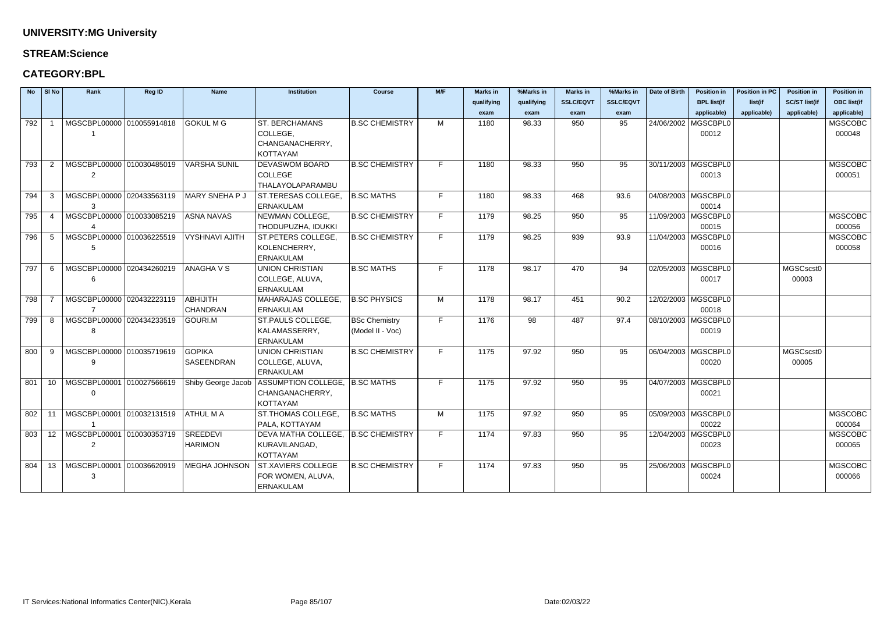#### **STREAM:Science**

### **CATEGORY:BPL**

|     | $No$ SI No     | Rank                                               | Reg ID | <b>Name</b>           | <b>Institution</b>                  | <b>Course</b>         | M/F | <b>Marks in</b> | %Marks in  | <b>Marks in</b>  | %Marks in        | Date of Birth | <b>Position in</b>    | <b>Position in PC</b> | <b>Position in</b>   | <b>Position in</b> |
|-----|----------------|----------------------------------------------------|--------|-----------------------|-------------------------------------|-----------------------|-----|-----------------|------------|------------------|------------------|---------------|-----------------------|-----------------------|----------------------|--------------------|
|     |                |                                                    |        |                       |                                     |                       |     | qualifying      | qualifying | <b>SSLC/EQVT</b> | <b>SSLC/EQVT</b> |               | <b>BPL list(if</b>    | list(if               | <b>SC/ST list(if</b> | <b>OBC list(if</b> |
|     |                |                                                    |        |                       |                                     |                       |     | exam            | exam       | exam             | exam             |               | applicable)           | applicable)           | applicable)          | applicable)        |
| 792 |                | MGSCBPL00000 010055914818                          |        | <b>GOKUL M G</b>      | <b>ST. BERCHAMANS</b>               | <b>B.SC CHEMISTRY</b> | M   | 1180            | 98.33      | 950              | 95               |               | 24/06/2002   MGSCBPL0 |                       |                      | <b>MGSCOBC</b>     |
|     |                |                                                    |        |                       | COLLEGE,                            |                       |     |                 |            |                  |                  |               | 00012                 |                       |                      | 000048             |
|     |                |                                                    |        |                       | CHANGANACHERRY,                     |                       |     |                 |            |                  |                  |               |                       |                       |                      |                    |
|     |                |                                                    |        |                       | <b>KOTTAYAM</b>                     |                       |     |                 |            |                  |                  |               |                       |                       |                      |                    |
| 793 | $\overline{2}$ | MGSCBPL00000 010030485019                          |        | <b>VARSHA SUNIL</b>   | <b>DEVASWOM BOARD</b>               | <b>B.SC CHEMISTRY</b> | F.  | 1180            | 98.33      | 950              | 95               |               | 30/11/2003 MGSCBPL0   |                       |                      | <b>MGSCOBC</b>     |
|     |                | 2                                                  |        |                       | <b>COLLEGE</b>                      |                       |     |                 |            |                  |                  |               | 00013                 |                       |                      | 000051             |
|     |                |                                                    |        |                       | THALAYOLAPARAMBU                    |                       |     |                 |            |                  |                  |               |                       |                       |                      |                    |
| 794 | -3             | MGSCBPL00000 020433563119                          |        | <b>MARY SNEHA P J</b> | ST.TERESAS COLLEGE,                 | <b>B.SC MATHS</b>     | F.  | 1180            | 98.33      | 468              | 93.6             |               | 04/08/2003   MGSCBPL0 |                       |                      |                    |
|     |                | 3                                                  |        |                       | <b>ERNAKULAM</b>                    |                       |     |                 |            |                  |                  |               | 00014                 |                       |                      |                    |
| 795 | -4             | MGSCBPL00000 010033085219                          |        | <b>ASNA NAVAS</b>     | NEWMAN COLLEGE,                     | <b>B.SC CHEMISTRY</b> | F   | 1179            | 98.25      | 950              | 95               |               | 11/09/2003   MGSCBPL0 |                       |                      | <b>MGSCOBC</b>     |
|     |                |                                                    |        |                       | THODUPUZHA, IDUKKI                  |                       |     |                 |            |                  |                  |               | 00015                 |                       |                      | 000056             |
| 796 | -5             | MGSCBPL00000 010036225519                          |        | <b>VYSHNAVI AJITH</b> | ST.PETERS COLLEGE,                  | <b>B.SC CHEMISTRY</b> | F   | 1179            | 98.25      | 939              | 93.9             |               | 11/04/2003   MGSCBPL0 |                       |                      | <b>MGSCOBC</b>     |
|     |                |                                                    |        |                       | KOLENCHERRY,                        |                       |     |                 |            |                  |                  |               | 00016                 |                       |                      | 000058             |
|     |                |                                                    |        |                       | <b>ERNAKULAM</b>                    |                       | F.  |                 |            |                  |                  |               |                       |                       |                      |                    |
| 797 | -6             | MGSCBPL00000 020434260219                          |        | <b>ANAGHAVS</b>       | <b>UNION CHRISTIAN</b>              | <b>B.SC MATHS</b>     |     | 1178            | 98.17      | 470              | 94               |               | 02/05/2003   MGSCBPL0 |                       | MGSCscst0            |                    |
|     |                | 6                                                  |        |                       | COLLEGE, ALUVA,<br><b>ERNAKULAM</b> |                       |     |                 |            |                  |                  |               | 00017                 |                       | 00003                |                    |
| 798 |                | MGSCBPL00000 020432223119                          |        | <b>ABHIJITH</b>       | MAHARAJAS COLLEGE,                  | <b>B.SC PHYSICS</b>   | M   | 1178            | 98.17      | 451              | 90.2             |               | 12/02/2003   MGSCBPL0 |                       |                      |                    |
|     |                |                                                    |        | <b>CHANDRAN</b>       | <b>ERNAKULAM</b>                    |                       |     |                 |            |                  |                  |               | 00018                 |                       |                      |                    |
| 799 | 8              | MGSCBPL00000 020434233519                          |        | GOURI.M               | ST.PAULS COLLEGE,                   | <b>BSc Chemistry</b>  | F   | 1176            | 98         | 487              | 97.4             |               | 08/10/2003   MGSCBPL0 |                       |                      |                    |
|     |                | 8                                                  |        |                       | KALAMASSERRY,                       | (Model II - Voc)      |     |                 |            |                  |                  |               | 00019                 |                       |                      |                    |
|     |                |                                                    |        |                       | <b>ERNAKULAM</b>                    |                       |     |                 |            |                  |                  |               |                       |                       |                      |                    |
| 800 | -9             | MGSCBPL00000 010035719619                          |        | <b>GOPIKA</b>         | <b>UNION CHRISTIAN</b>              | <b>B.SC CHEMISTRY</b> | F   | 1175            | 97.92      | 950              | 95               |               | 06/04/2003   MGSCBPL0 |                       | MGSCscst0            |                    |
|     |                | 9                                                  |        | <b>SASEENDRAN</b>     | COLLEGE, ALUVA,                     |                       |     |                 |            |                  |                  |               | 00020                 |                       | 00005                |                    |
|     |                |                                                    |        |                       | <b>ERNAKULAM</b>                    |                       |     |                 |            |                  |                  |               |                       |                       |                      |                    |
| 801 | 10             | MGSCBPL00001 010027566619                          |        | Shiby George Jacob    | ASSUMPTION COLLEGE, B.SC MATHS      |                       | F.  | 1175            | 97.92      | 950              | 95               |               | 04/07/2003   MGSCBPL0 |                       |                      |                    |
|     |                | $\mathbf 0$                                        |        |                       | CHANGANACHERRY,                     |                       |     |                 |            |                  |                  |               | 00021                 |                       |                      |                    |
|     |                |                                                    |        |                       | <b>KOTTAYAM</b>                     |                       |     |                 |            |                  |                  |               |                       |                       |                      |                    |
|     |                | 802   11   MGSCBPL00001   010032131519   ATHUL M A |        |                       | ST.THOMAS COLLEGE,                  | <b>B.SC MATHS</b>     | M   | 1175            | 97.92      | 950              | 95               |               | 05/09/2003   MGSCBPL0 |                       |                      | <b>MGSCOBC</b>     |
|     |                |                                                    |        |                       | PALA, KOTTAYAM                      |                       |     |                 |            |                  |                  |               | 00022                 |                       |                      | 000064             |
|     |                | 803   12  MGSCBPL00001  010030353719               |        | <b>SREEDEVI</b>       | DEVA MATHA COLLEGE, B.SC CHEMISTRY  |                       | F   | 1174            | 97.83      | 950              | 95               |               | 12/04/2003   MGSCBPL0 |                       |                      | <b>MGSCOBC</b>     |
|     |                | $\overline{2}$                                     |        | <b>HARIMON</b>        | KURAVILANGAD,                       |                       |     |                 |            |                  |                  |               | 00023                 |                       |                      | 000065             |
|     |                |                                                    |        |                       | <b>KOTTAYAM</b>                     |                       |     |                 |            |                  |                  |               |                       |                       |                      |                    |
| 804 |                | 13   MGSCBPL00001   010036620919                   |        | <b>MEGHA JOHNSON</b>  | <b>ST.XAVIERS COLLEGE</b>           | <b>B.SC CHEMISTRY</b> | F   | 1174            | 97.83      | 950              | 95               |               | 25/06/2003   MGSCBPL0 |                       |                      | <b>MGSCOBC</b>     |
|     |                | 3                                                  |        |                       | FOR WOMEN, ALUVA,                   |                       |     |                 |            |                  |                  |               | 00024                 |                       |                      | 000066             |
|     |                |                                                    |        |                       | <b>ERNAKULAM</b>                    |                       |     |                 |            |                  |                  |               |                       |                       |                      |                    |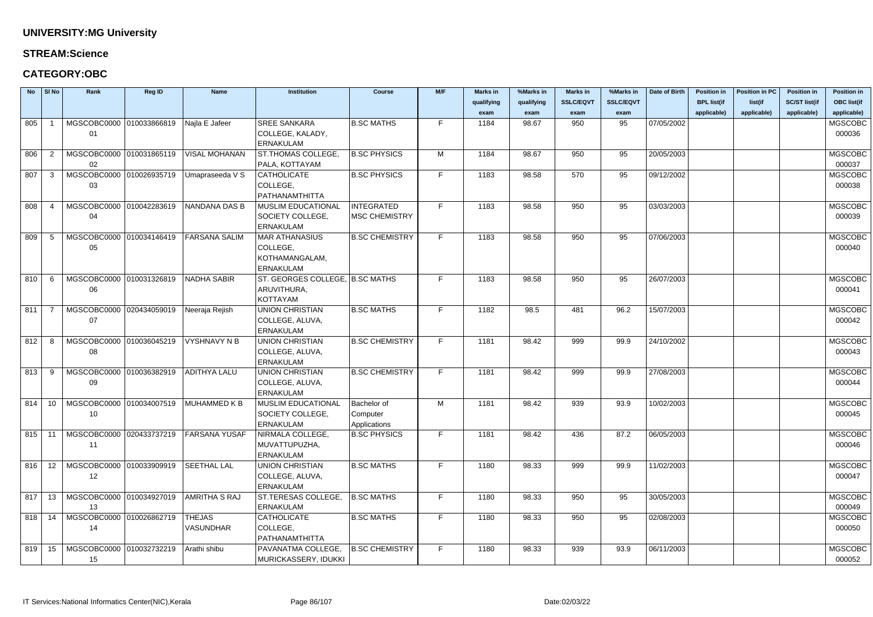### **STREAM:Science**

### **CATEGORY:OBC**

|          | $No$ SI No     | Rank                           | <b>Reg ID</b> | <b>Name</b>          | <b>Institution</b>                  | <b>Course</b>         | M/F | <b>Marks in</b> | %Marks in  | <b>Marks in</b>  | %Marks in        | Date of Birth | <b>Position in</b> | <b>Position in PC</b> | <b>Position in</b>   | <b>Position in</b> |
|----------|----------------|--------------------------------|---------------|----------------------|-------------------------------------|-----------------------|-----|-----------------|------------|------------------|------------------|---------------|--------------------|-----------------------|----------------------|--------------------|
|          |                |                                |               |                      |                                     |                       |     | qualifying      | qualifying | <b>SSLC/EQVT</b> | <b>SSLC/EQVT</b> |               | <b>BPL list(if</b> | list(if               | <b>SC/ST list(if</b> | <b>OBC list(if</b> |
|          |                |                                |               |                      |                                     |                       |     | exam            | exam       | exam             | exam             |               | applicable)        | applicable)           | applicable)          | applicable)        |
| 805      |                | MGSCOBC0000 010033866819       |               | Najla E Jafeer       | <b>SREE SANKARA</b>                 | <b>B.SC MATHS</b>     | F.  | 1184            | 98.67      | 950              | 95               | 07/05/2002    |                    |                       |                      | <b>MGSCOBC</b>     |
|          |                | 01                             |               |                      | COLLEGE, KALADY,                    |                       |     |                 |            |                  |                  |               |                    |                       |                      | 000036             |
|          |                |                                |               |                      | <b>ERNAKULAM</b>                    |                       |     |                 |            |                  |                  |               |                    |                       |                      |                    |
| 806      | $\overline{2}$ | MGSCOBC0000 010031865119       |               | <b>VISAL MOHANAN</b> | <b>ST.THOMAS COLLEGE,</b>           | <b>B.SC PHYSICS</b>   | M   | 1184            | 98.67      | 950              | 95               | 20/05/2003    |                    |                       |                      | <b>MGSCOBC</b>     |
|          |                | 02                             |               |                      | PALA, KOTTAYAM                      |                       |     |                 |            |                  |                  |               |                    |                       |                      | 000037             |
| 807      | -3             | MGSCOBC0000 010026935719       |               | Umapraseeda V S      | CATHOLICATE                         | <b>B.SC PHYSICS</b>   | F.  | 1183            | 98.58      | 570              | 95               | 09/12/2002    |                    |                       |                      | <b>MGSCOBC</b>     |
|          |                | 03                             |               |                      | COLLEGE,                            |                       |     |                 |            |                  |                  |               |                    |                       |                      | 000038             |
|          |                |                                |               |                      | PATHANAMTHITTA                      |                       |     |                 |            |                  |                  |               |                    |                       |                      |                    |
| 808      |                | MGSCOBC0000 010042283619       |               | NANDANA DAS B        | <b>MUSLIM EDUCATIONAL</b>           | <b>INTEGRATED</b>     | F.  | 1183            | 98.58      | 950              | 95               | 03/03/2003    |                    |                       |                      | <b>MGSCOBC</b>     |
|          |                | 04                             |               |                      | SOCIETY COLLEGE,                    | MSC CHEMISTRY         |     |                 |            |                  |                  |               |                    |                       |                      | 000039             |
|          |                |                                |               |                      | <b>ERNAKULAM</b>                    |                       |     |                 |            |                  |                  |               |                    |                       |                      |                    |
| 809      | -5             | MGSCOBC0000 010034146419       |               | <b>FARSANA SALIM</b> | <b>MAR ATHANASIUS</b>               | <b>B.SC CHEMISTRY</b> | F.  | 1183            | 98.58      | 950              | 95               | 07/06/2003    |                    |                       |                      | <b>MGSCOBC</b>     |
|          |                | 05                             |               |                      | COLLEGE,                            |                       |     |                 |            |                  |                  |               |                    |                       |                      | 000040             |
|          |                |                                |               |                      | KOTHAMANGALAM,                      |                       |     |                 |            |                  |                  |               |                    |                       |                      |                    |
|          |                |                                |               |                      | ERNAKULAM                           |                       |     |                 |            |                  |                  |               |                    |                       |                      |                    |
| 810      | - 6            | MGSCOBC0000 010031326819       |               | NADHA SABIR          | ST. GEORGES COLLEGE, B.SC MATHS     |                       | F.  | 1183            | 98.58      | 950              | 95               | 26/07/2003    |                    |                       |                      | <b>MGSCOBC</b>     |
|          |                | 06                             |               |                      | ARUVITHURA,                         |                       |     |                 |            |                  |                  |               |                    |                       |                      | 000041             |
|          |                |                                |               |                      | KOTTAYAM                            |                       |     |                 |            |                  |                  |               |                    |                       |                      |                    |
| 811      | - 7            | MGSCOBC0000 020434059019       |               | Neeraja Rejish       | <b>UNION CHRISTIAN</b>              | <b>B.SC MATHS</b>     | F.  | 1182            | 98.5       | 481              | 96.2             | 15/07/2003    |                    |                       |                      | <b>MGSCOBC</b>     |
|          |                | 07                             |               |                      | COLLEGE, ALUVA,                     |                       |     |                 |            |                  |                  |               |                    |                       |                      | 000042             |
|          |                |                                |               |                      | <b>ERNAKULAM</b>                    |                       |     |                 |            |                  |                  |               |                    |                       |                      |                    |
| 812      | -8             | MGSCOBC0000 010036045219       |               | VYSHNAVY N B         | <b>UNION CHRISTIAN</b>              | <b>B.SC CHEMISTRY</b> | F.  | 1181            | 98.42      | 999              | 99.9             | 24/10/2002    |                    |                       |                      | <b>MGSCOBC</b>     |
|          |                | 08                             |               |                      | COLLEGE, ALUVA,                     |                       |     |                 |            |                  |                  |               |                    |                       |                      | 000043             |
|          |                |                                |               |                      | <b>ERNAKULAM</b>                    |                       |     |                 |            |                  |                  |               |                    |                       |                      |                    |
| 813      | -9             | MGSCOBC0000 010036382919       |               | <b>ADITHYA LALU</b>  | <b>UNION CHRISTIAN</b>              | <b>B.SC CHEMISTRY</b> | F.  | 1181            | 98.42      | 999              | 99.9             | 27/08/2003    |                    |                       |                      | <b>MGSCOBC</b>     |
|          |                | 09                             |               |                      | COLLEGE, ALUVA,                     |                       |     |                 |            |                  |                  |               |                    |                       |                      | 000044             |
|          |                |                                |               |                      | <b>ERNAKULAM</b>                    |                       |     |                 |            |                  |                  |               |                    |                       |                      |                    |
| 814      | 10             | MGSCOBC0000 010034007519       |               | MUHAMMED K B         | <b>MUSLIM EDUCATIONAL</b>           | <b>Bachelor</b> of    | M   | 1181            | 98.42      | 939              | 93.9             | 10/02/2003    |                    |                       |                      | <b>MGSCOBC</b>     |
|          |                | 10                             |               |                      | SOCIETY COLLEGE,                    | Computer              |     |                 |            |                  |                  |               |                    |                       |                      | 000045             |
|          |                | MGSCOBC0000 020433737219       |               | <b>FARSANA YUSAF</b> | ERNAKULAM                           | Applications          | F.  | 1181            |            | 436              |                  | 06/05/2003    |                    |                       |                      | <b>MGSCOBC</b>     |
| $815$ 11 |                |                                |               |                      | NIRMALA COLLEGE,                    | <b>B.SC PHYSICS</b>   |     |                 | 98.42      |                  | 87.2             |               |                    |                       |                      |                    |
|          |                | 11                             |               |                      | MUVATTUPUZHA,                       |                       |     |                 |            |                  |                  |               |                    |                       |                      | 000046             |
|          |                |                                |               | <b>SEETHAL LAL</b>   | ERNAKULAM                           |                       | F.  | 1180            |            | 999              | 99.9             | 11/02/2003    |                    |                       |                      | <b>MGSCOBC</b>     |
| 816      | 12             | MGSCOBC0000 010033909919       |               |                      | <b>UNION CHRISTIAN</b>              | <b>B.SC MATHS</b>     |     |                 | 98.33      |                  |                  |               |                    |                       |                      |                    |
|          |                | 12                             |               |                      | COLLEGE, ALUVA,<br><b>ERNAKULAM</b> |                       |     |                 |            |                  |                  |               |                    |                       |                      | 000047             |
| 817      | 13             | MGSCOBC0000 010034927019       |               | AMRITHA S RAJ        | ST.TERESAS COLLEGE,                 | <b>B.SC MATHS</b>     | F.  | 1180            | 98.33      | 950              | 95               | 30/05/2003    |                    |                       |                      | <b>MGSCOBC</b>     |
|          |                |                                |               |                      | ERNAKULAM                           |                       |     |                 |            |                  |                  |               |                    |                       |                      | 000049             |
|          |                | 13<br>MGSCOBC0000 010026862719 |               | <b>THEJAS</b>        | CATHOLICATE                         |                       | F.  | 1180            |            | 950              |                  | 02/08/2003    |                    |                       |                      |                    |
| 818      | 14             |                                |               | <b>VASUNDHAR</b>     | COLLEGE,                            | <b>B.SC MATHS</b>     |     |                 | 98.33      |                  | 95               |               |                    |                       |                      | <b>MGSCOBC</b>     |
|          |                | 14                             |               |                      | PATHANAMTHITTA                      |                       |     |                 |            |                  |                  |               |                    |                       |                      | 000050             |
| 819      | 15             | MGSCOBC0000 010032732219       |               | Arathi shibu         | PAVANATMA COLLEGE,                  | <b>B.SC CHEMISTRY</b> | F.  | 1180            | 98.33      | 939              | 93.9             | 06/11/2003    |                    |                       |                      | <b>MGSCOBC</b>     |
|          |                |                                |               |                      |                                     |                       |     |                 |            |                  |                  |               |                    |                       |                      | 000052             |
|          |                | 15                             |               |                      | MURICKASSERY, IDUKKI                |                       |     |                 |            |                  |                  |               |                    |                       |                      |                    |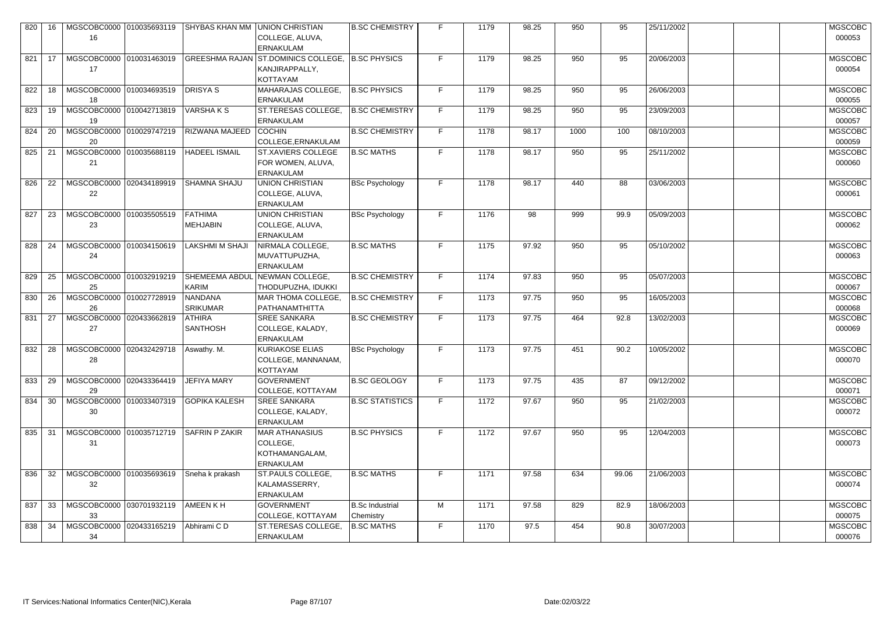| 820    | 16 | MGSCOBC0000 010035693119<br>16                        | SHYBAS KHAN MM UNION CHRISTIAN    | COLLEGE, ALUVA,<br><b>ERNAKULAM</b>                                                   | <b>B.SC CHEMISTRY</b>               |    | 1179 | 98.25 | 950  | 95    | 25/11/2002 | <b>MGSCOBC</b><br>000053 |
|--------|----|-------------------------------------------------------|-----------------------------------|---------------------------------------------------------------------------------------|-------------------------------------|----|------|-------|------|-------|------------|--------------------------|
| 821    | 17 | MGSCOBC0000 010031463019<br>17                        |                                   | GREESHMA RAJAN ST.DOMINICS COLLEGE, B.SC PHYSICS<br>KANJIRAPPALLY,<br><b>KOTTAYAM</b> |                                     | F. | 1179 | 98.25 | 950  | 95    | 20/06/2003 | <b>MGSCOBC</b><br>000054 |
| 822    | 18 | MGSCOBC0000 010034693519<br>18                        | <b>DRISYAS</b>                    | MAHARAJAS COLLEGE,<br><b>ERNAKULAM</b>                                                | <b>B.SC PHYSICS</b>                 | F. | 1179 | 98.25 | 950  | 95    | 26/06/2003 | <b>MGSCOBC</b><br>000055 |
| 823    | 19 | MGSCOBC0000 010042713819<br>19                        | <b>VARSHAKS</b>                   | ST.TERESAS COLLEGE,<br><b>ERNAKULAM</b>                                               | <b>B.SC CHEMISTRY</b>               | F. | 1179 | 98.25 | 950  | 95    | 23/09/2003 | <b>MGSCOBC</b><br>000057 |
| 824    | 20 | MGSCOBC0000 010029747219<br>20                        | RIZWANA MAJEED                    | <b>COCHIN</b><br>COLLEGE, ERNAKULAM                                                   | <b>B.SC CHEMISTRY</b>               | F. | 1178 | 98.17 | 1000 | 100   | 08/10/2003 | <b>MGSCOBC</b><br>000059 |
| 825    | 21 | MGSCOBC0000 010035688119<br>21                        | <b>HADEEL ISMAIL</b>              | <b>ST.XAVIERS COLLEGE</b><br>FOR WOMEN, ALUVA,<br><b>ERNAKULAM</b>                    | <b>B.SC MATHS</b>                   | F. | 1178 | 98.17 | 950  | 95    | 25/11/2002 | <b>MGSCOBC</b><br>000060 |
| 826    | 22 | MGSCOBC0000 020434189919<br>22                        | <b>SHAMNA SHAJU</b>               | <b>UNION CHRISTIAN</b><br>COLLEGE, ALUVA,<br><b>ERNAKULAM</b>                         | <b>BSc Psychology</b>               | F. | 1178 | 98.17 | 440  | 88    | 03/06/2003 | <b>MGSCOBC</b><br>000061 |
| 827    | 23 | MGSCOBC0000 010035505519<br>23                        | <b>FATHIMA</b><br><b>MEHJABIN</b> | <b>UNION CHRISTIAN</b><br>COLLEGE, ALUVA,<br><b>ERNAKULAM</b>                         | <b>BSc Psychology</b>               | F. | 1176 | 98    | 999  | 99.9  | 05/09/2003 | <b>MGSCOBC</b><br>000062 |
| 828    | 24 | MGSCOBC0000 010034150619<br>24                        | <b>LAKSHMI M SHAJI</b>            | NIRMALA COLLEGE,<br>MUVATTUPUZHA,<br><b>ERNAKULAM</b>                                 | <b>B.SC MATHS</b>                   |    | 1175 | 97.92 | 950  | 95    | 05/10/2002 | <b>MGSCOBC</b><br>000063 |
| 829    | 25 | MGSCOBC0000 010032919219<br>25                        | <b>SHEMEEMA ABDUL</b><br>KARIM    | NEWMAN COLLEGE,<br>THODUPUZHA, IDUKKI                                                 | <b>B.SC CHEMISTRY</b>               | F. | 1174 | 97.83 | 950  | 95    | 05/07/2003 | <b>MGSCOBC</b><br>000067 |
| 830    | 26 | MGSCOBC0000 010027728919<br>26                        | <b>NANDANA</b><br><b>SRIKUMAR</b> | MAR THOMA COLLEGE,<br>PATHANAMTHITTA                                                  | <b>B.SC CHEMISTRY</b>               | F. | 1173 | 97.75 | 950  | 95    | 16/05/2003 | <b>MGSCOBC</b><br>000068 |
| 831    | 27 | MGSCOBC0000 020433662819<br>27                        | <b>ATHIRA</b><br><b>SANTHOSH</b>  | <b>SREE SANKARA</b><br>COLLEGE, KALADY,<br><b>ERNAKULAM</b>                           | <b>B.SC CHEMISTRY</b>               | F. | 1173 | 97.75 | 464  | 92.8  | 13/02/2003 | <b>MGSCOBC</b><br>000069 |
|        |    | 832 28   MGSCOBC0000 020432429718   Aswathy. M.<br>28 |                                   | <b>KURIAKOSE ELIAS</b><br>COLLEGE, MANNANAM,<br>KOTTAYAM                              | BSc Psychology                      | F  | 1173 | 97.75 | 451  | 90.2  | 10/05/2002 | <b>MGSCOBC</b><br>000070 |
| 833    | 29 | MGSCOBC0000 020433364419<br>29                        | <b>JEFIYA MARY</b>                | <b>GOVERNMENT</b><br>COLLEGE, KOTTAYAM                                                | <b>B.SC GEOLOGY</b>                 | F. | 1173 | 97.75 | 435  | 87    | 09/12/2002 | <b>MGSCOBC</b><br>000071 |
| 834    | 30 | MGSCOBC0000 010033407319<br>30                        | <b>GOPIKA KALESH</b>              | <b>SREE SANKARA</b><br>COLLEGE, KALADY,<br><b>ERNAKULAM</b>                           | <b>B.SC STATISTICS</b>              | F. | 1172 | 97.67 | 950  | 95    | 21/02/2003 | <b>MGSCOBC</b><br>000072 |
| 835    | 31 | MGSCOBC0000 010035712719<br>31                        | <b>SAFRIN P ZAKIR</b>             | <b>MAR ATHANASIUS</b><br>COLLEGE,<br>KOTHAMANGALAM,<br><b>ERNAKULAM</b>               | <b>B.SC PHYSICS</b>                 | F. | 1172 | 97.67 | 950  | 95    | 12/04/2003 | <b>MGSCOBC</b><br>000073 |
| 836    | 32 | MGSCOBC0000 010035693619<br>32                        | Sneha k prakash                   | ST.PAULS COLLEGE,<br>KALAMASSERRY,<br><b>ERNAKULAM</b>                                | <b>B.SC MATHS</b>                   | F. | 1171 | 97.58 | 634  | 99.06 | 21/06/2003 | <b>MGSCOBC</b><br>000074 |
| 837    | 33 | MGSCOBC0000 030701932119<br>33                        | AMEEN K H                         | <b>GOVERNMENT</b><br>COLLEGE, KOTTAYAM                                                | <b>B.Sc Industrial</b><br>Chemistry | M  | 1171 | 97.58 | 829  | 82.9  | 18/06/2003 | <b>MGSCOBC</b><br>000075 |
| 838 34 |    | MGSCOBC0000 020433165219<br>34                        | Abhirami CD                       | <b>ST.TERESAS COLLEGE,</b><br><b>ERNAKULAM</b>                                        | <b>B.SC MATHS</b>                   | F. | 1170 | 97.5  | 454  | 90.8  | 30/07/2003 | <b>MGSCOBC</b><br>000076 |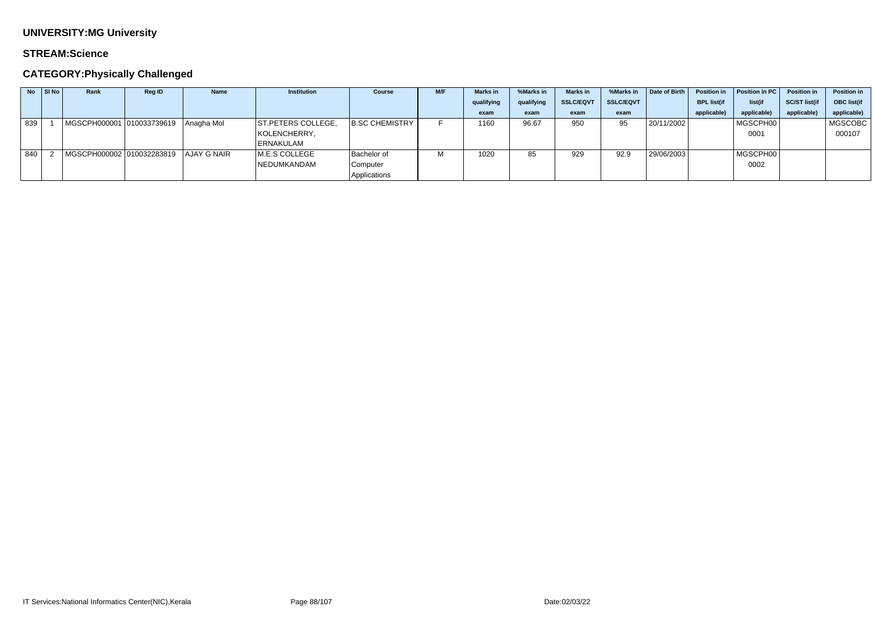### **STREAM:Science**

| <b>No</b> | SI No | Rank                                  | Reg ID | <b>Name</b> | <b>Institution</b> | <b>Course</b>         | M/F | <b>Marks in</b> | %Marks in  | <b>Marks</b> in  | %Marks in        | Date of Birth | <b>Position in</b> | Position in PC | <b>Position in</b>   | <b>Position in</b> |
|-----------|-------|---------------------------------------|--------|-------------|--------------------|-----------------------|-----|-----------------|------------|------------------|------------------|---------------|--------------------|----------------|----------------------|--------------------|
|           |       |                                       |        |             |                    |                       |     | qualifying      | qualifying | <b>SSLC/EQVT</b> | <b>SSLC/EQVT</b> |               | <b>BPL list(if</b> | list(if        | <b>SC/ST list(if</b> | OBC list(if        |
|           |       |                                       |        |             |                    |                       |     | exam            | exam       | exam             | exam             |               | applicable)        | applicable)    | applicable)          | applicable)        |
| 839       |       | MGSCPH000001 010033739619 Anagha Mol  |        |             | ST.PETERS COLLEGE, | <b>B.SC CHEMISTRY</b> |     | 1160            | 96.67      | 950              | 95               | 20/11/2002    |                    | MGSCPH00       |                      | MGSCOBC            |
|           |       |                                       |        |             | KOLENCHERRY,       |                       |     |                 |            |                  |                  |               |                    | 0001           |                      | 000107             |
|           |       |                                       |        |             | ERNAKULAM          |                       |     |                 |            |                  |                  |               |                    |                |                      |                    |
| 840       |       | MGSCPH000002 010032283819 AJAY G NAIR |        |             | M.E.S COLLEGE      | <b>Bachelor of</b>    |     | 1020            | 85         | 929              | 92.9             | 29/06/2003    |                    | MGSCPH00       |                      |                    |
|           |       |                                       |        |             | NEDUMKANDAM        | Computer              |     |                 |            |                  |                  |               |                    | 0002           |                      |                    |
|           |       |                                       |        |             |                    | Applications          |     |                 |            |                  |                  |               |                    |                |                      |                    |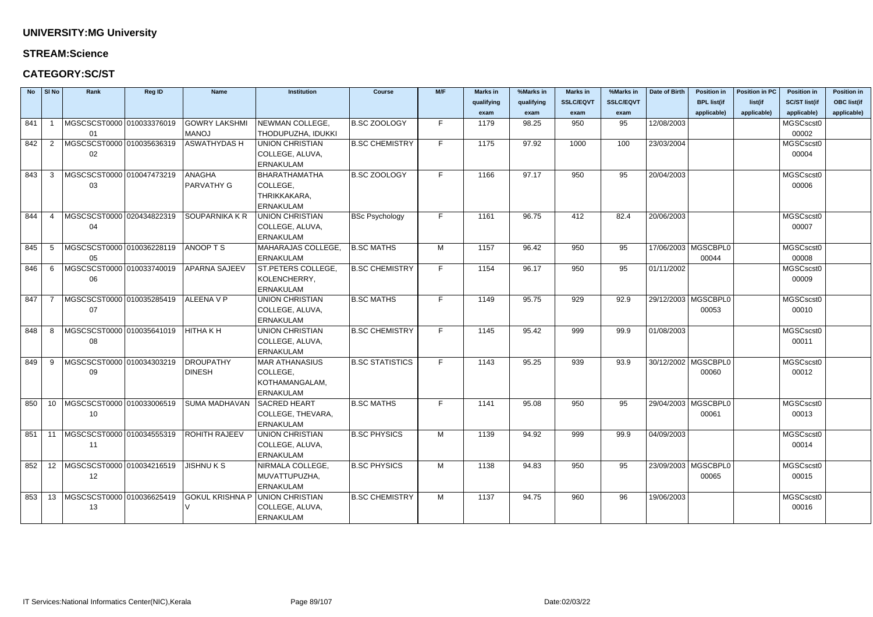### **STREAM:Science**

### **CATEGORY:SC/ST**

|     | $No$ SI No | Rank                                 | Reg ID | <b>Name</b>          | <b>Institution</b>        | <b>Course</b>          | M/F | <b>Marks in</b> | %Marks in  | <b>Marks in</b>  | %Marks in        | Date of Birth | <b>Position in</b>    | <b>Position in PC</b> | <b>Position in</b>   | <b>Position in</b> |
|-----|------------|--------------------------------------|--------|----------------------|---------------------------|------------------------|-----|-----------------|------------|------------------|------------------|---------------|-----------------------|-----------------------|----------------------|--------------------|
|     |            |                                      |        |                      |                           |                        |     | qualifying      | qualifying | <b>SSLC/EQVT</b> | <b>SSLC/EQVT</b> |               | <b>BPL list(if</b>    | list(if               | <b>SC/ST list(if</b> | <b>OBC list(if</b> |
|     |            |                                      |        |                      |                           |                        |     | exam            | exam       | exam             | exam             |               | applicable)           | applicable)           | applicable)          | applicable)        |
| 841 |            | MGSCSCST0000 010033376019            |        | <b>GOWRY LAKSHMI</b> | NEWMAN COLLEGE,           | <b>B.SC ZOOLOGY</b>    | F   | 1179            | 98.25      | 950              | 95               | 12/08/2003    |                       |                       | MGSCscst0            |                    |
|     |            | 01                                   |        | <b>MANOJ</b>         | THODUPUZHA, IDUKKI        |                        |     |                 |            |                  |                  |               |                       |                       | 00002                |                    |
| 842 | 2          | MGSCSCST0000 010035636319            |        | <b>ASWATHYDAS H</b>  | <b>UNION CHRISTIAN</b>    | <b>B.SC CHEMISTRY</b>  | F   | 1175            | 97.92      | 1000             | 100              | 23/03/2004    |                       |                       | MGSCscst0            |                    |
|     |            | 02                                   |        |                      | COLLEGE, ALUVA,           |                        |     |                 |            |                  |                  |               |                       |                       | 00004                |                    |
|     |            |                                      |        |                      | <b>ERNAKULAM</b>          |                        |     |                 |            |                  |                  |               |                       |                       |                      |                    |
| 843 | 3          | MGSCSCST0000 010047473219            |        | <b>ANAGHA</b>        | <b>BHARATHAMATHA</b>      | <b>B.SC ZOOLOGY</b>    | F.  | 1166            | 97.17      | 950              | 95               | 20/04/2003    |                       |                       | MGSCscst0            |                    |
|     |            | 03                                   |        | <b>PARVATHY G</b>    | COLLEGE,                  |                        |     |                 |            |                  |                  |               |                       |                       | 00006                |                    |
|     |            |                                      |        |                      | THRIKKAKARA,              |                        |     |                 |            |                  |                  |               |                       |                       |                      |                    |
|     |            |                                      |        |                      | <b>ERNAKULAM</b>          |                        |     |                 |            |                  |                  |               |                       |                       |                      |                    |
| 844 | -4         | MGSCSCST0000 020434822319            |        | SOUPARNIKA K R       | <b>UNION CHRISTIAN</b>    | <b>BSc Psychology</b>  | F.  | 1161            | 96.75      | 412              | 82.4             | 20/06/2003    |                       |                       | MGSCscst0            |                    |
|     |            | 04                                   |        |                      | COLLEGE, ALUVA,           |                        |     |                 |            |                  |                  |               |                       |                       | 00007                |                    |
|     |            |                                      |        |                      | <b>ERNAKULAM</b>          |                        |     |                 |            |                  |                  |               |                       |                       |                      |                    |
| 845 | -5         | MGSCSCST0000 010036228119            |        | ANOOPTS              | MAHARAJAS COLLEGE,        | <b>B.SC MATHS</b>      | M   | 1157            | 96.42      | 950              | 95               |               | 17/06/2003   MGSCBPL0 |                       | MGSCscst0            |                    |
|     |            | 05                                   |        |                      | <b>ERNAKULAM</b>          |                        |     |                 |            |                  |                  |               | 00044                 |                       | 00008                |                    |
| 846 | -6         | MGSCSCST0000 010033740019            |        | <b>APARNA SAJEEV</b> | <b>ST.PETERS COLLEGE,</b> | <b>B.SC CHEMISTRY</b>  | F   | 1154            | 96.17      | 950              | 95               | 01/11/2002    |                       |                       | MGSCscst0            |                    |
|     |            | 06                                   |        |                      | KOLENCHERRY,              |                        |     |                 |            |                  |                  |               |                       |                       | 00009                |                    |
|     |            |                                      |        |                      | <b>ERNAKULAM</b>          |                        |     |                 |            |                  |                  |               |                       |                       |                      |                    |
| 847 |            | MGSCSCST0000 010035285419            |        | ALLEENA V P          | <b>UNION CHRISTIAN</b>    | <b>B.SC MATHS</b>      | F   | 1149            | 95.75      | 929              | 92.9             |               | 29/12/2003   MGSCBPL0 |                       | MGSCscst0            |                    |
|     |            | 07                                   |        |                      | COLLEGE, ALUVA,           |                        |     |                 |            |                  |                  |               | 00053                 |                       | 00010                |                    |
|     |            |                                      |        |                      | <b>ERNAKULAM</b>          |                        |     |                 |            |                  |                  |               |                       |                       |                      |                    |
| 848 | -8         | MGSCSCST0000 010035641019            |        | <b>HITHAKH</b>       | <b>UNION CHRISTIAN</b>    | <b>B.SC CHEMISTRY</b>  | F.  | 1145            | 95.42      | 999              | 99.9             | 01/08/2003    |                       |                       | MGSCscst0            |                    |
|     |            | 08                                   |        |                      | COLLEGE, ALUVA,           |                        |     |                 |            |                  |                  |               |                       |                       | 00011                |                    |
|     |            |                                      |        |                      | <b>ERNAKULAM</b>          |                        |     |                 |            |                  |                  |               |                       |                       |                      |                    |
| 849 | -9         | MGSCSCST0000 010034303219            |        | DROUPATHY            | <b>MAR ATHANASIUS</b>     | <b>B.SC STATISTICS</b> | F   | 1143            | 95.25      | 939              | 93.9             |               | 30/12/2002   MGSCBPL0 |                       | MGSCscst0            |                    |
|     |            | 09                                   |        | <b>DINESH</b>        | COLLEGE,                  |                        |     |                 |            |                  |                  |               | 00060                 |                       | 00012                |                    |
|     |            |                                      |        |                      | KOTHAMANGALAM,            |                        |     |                 |            |                  |                  |               |                       |                       |                      |                    |
|     |            |                                      |        |                      | ERNAKULAM                 |                        |     |                 |            |                  |                  |               |                       |                       |                      |                    |
| 850 | 10         | MGSCSCST0000 010033006519            |        | SUMA MADHAVAN        | <b>SACRED HEART</b>       | <b>B.SC MATHS</b>      | E.  | 1141            | 95.08      | 950              | 95               |               | 29/04/2003   MGSCBPL0 |                       | MGSCscst0            |                    |
|     |            | 10                                   |        |                      | COLLEGE, THEVARA,         |                        |     |                 |            |                  |                  |               | 00061                 |                       | 00013                |                    |
|     |            |                                      |        |                      | <b>ERNAKULAM</b>          |                        |     |                 |            |                  |                  |               |                       |                       |                      |                    |
|     |            | 851   11  MGSCSCST0000  010034555319 |        | <b>ROHITH RAJEEV</b> | <b>UNION CHRISTIAN</b>    | <b>B.SC PHYSICS</b>    | M   | 1139            | 94.92      | 999              | 99.9             | 04/09/2003    |                       |                       | MGSCscst0            |                    |
|     |            | 11                                   |        |                      | COLLEGE, ALUVA,           |                        |     |                 |            |                  |                  |               |                       |                       | 00014                |                    |
|     |            |                                      |        |                      | <b>ERNAKULAM</b>          |                        |     |                 |            |                  |                  |               |                       |                       |                      |                    |
| 852 |            | 12   MGSCSCST0000   010034216519     |        | <b>JISHNUKS</b>      | NIRMALA COLLEGE,          | <b>B.SC PHYSICS</b>    | M   | 1138            | 94.83      | 950              | 95               |               | 23/09/2003   MGSCBPL0 |                       | MGSCscst0            |                    |
|     |            | 12                                   |        |                      | MUVATTUPUZHA,             |                        |     |                 |            |                  |                  |               | 00065                 |                       | 00015                |                    |
|     |            |                                      |        |                      | <b>ERNAKULAM</b>          |                        |     |                 |            |                  |                  |               |                       |                       |                      |                    |
| 853 | 13         | MGSCSCST0000 010036625419            |        | GOKUL KRISHNA P      | UNION CHRISTIAN           | <b>B.SC CHEMISTRY</b>  | M   | 1137            | 94.75      | 960              | 96               | 19/06/2003    |                       |                       | MGSCscst0            |                    |
|     |            | 13                                   |        |                      | COLLEGE, ALUVA,           |                        |     |                 |            |                  |                  |               |                       |                       | 00016                |                    |
|     |            |                                      |        |                      | <b>ERNAKULAM</b>          |                        |     |                 |            |                  |                  |               |                       |                       |                      |                    |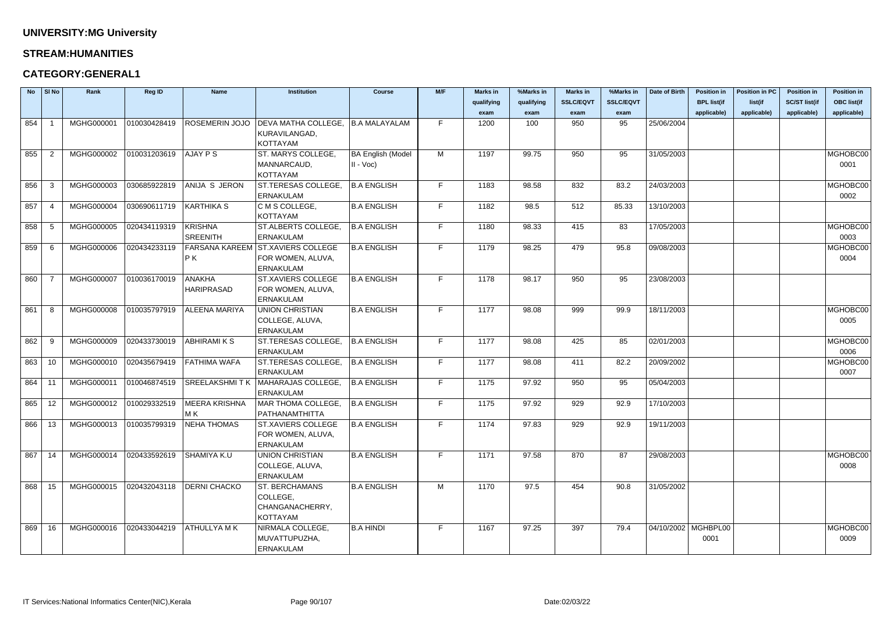### **STREAM:HUMANITIES**

### **CATEGORY:GENERAL1**

| <b>No</b> | $\vert$ SI No | Rank       | Reg ID       | <b>Name</b>           | Institution               | <b>Course</b>            | M/F | <b>Marks in</b> | %Marks in  | <b>Marks in</b>  | %Marks in        | Date of Birth         | <b>Position in</b> | <b>Position in PC</b> | <b>Position in</b>   | <b>Position in</b> |
|-----------|---------------|------------|--------------|-----------------------|---------------------------|--------------------------|-----|-----------------|------------|------------------|------------------|-----------------------|--------------------|-----------------------|----------------------|--------------------|
|           |               |            |              |                       |                           |                          |     | qualifying      | qualifying | <b>SSLC/EQVT</b> | <b>SSLC/EQVT</b> |                       | <b>BPL list(if</b> | list(if               | <b>SC/ST list(if</b> | <b>OBC list(if</b> |
|           |               |            |              |                       |                           |                          |     | exam            | exam       | exam             | exam             |                       | applicable)        | applicable)           | applicable)          | applicable)        |
| 854       |               | MGHG000001 | 010030428419 | <b>ROSEMERIN JOJO</b> | DEVA MATHA COLLEGE,       | B.A MALAYALAM            | F   | 1200            | 100        | 950              | 95               | 25/06/2004            |                    |                       |                      |                    |
|           |               |            |              |                       | KURAVILANGAD,             |                          |     |                 |            |                  |                  |                       |                    |                       |                      |                    |
|           |               |            |              |                       | <b>KOTTAYAM</b>           |                          |     |                 |            |                  |                  |                       |                    |                       |                      |                    |
| 855       | -2            | MGHG000002 | 010031203619 | AJAY P S              | ST. MARYS COLLEGE,        | <b>BA English (Model</b> | M   | 1197            | 99.75      | 950              | 95               | 31/05/2003            |                    |                       |                      | MGHOBC00           |
|           |               |            |              |                       | MANNARCAUD,               | $II - Voc$               |     |                 |            |                  |                  |                       |                    |                       |                      | 0001               |
|           |               |            |              |                       | <b>KOTTAYAM</b>           |                          |     |                 |            |                  |                  |                       |                    |                       |                      |                    |
| 856       | -3            | MGHG000003 | 030685922819 | ANIJA S JERON         | ST.TERESAS COLLEGE,       | <b>B.A ENGLISH</b>       | F   | 1183            | 98.58      | 832              | 83.2             | 24/03/2003            |                    |                       |                      | MGHOBC00           |
|           |               |            |              |                       | <b>ERNAKULAM</b>          |                          |     |                 |            |                  |                  |                       |                    |                       |                      | 0002               |
| 857       | - 4           | MGHG000004 | 030690611719 | <b>KARTHIKA S</b>     | C M S COLLEGE,            | <b>B.A ENGLISH</b>       | F   | 1182            | 98.5       | 512              | 85.33            | 13/10/2003            |                    |                       |                      |                    |
|           |               |            |              |                       | <b>KOTTAYAM</b>           |                          |     |                 |            |                  |                  |                       |                    |                       |                      |                    |
| 858       | -5            | MGHG000005 | 020434119319 | <b>KRISHNA</b>        | ST.ALBERTS COLLEGE,       | <b>B.A ENGLISH</b>       | F   | 1180            | 98.33      | 415              | 83               | 17/05/2003            |                    |                       |                      | MGHOBC00           |
|           |               |            |              | <b>SREENITH</b>       | <b>ERNAKULAM</b>          |                          |     |                 |            |                  |                  |                       |                    |                       |                      | 0003               |
| 859       | - 6           | MGHG000006 | 020434233119 | <b>FARSANA KAREEM</b> | <b>ST.XAVIERS COLLEGE</b> | <b>B.A ENGLISH</b>       | F.  | 1179            | 98.25      | 479              | 95.8             | 09/08/2003            |                    |                       |                      | MGHOBC00           |
|           |               |            |              | P K                   | FOR WOMEN, ALUVA,         |                          |     |                 |            |                  |                  |                       |                    |                       |                      | 0004               |
|           |               |            |              |                       | <b>ERNAKULAM</b>          |                          |     |                 |            |                  |                  |                       |                    |                       |                      |                    |
| 860       |               | MGHG000007 | 010036170019 | <b>ANAKHA</b>         | <b>ST.XAVIERS COLLEGE</b> | <b>B.A ENGLISH</b>       | F   | 1178            | 98.17      | 950              | 95               | 23/08/2003            |                    |                       |                      |                    |
|           |               |            |              | <b>HARIPRASAD</b>     | FOR WOMEN, ALUVA,         |                          |     |                 |            |                  |                  |                       |                    |                       |                      |                    |
|           |               |            |              |                       | <b>ERNAKULAM</b>          |                          |     |                 |            |                  |                  |                       |                    |                       |                      |                    |
| 861       | -8            | MGHG000008 | 010035797919 | <b>ALEENA MARIYA</b>  | <b>UNION CHRISTIAN</b>    | <b>B.A ENGLISH</b>       | F.  | 1177            | 98.08      | 999              | 99.9             | 18/11/2003            |                    |                       |                      | MGHOBC00           |
|           |               |            |              |                       | COLLEGE, ALUVA,           |                          |     |                 |            |                  |                  |                       |                    |                       |                      | 0005               |
|           |               |            |              |                       | <b>ERNAKULAM</b>          |                          |     |                 |            |                  |                  |                       |                    |                       |                      |                    |
| 862       | -9            | MGHG000009 | 020433730019 | <b>ABHIRAMIKS</b>     | ST.TERESAS COLLEGE,       | <b>B.A ENGLISH</b>       | F.  | 1177            | 98.08      | 425              | 85               | 02/01/2003            |                    |                       |                      | MGHOBC00           |
|           |               |            |              |                       | <b>ERNAKULAM</b>          |                          |     |                 |            |                  |                  |                       |                    |                       |                      | 0006               |
| 863       | 10            | MGHG000010 | 020435679419 | FATHIMA WAFA          | ST.TERESAS COLLEGE,       | <b>B.A ENGLISH</b>       | F   | 1177            | 98.08      | 411              | 82.2             | 20/09/2002            |                    |                       |                      | MGHOBC00           |
|           |               |            |              |                       | <b>ERNAKULAM</b>          |                          |     |                 |            |                  |                  |                       |                    |                       |                      | 0007               |
| 864       | -11           | MGHG000011 | 010046874519 | SREELAKSHMI T K       | MAHARAJAS COLLEGE,        | <b>B.A ENGLISH</b>       | F   | 1175            | 97.92      | 950              | 95               | 05/04/2003            |                    |                       |                      |                    |
|           |               |            |              |                       | <b>ERNAKULAM</b>          |                          |     |                 |            |                  |                  |                       |                    |                       |                      |                    |
| 865       | 12            | MGHG000012 | 010029332519 | <b>MEERA KRISHNA</b>  | MAR THOMA COLLEGE,        | <b>B.A ENGLISH</b>       | F.  | 1175            | 97.92      | 929              | 92.9             | 17/10/2003            |                    |                       |                      |                    |
|           |               |            |              | MK                    | PATHANAMTHITTA            |                          |     |                 |            |                  |                  |                       |                    |                       |                      |                    |
| 866       | 13            | MGHG000013 | 010035799319 | <b>NEHA THOMAS</b>    | <b>ST.XAVIERS COLLEGE</b> | <b>B.A ENGLISH</b>       | F   | 1174            | 97.83      | 929              | 92.9             | 19/11/2003            |                    |                       |                      |                    |
|           |               |            |              |                       | FOR WOMEN, ALUVA,         |                          |     |                 |            |                  |                  |                       |                    |                       |                      |                    |
|           |               |            |              |                       | <b>ERNAKULAM</b>          |                          |     |                 |            |                  |                  |                       |                    |                       |                      |                    |
| 867       | 14            | MGHG000014 | 020433592619 | SHAMIYA K.U           | UNION CHRISTIAN           | <b>B.A ENGLISH</b>       | F.  | 1171            | 97.58      | 870              | 87               | 29/08/2003            |                    |                       |                      | MGHOBC00           |
|           |               |            |              |                       | COLLEGE, ALUVA,           |                          |     |                 |            |                  |                  |                       |                    |                       |                      | 0008               |
|           |               |            |              |                       | <b>ERNAKULAM</b>          |                          |     |                 |            |                  |                  |                       |                    |                       |                      |                    |
| 868       | 15            | MGHG000015 | 020432043118 | <b>DERNI CHACKO</b>   | <b>ST. BERCHAMANS</b>     | <b>B.A ENGLISH</b>       | M   | 1170            | 97.5       | 454              | 90.8             | 31/05/2002            |                    |                       |                      |                    |
|           |               |            |              |                       | COLLEGE,                  |                          |     |                 |            |                  |                  |                       |                    |                       |                      |                    |
|           |               |            |              |                       | CHANGANACHERRY,           |                          |     |                 |            |                  |                  |                       |                    |                       |                      |                    |
|           |               |            |              |                       | <b>KOTTAYAM</b>           |                          |     |                 |            |                  |                  |                       |                    |                       |                      |                    |
| 869       | 16            | MGHG000016 | 020433044219 | ATHULLYA MK           | NIRMALA COLLEGE,          | <b>B.A HINDI</b>         | F   | 1167            | 97.25      | 397              | 79.4             | 04/10/2002   MGHBPL00 |                    |                       |                      | MGHOBC00           |
|           |               |            |              |                       | MUVATTUPUZHA,             |                          |     |                 |            |                  |                  |                       | 0001               |                       |                      | 0009               |
|           |               |            |              |                       | <b>ERNAKULAM</b>          |                          |     |                 |            |                  |                  |                       |                    |                       |                      |                    |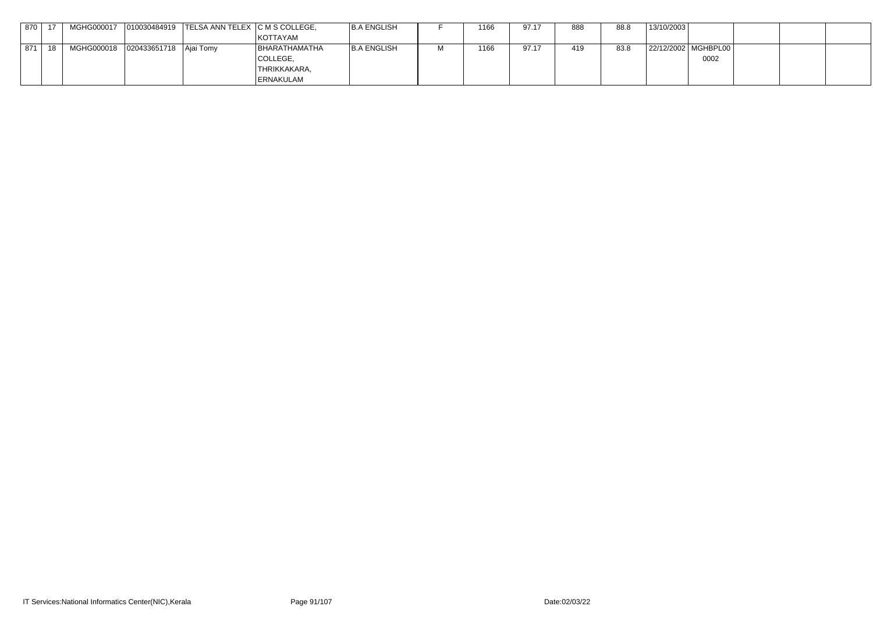| 870 |  | MGHG000017 010030484919 TELSA ANN TELEX C M S COLLEGE, |                  | <b>B.A ENGLISH</b> | 1166 | 97.17 | 888 | 88.8 | 13/10/2003 |                       |  |
|-----|--|--------------------------------------------------------|------------------|--------------------|------|-------|-----|------|------------|-----------------------|--|
|     |  |                                                        | KOTTAYAM         |                    |      |       |     |      |            |                       |  |
| 871 |  |                                                        | BHARATHAMATHA    | B.A ENGLISH        | 1166 | 97.17 | 419 | 83.8 |            | 22/12/2002   MGHBPL00 |  |
|     |  |                                                        | COLLEGE,         |                    |      |       |     |      |            | 0002                  |  |
|     |  |                                                        | 'THRIKKAKARA,    |                    |      |       |     |      |            |                       |  |
|     |  |                                                        | <b>ERNAKULAM</b> |                    |      |       |     |      |            |                       |  |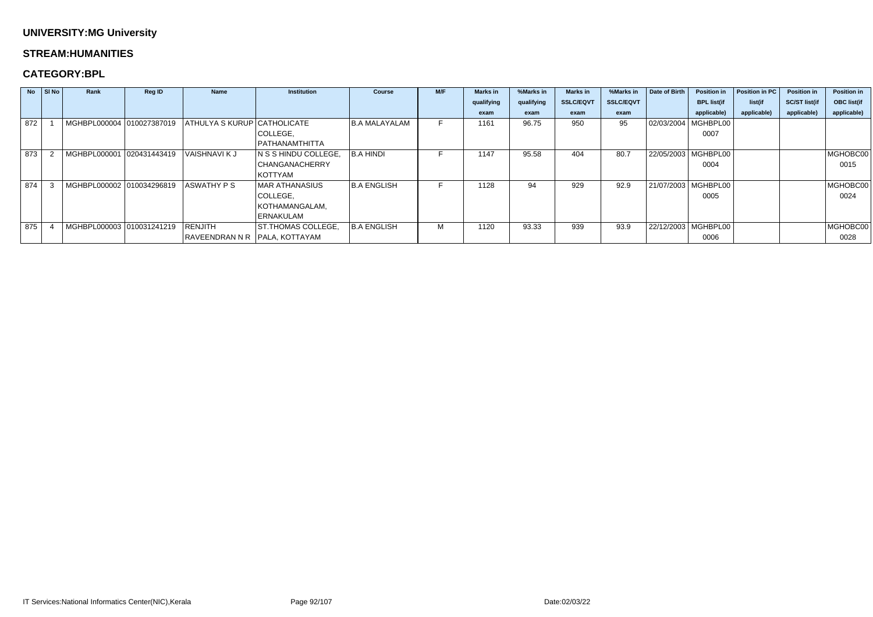#### **STREAM:HUMANITIES**

### **CATEGORY:BPL**

|     | $\overline{N}$   SI $\overline{N}$ o | Rank                      | Reg ID       | <b>Name</b>                   | <b>Institution</b>        | <b>Course</b>      | M/F | <b>Marks in</b> | %Marks in  | <b>Marks in</b>  | %Marks in        | Date of Birth         | <b>Position in</b>    | Position in PC | <b>Position in</b>   | <b>Position in</b> |
|-----|--------------------------------------|---------------------------|--------------|-------------------------------|---------------------------|--------------------|-----|-----------------|------------|------------------|------------------|-----------------------|-----------------------|----------------|----------------------|--------------------|
|     |                                      |                           |              |                               |                           |                    |     | qualifying      | qualifying | <b>SSLC/EQVT</b> | <b>SSLC/EQVT</b> |                       | <b>BPL list(if</b>    | list(if        | <b>SC/ST list(if</b> | <b>OBC list(if</b> |
|     |                                      |                           |              |                               |                           |                    |     | exam            | exam       | exam             | exam             |                       | applicable)           | applicable)    | applicable)          | applicable)        |
| 872 |                                      | MGHBPL000004 010027387019 |              | ATHULYA S KURUP CATHOLICATE   |                           | I B.A MALAYALAM    |     | 1161            | 96.75      | 950              | 95               |                       | 02/03/2004   MGHBPL00 |                |                      |                    |
|     |                                      |                           |              |                               | COLLEGE,                  |                    |     |                 |            |                  |                  |                       | 0007                  |                |                      |                    |
|     |                                      |                           |              |                               | PATHANAMTHITTA            |                    |     |                 |            |                  |                  |                       |                       |                |                      |                    |
| 873 |                                      | MGHBPL000001              | 020431443419 | <b>VAISHNAVIKJ</b>            | N S S HINDU COLLEGE,      | <b>B.A HINDI</b>   |     | 1147            | 95.58      | 404              | 80.7             | 22/05/2003   MGHBPL00 |                       |                |                      | MGHOBC00           |
|     |                                      |                           |              |                               | <b>CHANGANACHERRY</b>     |                    |     |                 |            |                  |                  |                       | 0004                  |                |                      | 0015               |
|     |                                      |                           |              |                               | KOTTYAM                   |                    |     |                 |            |                  |                  |                       |                       |                |                      |                    |
| 874 |                                      | MGHBPL000002 010034296819 |              | <b>ASWATHY PS</b>             | MAR ATHANASIUS            | <b>B.A ENGLISH</b> |     | 1128            | 94         | 929              | 92.9             |                       | 21/07/2003   MGHBPL00 |                |                      | MGHOBC00           |
|     |                                      |                           |              |                               | COLLEGE,                  |                    |     |                 |            |                  |                  |                       | 0005                  |                |                      | 0024               |
|     |                                      |                           |              |                               | KOTHAMANGALAM,            |                    |     |                 |            |                  |                  |                       |                       |                |                      |                    |
|     |                                      |                           |              |                               | <b>ERNAKULAM</b>          |                    |     |                 |            |                  |                  |                       |                       |                |                      |                    |
| 875 |                                      | MGHBPL000003 010031241219 |              | RENJITH                       | <b>ST.THOMAS COLLEGE,</b> | <b>B.A ENGLISH</b> | М   | 1120            | 93.33      | 939              | 93.9             |                       | 22/12/2003 MGHBPL00   |                |                      | MGHOBC00           |
|     |                                      |                           |              | RAVEENDRAN N R PALA, KOTTAYAM |                           |                    |     |                 |            |                  |                  |                       | 0006                  |                |                      | 0028               |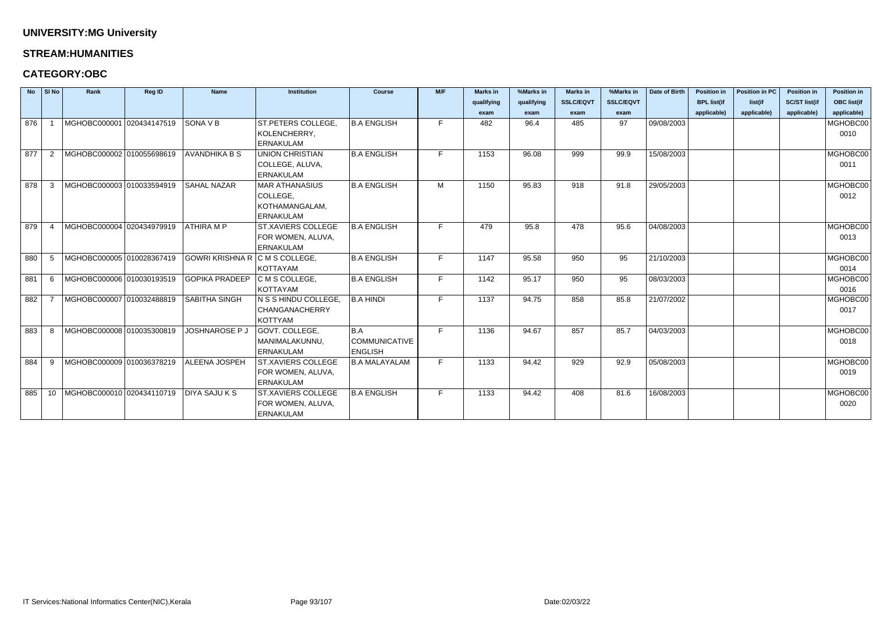#### **STREAM:HUMANITIES**

### **CATEGORY:OBC**

| <b>No</b> | $\vert$ SI No  | Rank                             | <b>Reg ID</b> | <b>Name</b>                    | <b>Institution</b>        | <b>Course</b>        | M/F | <b>Marks in</b> | %Marks in  | <b>Marks in</b>  | %Marks in        | Date of Birth | <b>Position in</b> | <b>Position in PC</b> | <b>Position in</b>   | <b>Position in</b> |
|-----------|----------------|----------------------------------|---------------|--------------------------------|---------------------------|----------------------|-----|-----------------|------------|------------------|------------------|---------------|--------------------|-----------------------|----------------------|--------------------|
|           |                |                                  |               |                                |                           |                      |     | qualifying      | qualifying | <b>SSLC/EQVT</b> | <b>SSLC/EQVT</b> |               | <b>BPL list(if</b> | list(if               | <b>SC/ST list(if</b> | <b>OBC list(if</b> |
|           |                |                                  |               |                                |                           |                      |     | exam            | exam       | exam             | exam             |               | applicable)        | applicable)           | applicable)          | applicable)        |
| 876       |                | MGHOBC000001 020434147519        |               | SONA V B                       | ST.PETERS COLLEGE,        | B.A ENGLISH          | F.  | 482             | 96.4       | 485              | 97               | 09/08/2003    |                    |                       |                      | MGHOBC00           |
|           |                |                                  |               |                                | KOLENCHERRY,              |                      |     |                 |            |                  |                  |               |                    |                       |                      | 0010               |
|           |                |                                  |               |                                | <b>ERNAKULAM</b>          |                      |     |                 |            |                  |                  |               |                    |                       |                      |                    |
| 877       | -2             | MGHOBC000002 010055698619        |               | <b>AVANDHIKA B S</b>           | <b>UNION CHRISTIAN</b>    | <b>B.A ENGLISH</b>   | F.  | 1153            | 96.08      | 999              | 99.9             | 15/08/2003    |                    |                       |                      | MGHOBC00           |
|           |                |                                  |               |                                | COLLEGE, ALUVA,           |                      |     |                 |            |                  |                  |               |                    |                       |                      | 0011               |
|           |                |                                  |               |                                | <b>ERNAKULAM</b>          |                      |     |                 |            |                  |                  |               |                    |                       |                      |                    |
| 878       | -3             | MGHOBC000003 010033594919        |               | <b>SAHAL NAZAR</b>             | <b>MAR ATHANASIUS</b>     | B.A ENGLISH          | M   | 1150            | 95.83      | 918              | 91.8             | 29/05/2003    |                    |                       |                      | MGHOBC00           |
|           |                |                                  |               |                                | COLLEGE,                  |                      |     |                 |            |                  |                  |               |                    |                       |                      | 0012               |
|           |                |                                  |               |                                | KOTHAMANGALAM,            |                      |     |                 |            |                  |                  |               |                    |                       |                      |                    |
|           |                |                                  |               |                                | <b>ERNAKULAM</b>          |                      |     |                 |            |                  |                  |               |                    |                       |                      |                    |
| 879       | $\overline{4}$ | MGHOBC000004 020434979919        |               | <b>ATHIRA M P</b>              | <b>ST.XAVIERS COLLEGE</b> | <b>B.A ENGLISH</b>   | F.  | 479             | 95.8       | 478              | 95.6             | 04/08/2003    |                    |                       |                      | MGHOBC00           |
|           |                |                                  |               |                                | FOR WOMEN, ALUVA,         |                      |     |                 |            |                  |                  |               |                    |                       |                      | 0013               |
|           |                |                                  |               |                                | <b>ERNAKULAM</b>          |                      |     |                 |            |                  |                  |               |                    |                       |                      |                    |
| 880       | -5             | MGHOBC000005 010028367419        |               | GOWRI KRISHNA R C M S COLLEGE, |                           | <b>B.A ENGLISH</b>   | F   | 1147            | 95.58      | 950              | 95               | 21/10/2003    |                    |                       |                      | MGHOBC00           |
|           |                |                                  |               |                                | <b>KOTTAYAM</b>           |                      |     |                 |            |                  |                  |               |                    |                       |                      | 0014               |
| 881       | -6             | MGHOBC000006 010030193519        |               | <b>GOPIKA PRADEEP</b>          | C M S COLLEGE,            | <b>B.A ENGLISH</b>   | F.  | 1142            | 95.17      | 950              | 95               | 08/03/2003    |                    |                       |                      | MGHOBC00           |
|           |                |                                  |               |                                | <b>KOTTAYAM</b>           |                      |     |                 |            |                  |                  |               |                    |                       |                      | 0016               |
| 882       |                | MGHOBC000007 010032488819        |               | SABITHA SINGH                  | N S S HINDU COLLEGE,      | <b>B.A HINDI</b>     | F.  | 1137            | 94.75      | 858              | 85.8             | 21/07/2002    |                    |                       |                      | MGHOBC00           |
|           |                |                                  |               |                                | <b>CHANGANACHERRY</b>     |                      |     |                 |            |                  |                  |               |                    |                       |                      | 0017               |
|           |                |                                  |               |                                | <b>KOTTYAM</b>            |                      |     |                 |            |                  |                  |               |                    |                       |                      |                    |
| 883       | -8             | MGHOBC000008 010035300819        |               | JOSHNAROSE P J                 | GOVT. COLLEGE,            | B.A                  | E.  | 1136            | 94.67      | 857              | 85.7             | 04/03/2003    |                    |                       |                      | MGHOBC00           |
|           |                |                                  |               |                                | MANIMALAKUNNU,            | <b>COMMUNICATIVE</b> |     |                 |            |                  |                  |               |                    |                       |                      | 0018               |
|           |                |                                  |               |                                | <b>ERNAKULAM</b>          | <b>ENGLISH</b>       |     |                 |            |                  |                  |               |                    |                       |                      |                    |
| 884       | -9             | MGHOBC000009 010036378219        |               | ALEENA JOSPEH                  | <b>ST.XAVIERS COLLEGE</b> | <b>B.A MALAYALAM</b> | F.  | 1133            | 94.42      | 929              | 92.9             | 05/08/2003    |                    |                       |                      | MGHOBC00           |
|           |                |                                  |               |                                | FOR WOMEN, ALUVA,         |                      |     |                 |            |                  |                  |               |                    |                       |                      | 0019               |
|           |                |                                  |               |                                | <b>ERNAKULAM</b>          |                      |     |                 |            |                  |                  |               |                    |                       |                      |                    |
| 885       |                | 10   MGHOBC000010   020434110719 |               | <b>DIYA SAJU K S</b>           | <b>ST.XAVIERS COLLEGE</b> | <b>B.A ENGLISH</b>   | F   | 1133            | 94.42      | 408              | 81.6             | 16/08/2003    |                    |                       |                      | MGHOBC00           |
|           |                |                                  |               |                                | FOR WOMEN, ALUVA,         |                      |     |                 |            |                  |                  |               |                    |                       |                      | 0020               |
|           |                |                                  |               |                                | <b>ERNAKULAM</b>          |                      |     |                 |            |                  |                  |               |                    |                       |                      |                    |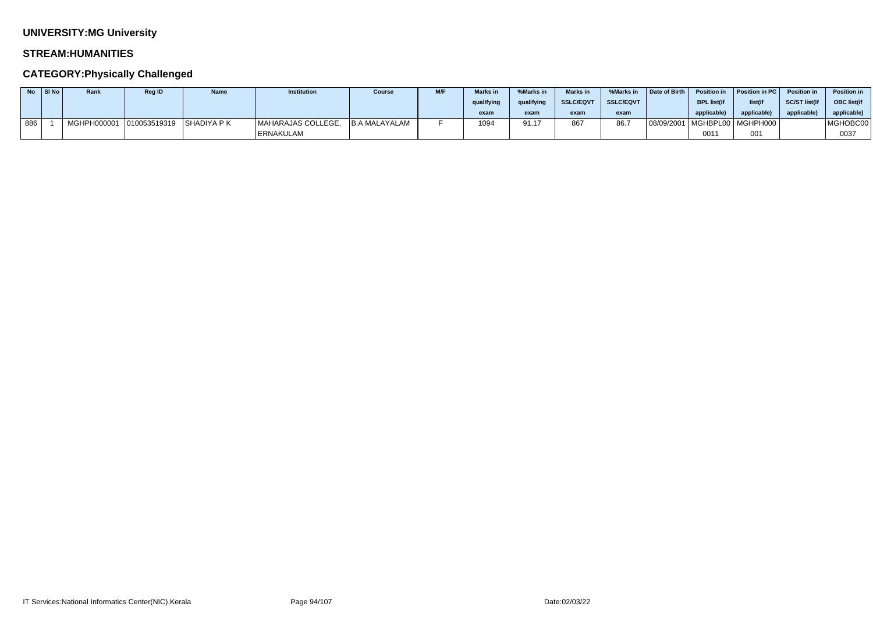### **STREAM:HUMANITIES**

| No l | SI No | Rank        | <b>Reg ID</b>                | <b>Name</b> | <b>Institution</b> | <b>Course</b> | M/F | <b>Marks</b> in | %Marks in  | <b>Marks in</b>  | %Marks in        | <b>Date of Birth</b> | <b>Position in</b> | Position in PC   Position in     |                      | <b>Position in</b> |
|------|-------|-------------|------------------------------|-------------|--------------------|---------------|-----|-----------------|------------|------------------|------------------|----------------------|--------------------|----------------------------------|----------------------|--------------------|
|      |       |             |                              |             |                    |               |     | qualifying      | qualifying | <b>SSLC/EQVT</b> | <b>SSLC/EQVT</b> |                      | <b>BPL list(if</b> | list(if                          | <b>SC/ST list(if</b> | <b>OBC</b> list(if |
|      |       |             |                              |             |                    |               |     | exam            | exam       | exam             | exam             |                      | applicable)        | applicable                       | applicable)          | applicable)        |
| 886  |       | MGHPH000001 | $ 010053519319 $ SHADIYA P K |             | MAHARAJAS COLLEGE, | B.A MALAYALAM |     | 1094            | 91.17      | 867              | 86.7             |                      |                    | 08/09/2001   MGHBPL00   MGHPH000 |                      | MGHOBC00           |
|      |       |             |                              |             | <b>ERNAKULAM</b>   |               |     |                 |            |                  |                  |                      | 0011               | 001                              |                      | 0037               |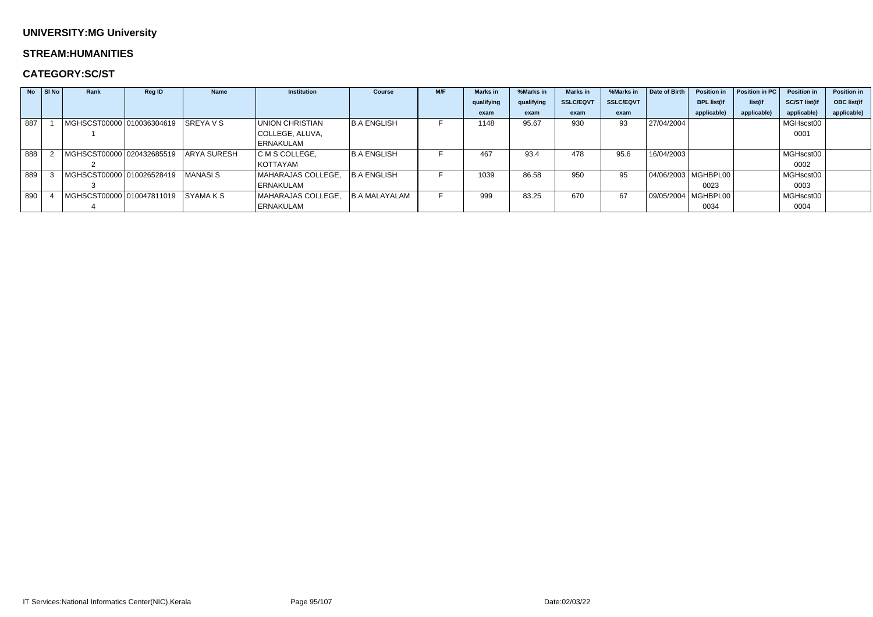#### **STREAM:HUMANITIES**

### **CATEGORY:SC/ST**

| <b>No</b> | $\vert$ SI No | Rank                                    | <b>Reg ID</b> | <b>Name</b> | <b>Institution</b> | <b>Course</b>        | M/F | <b>Marks</b> in | %Marks in  | <b>Marks</b> in  | %Marks in        | Date of Birth | <b>Position in</b>    | Position in PC | <b>Position in</b>   | <b>Position in</b> |
|-----------|---------------|-----------------------------------------|---------------|-------------|--------------------|----------------------|-----|-----------------|------------|------------------|------------------|---------------|-----------------------|----------------|----------------------|--------------------|
|           |               |                                         |               |             |                    |                      |     | qualifying      | qualifying | <b>SSLC/EQVT</b> | <b>SSLC/EQVT</b> |               | <b>BPL list(if</b>    | list(if        | <b>SC/ST list(if</b> | <b>OBC list(if</b> |
|           |               |                                         |               |             |                    |                      |     | exam            | exam       | exam             | exam             |               | applicable)           | applicable)    | applicable)          | applicable)        |
| 887       |               | MGHSCST00000 010036304619 SREYA V S     |               |             | UNION CHRISTIAN    | <b>B.A ENGLISH</b>   |     | 1148            | 95.67      | 930              | 93               | 27/04/2004    |                       |                | MGHscst00            |                    |
|           |               |                                         |               |             | COLLEGE, ALUVA,    |                      |     |                 |            |                  |                  |               |                       |                | 0001                 |                    |
|           |               |                                         |               |             | ERNAKULAM          |                      |     |                 |            |                  |                  |               |                       |                |                      |                    |
| 888       |               | MGHSCST00000 020432685519   ARYA SURESH |               |             | C M S COLLEGE,     | <b>B.A ENGLISH</b>   |     | 467             | 93.4       | 478              | 95.6             | 16/04/2003    |                       |                | MGHscst00            |                    |
|           |               |                                         |               |             | KOTTAYAM           |                      |     |                 |            |                  |                  |               |                       |                | 0002                 |                    |
| 889       |               | MGHSCST00000 010026528419               |               | I MANASI S  | MAHARAJAS COLLEGE, | <b>B.A ENGLISH</b>   |     | 1039            | 86.58      | 950              | 95               |               | 04/06/2003   MGHBPL00 |                | MGHscst00            |                    |
|           |               |                                         |               |             | <b>ERNAKULAM</b>   |                      |     |                 |            |                  |                  |               | 0023                  |                | 0003                 |                    |
| 890       |               | MGHSCST00000 010047811019 SYAMA K S     |               |             | MAHARAJAS COLLEGE, | <b>B.A MALAYALAM</b> |     | 999             | 83.25      | 670              | 67               |               | 09/05/2004   MGHBPL00 |                | MGHscst00            |                    |
|           |               |                                         |               |             | ERNAKULAM          |                      |     |                 |            |                  |                  |               | 0034                  |                | 0004                 |                    |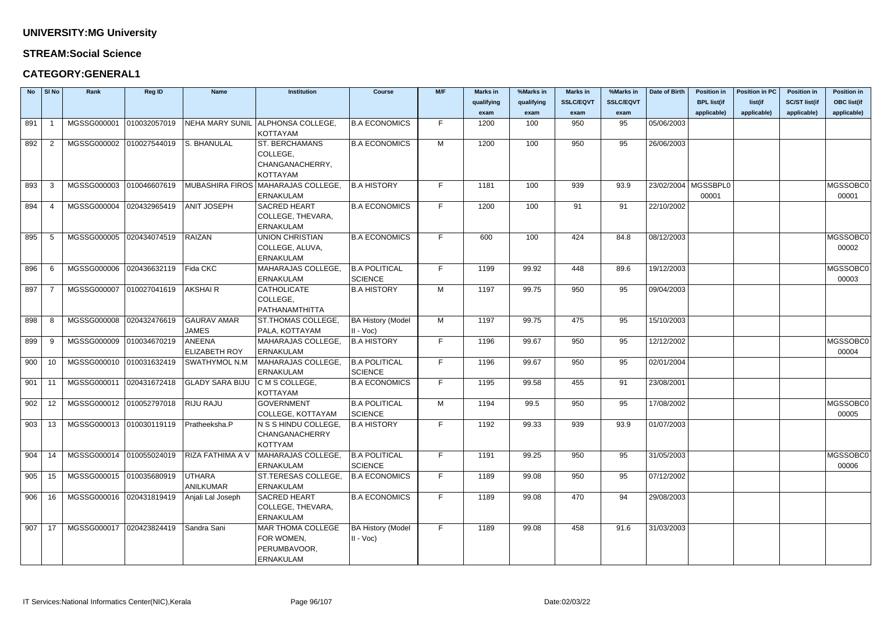### **STREAM:Social Science**

### **CATEGORY:GENERAL1**

| <b>No</b> | $\vert$ SI No  | Rank                     | Reg ID       | <b>Name</b>             | <b>Institution</b>                   | <b>Course</b>            | M/F | <b>Marks in</b> | %Marks in  | <b>Marks in</b>  | %Marks in        | Date of Birth         | <b>Position in</b> | <b>Position in PC</b> | <b>Position in</b>   | <b>Position in</b> |
|-----------|----------------|--------------------------|--------------|-------------------------|--------------------------------------|--------------------------|-----|-----------------|------------|------------------|------------------|-----------------------|--------------------|-----------------------|----------------------|--------------------|
|           |                |                          |              |                         |                                      |                          |     | qualifying      | qualifying | <b>SSLC/EQVT</b> | <b>SSLC/EQVT</b> |                       | <b>BPL list(if</b> | list(if               | <b>SC/ST list(if</b> | <b>OBC list(if</b> |
|           |                |                          |              |                         |                                      |                          |     | exam            | exam       | exam             | exam             |                       | applicable)        | applicable)           | applicable)          | applicable)        |
| 891       |                | MGSSG000001              | 010032057019 |                         | NEHA MARY SUNIL ALPHONSA COLLEGE.    | <b>B.A ECONOMICS</b>     | F.  | 1200            | 100        | 950              | 95               | 05/06/2003            |                    |                       |                      |                    |
|           |                |                          |              |                         | <b>KOTTAYAM</b>                      |                          |     |                 |            |                  |                  |                       |                    |                       |                      |                    |
| 892       | $\overline{2}$ | MGSSG000002 010027544019 |              | S. BHANULAL             | <b>ST. BERCHAMANS</b>                | <b>B.A ECONOMICS</b>     | M   | 1200            | 100        | 950              | 95               | 26/06/2003            |                    |                       |                      |                    |
|           |                |                          |              |                         | COLLEGE,                             |                          |     |                 |            |                  |                  |                       |                    |                       |                      |                    |
|           |                |                          |              |                         | CHANGANACHERRY,<br><b>KOTTAYAM</b>   |                          |     |                 |            |                  |                  |                       |                    |                       |                      |                    |
| 893       | -3             | MGSSG000003              | 010046607619 | <b>MUBASHIRA FIROS</b>  | MAHARAJAS COLLEGE,                   | <b>B.A HISTORY</b>       | F.  | 1181            | 100        | 939              | 93.9             | 23/02/2004   MGSSBPL0 |                    |                       |                      | MGSSOBC0           |
|           |                |                          |              |                         | <b>ERNAKULAM</b>                     |                          |     |                 |            |                  |                  |                       | 00001              |                       |                      | 00001              |
| 894       |                | MGSSG000004 020432965419 |              | <b>ANIT JOSEPH</b>      | <b>SACRED HEART</b>                  | <b>B.A ECONOMICS</b>     | F.  | 1200            | 100        | 91               | 91               | 22/10/2002            |                    |                       |                      |                    |
|           |                |                          |              |                         | COLLEGE, THEVARA,                    |                          |     |                 |            |                  |                  |                       |                    |                       |                      |                    |
|           |                |                          |              |                         | <b>ERNAKULAM</b>                     |                          |     |                 |            |                  |                  |                       |                    |                       |                      |                    |
| 895       | .5             | MGSSG000005              | 020434074519 | RAIZAN                  | <b>UNION CHRISTIAN</b>               | <b>B.A ECONOMICS</b>     | F.  | 600             | 100        | 424              | 84.8             | 08/12/2003            |                    |                       |                      | MGSSOBC0           |
|           |                |                          |              |                         | COLLEGE, ALUVA,                      |                          |     |                 |            |                  |                  |                       |                    |                       |                      | 00002              |
|           |                |                          |              |                         | <b>ERNAKULAM</b>                     |                          |     |                 |            |                  |                  |                       |                    |                       |                      |                    |
| 896       | -6             | MGSSG000006              | 020436632119 | Fida CKC                | MAHARAJAS COLLEGE,                   | <b>B.A POLITICAL</b>     | F.  | 1199            | 99.92      | 448              | 89.6             | 19/12/2003            |                    |                       |                      | MGSSOBC0           |
|           |                |                          |              |                         | <b>ERNAKULAM</b>                     | <b>SCIENCE</b>           |     |                 |            |                  |                  |                       |                    |                       |                      | 00003              |
| 897       |                | MGSSG000007              | 010027041619 | <b>AKSHAIR</b>          | <b>CATHOLICATE</b>                   | <b>B.A HISTORY</b>       | M   | 1197            | 99.75      | 950              | 95               | 09/04/2003            |                    |                       |                      |                    |
|           |                |                          |              |                         | COLLEGE,                             |                          |     |                 |            |                  |                  |                       |                    |                       |                      |                    |
|           |                |                          |              |                         | PATHANAMTHITTA                       |                          |     |                 |            |                  |                  |                       |                    |                       |                      |                    |
| 898       | -8             | MGSSG000008              | 020432476619 | <b>GAURAV AMAR</b>      | ST.THOMAS COLLEGE                    | <b>BA History (Model</b> | M   | 1197            | 99.75      | 475              | 95               | 15/10/2003            |                    |                       |                      |                    |
|           |                |                          |              | <b>JAMES</b>            | PALA, KOTTAYAM                       | $II - Voc$               |     |                 |            |                  |                  |                       |                    |                       |                      |                    |
| 899       | -9             | MGSSG000009 010034670219 |              | ANEENA                  | MAHARAJAS COLLEGE,                   | <b>B.A HISTORY</b>       | F.  | 1196            | 99.67      | 950              | 95               | 12/12/2002            |                    |                       |                      | MGSSOBC0           |
|           |                |                          |              | <b>ELIZABETH ROY</b>    | <b>ERNAKULAM</b>                     |                          |     |                 |            |                  |                  |                       |                    |                       |                      | 00004              |
| 900       | 10             | MGSSG000010 010031632419 |              | <b>SWATHYMOL N.M</b>    | MAHARAJAS COLLEGE,                   | <b>B.A POLITICAL</b>     | F.  | 1196            | 99.67      | 950              | 95               | 02/01/2004            |                    |                       |                      |                    |
|           |                |                          |              |                         | <b>ERNAKULAM</b>                     | <b>SCIENCE</b>           |     |                 |            |                  |                  |                       |                    |                       |                      |                    |
| 901       | 11             | MGSSG000011 020431672418 |              | <b>GLADY SARA BIJU</b>  | C M S COLLEGE,                       | <b>B.A ECONOMICS</b>     | F.  | 1195            | 99.58      | 455              | 91               | 23/08/2001            |                    |                       |                      |                    |
| 902       |                | MGSSG000012 010052797018 |              | <b>RIJU RAJU</b>        | <b>KOTTAYAM</b><br><b>GOVERNMENT</b> | <b>B.A POLITICAL</b>     | M   | 1194            | 99.5       | 950              | 95               | 17/08/2002            |                    |                       |                      | MGSSOBC0           |
|           | -12            |                          |              |                         | COLLEGE, KOTTAYAM                    | SCIENCE                  |     |                 |            |                  |                  |                       |                    |                       |                      | 00005              |
| 903       | - 13           | MGSSG000013 010030119119 |              | Pratheeksha.P           | N S S HINDU COLLEGE,                 | <b>B.A HISTORY</b>       | F.  | 1192            | 99.33      | 939              | 93.9             | 01/07/2003            |                    |                       |                      |                    |
|           |                |                          |              |                         | CHANGANACHERRY                       |                          |     |                 |            |                  |                  |                       |                    |                       |                      |                    |
|           |                |                          |              |                         | <b>KOTTYAM</b>                       |                          |     |                 |            |                  |                  |                       |                    |                       |                      |                    |
| 904       | -14            | MGSSG000014 010055024019 |              | <b>RIZA FATHIMA A V</b> | MAHARAJAS COLLEGE,                   | <b>B.A POLITICAL</b>     | F.  | 1191            | 99.25      | 950              | 95               | 31/05/2003            |                    |                       |                      | MGSSOBC0           |
|           |                |                          |              |                         | <b>ERNAKULAM</b>                     | SCIENCE                  |     |                 |            |                  |                  |                       |                    |                       |                      | 00006              |
| 905       | 15             | MGSSG000015 010035680919 |              | UTHARA                  | ST.TERESAS COLLEGE,                  | <b>B.A ECONOMICS</b>     | F.  | 1189            | 99.08      | 950              | 95               | 07/12/2002            |                    |                       |                      |                    |
|           |                |                          |              | ANILKUMAR               | <b>ERNAKULAM</b>                     |                          |     |                 |            |                  |                  |                       |                    |                       |                      |                    |
| 906       | 16             | MGSSG000016 020431819419 |              | Anjali Lal Joseph       | <b>SACRED HEART</b>                  | <b>B.A ECONOMICS</b>     | F.  | 1189            | 99.08      | 470              | 94               | 29/08/2003            |                    |                       |                      |                    |
|           |                |                          |              |                         | COLLEGE, THEVARA,                    |                          |     |                 |            |                  |                  |                       |                    |                       |                      |                    |
|           |                |                          |              |                         | <b>ERNAKULAM</b>                     |                          |     |                 |            |                  |                  |                       |                    |                       |                      |                    |
| 907       | 17             | MGSSG000017 020423824419 |              | Sandra Sani             | <b>MAR THOMA COLLEGE</b>             | <b>BA History (Model</b> | F.  | 1189            | 99.08      | 458              | 91.6             | 31/03/2003            |                    |                       |                      |                    |
|           |                |                          |              |                         | FOR WOMEN,                           | $II - Voc$               |     |                 |            |                  |                  |                       |                    |                       |                      |                    |
|           |                |                          |              |                         | PERUMBAVOOR,                         |                          |     |                 |            |                  |                  |                       |                    |                       |                      |                    |
|           |                |                          |              |                         | <b>ERNAKULAM</b>                     |                          |     |                 |            |                  |                  |                       |                    |                       |                      |                    |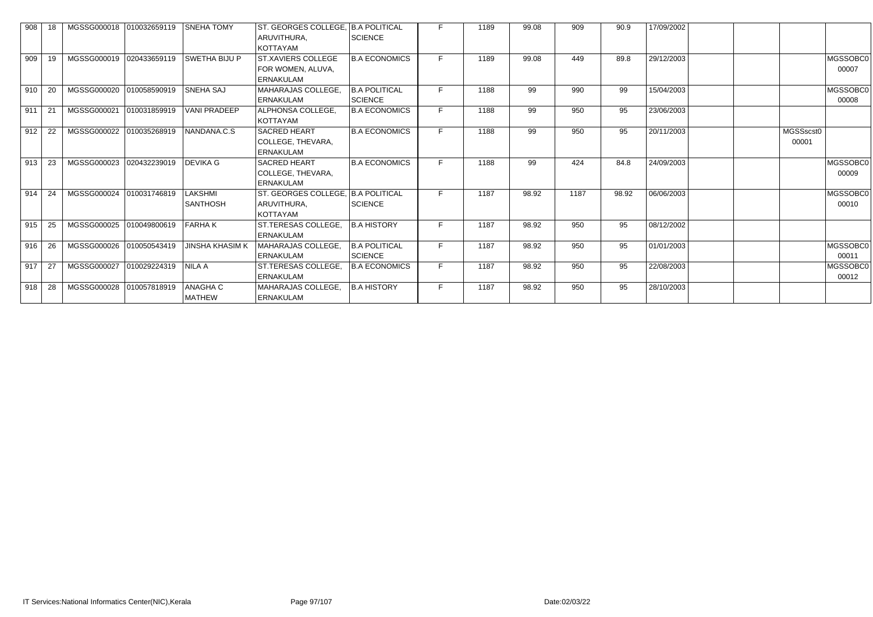| 908 |      | MGSSG000018 010032659119 |              | <b>SNEHA TOMY</b>                 | ST. GEORGES COLLEGE, B.A POLITICAL                                   |                                        |    | 1189 | 99.08 | 909  | 90.9  | 17/09/2002 |                    |                   |
|-----|------|--------------------------|--------------|-----------------------------------|----------------------------------------------------------------------|----------------------------------------|----|------|-------|------|-------|------------|--------------------|-------------------|
|     |      |                          |              |                                   | ARUVITHURA,<br><b>KOTTAYAM</b>                                       | <b>SCIENCE</b>                         |    |      |       |      |       |            |                    |                   |
| 909 | -19  | MGSSG000019 020433659119 |              | <b>SWETHA BIJU P</b>              | <b>ST.XAVIERS COLLEGE</b><br>FOR WOMEN, ALUVA,<br><b>ERNAKULAM</b>   | <b>B.A ECONOMICS</b>                   |    | 1189 | 99.08 | 449  | 89.8  | 29/12/2003 |                    | MGSSOBC0<br>00007 |
| 910 | -20  | MGSSG000020 010058590919 |              | <b>SNEHA SAJ</b>                  | MAHARAJAS COLLEGE,<br><b>ERNAKULAM</b>                               | <b>B.A POLITICAL</b><br><b>SCIENCE</b> | F. | 1188 | 99    | 990  | 99    | 15/04/2003 |                    | MGSSOBC0<br>00008 |
| 911 | 21   | MGSSG000021              | 010031859919 | <b>VANI PRADEEP</b>               | ALPHONSA COLLEGE,<br><b>KOTTAYAM</b>                                 | <b>B.A ECONOMICS</b>                   | F. | 1188 | 99    | 950  | 95    | 23/06/2003 |                    |                   |
| 912 | 22   | MGSSG000022 010035268919 |              | NANDANA.C.S                       | <b>SACRED HEART</b><br>COLLEGE, THEVARA,<br><b>ERNAKULAM</b>         | <b>B.A ECONOMICS</b>                   |    | 1188 | 99    | 950  | 95    | 20/11/2003 | MGSSscst0<br>00001 |                   |
| 913 | -23  | MGSSG000023 020432239019 |              | <b>DEVIKA G</b>                   | <b>SACRED HEART</b><br>COLLEGE, THEVARA,<br><b>ERNAKULAM</b>         | <b>B.A ECONOMICS</b>                   |    | 1188 | 99    | 424  | 84.8  | 24/09/2003 |                    | MGSSOBC0<br>00009 |
| 914 | -24  | MGSSG000024 010031746819 |              | <b>LAKSHMI</b><br><b>SANTHOSH</b> | ST. GEORGES COLLEGE, B.A POLITICAL<br>ARUVITHURA,<br><b>KOTTAYAM</b> | <b>SCIENCE</b>                         | E. | 1187 | 98.92 | 1187 | 98.92 | 06/06/2003 |                    | MGSSOBC0<br>00010 |
| 915 | 25   | MGSSG000025 010049800619 |              | <b>FARHAK</b>                     | ST.TERESAS COLLEGE,<br><b>ERNAKULAM</b>                              | <b>B.A HISTORY</b>                     | F. | 1187 | 98.92 | 950  | 95    | 08/12/2002 |                    |                   |
| 916 | 26   | MGSSG000026 010050543419 |              | <b>JINSHA KHASIM K</b>            | MAHARAJAS COLLEGE,<br>ERNAKULAM                                      | <b>B.A POLITICAL</b><br><b>SCIENCE</b> | F. | 1187 | 98.92 | 950  | 95    | 01/01/2003 |                    | MGSSOBC0<br>00011 |
| 917 | - 27 | MGSSG000027 010029224319 |              | <b>NILA A</b>                     | ST.TERESAS COLLEGE,<br><b>ERNAKULAM</b>                              | <b>B.A ECONOMICS</b>                   | F. | 1187 | 98.92 | 950  | 95    | 22/08/2003 |                    | MGSSOBC0<br>00012 |
| 918 | -28  | MGSSG000028 010057818919 |              | <b>ANAGHA C</b><br><b>MATHEW</b>  | MAHARAJAS COLLEGE,<br><b>ERNAKULAM</b>                               | <b>B.A HISTORY</b>                     | F. | 1187 | 98.92 | 950  | 95    | 28/10/2003 |                    |                   |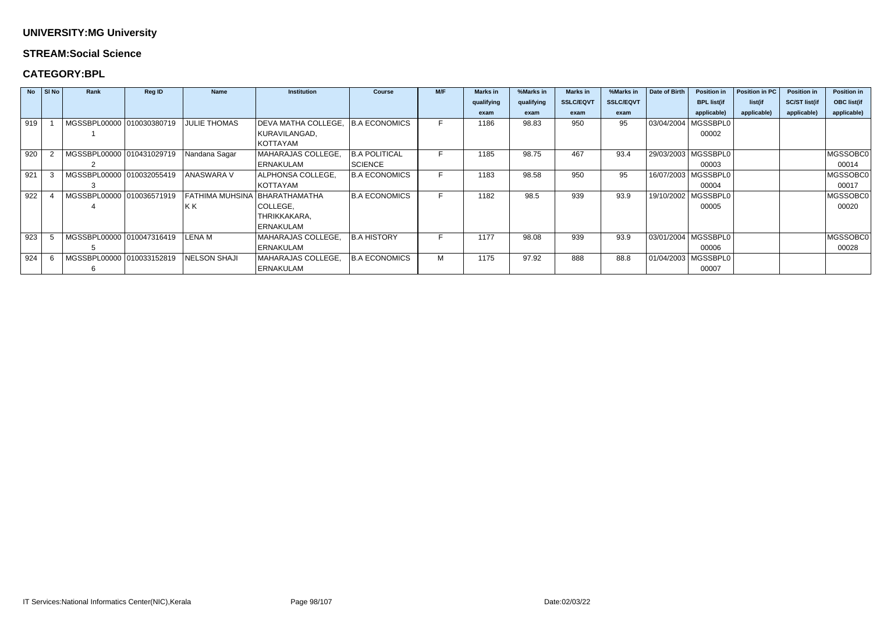### **STREAM:Social Science**

### **CATEGORY:BPL**

|     | $No$ SI No | Rank                      | <b>Reg ID</b> | <b>Name</b>         | <b>Institution</b>  | <b>Course</b>        | M/F | <b>Marks in</b> | %Marks in  | <b>Marks in</b>  | %Marks in        | Date of Birth | <b>Position in</b>    | Position in PC | <b>Position in</b>   | <b>Position in</b> |
|-----|------------|---------------------------|---------------|---------------------|---------------------|----------------------|-----|-----------------|------------|------------------|------------------|---------------|-----------------------|----------------|----------------------|--------------------|
|     |            |                           |               |                     |                     |                      |     | qualifying      | qualifying | <b>SSLC/EQVT</b> | <b>SSLC/EQVT</b> |               | <b>BPL list(if</b>    | list(if        | <b>SC/ST list(if</b> | <b>OBC list(if</b> |
|     |            |                           |               |                     |                     |                      |     | exam            | exam       | exam             | exam             |               | applicable)           | applicable)    | applicable)          | applicable)        |
| 919 |            | MGSSBPL00000 010030380719 |               | <b>JULIE THOMAS</b> | DEVA MATHA COLLEGE, | <b>B.A ECONOMICS</b> | F.  | 1186            | 98.83      | 950              | 95               |               | 03/04/2004   MGSSBPL0 |                |                      |                    |
|     |            |                           |               |                     | KURAVILANGAD,       |                      |     |                 |            |                  |                  |               | 00002                 |                |                      |                    |
|     |            |                           |               |                     | KOTTAYAM            |                      |     |                 |            |                  |                  |               |                       |                |                      |                    |
| 920 |            | MGSSBPL00000 010431029719 |               | Nandana Sagar       | MAHARAJAS COLLEGE,  | <b>B.A POLITICAL</b> |     | 1185            | 98.75      | 467              | 93.4             |               | 29/03/2003   MGSSBPL0 |                |                      | MGSSOBC0           |
|     |            |                           |               |                     | ERNAKULAM           | <b>SCIENCE</b>       |     |                 |            |                  |                  |               | 00003                 |                |                      | 00014              |
| 921 |            | MGSSBPL00000 010032055419 |               | <b>ANASWARA V</b>   | ALPHONSA COLLEGE,   | <b>B.A ECONOMICS</b> |     | 1183            | 98.58      | 950              | 95               |               | 16/07/2003   MGSSBPL0 |                |                      | MGSSOBC0           |
|     |            |                           |               |                     | <b>KOTTAYAM</b>     |                      |     |                 |            |                  |                  |               | 00004                 |                |                      | 00017              |
| 922 |            | MGSSBPL00000 010036571919 |               | FATHIMA MUHSINA     | BHARATHAMATHA       | B.A ECONOMICS        |     | 1182            | 98.5       | 939              | 93.9             |               | 19/10/2002   MGSSBPL0 |                |                      | MGSSOBC0           |
|     |            |                           |               | KK)                 | COLLEGE,            |                      |     |                 |            |                  |                  |               | 00005                 |                |                      | 00020              |
|     |            |                           |               |                     | THRIKKAKARA,        |                      |     |                 |            |                  |                  |               |                       |                |                      |                    |
|     |            |                           |               |                     | <b>ERNAKULAM</b>    |                      |     |                 |            |                  |                  |               |                       |                |                      |                    |
| 923 |            | MGSSBPL00000 010047316419 |               | LENA M              | MAHARAJAS COLLEGE,  | <b>B.A HISTORY</b>   | F.  | 1177            | 98.08      | 939              | 93.9             |               | 03/01/2004   MGSSBPL0 |                |                      | MGSSOBC0           |
|     |            |                           |               |                     | <b>ERNAKULAM</b>    |                      |     |                 |            |                  |                  |               | 00006                 |                |                      | 00028              |
| 924 |            | MGSSBPL00000 010033152819 |               | <b>NELSON SHAJI</b> | MAHARAJAS COLLEGE,  | <b>B.A ECONOMICS</b> | м   | 1175            | 97.92      | 888              | 88.8             |               | 01/04/2003   MGSSBPL0 |                |                      |                    |
|     |            |                           |               |                     | <b>ERNAKULAM</b>    |                      |     |                 |            |                  |                  |               | 00007                 |                |                      |                    |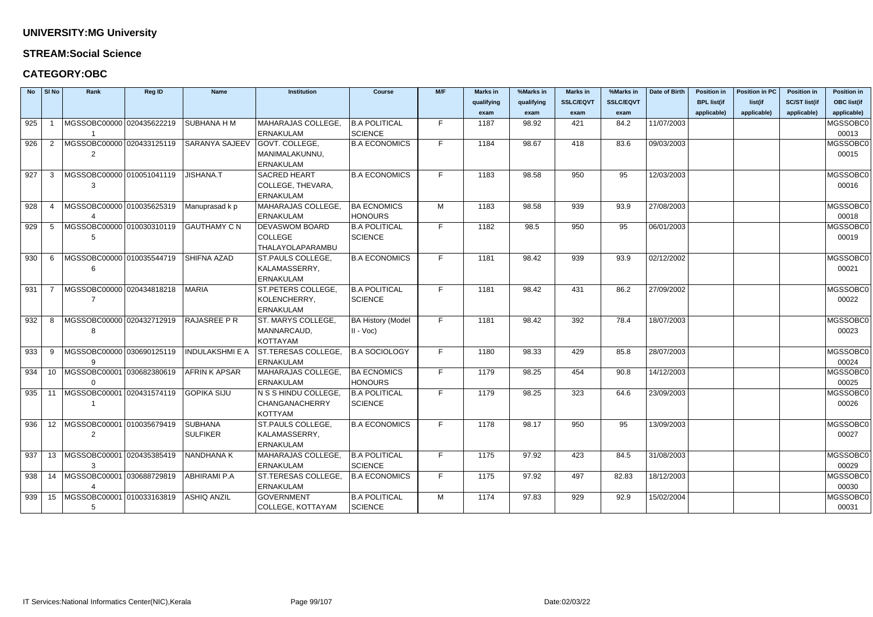### **STREAM:Social Science**

### **CATEGORY:OBC**

| <b>No</b> | SI No           | Rank                             | <b>Reg ID</b> | <b>Name</b>            | <b>Institution</b>        | <b>Course</b>            | M/F | <b>Marks in</b> | %Marks in  | <b>Marks in</b>  | %Marks in        | Date of Birth | <b>Position in</b> | <b>Position in PC</b> | <b>Position in</b>   | <b>Position in</b> |
|-----------|-----------------|----------------------------------|---------------|------------------------|---------------------------|--------------------------|-----|-----------------|------------|------------------|------------------|---------------|--------------------|-----------------------|----------------------|--------------------|
|           |                 |                                  |               |                        |                           |                          |     | qualifying      | qualifying | <b>SSLC/EQVT</b> | <b>SSLC/EQVT</b> |               | <b>BPL list(if</b> | list(if               | <b>SC/ST list(if</b> | <b>OBC list(if</b> |
|           |                 |                                  |               |                        |                           |                          |     | exam            | exam       | exam             | exam             |               | applicable)        | applicable)           | applicable)          | applicable)        |
| 925       |                 | MGSSOBC00000 020435622219        |               | SUBHANA H M            | MAHARAJAS COLLEGE,        | <b>B.A POLITICAL</b>     | E.  | 1187            | 98.92      | 421              | 84.2             | 11/07/2003    |                    |                       |                      | MGSSOBC0           |
|           |                 |                                  |               |                        | <b>ERNAKULAM</b>          | <b>SCIENCE</b>           |     |                 |            |                  |                  |               |                    |                       |                      | 00013              |
| 926       |                 | MGSSOBC00000 020433125119        |               | SARANYA SAJEEV         | <b>GOVT. COLLEGE,</b>     | <b>B.A ECONOMICS</b>     | F.  | 1184            | 98.67      | 418              | 83.6             | 09/03/2003    |                    |                       |                      | MGSSOBC0           |
|           |                 | 2                                |               |                        | MANIMALAKUNNU,            |                          |     |                 |            |                  |                  |               |                    |                       |                      | 00015              |
|           |                 |                                  |               |                        | <b>ERNAKULAM</b>          |                          |     |                 |            |                  |                  |               |                    |                       |                      |                    |
| 927       | 3               | MGSSOBC00000 010051041119        |               | <b>JISHANA.T</b>       | <b>SACRED HEART</b>       | <b>B.A ECONOMICS</b>     | F.  | 1183            | 98.58      | 950              | 95               | 12/03/2003    |                    |                       |                      | MGSSOBC0           |
|           |                 | 3                                |               |                        | COLLEGE, THEVARA,         |                          |     |                 |            |                  |                  |               |                    |                       |                      | 00016              |
|           |                 |                                  |               |                        | <b>ERNAKULAM</b>          |                          |     |                 |            |                  |                  |               |                    |                       |                      |                    |
| 928       | -4              | MGSSOBC00000 010035625319        |               | Manuprasad k p         | MAHARAJAS COLLEGE         | <b>BA ECNOMICS</b>       | м   | 1183            | 98.58      | 939              | 93.9             | 27/08/2003    |                    |                       |                      | MGSSOBC0           |
|           |                 |                                  |               |                        | <b>ERNAKULAM</b>          | <b>HONOURS</b>           |     |                 |            |                  |                  |               |                    |                       |                      | 00018              |
| 929       | -5              | MGSSOBC00000 010030310119        |               | <b>GAUTHAMY C N</b>    | <b>DEVASWOM BOARD</b>     | <b>B.A POLITICAL</b>     | F.  | 1182            | 98.5       | 950              | 95               | 06/01/2003    |                    |                       |                      | MGSSOBC0           |
|           |                 | 5                                |               |                        | <b>COLLEGE</b>            | <b>SCIENCE</b>           |     |                 |            |                  |                  |               |                    |                       |                      | 00019              |
|           |                 |                                  |               |                        | THALAYOLAPARAMBU          |                          |     |                 |            |                  |                  |               |                    |                       |                      |                    |
| 930       | 6               | MGSSOBC00000 010035544719        |               | SHIFNA AZAD            | ST.PAULS COLLEGE,         | <b>B.A ECONOMICS</b>     | F.  | 1181            | 98.42      | 939              | 93.9             | 02/12/2002    |                    |                       |                      | MGSSOBC0           |
|           |                 | 6                                |               |                        | KALAMASSERRY,             |                          |     |                 |            |                  |                  |               |                    |                       |                      | 00021              |
|           |                 |                                  |               |                        | <b>ERNAKULAM</b>          |                          |     |                 |            |                  |                  |               |                    |                       |                      |                    |
| 931       |                 | MGSSOBC00000 020434818218        |               | <b>MARIA</b>           | ST.PETERS COLLEGE,        | <b>B.A POLITICAL</b>     | F.  | 1181            | 98.42      | 431              | 86.2             | 27/09/2002    |                    |                       |                      | MGSSOBC0           |
|           |                 |                                  |               |                        | KOLENCHERRY,              | <b>SCIENCE</b>           |     |                 |            |                  |                  |               |                    |                       |                      | 00022              |
|           |                 |                                  |               |                        | <b>ERNAKULAM</b>          |                          |     |                 |            |                  |                  |               |                    |                       |                      |                    |
| 932       | 8               | MGSSOBC00000 020432712919        |               | RAJASREE P R           | ST. MARYS COLLEGE,        | <b>BA History (Model</b> | E.  | 1181            | 98.42      | 392              | 78.4             | 18/07/2003    |                    |                       |                      | MGSSOBC0           |
|           |                 |                                  |               |                        | MANNARCAUD,               | $II - Voc$               |     |                 |            |                  |                  |               |                    |                       |                      | 00023              |
|           |                 |                                  |               |                        | <b>KOTTAYAM</b>           |                          |     |                 |            |                  |                  |               |                    |                       |                      |                    |
| 933       | 9               | MGSSOBC00000 030690125119        |               | <b>INDULAKSHMI E A</b> | <b>ST.TERESAS COLLEGE</b> | <b>B.A SOCIOLOGY</b>     | E.  | 1180            | 98.33      | 429              | 85.8             | 28/07/2003    |                    |                       |                      | MGSSOBC0           |
|           |                 | 9                                |               |                        | <b>ERNAKULAM</b>          |                          |     |                 |            |                  |                  |               |                    |                       |                      | 00024              |
| 934       | 10 <sup>1</sup> | MGSSOBC00001 030682380619        |               | <b>AFRIN K APSAR</b>   | <b>MAHARAJAS COLLEGE,</b> | <b>BA ECNOMICS</b>       | F.  | 1179            | 98.25      | 454              | 90.8             | 14/12/2003    |                    |                       |                      | MGSSOBC0           |
|           |                 | $\Omega$                         |               |                        | <b>ERNAKULAM</b>          | <b>HONOURS</b>           |     |                 |            |                  |                  |               |                    |                       |                      | 00025              |
| 935       | 11              | MGSSOBC00001 020431574119        |               | GOPIKA SIJU            | N S S HINDU COLLEGE,      | <b>B.A POLITICAL</b>     | F   | 1179            | 98.25      | 323              | 64.6             | 23/09/2003    |                    |                       |                      | MGSSOBC0           |
|           |                 |                                  |               |                        | CHANGANACHERRY            | <b>SCIENCE</b>           |     |                 |            |                  |                  |               |                    |                       |                      | 00026              |
|           |                 |                                  |               |                        | KOTTYAM                   |                          |     |                 |            |                  |                  |               |                    |                       |                      |                    |
| 936       |                 | 12   MGSSOBC00001   010035679419 |               | SUBHANA                | ST.PAULS COLLEGE,         | <b>B.A ECONOMICS</b>     | F.  | 1178            | 98.17      | 950              | 95               | 13/09/2003    |                    |                       |                      | MGSSOBC0           |
|           |                 | 2                                |               | <b>SULFIKER</b>        | KALAMASSERRY,             |                          |     |                 |            |                  |                  |               |                    |                       |                      | 00027              |
|           |                 |                                  |               |                        | <b>ERNAKULAM</b>          |                          |     |                 |            |                  |                  |               |                    |                       |                      |                    |
| 937       |                 | 13   MGSSOBC00001   020435385419 |               | NANDHANA K             | MAHARAJAS COLLEGE,        | <b>B.A POLITICAL</b>     | F   | 1175            | 97.92      | 423              | 84.5             | 31/08/2003    |                    |                       |                      | MGSSOBC0           |
|           |                 | 3                                |               |                        | <b>ERNAKULAM</b>          | SCIENCE                  |     |                 |            |                  |                  |               |                    |                       |                      | 00029              |
| 938       |                 | 14   MGSSOBC00001   030688729819 |               | <b>ABHIRAMI P.A</b>    | ST.TERESAS COLLEGE,       | <b>B.A ECONOMICS</b>     | F   | 1175            | 97.92      | 497              | 82.83            | 18/12/2003    |                    |                       |                      | MGSSOBC0           |
|           |                 |                                  |               |                        | <b>ERNAKULAM</b>          |                          |     |                 |            |                  |                  |               |                    |                       |                      | 00030              |
| 939       |                 | 15   MGSSOBC00001   010033163819 |               | <b>ASHIQ ANZIL</b>     | <b>GOVERNMENT</b>         | <b>B.A POLITICAL</b>     | M   | 1174            | 97.83      | 929              | 92.9             | 15/02/2004    |                    |                       |                      | MGSSOBC0           |
|           |                 | $5\phantom{.0}$                  |               |                        | COLLEGE, KOTTAYAM         | SCIENCE                  |     |                 |            |                  |                  |               |                    |                       |                      | 00031              |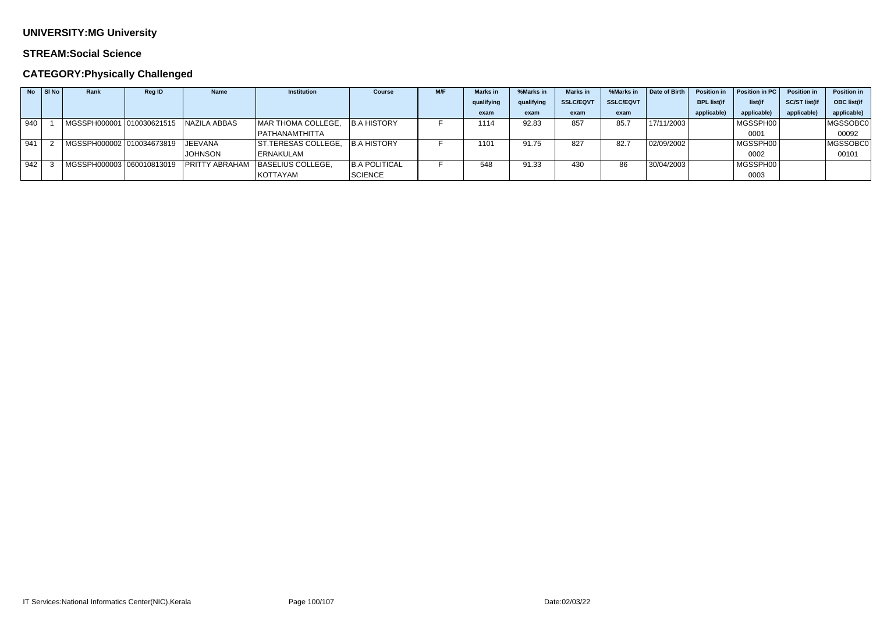### **STREAM:Social Science**

| <b>No</b> | $\vert$ SI No $\vert$ | Rank                      | <b>Reg ID</b> | <b>Name</b>            | <b>Institution</b>         | <b>Course</b>        | M/F | <b>Marks</b> in | %Marks in  | <b>Marks in</b>  | %Marks in        | Date of Birth | <b>Position in</b> | Position in PC | <b>Position in</b>   | <b>Position in</b> |
|-----------|-----------------------|---------------------------|---------------|------------------------|----------------------------|----------------------|-----|-----------------|------------|------------------|------------------|---------------|--------------------|----------------|----------------------|--------------------|
|           |                       |                           |               |                        |                            |                      |     | qualifying      | qualifying | <b>SSLC/EQVT</b> | <b>SSLC/EQVT</b> |               | <b>BPL list(if</b> | list(if        | <b>SC/ST list(if</b> | OBC list(if        |
|           |                       |                           |               |                        |                            |                      |     | exam            | exam       | exam             | exam             |               | applicable)        | applicable)    | applicable)          | applicable)        |
| 940       |                       | MGSSPH000001 010030621515 |               | NAZILA ABBAS           | MAR THOMA COLLEGE,         | B.A HISTORY          |     | 1114            | 92.83      | 857              | 85.7             | 17/11/2003    |                    | MGSSPH00       |                      | MGSSOBC0           |
|           |                       |                           |               |                        | <b>PATHANAMTHITTA</b>      |                      |     |                 |            |                  |                  |               |                    | 0001           |                      | 00092              |
| 941       |                       | MGSSPH000002 010034673819 |               | JEEVANA                | <b>ST.TERESAS COLLEGE,</b> | B.A HISTORY          |     | 1101            | 91.75      | 827              | 82.7             | 02/09/2002    |                    | MGSSPH00       |                      | MGSSOBC0           |
|           |                       |                           |               | <b>JOHNSON</b>         | ERNAKULAM                  |                      |     |                 |            |                  |                  |               |                    | 0002           |                      | 00101              |
| 942       |                       |                           |               | <b>IPRITTY ABRAHAM</b> | BASELIUS COLLEGE.          | <b>B.A POLITICAL</b> |     | 548             | 91.33      | 430              | 86               | 30/04/2003    |                    | MGSSPH00       |                      |                    |
|           |                       |                           |               |                        | KOTTAYAM                   | SCIENCE              |     |                 |            |                  |                  |               |                    | 0003           |                      |                    |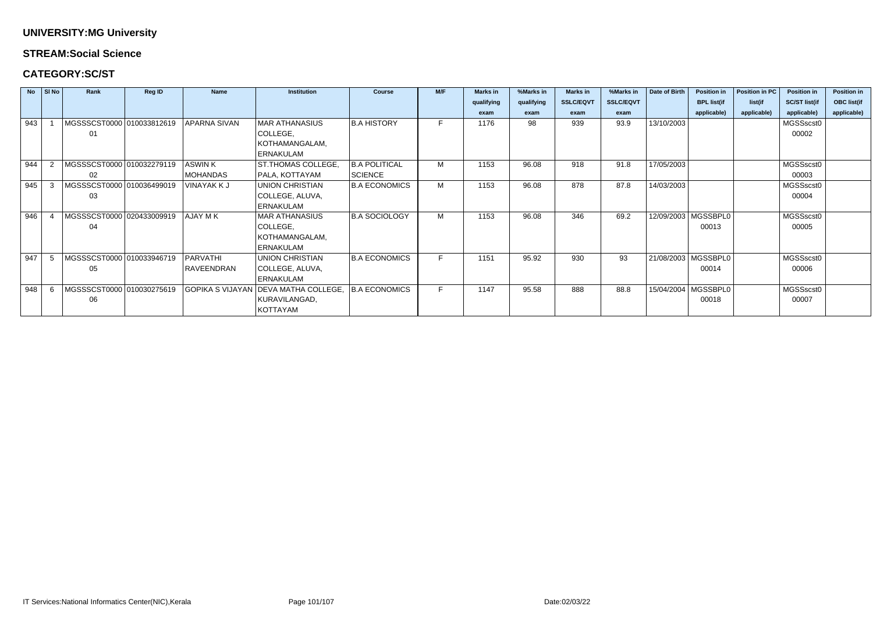### **STREAM:Social Science**

### **CATEGORY:SC/ST**

|     | $NQ$ $S/NQ$ | Rank                      | <b>Reg ID</b> | <b>Name</b>         | <b>Institution</b>                    | <b>Course</b>        | M/F | <b>Marks in</b> | %Marks in  | <b>Marks in</b>  | %Marks in        | <b>Date of Birth</b> | <b>Position in</b>    | Position in PC | <b>Position in</b>   | <b>Position in</b> |
|-----|-------------|---------------------------|---------------|---------------------|---------------------------------------|----------------------|-----|-----------------|------------|------------------|------------------|----------------------|-----------------------|----------------|----------------------|--------------------|
|     |             |                           |               |                     |                                       |                      |     | qualifying      | qualifying | <b>SSLC/EQVT</b> | <b>SSLC/EQVT</b> |                      | <b>BPL list(if</b>    | list(if        | <b>SC/ST list(if</b> | <b>OBC</b> list(if |
|     |             |                           |               |                     |                                       |                      |     | exam            | exam       | exam             | exam             |                      | applicable)           | applicable)    | applicable)          | applicable)        |
| 943 |             | MGSSSCST0000 010033812619 |               | <b>APARNA SIVAN</b> | <b>MAR ATHANASIUS</b>                 | <b>B.A HISTORY</b>   | F.  | 1176            | 98         | 939              | 93.9             | 13/10/2003           |                       |                | MGSSscst0            |                    |
|     |             | 01                        |               |                     | COLLEGE,                              |                      |     |                 |            |                  |                  |                      |                       |                | 00002                |                    |
|     |             |                           |               |                     | KOTHAMANGALAM,                        |                      |     |                 |            |                  |                  |                      |                       |                |                      |                    |
|     |             |                           |               |                     | <b>ERNAKULAM</b>                      |                      |     |                 |            |                  |                  |                      |                       |                |                      |                    |
| 944 |             | MGSSSCST0000 010032279119 |               | <b>ASWINK</b>       | ST.THOMAS COLLEGE,                    | <b>B.A POLITICAL</b> | М   | 1153            | 96.08      | 918              | 91.8             | 17/05/2003           |                       |                | MGSSscst0            |                    |
|     |             | 02                        |               | <b>MOHANDAS</b>     | PALA, KOTTAYAM                        | SCIENCE              |     |                 |            |                  |                  |                      |                       |                | 00003                |                    |
| 945 |             | MGSSSCST0000 010036499019 |               | <b>VINAYAK K J</b>  | <b>UNION CHRISTIAN</b>                | <b>B.A ECONOMICS</b> | M   | 1153            | 96.08      | 878              | 87.8             | 14/03/2003           |                       |                | MGSSscst0            |                    |
|     |             | 03                        |               |                     | COLLEGE, ALUVA,                       |                      |     |                 |            |                  |                  |                      |                       |                | 00004                |                    |
|     |             |                           |               |                     | <b>ERNAKULAM</b>                      |                      |     |                 |            |                  |                  |                      |                       |                |                      |                    |
| 946 |             | MGSSSCST0000 020433009919 |               | AJAY M K            | <b>MAR ATHANASIUS</b>                 | <b>B.A SOCIOLOGY</b> | M   | 1153            | 96.08      | 346              | 69.2             |                      | 12/09/2003   MGSSBPL0 |                | MGSSscst0            |                    |
|     |             | 04                        |               |                     | COLLEGE,                              |                      |     |                 |            |                  |                  |                      | 00013                 |                | 00005                |                    |
|     |             |                           |               |                     | KOTHAMANGALAM,                        |                      |     |                 |            |                  |                  |                      |                       |                |                      |                    |
|     |             |                           |               |                     | <b>ERNAKULAM</b>                      |                      |     |                 |            |                  |                  |                      |                       |                |                      |                    |
| 947 |             | MGSSSCST0000 010033946719 |               | <b>PARVATHI</b>     | <b>UNION CHRISTIAN</b>                | <b>B.A ECONOMICS</b> | F.  | 1151            | 95.92      | 930              | 93               |                      | 21/08/2003   MGSSBPL0 |                | MGSSscst0            |                    |
|     |             | 05                        |               | RAVEENDRAN          | COLLEGE, ALUVA,                       |                      |     |                 |            |                  |                  |                      | 00014                 |                | 00006                |                    |
|     |             |                           |               |                     | <b>ERNAKULAM</b>                      |                      |     |                 |            |                  |                  |                      |                       |                |                      |                    |
| 948 |             | MGSSSCST0000 010030275619 |               |                     | GOPIKA S VIJAYAN DEEVA MATHA COLLEGE. | <b>B.A ECONOMICS</b> | F.  | 1147            | 95.58      | 888              | 88.8             |                      | 15/04/2004   MGSSBPL0 |                | MGSSscst0            |                    |
|     |             | 06                        |               |                     | KURAVILANGAD,                         |                      |     |                 |            |                  |                  |                      | 00018                 |                | 00007                |                    |
|     |             |                           |               |                     | <b>KOTTAYAM</b>                       |                      |     |                 |            |                  |                  |                      |                       |                |                      |                    |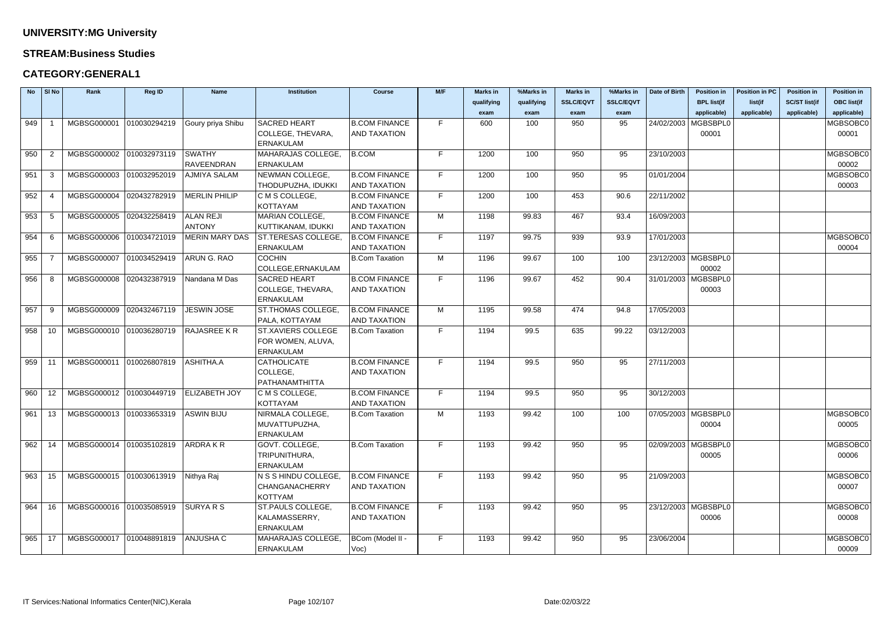#### **STREAM:Business Studies**

### **CATEGORY:GENERAL1**

|            | $No$ SI No | Rank                                             | <b>Reg ID</b> | <b>Name</b>           | <b>Institution</b>        | <b>Course</b>         | M/F | <b>Marks in</b> | %Marks in  | <b>Marks in</b>  | %Marks in        | Date of Birth | <b>Position in</b>    | <b>Position in PC</b> | <b>Position in</b>   | <b>Position in</b> |
|------------|------------|--------------------------------------------------|---------------|-----------------------|---------------------------|-----------------------|-----|-----------------|------------|------------------|------------------|---------------|-----------------------|-----------------------|----------------------|--------------------|
|            |            |                                                  |               |                       |                           |                       |     | qualifying      | qualifying | <b>SSLC/EQVT</b> | <b>SSLC/EQVT</b> |               | <b>BPL list(if</b>    | list(if               | <b>SC/ST list(if</b> | <b>OBC list(if</b> |
|            |            |                                                  |               |                       |                           |                       |     | exam            | exam       | exam             | exam             |               | applicable)           | applicable)           | applicable)          | applicable)        |
| 949        |            | MGBSG000001                                      | 010030294219  | Goury priya Shibu     | <b>SACRED HEART</b>       | <b>B.COM FINANCE</b>  | F.  | 600             | 100        | 950              | 95               |               | 24/02/2003   MGBSBPL0 |                       |                      | MGBSOBC0           |
|            |            |                                                  |               |                       | COLLEGE, THEVARA,         | <b>AND TAXATION</b>   |     |                 |            |                  |                  |               | 00001                 |                       |                      | 00001              |
|            |            |                                                  |               |                       | <b>ERNAKULAM</b>          |                       |     |                 |            |                  |                  |               |                       |                       |                      |                    |
| 950        | -2         | MGBSG000002 010032973119                         |               | <b>SWATHY</b>         | <b>MAHARAJAS COLLEGE,</b> | B.COM                 | F.  | 1200            | 100        | 950              | 95               | 23/10/2003    |                       |                       |                      | MGBSOBC0           |
|            |            |                                                  |               | RAVEENDRAN            | <b>ERNAKULAM</b>          |                       |     |                 |            |                  |                  |               |                       |                       |                      | 00002              |
| 951        | -3         | MGBSG000003                                      | 010032952019  | <b>AJMIYA SALAM</b>   | NEWMAN COLLEGE,           | <b>B.COM FINANCE</b>  | F.  | 1200            | 100        | 950              | 95               | 01/01/2004    |                       |                       |                      | MGBSOBC0           |
|            |            |                                                  |               |                       | THODUPUZHA, IDUKKI        | AND TAXATION          |     |                 |            |                  |                  |               |                       |                       |                      | 00003              |
| 952        | -4         | MGBSG000004                                      | 020432782919  | <b>MERLIN PHILIP</b>  | C M S COLLEGE,            | <b>B.COM FINANCE</b>  | F.  | 1200            | 100        | 453              | 90.6             | 22/11/2002    |                       |                       |                      |                    |
|            |            |                                                  |               |                       | <b>KOTTAYAM</b>           | <b>AND TAXATION</b>   |     |                 |            |                  |                  |               |                       |                       |                      |                    |
| 953        | -5         | MGBSG000005                                      | 020432258419  | <b>ALAN REJI</b>      | MARIAN COLLEGE,           | <b>B.COM FINANCE</b>  | M   | 1198            | 99.83      | 467              | 93.4             | 16/09/2003    |                       |                       |                      |                    |
|            |            |                                                  |               | <b>ANTONY</b>         | KUTTIKANAM, IDUKKI        | <b>AND TAXATION</b>   |     |                 |            |                  |                  |               |                       |                       |                      |                    |
| 954        | -6         | MGBSG000006 010034721019                         |               | <b>MERIN MARY DAS</b> | <b>ST.TERESAS COLLEGE</b> | <b>B.COM FINANCE</b>  | F.  | 1197            | 99.75      | 939              | 93.9             | 17/01/2003    |                       |                       |                      | MGBSOBC0           |
|            |            |                                                  |               |                       | <b>ERNAKULAM</b>          | <b>AND TAXATION</b>   |     |                 |            |                  |                  |               |                       |                       |                      | 00004              |
| 955        |            | MGBSG000007                                      | 010034529419  | ARUN G. RAO           | <b>COCHIN</b>             | <b>B.Com Taxation</b> | M   | 1196            | 99.67      | 100              | 100              |               | 23/12/2003   MGBSBPL0 |                       |                      |                    |
|            |            |                                                  |               |                       | COLLEGE, ERNAKULAM        |                       |     |                 |            |                  |                  |               | 00002                 |                       |                      |                    |
| 956        | -8         | MGBSG000008                                      | 020432387919  | Nandana M Das         | <b>SACRED HEART</b>       | <b>B.COM FINANCE</b>  | F.  | 1196            | 99.67      | 452              | 90.4             |               | 31/01/2003   MGBSBPL0 |                       |                      |                    |
|            |            |                                                  |               |                       | COLLEGE, THEVARA,         | <b>AND TAXATION</b>   |     |                 |            |                  |                  |               | 00003                 |                       |                      |                    |
|            |            |                                                  |               |                       | <b>ERNAKULAM</b>          |                       |     |                 |            |                  |                  |               |                       |                       |                      |                    |
| 957        | -9         | MGBSG000009                                      | 020432467119  | <b>JESWIN JOSE</b>    | <b>ST.THOMAS COLLEGE,</b> | <b>B.COM FINANCE</b>  | M   | 1195            | 99.58      | 474              | 94.8             | 17/05/2003    |                       |                       |                      |                    |
|            |            |                                                  |               |                       | PALA, KOTTAYAM            | <b>AND TAXATION</b>   |     |                 |            |                  |                  |               |                       |                       |                      |                    |
| 958        | 10         | MGBSG000010 010036280719                         |               | <b>RAJASREE KR</b>    | <b>ST.XAVIERS COLLEGE</b> | B.Com Taxation        | F.  | 1194            | 99.5       | 635              | 99.22            | 03/12/2003    |                       |                       |                      |                    |
|            |            |                                                  |               |                       | FOR WOMEN, ALUVA,         |                       |     |                 |            |                  |                  |               |                       |                       |                      |                    |
|            |            |                                                  |               |                       | <b>ERNAKULAM</b>          |                       |     |                 |            |                  |                  |               |                       |                       |                      |                    |
| $959$ 11   |            | MGBSG000011                                      | 010026807819  | ASHITHA.A             | <b>CATHOLICATE</b>        | <b>B.COM FINANCE</b>  | F.  | 1194            | 99.5       | 950              | 95               | 27/11/2003    |                       |                       |                      |                    |
|            |            |                                                  |               |                       | COLLEGE,                  | AND TAXATION          |     |                 |            |                  |                  |               |                       |                       |                      |                    |
|            |            |                                                  |               |                       | PATHANAMTHITTA            |                       |     |                 |            |                  |                  |               |                       |                       |                      |                    |
| 960        | 12         | MGBSG000012 010030449719                         |               | <b>ELIZABETH JOY</b>  | C M S COLLEGE,            | <b>B.COM FINANCE</b>  | F.  | 1194            | 99.5       | 950              | 95               | 30/12/2003    |                       |                       |                      |                    |
|            |            |                                                  |               |                       | <b>KOTTAYAM</b>           | <b>AND TAXATION</b>   |     |                 |            |                  |                  |               |                       |                       |                      |                    |
|            |            | 961   13   MGBSG000013  010033653319  ASWIN BIJU |               |                       | NIRMALA COLLEGE,          | <b>B.Com Taxation</b> | M   | 1193            | 99.42      | 100              | 100              |               | 07/05/2003   MGBSBPL0 |                       |                      | MGBSOBC0           |
|            |            |                                                  |               |                       | MUVATTUPUZHA,             |                       |     |                 |            |                  |                  |               | 00004                 |                       |                      | 00005              |
|            |            |                                                  |               |                       | <b>ERNAKULAM</b>          |                       |     |                 |            |                  |                  |               |                       |                       |                      |                    |
| 962        | 14         | MGBSG000014 010035102819                         |               | <b>ARDRAKR</b>        | GOVT. COLLEGE,            | B.Com Taxation        | F.  | 1193            | 99.42      | 950              | 95               |               | 02/09/2003   MGBSBPL0 |                       |                      | MGBSOBC0           |
|            |            |                                                  |               |                       | TRIPUNITHURA,             |                       |     |                 |            |                  |                  |               | 00005                 |                       |                      | 00006              |
|            |            |                                                  |               |                       | <b>ERNAKULAM</b>          |                       |     |                 |            |                  |                  |               |                       |                       |                      |                    |
| $963$ 15   |            | MGBSG000015 010030613919                         |               | Nithya Raj            | N S S HINDU COLLEGE,      | <b>B.COM FINANCE</b>  | F.  | 1193            | 99.42      | 950              | 95               | 21/09/2003    |                       |                       |                      | MGBSOBC0           |
|            |            |                                                  |               |                       | CHANGANACHERRY            | <b>AND TAXATION</b>   |     |                 |            |                  |                  |               |                       |                       |                      | 00007              |
|            |            |                                                  |               |                       | KOTTYAM                   |                       |     |                 |            |                  |                  |               |                       |                       |                      |                    |
| 964        | 16         | MGBSG000016 010035085919                         |               | <b>SURYARS</b>        | ST.PAULS COLLEGE,         | <b>B.COM FINANCE</b>  | F.  | 1193            | 99.42      | 950              | 95               |               | 23/12/2003   MGBSBPL0 |                       |                      | MGBSOBC0           |
|            |            |                                                  |               |                       | KALAMASSERRY,             | <b>AND TAXATION</b>   |     |                 |            |                  |                  |               | 00006                 |                       |                      | 00008              |
|            |            |                                                  |               |                       | <b>ERNAKULAM</b>          |                       |     |                 |            |                  |                  |               |                       |                       |                      |                    |
| $965$   17 |            | MGBSG000017 010048891819                         |               | ANJUSHA C             | MAHARAJAS COLLEGE,        | BCom (Model II -      | F.  | 1193            | 99.42      | 950              | 95               | 23/06/2004    |                       |                       |                      | MGBSOBC0           |
|            |            |                                                  |               |                       | <b>ERNAKULAM</b>          | $Voc$ )               |     |                 |            |                  |                  |               |                       |                       |                      | 00009              |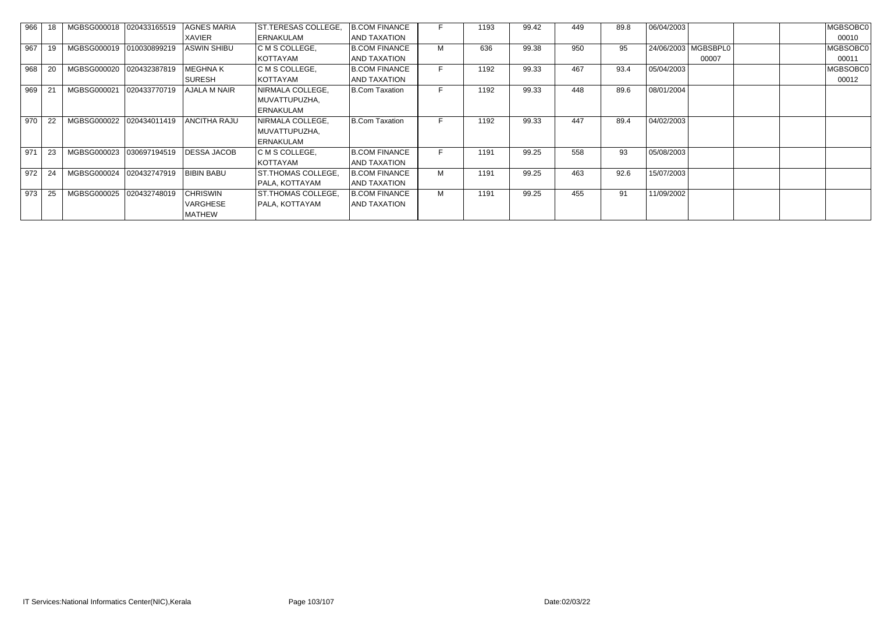| 966 |    | MGBSG000018  020433165519 |              | <b>AGNES MARIA</b>  | ST.TERESAS COLLEGE, | <b>B.COM FINANCE</b> |   | 1193 | 99.42 | 449 | 89.8 | 06/04/2003 |                       | MGBSOBC0 |
|-----|----|---------------------------|--------------|---------------------|---------------------|----------------------|---|------|-------|-----|------|------------|-----------------------|----------|
|     |    |                           |              | XAVIER              | <b>ERNAKULAM</b>    | AND TAXATION         |   |      |       |     |      |            |                       | 00010    |
| 967 | 19 | MGBSG000019               | 010030899219 | <b>ASWIN SHIBU</b>  | C M S COLLEGE,      | <b>B.COM FINANCE</b> | M | 636  | 99.38 | 950 | 95   |            | 24/06/2003   MGBSBPL0 | MGBSOBC0 |
|     |    |                           |              |                     | KOTTAYAM            | AND TAXATION         |   |      |       |     |      |            | 00007                 | 00011    |
| 968 | 20 | MGBSG000020               | 020432387819 | <b>MEGHNAK</b>      | C M S COLLEGE,      | <b>B.COM FINANCE</b> |   | 1192 | 99.33 | 467 | 93.4 | 05/04/2003 |                       | MGBSOBC0 |
|     |    |                           |              | <b>SURESH</b>       | KOTTAYAM            | AND TAXATION         |   |      |       |     |      |            |                       | 00012    |
| 969 | 21 | MGBSG000021               | 020433770719 | AJALA M NAIR        | NIRMALA COLLEGE,    | B.Com Taxation       |   | 1192 | 99.33 | 448 | 89.6 | 08/01/2004 |                       |          |
|     |    |                           |              |                     | MUVATTUPUZHA,       |                      |   |      |       |     |      |            |                       |          |
|     |    |                           |              |                     | ERNAKULAM           |                      |   |      |       |     |      |            |                       |          |
| 970 | 22 | MGBSG000022               | 020434011419 | <b>ANCITHA RAJU</b> | NIRMALA COLLEGE,    | B.Com Taxation       |   | 1192 | 99.33 | 447 | 89.4 | 04/02/2003 |                       |          |
|     |    |                           |              |                     | MUVATTUPUZHA,       |                      |   |      |       |     |      |            |                       |          |
|     |    |                           |              |                     | ERNAKULAM           |                      |   |      |       |     |      |            |                       |          |
| 971 | 23 | MGBSG000023               | 030697194519 | DESSA JACOB         | C M S COLLEGE,      | <b>B.COM FINANCE</b> |   | 1191 | 99.25 | 558 | 93   | 05/08/2003 |                       |          |
|     |    |                           |              |                     | KOTTAYAM            | AND TAXATION         |   |      |       |     |      |            |                       |          |
| 972 | 24 | MGBSG000024               | 020432747919 | <b>BIBIN BABU</b>   | ST. THOMAS COLLEGE, | <b>B.COM FINANCE</b> | M | 1191 | 99.25 | 463 | 92.6 | 15/07/2003 |                       |          |
|     |    |                           |              |                     | PALA, KOTTAYAM      | AND TAXATION         |   |      |       |     |      |            |                       |          |
| 973 | 25 | MGBSG000025               | 020432748019 | <b>CHRISWIN</b>     | ST. THOMAS COLLEGE, | B.COM FINANCE        | M | 1191 | 99.25 | 455 | 91   | 11/09/2002 |                       |          |
|     |    |                           |              | VARGHESE            | PALA, KOTTAYAM      | AND TAXATION         |   |      |       |     |      |            |                       |          |
|     |    |                           |              | MATHEW              |                     |                      |   |      |       |     |      |            |                       |          |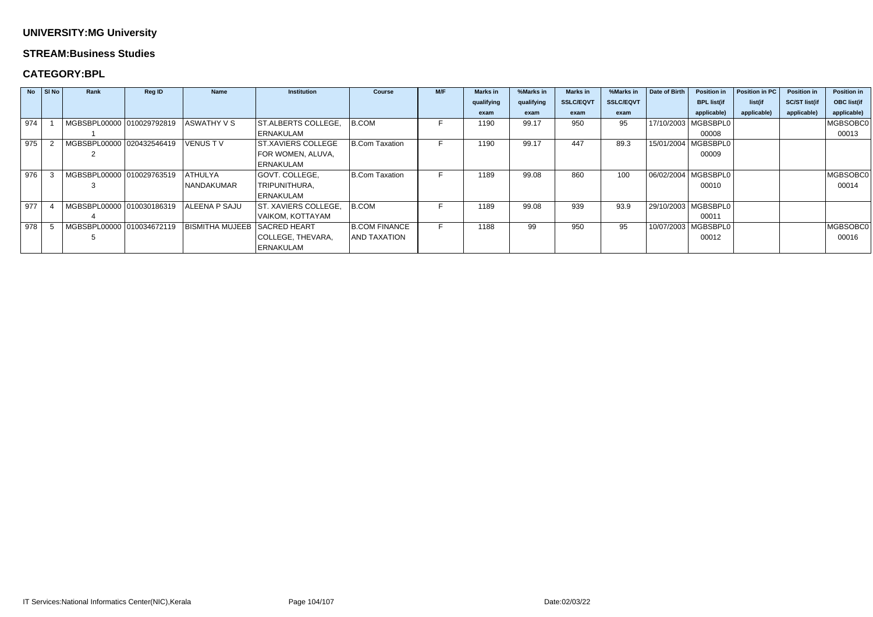#### **STREAM:Business Studies**

### **CATEGORY:BPL**

| <b>No</b> | $\vert$ SI No | Rank                      | <b>Reg ID</b> | <b>Name</b>            | <b>Institution</b>          | <b>Course</b>        | M/F | <b>Marks in</b> | %Marks in  | <b>Marks in</b>  | %Marks in        | Date of Birth | <b>Position in</b>    | Position in PC | <b>Position in</b>   | <b>Position in</b> |
|-----------|---------------|---------------------------|---------------|------------------------|-----------------------------|----------------------|-----|-----------------|------------|------------------|------------------|---------------|-----------------------|----------------|----------------------|--------------------|
|           |               |                           |               |                        |                             |                      |     | qualifying      | qualifying | <b>SSLC/EQVT</b> | <b>SSLC/EQVT</b> |               | <b>BPL list(if</b>    | list(if        | <b>SC/ST list(if</b> | <b>OBC list(if</b> |
|           |               |                           |               |                        |                             |                      |     | exam            | exam       | exam             | exam             |               | applicable)           | applicable)    | applicable)          | applicable)        |
| 974       |               | MGBSBPL00000 010029792819 |               | <b>ASWATHY V S</b>     | <b>ST.ALBERTS COLLEGE,</b>  | B.COM                |     | 1190            | 99.17      | 950              | 95               |               | 17/10/2003   MGBSBPL0 |                |                      | MGBSOBC0           |
|           |               |                           |               |                        | ERNAKULAM                   |                      |     |                 |            |                  |                  |               | 00008                 |                |                      | 00013              |
| 975       |               | MGBSBPL00000 020432546419 |               | <b>VENUSTV</b>         | <b>ST.XAVIERS COLLEGE</b>   | B.Com Taxation       | ь.  | 1190            | 99.17      | 447              | 89.3             |               | 15/01/2004   MGBSBPL0 |                |                      |                    |
|           |               |                           |               |                        | FOR WOMEN, ALUVA,           |                      |     |                 |            |                  |                  |               | 00009                 |                |                      |                    |
|           |               |                           |               |                        | <b>ERNAKULAM</b>            |                      |     |                 |            |                  |                  |               |                       |                |                      |                    |
| 976       |               | MGBSBPL00000 010029763519 |               | ATHULYA                | GOVT. COLLEGE,              | B.Com Taxation       |     | 1189            | 99.08      | 860              | 100              |               | 06/02/2004   MGBSBPL0 |                |                      | MGBSOBC0           |
|           |               |                           |               | NANDAKUMAR             | TRIPUNITHURA,               |                      |     |                 |            |                  |                  |               | 00010                 |                |                      | 00014              |
|           |               |                           |               |                        | <b>ERNAKULAM</b>            |                      |     |                 |            |                  |                  |               |                       |                |                      |                    |
| 977       |               | MGBSBPL00000 010030186319 |               | <b>ALEENA P SAJU</b>   | <b>ST. XAVIERS COLLEGE,</b> | B.COM                |     | 1189            | 99.08      | 939              | 93.9             |               | 29/10/2003   MGBSBPL0 |                |                      |                    |
|           |               |                           |               |                        | VAIKOM, KOTTAYAM            |                      |     |                 |            |                  |                  |               | 00011                 |                |                      |                    |
| 978       |               | MGBSBPL00000 010034672119 |               | <b>BISMITHA MUJEEB</b> | <b>SACRED HEART</b>         | <b>B.COM FINANCE</b> |     | 1188            | 99         | 950              | 95               |               | 10/07/2003   MGBSBPL0 |                |                      | MGBSOBC0           |
|           |               |                           |               |                        | COLLEGE, THEVARA,           | <b>AND TAXATION</b>  |     |                 |            |                  |                  |               | 00012                 |                |                      | 00016              |
|           |               |                           |               |                        | <b>ERNAKULAM</b>            |                      |     |                 |            |                  |                  |               |                       |                |                      |                    |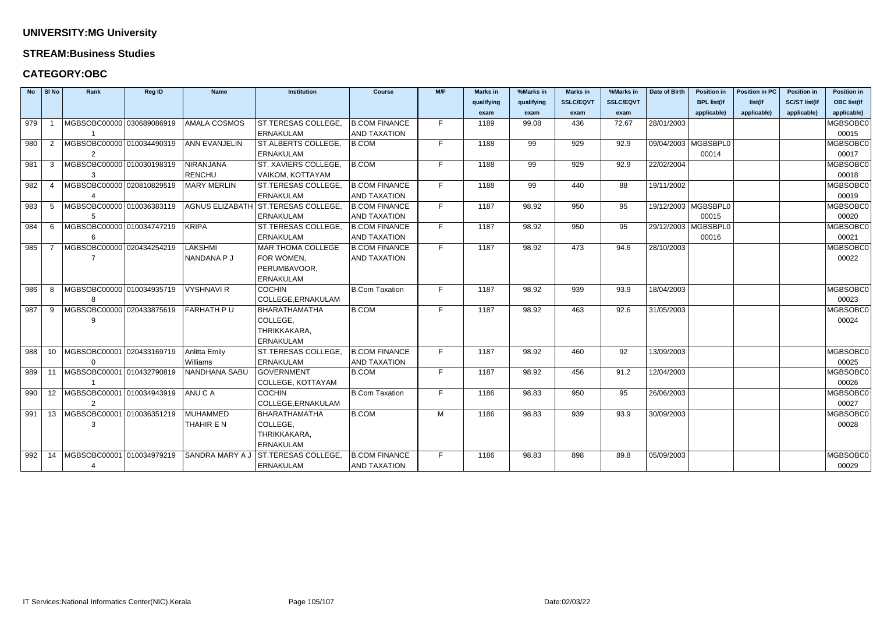#### **STREAM:Business Studies**

### **CATEGORY:OBC**

| <b>No</b> | SI No           | Rank                                              | Reg ID | <b>Name</b>            | <b>Institution</b>         | <b>Course</b>         | M/F | <b>Marks in</b> | %Marks in  | <b>Marks in</b>  | %Marks in        | Date of Birth | <b>Position in</b>    | <b>Position in PC</b> | <b>Position in</b>   | <b>Position in</b> |
|-----------|-----------------|---------------------------------------------------|--------|------------------------|----------------------------|-----------------------|-----|-----------------|------------|------------------|------------------|---------------|-----------------------|-----------------------|----------------------|--------------------|
|           |                 |                                                   |        |                        |                            |                       |     | qualifying      | qualifying | <b>SSLC/EQVT</b> | <b>SSLC/EQVT</b> |               | <b>BPL list(if</b>    | list(if               | <b>SC/ST list(if</b> | <b>OBC list(if</b> |
|           |                 |                                                   |        |                        |                            |                       |     | exam            | exam       | exam             | exam             |               | applicable)           | applicable)           | applicable)          | applicable)        |
| 979       |                 | MGBSOBC00000 030689086919                         |        | <b>AMALA COSMOS</b>    | ST.TERESAS COLLEGE         | <b>B.COM FINANCE</b>  | F.  | 1189            | 99.08      | 436              | 72.67            | 28/01/2003    |                       |                       |                      | MGBSOBC0           |
|           |                 |                                                   |        |                        | <b>ERNAKULAM</b>           | <b>AND TAXATION</b>   |     |                 |            |                  |                  |               |                       |                       |                      | 00015              |
| 980       | 2               | MGBSOBC00000 010034490319                         |        | <b>ANN EVANJELIN</b>   | ST.ALBERTS COLLEGE,        | B.COM                 | F   | 1188            | 99         | 929              | 92.9             |               | 09/04/2003   MGBSBPL0 |                       |                      | MGBSOBC0           |
|           |                 |                                                   |        |                        | <b>ERNAKULAM</b>           |                       |     |                 |            |                  |                  |               | 00014                 |                       |                      | 00017              |
| 981       | 3               | MGBSOBC00000 010030198319                         |        | <b>NIRANJANA</b>       | ST. XAVIERS COLLEGE,       | B.COM                 | F   | 1188            | 99         | 929              | 92.9             | 22/02/2004    |                       |                       |                      | MGBSOBC0           |
|           |                 | 3                                                 |        | <b>RENCHU</b>          | VAIKOM, KOTTAYAM           |                       |     |                 |            |                  |                  |               |                       |                       |                      | 00018              |
| 982       | -4              | MGBSOBC00000 020810829519                         |        | <b>MARY MERLIN</b>     | ST.TERESAS COLLEGE         | <b>B.COM FINANCE</b>  | F   | 1188            | 99         | 440              | 88               | 19/11/2002    |                       |                       |                      | MGBSOBC0           |
|           |                 |                                                   |        |                        | <b>ERNAKULAM</b>           | <b>AND TAXATION</b>   |     |                 |            |                  |                  |               |                       |                       |                      | 00019              |
| 983       | -5              | MGBSOBC00000 010036383119                         |        | <b>AGNUS ELIZABATH</b> | ST.TERESAS COLLEGE         | <b>B.COM FINANCE</b>  | F   | 1187            | 98.92      | 950              | 95               |               | 19/12/2003   MGBSBPL0 |                       |                      | MGBSOBC0           |
|           |                 |                                                   |        |                        | <b>ERNAKULAM</b>           | <b>AND TAXATION</b>   |     |                 |            |                  |                  |               | 00015                 |                       |                      | 00020              |
| 984       | 6               | MGBSOBC00000 010034747219                         |        | <b>KRIPA</b>           | ST.TERESAS COLLEGE,        | <b>B.COM FINANCE</b>  | F   | 1187            | 98.92      | 950              | 95               |               | 29/12/2003   MGBSBPL0 |                       |                      | MGBSOBC0           |
|           |                 | 6                                                 |        |                        | <b>ERNAKULAM</b>           | AND TAXATION          |     |                 |            |                  |                  |               | 00016                 |                       |                      | 00021              |
| 985       |                 | MGBSOBC00000 020434254219                         |        | LAKSHMI                | <b>MAR THOMA COLLEGE</b>   | <b>B.COM FINANCE</b>  | F   | 1187            | 98.92      | 473              | 94.6             | 28/10/2003    |                       |                       |                      | MGBSOBC0           |
|           |                 |                                                   |        | NANDANA P J            | FOR WOMEN,                 | <b>AND TAXATION</b>   |     |                 |            |                  |                  |               |                       |                       |                      | 00022              |
|           |                 |                                                   |        |                        | PERUMBAVOOR,               |                       |     |                 |            |                  |                  |               |                       |                       |                      |                    |
|           |                 |                                                   |        |                        | <b>ERNAKULAM</b>           |                       |     |                 |            |                  |                  |               |                       |                       |                      |                    |
| 986       | -8              | MGBSOBC00000 010034935719                         |        | <b>VYSHNAVI R</b>      | <b>COCHIN</b>              | <b>B.Com Taxation</b> | F   | 1187            | 98.92      | 939              | 93.9             | 18/04/2003    |                       |                       |                      | MGBSOBC0           |
|           |                 |                                                   |        |                        | COLLEGE, ERNAKULAM         |                       |     |                 |            |                  |                  |               |                       |                       |                      | 00023              |
| 987       | 9               | MGBSOBC00000 020433875619                         |        | FARHATH P U            | <b>BHARATHAMATHA</b>       | <b>B.COM</b>          | F.  | 1187            | 98.92      | 463              | 92.6             | 31/05/2003    |                       |                       |                      | MGBSOBC0           |
|           |                 |                                                   |        |                        | COLLEGE,                   |                       |     |                 |            |                  |                  |               |                       |                       |                      | 00024              |
|           |                 |                                                   |        |                        | THRIKKAKARA,               |                       |     |                 |            |                  |                  |               |                       |                       |                      |                    |
|           |                 |                                                   |        |                        | <b>ERNAKULAM</b>           |                       |     |                 |            |                  |                  |               |                       |                       |                      |                    |
| 988       | 10 <sup>1</sup> | MGBSOBC00001 020433169719                         |        | <b>Anlitta Emily</b>   | ST.TERESAS COLLEGE         | <b>B.COM FINANCE</b>  | F   | 1187            | 98.92      | 460              | 92               | 13/09/2003    |                       |                       |                      | MGBSOBC0           |
|           |                 | $\Omega$                                          |        | <b>Williams</b>        | <b>ERNAKULAM</b>           | <b>AND TAXATION</b>   |     |                 |            |                  |                  |               |                       |                       |                      | 00025              |
| 989       | -11             | MGBSOBC00001 010432790819                         |        | NANDHANA SABU          | <b>GOVERNMENT</b>          | <b>B.COM</b>          | F   | 1187            | 98.92      | 456              | 91.2             | 12/04/2003    |                       |                       |                      | MGBSOBC0           |
|           |                 |                                                   |        |                        | COLLEGE, KOTTAYAM          |                       |     |                 |            |                  |                  |               |                       |                       |                      | 00026              |
| 990       | 12 <sup>7</sup> | MGBSOBC00001 010034943919                         |        | ANU C A                | <b>COCHIN</b>              | <b>B.Com Taxation</b> | F.  | 1186            | 98.83      | 950              | 95               | 26/06/2003    |                       |                       |                      | MGBSOBC0           |
|           |                 |                                                   |        |                        | COLLEGE, ERNAKULAM         |                       |     |                 |            |                  |                  |               |                       |                       |                      | 00027              |
|           |                 | 991   13   MGBSOBC00001   010036351219   MUHAMMED |        |                        | BHARATHAMATHA              | B.COM                 | M   | 1186            | 98.83      | 939              | 93.9             | 30/09/2003    |                       |                       |                      | MGBSOBC0           |
|           |                 | 3                                                 |        | THAHIR E N             | COLLEGE,                   |                       |     |                 |            |                  |                  |               |                       |                       |                      | 00028              |
|           |                 |                                                   |        |                        | THRIKKAKARA,               |                       |     |                 |            |                  |                  |               |                       |                       |                      |                    |
|           |                 |                                                   |        |                        | <b>ERNAKULAM</b>           |                       |     |                 |            |                  |                  |               |                       |                       |                      |                    |
| 992       |                 | 14   MGBSOBC00001   010034979219                  |        | <b>SANDRA MARY A J</b> | <b>ST.TERESAS COLLEGE.</b> | <b>B.COM FINANCE</b>  | F   | 1186            | 98.83      | 898              | 89.8             | 05/09/2003    |                       |                       |                      | MGBSOBC0           |
|           |                 | $\overline{4}$                                    |        |                        | <b>ERNAKULAM</b>           | <b>AND TAXATION</b>   |     |                 |            |                  |                  |               |                       |                       |                      | 00029              |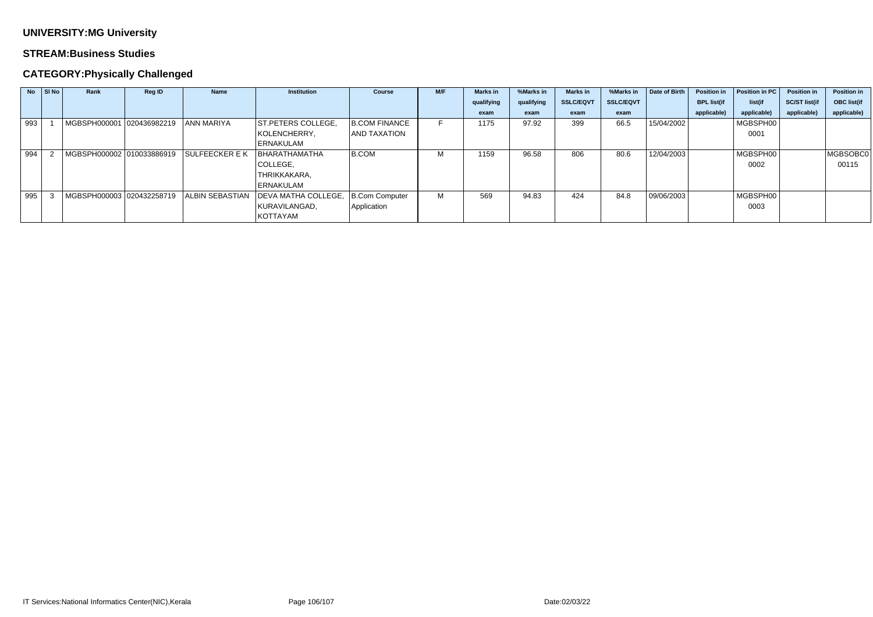### **STREAM:Business Studies**

|     | $No$ SI No | Rank                      | <b>Reg ID</b> | <b>Name</b>            | <b>Institution</b>   | <b>Course</b>        | M/F | <b>Marks in</b> | %Marks in  | <b>Marks in</b>  | %Marks in        | Date of Birth | <b>Position in</b> | Position in PC | <b>Position in</b>   | <b>Position in</b> |
|-----|------------|---------------------------|---------------|------------------------|----------------------|----------------------|-----|-----------------|------------|------------------|------------------|---------------|--------------------|----------------|----------------------|--------------------|
|     |            |                           |               |                        |                      |                      |     | qualifying      | qualifying | <b>SSLC/EQVT</b> | <b>SSLC/EQVT</b> |               | <b>BPL list(if</b> | list(if        | <b>SC/ST list(if</b> | <b>OBC list(if</b> |
|     |            |                           |               |                        |                      |                      |     | exam            | exam       | exam             | exam             |               | applicable)        | applicable)    | applicable)          | applicable)        |
| 993 |            | MGBSPH000001 020436982219 |               | <b>ANN MARIYA</b>      | ST.PETERS COLLEGE,   | <b>B.COM FINANCE</b> |     | 1175            | 97.92      | 399              | 66.5             | 15/04/2002    |                    | MGBSPH00       |                      |                    |
|     |            |                           |               |                        | KOLENCHERRY,         | <b>AND TAXATION</b>  |     |                 |            |                  |                  |               |                    | 0001           |                      |                    |
|     |            |                           |               |                        | ERNAKULAM            |                      |     |                 |            |                  |                  |               |                    |                |                      |                    |
| 994 |            | MGBSPH000002 010033886919 |               | <b>SULFEECKER E K</b>  | <b>BHARATHAMATHA</b> | B.COM                | м   | 1159            | 96.58      | 806              | 80.6             | 12/04/2003    |                    | MGBSPH00       |                      | MGBSOBC0           |
|     |            |                           |               |                        | COLLEGE,             |                      |     |                 |            |                  |                  |               |                    | 0002           |                      | 00115              |
|     |            |                           |               |                        | THRIKKAKARA,         |                      |     |                 |            |                  |                  |               |                    |                |                      |                    |
|     |            |                           |               |                        | ERNAKULAM            |                      |     |                 |            |                  |                  |               |                    |                |                      |                    |
| 995 |            | MGBSPH000003 020432258719 |               | <b>ALBIN SEBASTIAN</b> | DEVA MATHA COLLEGE,  | B.Com Computer       | м   | 569             | 94.83      | 424              | 84.8             | 09/06/2003    |                    | MGBSPH00       |                      |                    |
|     |            |                           |               |                        | KURAVILANGAD,        | Application          |     |                 |            |                  |                  |               |                    | 0003           |                      |                    |
|     |            |                           |               |                        | KOTTAYAM             |                      |     |                 |            |                  |                  |               |                    |                |                      |                    |